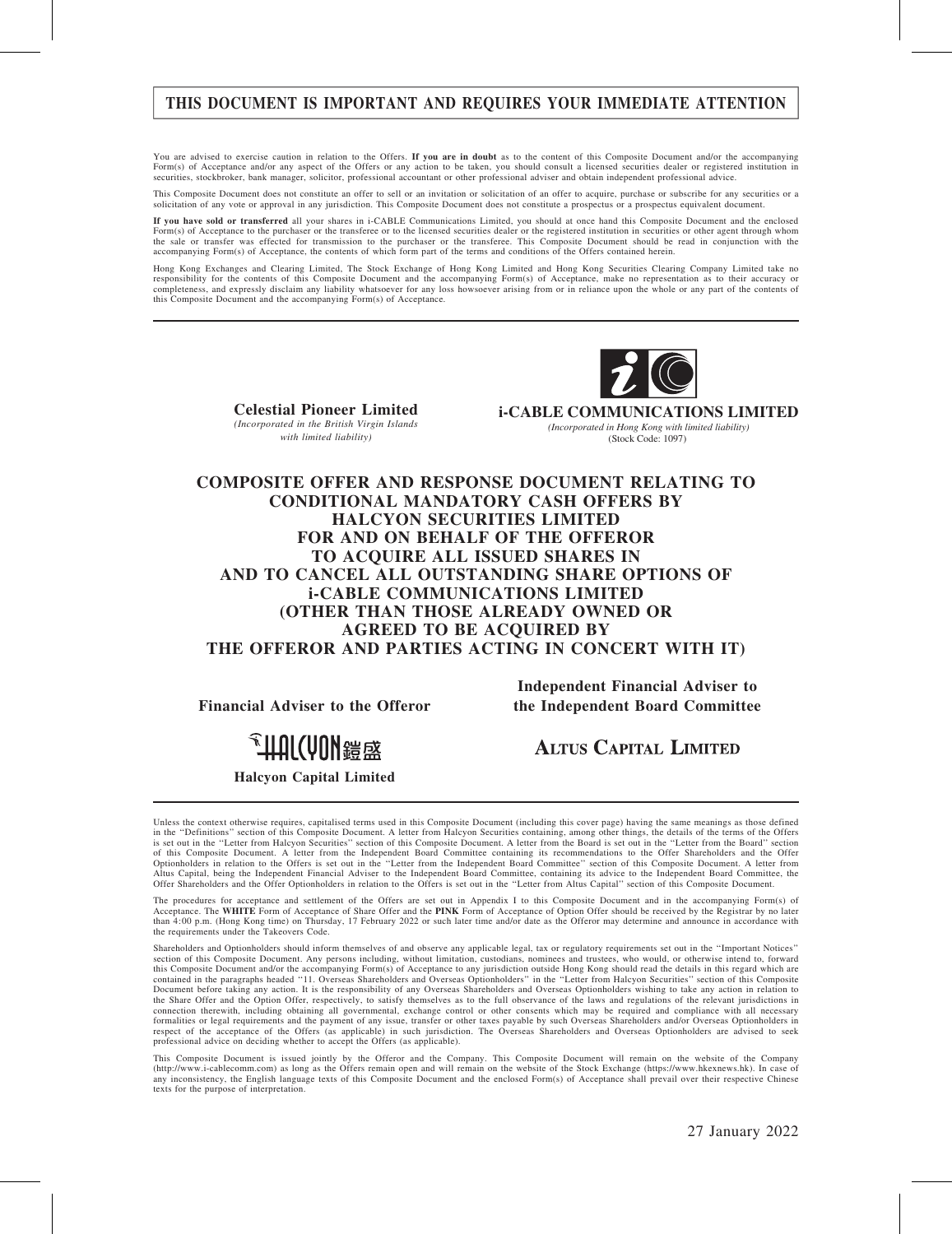# THIS DOCUMENT IS IMPORTANT AND REQUIRES YOUR IMMEDIATE ATTENTION

You are advised to exercise caution in relation to the Offers. If you are in doubt as to the content of this Composite Document and/or the accompanying Form(s) of Acceptance and/or any aspect of the Offers or any action to be taken, you should consult a licensed securities dealer or registered institution in<br>securities, stockbroker, bank manager, solicitor, professional a

This Composite Document does not constitute an offer to sell or an invitation or solicitation of an offer to acquire, purchase or subscribe for any securities or a solicitation of any vote or approval in any jurisdiction. This Composite Document does not constitute a prospectus or a prospectus equivalent document.

If you have sold or transferred all your shares in i-CABLE Communications Limited, you should at once hand this Composite Document and the enclosed Form(s) of Acceptance to the purchaser or the transferee or to the licensed securities dealer or the registered institution in securities or other agent through whom<br>the sale or transfer was effected for transmission to th accompanying Form(s) of Acceptance, the contents of which form part of the terms and conditions of the Offers contained herein.

Hong Kong Exchanges and Clearing Limited, The Stock Exchange of Hong Kong Limited and Hong Kong Securities Clearing Company Limited take no<br>responsibility for the contents of this Composite Document and the accompanying Fo completeness, and expressly disclaim any liability whatsoever for any loss howsoever arising from or in reliance upon the whole or any part of the contents of this Composite Document and the accompanying Form(s) of Acceptance.



Celestial Pioneer Limited (Incorporated in the British Virgin Islands with limited liability)

**i-CABLE COMMUNICATIONS LIMITED** *(Incorporated in Hong Kong with limited liability)* (Stock Code: 1097)

### COMPOSITE OFFER AND RESPONSE DOCUMENT RELATING TO CONDITIONAL MANDATORY CASH OFFERS BY HALCYON SECURITIES LIMITED FOR AND ON BEHALF OF THE OFFEROR TO ACQUIRE ALL ISSUED SHARES IN AND TO CANCEL ALL OUTSTANDING SHARE OPTIONS OF i-CABLE COMMUNICATIONS LIMITED (OTHER THAN THOSE ALREADY OWNED OR AGREED TO BE ACQUIRED BY THE OFFEROR AND PARTIES ACTING IN CONCERT WITH IT)

Financial Adviser to the Offeror

Independent Financial Adviser to the Independent Board Committee

<sup>金</sup>出机(MU)带续

#### Halcyon Capital Limited

**ALTUS CAPITAL LIMITED** 

Unless the context otherwise requires, capitalised terms used in this Composite Document (including this cover page) having the same meanings as those defined<br>in the "Definitions" section of this Composite Document. A lett is set out in the ''Letter from Halcyon Securities'' section of this Composite Document. A letter from the Board is set out in the ''Letter from the Board'' section of this Composite Document. A letter from the Independent Board Committee containing its recommendations to the Offer Shareholders and the Offer<br>Optionholders in relation to the Offers is set out in the "Letter from the In Offer Shareholders and the Offer Optionholders in relation to the Offers is set out in the ''Letter from Altus Capital'' section of this Composite Document.

The procedures for acceptance and settlement of the Offers are set out in Appendix I to this Composite Document and in the accompanying Form(s) of<br>Acceptance. The WHITE Form of Acceptance of Share Offer and the PINK Form o than 4:00 p.m. (Hong Kong time) on Thursday, 17 February 2022 or such later time and/or date as the Offeror may determine and announce in accordance with the requirements under the Takeovers Code.

Shareholders and Optionholders should inform themselves of and observe any applicable legal, tax or regulatory requirements set out in the ''Important Notices'' section of this Composite Document. Any persons including, without limitation, custodians, nominees and trustees, who would, or otherwise intend to, forward this Composite Document and/or the accompanying Form(s) of Acceptance to any jurisdiction outside Hong Kong should read the details in this regard which are<br>contained in the paragraphs headed "11. Overseas Shareholders and Document before taking any action. It is the responsibility of any Overseas Shareholders and Overseas Optionholders wishing to take any action in relation to the Share Offer and the Option Offer, respectively, to satisfy themselves as to the full observance of the laws and regulations of the relevant jurisdictions in connection therewith, including obtaining all governmental, exchange control or other consents which may be required and compliance with all necessary<br>formalities or legal requirements and the payment of any issue, transfe respect of the acceptance of the Offers (as applicable) in such jurisdiction. The Overseas Shareholders and Overseas Optionholders are advised to seek professional advice on deciding whether to accept the Offers (as applicable).

This Composite Document is issued jointly by the Offeror and the Company. This Composite Document will remain on the website of the Company (http://www.i-cablecomm.com) as long as the Offers remain open and will remain on the website of the Stock Exchange (https://www.hkexnews.hk). In case of any inconsistency, the English language texts of this Composite Document and the enclosed Form(s) of Acceptance shall prevail over their respective Chinese texts for the purpose of interpretation.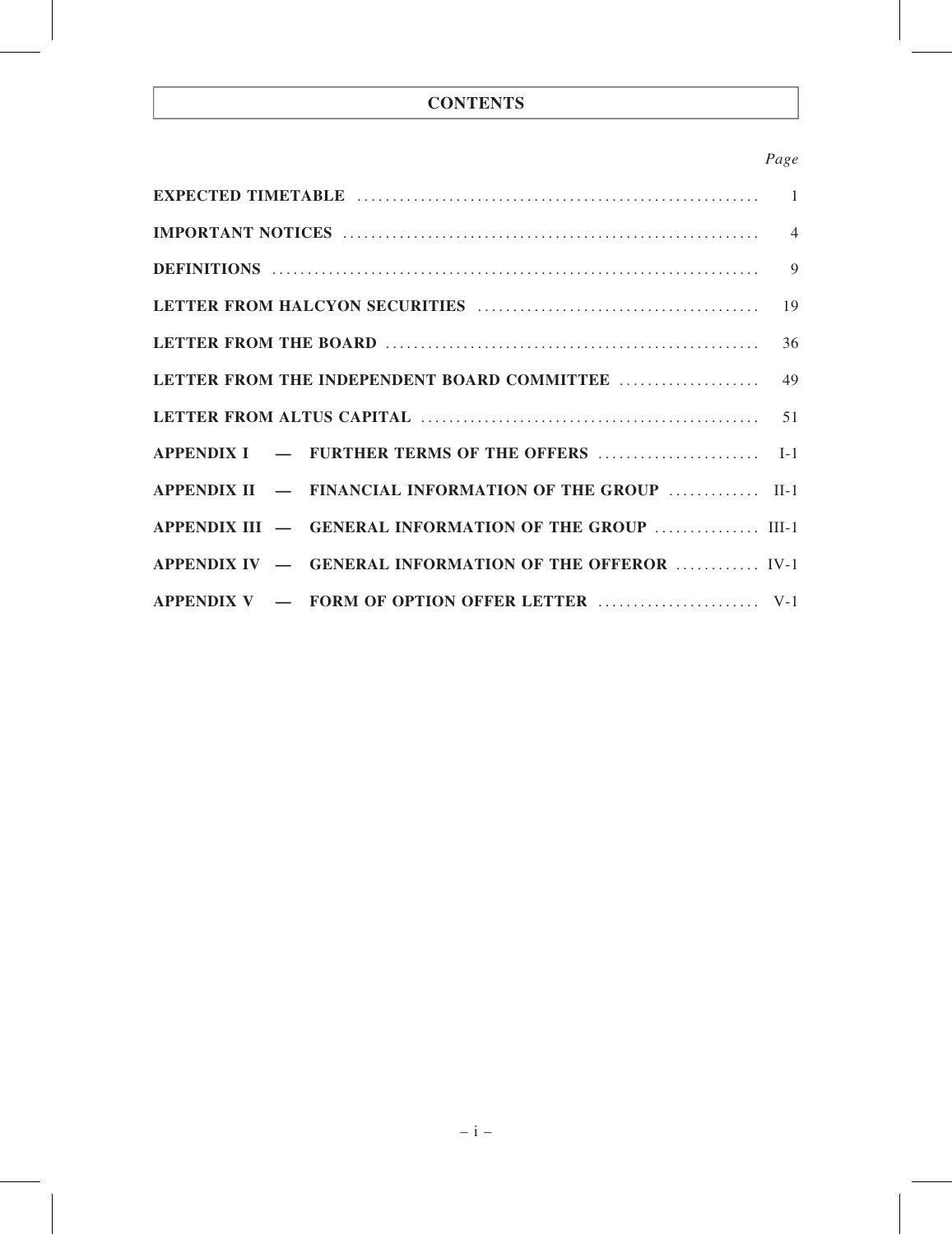# **CONTENTS**

# Page

| APPENDIX II - FINANCIAL INFORMATION OF THE GROUP  II-1 |  |
|--------------------------------------------------------|--|
| APPENDIX III - GENERAL INFORMATION OF THE GROUP  III-1 |  |
| APPENDIX IV - GENERAL INFORMATION OF THE OFFEROR  IV-1 |  |
|                                                        |  |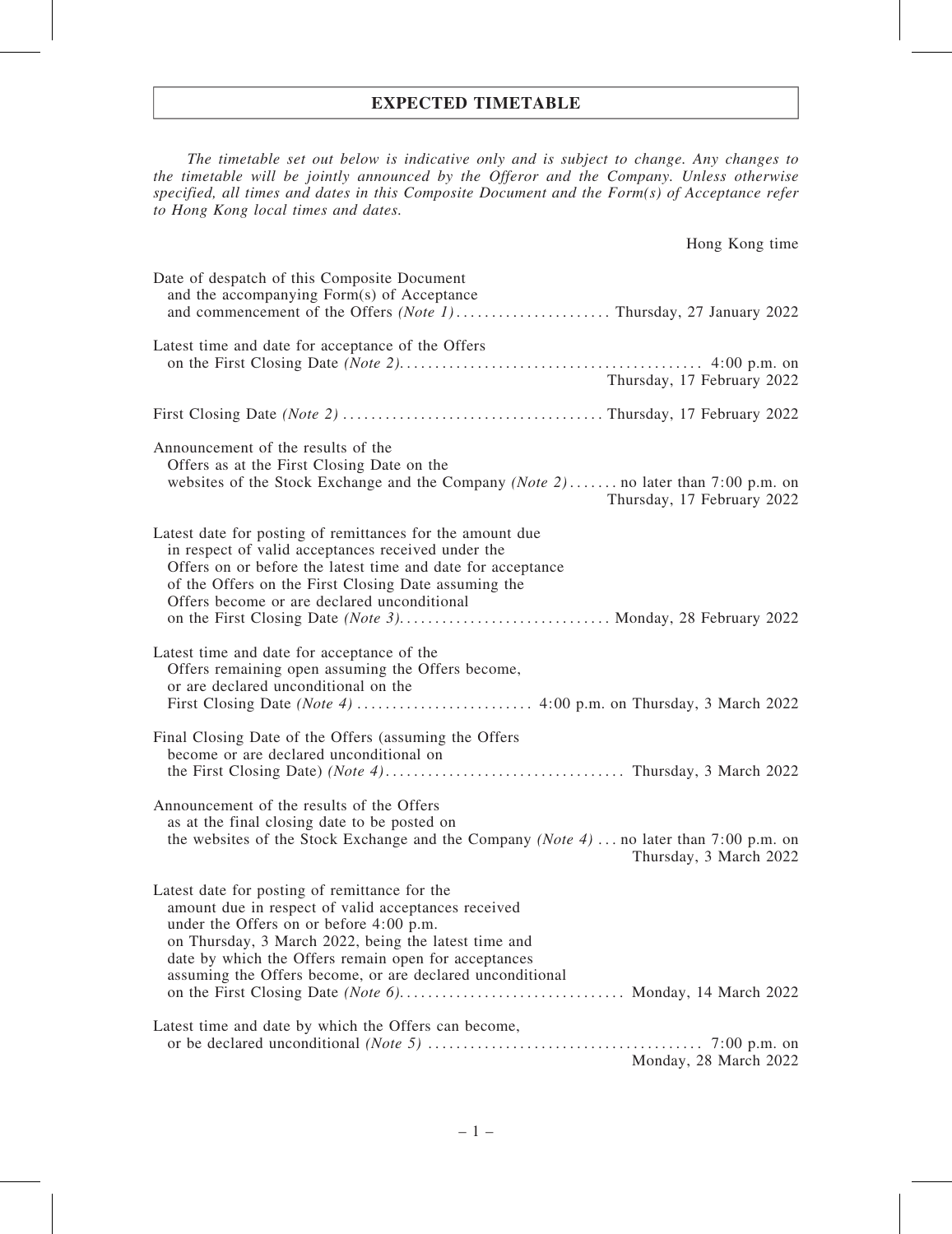### EXPECTED TIMETABLE

The timetable set out below is indicative only and is subject to change. Any changes to the timetable will be jointly announced by the Offeror and the Company. Unless otherwise specified, all times and dates in this Composite Document and the Form(s) of Acceptance refer to Hong Kong local times and dates.

| Hong Kong time                                                                                                                                                                                                                                                                                                               |
|------------------------------------------------------------------------------------------------------------------------------------------------------------------------------------------------------------------------------------------------------------------------------------------------------------------------------|
| Date of despatch of this Composite Document<br>and the accompanying Form(s) of Acceptance                                                                                                                                                                                                                                    |
| Latest time and date for acceptance of the Offers<br>Thursday, 17 February 2022                                                                                                                                                                                                                                              |
|                                                                                                                                                                                                                                                                                                                              |
| Announcement of the results of the<br>Offers as at the First Closing Date on the<br>websites of the Stock Exchange and the Company (Note 2) no later than 7:00 p.m. on<br>Thursday, 17 February 2022                                                                                                                         |
| Latest date for posting of remittances for the amount due<br>in respect of valid acceptances received under the<br>Offers on or before the latest time and date for acceptance<br>of the Offers on the First Closing Date assuming the<br>Offers become or are declared unconditional                                        |
| Latest time and date for acceptance of the<br>Offers remaining open assuming the Offers become,<br>or are declared unconditional on the                                                                                                                                                                                      |
| Final Closing Date of the Offers (assuming the Offers<br>become or are declared unconditional on                                                                                                                                                                                                                             |
| Announcement of the results of the Offers<br>as at the final closing date to be posted on<br>the websites of the Stock Exchange and the Company (Note 4)  no later than 7:00 p.m. on<br>Thursday, 3 March 2022                                                                                                               |
| Latest date for posting of remittance for the<br>amount due in respect of valid acceptances received<br>under the Offers on or before 4:00 p.m.<br>on Thursday, 3 March 2022, being the latest time and<br>date by which the Offers remain open for acceptances<br>assuming the Offers become, or are declared unconditional |
| Latest time and date by which the Offers can become,<br>Monday, 28 March 2022                                                                                                                                                                                                                                                |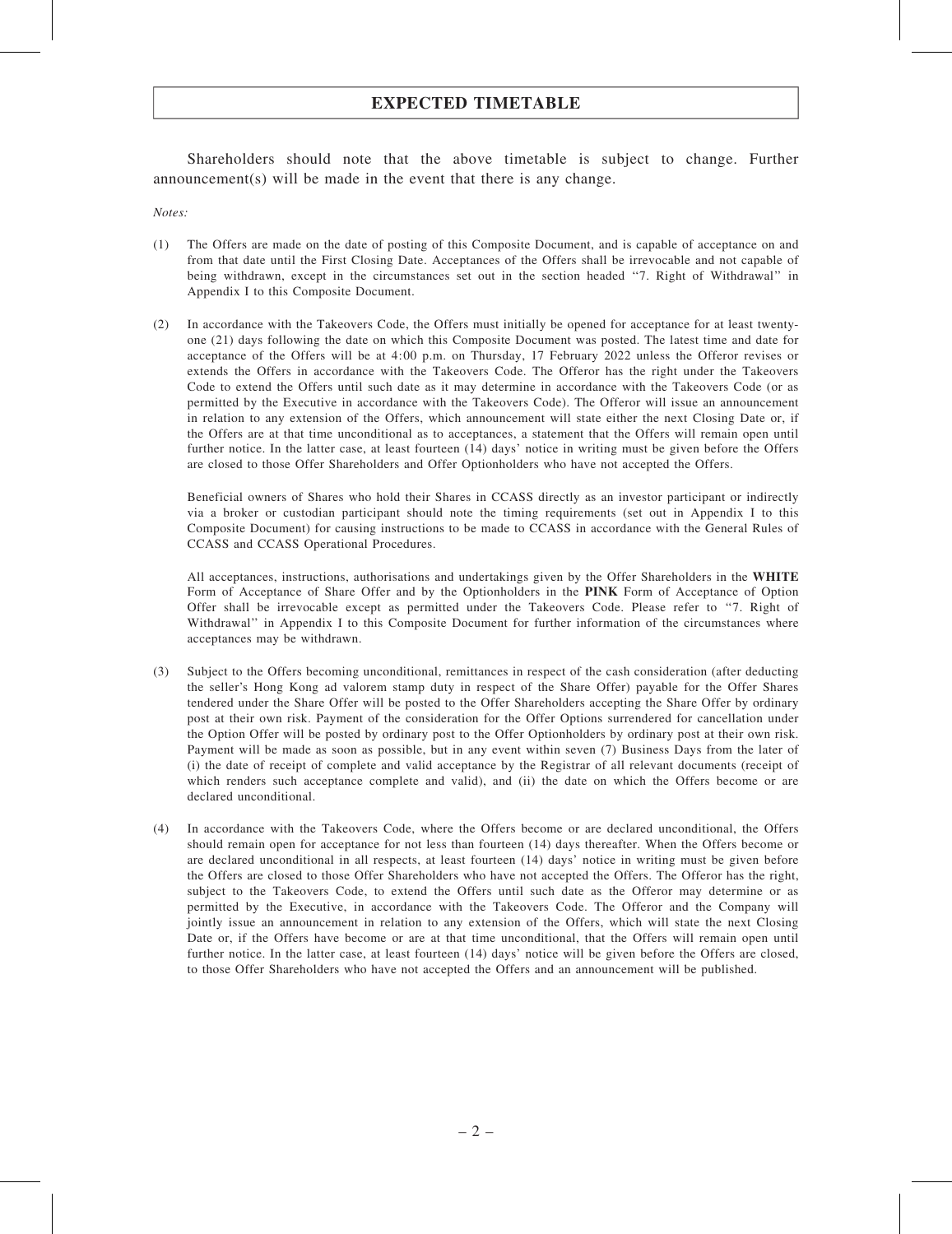# EXPECTED TIMETABLE

Shareholders should note that the above timetable is subject to change. Further announcement(s) will be made in the event that there is any change.

Notes:

- (1) The Offers are made on the date of posting of this Composite Document, and is capable of acceptance on and from that date until the First Closing Date. Acceptances of the Offers shall be irrevocable and not capable of being withdrawn, except in the circumstances set out in the section headed ''7. Right of Withdrawal'' in Appendix I to this Composite Document.
- (2) In accordance with the Takeovers Code, the Offers must initially be opened for acceptance for at least twentyone (21) days following the date on which this Composite Document was posted. The latest time and date for acceptance of the Offers will be at 4:00 p.m. on Thursday, 17 February 2022 unless the Offeror revises or extends the Offers in accordance with the Takeovers Code. The Offeror has the right under the Takeovers Code to extend the Offers until such date as it may determine in accordance with the Takeovers Code (or as permitted by the Executive in accordance with the Takeovers Code). The Offeror will issue an announcement in relation to any extension of the Offers, which announcement will state either the next Closing Date or, if the Offers are at that time unconditional as to acceptances, a statement that the Offers will remain open until further notice. In the latter case, at least fourteen (14) days' notice in writing must be given before the Offers are closed to those Offer Shareholders and Offer Optionholders who have not accepted the Offers.

Beneficial owners of Shares who hold their Shares in CCASS directly as an investor participant or indirectly via a broker or custodian participant should note the timing requirements (set out in Appendix I to this Composite Document) for causing instructions to be made to CCASS in accordance with the General Rules of CCASS and CCASS Operational Procedures.

All acceptances, instructions, authorisations and undertakings given by the Offer Shareholders in the WHITE Form of Acceptance of Share Offer and by the Optionholders in the PINK Form of Acceptance of Option Offer shall be irrevocable except as permitted under the Takeovers Code. Please refer to ''7. Right of Withdrawal'' in Appendix I to this Composite Document for further information of the circumstances where acceptances may be withdrawn.

- (3) Subject to the Offers becoming unconditional, remittances in respect of the cash consideration (after deducting the seller's Hong Kong ad valorem stamp duty in respect of the Share Offer) payable for the Offer Shares tendered under the Share Offer will be posted to the Offer Shareholders accepting the Share Offer by ordinary post at their own risk. Payment of the consideration for the Offer Options surrendered for cancellation under the Option Offer will be posted by ordinary post to the Offer Optionholders by ordinary post at their own risk. Payment will be made as soon as possible, but in any event within seven (7) Business Days from the later of (i) the date of receipt of complete and valid acceptance by the Registrar of all relevant documents (receipt of which renders such acceptance complete and valid), and (ii) the date on which the Offers become or are declared unconditional.
- (4) In accordance with the Takeovers Code, where the Offers become or are declared unconditional, the Offers should remain open for acceptance for not less than fourteen (14) days thereafter. When the Offers become or are declared unconditional in all respects, at least fourteen (14) days' notice in writing must be given before the Offers are closed to those Offer Shareholders who have not accepted the Offers. The Offeror has the right, subject to the Takeovers Code, to extend the Offers until such date as the Offeror may determine or as permitted by the Executive, in accordance with the Takeovers Code. The Offeror and the Company will jointly issue an announcement in relation to any extension of the Offers, which will state the next Closing Date or, if the Offers have become or are at that time unconditional, that the Offers will remain open until further notice. In the latter case, at least fourteen (14) days' notice will be given before the Offers are closed, to those Offer Shareholders who have not accepted the Offers and an announcement will be published.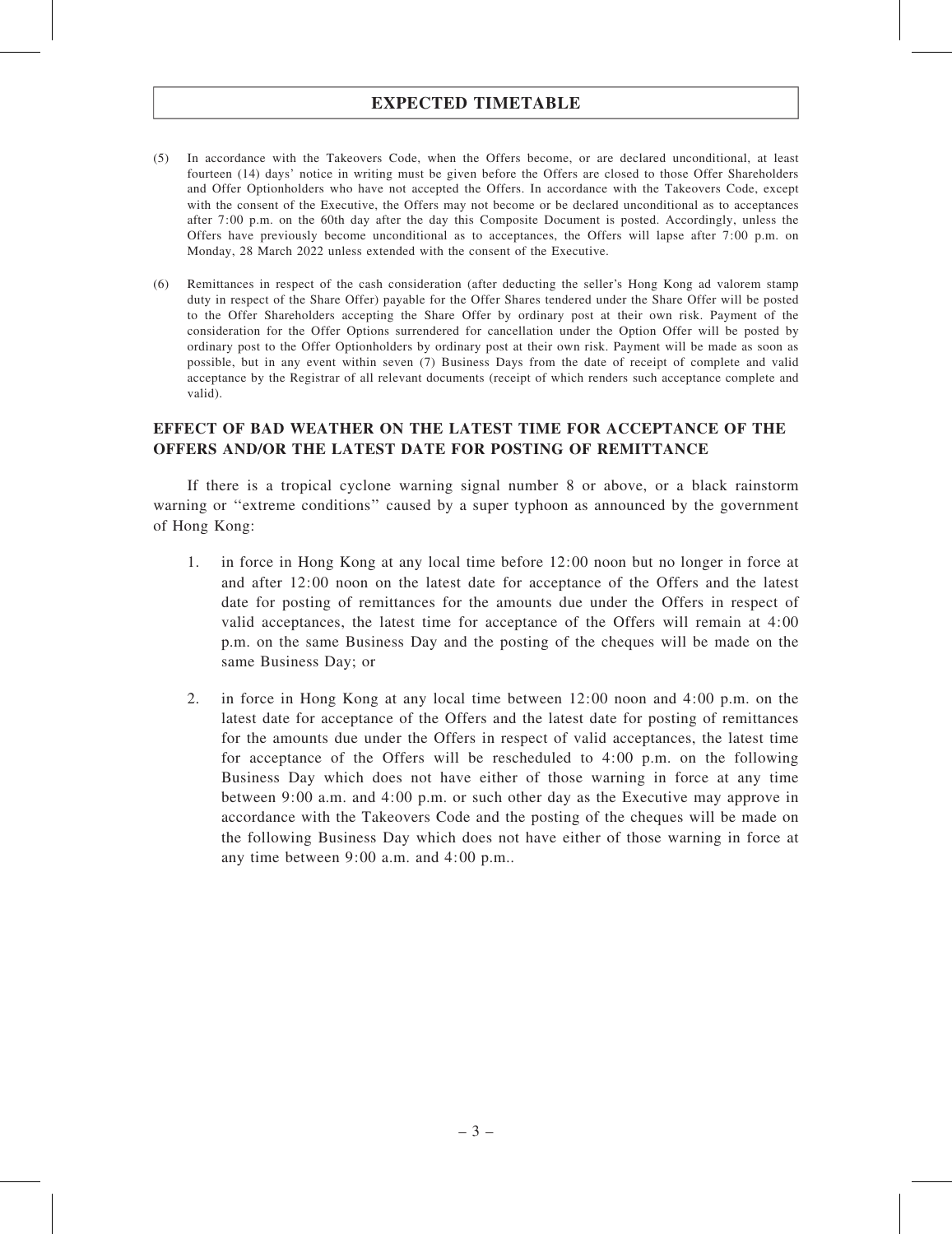# EXPECTED TIMETABLE

- (5) In accordance with the Takeovers Code, when the Offers become, or are declared unconditional, at least fourteen (14) days' notice in writing must be given before the Offers are closed to those Offer Shareholders and Offer Optionholders who have not accepted the Offers. In accordance with the Takeovers Code, except with the consent of the Executive, the Offers may not become or be declared unconditional as to acceptances after 7:00 p.m. on the 60th day after the day this Composite Document is posted. Accordingly, unless the Offers have previously become unconditional as to acceptances, the Offers will lapse after 7:00 p.m. on Monday, 28 March 2022 unless extended with the consent of the Executive.
- (6) Remittances in respect of the cash consideration (after deducting the seller's Hong Kong ad valorem stamp duty in respect of the Share Offer) payable for the Offer Shares tendered under the Share Offer will be posted to the Offer Shareholders accepting the Share Offer by ordinary post at their own risk. Payment of the consideration for the Offer Options surrendered for cancellation under the Option Offer will be posted by ordinary post to the Offer Optionholders by ordinary post at their own risk. Payment will be made as soon as possible, but in any event within seven (7) Business Days from the date of receipt of complete and valid acceptance by the Registrar of all relevant documents (receipt of which renders such acceptance complete and valid).

### EFFECT OF BAD WEATHER ON THE LATEST TIME FOR ACCEPTANCE OF THE OFFERS AND/OR THE LATEST DATE FOR POSTING OF REMITTANCE

If there is a tropical cyclone warning signal number 8 or above, or a black rainstorm warning or "extreme conditions" caused by a super typhoon as announced by the government of Hong Kong:

- 1. in force in Hong Kong at any local time before 12:00 noon but no longer in force at and after 12:00 noon on the latest date for acceptance of the Offers and the latest date for posting of remittances for the amounts due under the Offers in respect of valid acceptances, the latest time for acceptance of the Offers will remain at 4:00 p.m. on the same Business Day and the posting of the cheques will be made on the same Business Day; or
- 2. in force in Hong Kong at any local time between 12:00 noon and 4:00 p.m. on the latest date for acceptance of the Offers and the latest date for posting of remittances for the amounts due under the Offers in respect of valid acceptances, the latest time for acceptance of the Offers will be rescheduled to 4:00 p.m. on the following Business Day which does not have either of those warning in force at any time between 9:00 a.m. and 4:00 p.m. or such other day as the Executive may approve in accordance with the Takeovers Code and the posting of the cheques will be made on the following Business Day which does not have either of those warning in force at any time between 9:00 a.m. and 4:00 p.m..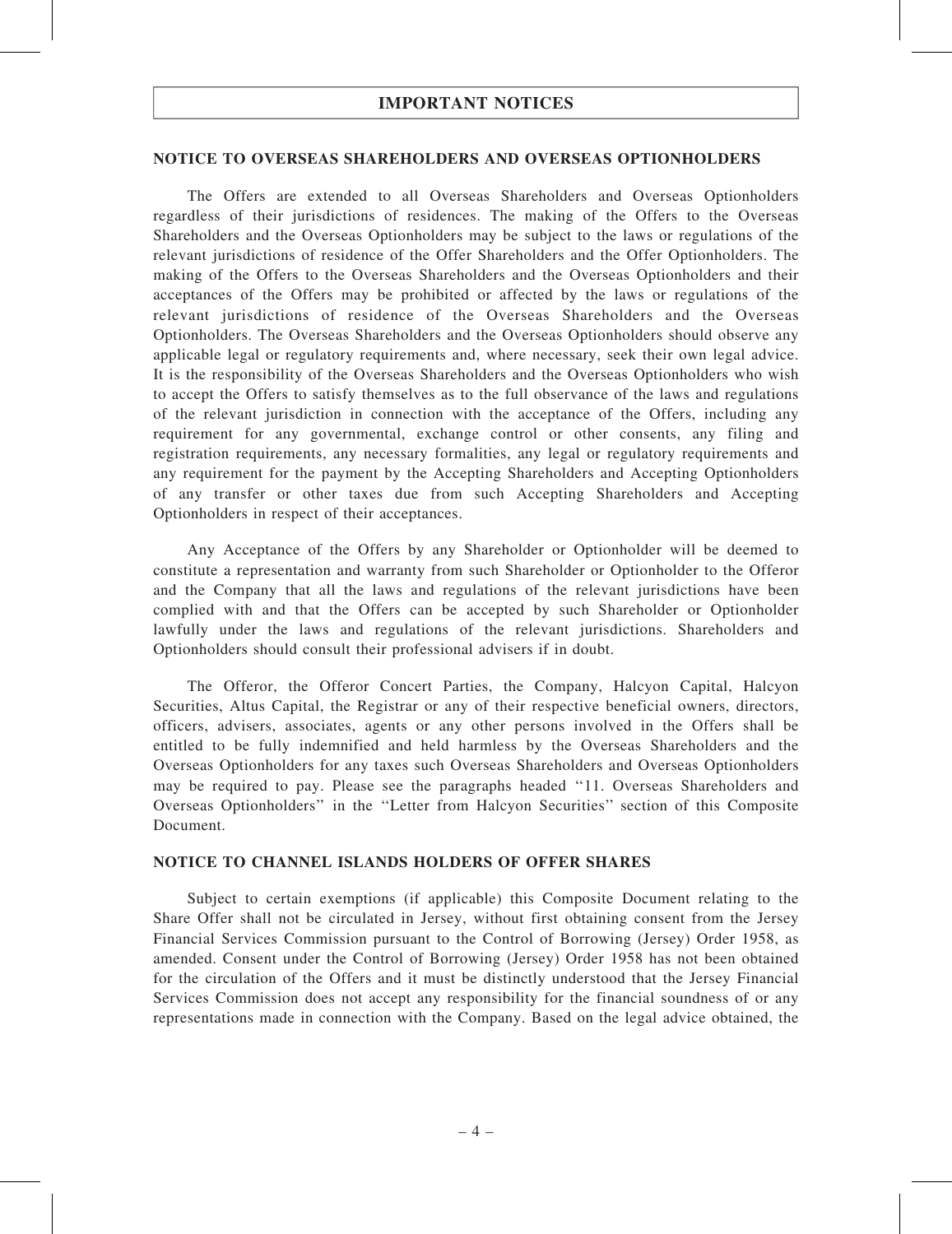#### NOTICE TO OVERSEAS SHAREHOLDERS AND OVERSEAS OPTIONHOLDERS

The Offers are extended to all Overseas Shareholders and Overseas Optionholders regardless of their jurisdictions of residences. The making of the Offers to the Overseas Shareholders and the Overseas Optionholders may be subject to the laws or regulations of the relevant jurisdictions of residence of the Offer Shareholders and the Offer Optionholders. The making of the Offers to the Overseas Shareholders and the Overseas Optionholders and their acceptances of the Offers may be prohibited or affected by the laws or regulations of the relevant jurisdictions of residence of the Overseas Shareholders and the Overseas Optionholders. The Overseas Shareholders and the Overseas Optionholders should observe any applicable legal or regulatory requirements and, where necessary, seek their own legal advice. It is the responsibility of the Overseas Shareholders and the Overseas Optionholders who wish to accept the Offers to satisfy themselves as to the full observance of the laws and regulations of the relevant jurisdiction in connection with the acceptance of the Offers, including any requirement for any governmental, exchange control or other consents, any filing and registration requirements, any necessary formalities, any legal or regulatory requirements and any requirement for the payment by the Accepting Shareholders and Accepting Optionholders of any transfer or other taxes due from such Accepting Shareholders and Accepting Optionholders in respect of their acceptances.

Any Acceptance of the Offers by any Shareholder or Optionholder will be deemed to constitute a representation and warranty from such Shareholder or Optionholder to the Offeror and the Company that all the laws and regulations of the relevant jurisdictions have been complied with and that the Offers can be accepted by such Shareholder or Optionholder lawfully under the laws and regulations of the relevant jurisdictions. Shareholders and Optionholders should consult their professional advisers if in doubt.

The Offeror, the Offeror Concert Parties, the Company, Halcyon Capital, Halcyon Securities, Altus Capital, the Registrar or any of their respective beneficial owners, directors, officers, advisers, associates, agents or any other persons involved in the Offers shall be entitled to be fully indemnified and held harmless by the Overseas Shareholders and the Overseas Optionholders for any taxes such Overseas Shareholders and Overseas Optionholders may be required to pay. Please see the paragraphs headed ''11. Overseas Shareholders and Overseas Optionholders'' in the ''Letter from Halcyon Securities'' section of this Composite Document.

#### NOTICE TO CHANNEL ISLANDS HOLDERS OF OFFER SHARES

Subject to certain exemptions (if applicable) this Composite Document relating to the Share Offer shall not be circulated in Jersey, without first obtaining consent from the Jersey Financial Services Commission pursuant to the Control of Borrowing (Jersey) Order 1958, as amended. Consent under the Control of Borrowing (Jersey) Order 1958 has not been obtained for the circulation of the Offers and it must be distinctly understood that the Jersey Financial Services Commission does not accept any responsibility for the financial soundness of or any representations made in connection with the Company. Based on the legal advice obtained, the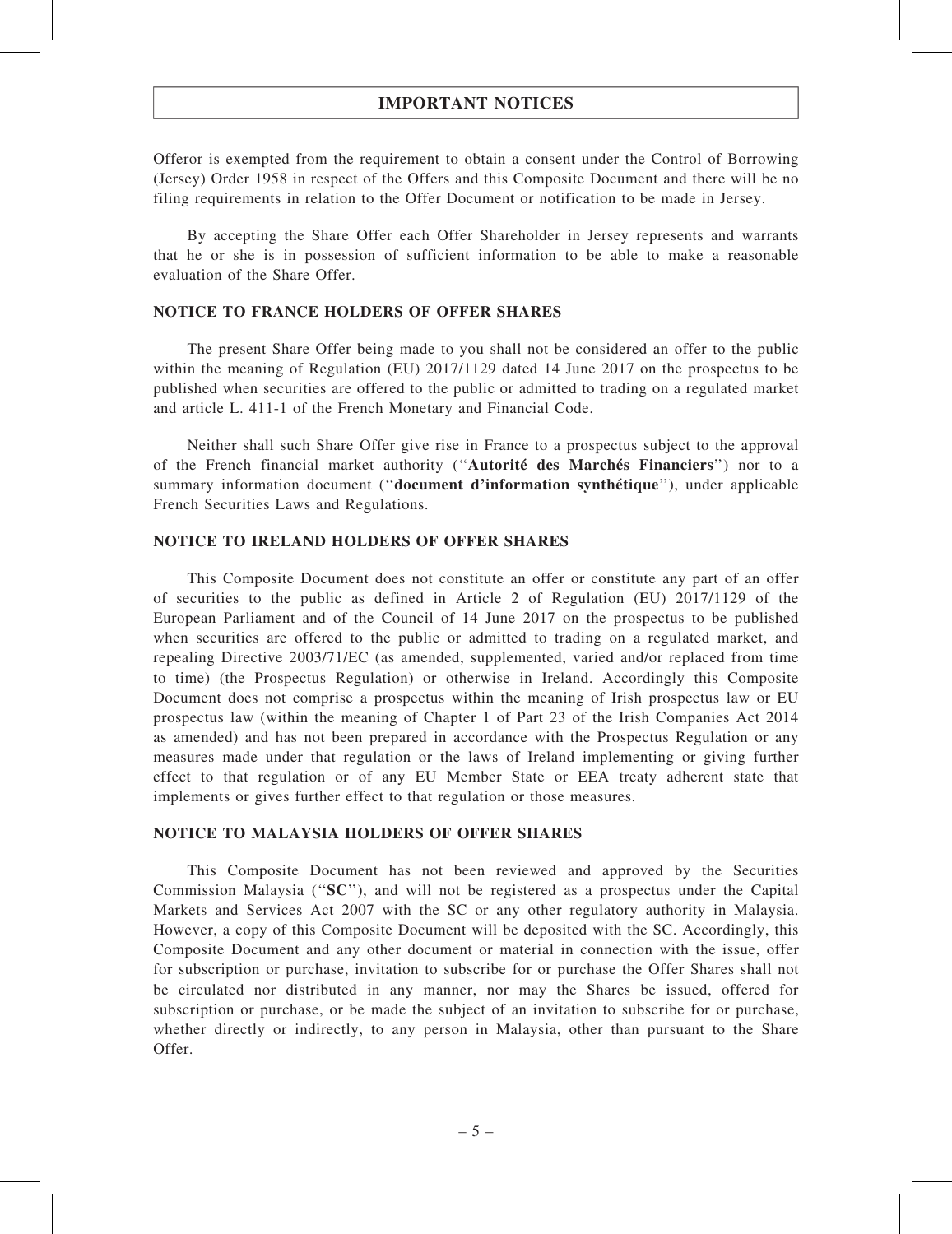Offeror is exempted from the requirement to obtain a consent under the Control of Borrowing (Jersey) Order 1958 in respect of the Offers and this Composite Document and there will be no filing requirements in relation to the Offer Document or notification to be made in Jersey.

By accepting the Share Offer each Offer Shareholder in Jersey represents and warrants that he or she is in possession of sufficient information to be able to make a reasonable evaluation of the Share Offer.

### NOTICE TO FRANCE HOLDERS OF OFFER SHARES

The present Share Offer being made to you shall not be considered an offer to the public within the meaning of Regulation (EU) 2017/1129 dated 14 June 2017 on the prospectus to be published when securities are offered to the public or admitted to trading on a regulated market and article L. 411-1 of the French Monetary and Financial Code.

Neither shall such Share Offer give rise in France to a prospectus subject to the approval of the French financial market authority (''Autorité des Marchés Financiers'') nor to a summary information document (''document d'information synthétique''), under applicable French Securities Laws and Regulations.

### NOTICE TO IRELAND HOLDERS OF OFFER SHARES

This Composite Document does not constitute an offer or constitute any part of an offer of securities to the public as defined in Article 2 of Regulation (EU) 2017/1129 of the European Parliament and of the Council of 14 June 2017 on the prospectus to be published when securities are offered to the public or admitted to trading on a regulated market, and repealing Directive 2003/71/EC (as amended, supplemented, varied and/or replaced from time to time) (the Prospectus Regulation) or otherwise in Ireland. Accordingly this Composite Document does not comprise a prospectus within the meaning of Irish prospectus law or EU prospectus law (within the meaning of Chapter 1 of Part 23 of the Irish Companies Act 2014 as amended) and has not been prepared in accordance with the Prospectus Regulation or any measures made under that regulation or the laws of Ireland implementing or giving further effect to that regulation or of any EU Member State or EEA treaty adherent state that implements or gives further effect to that regulation or those measures.

#### NOTICE TO MALAYSIA HOLDERS OF OFFER SHARES

This Composite Document has not been reviewed and approved by the Securities Commission Malaysia (''SC''), and will not be registered as a prospectus under the Capital Markets and Services Act 2007 with the SC or any other regulatory authority in Malaysia. However, a copy of this Composite Document will be deposited with the SC. Accordingly, this Composite Document and any other document or material in connection with the issue, offer for subscription or purchase, invitation to subscribe for or purchase the Offer Shares shall not be circulated nor distributed in any manner, nor may the Shares be issued, offered for subscription or purchase, or be made the subject of an invitation to subscribe for or purchase, whether directly or indirectly, to any person in Malaysia, other than pursuant to the Share Offer.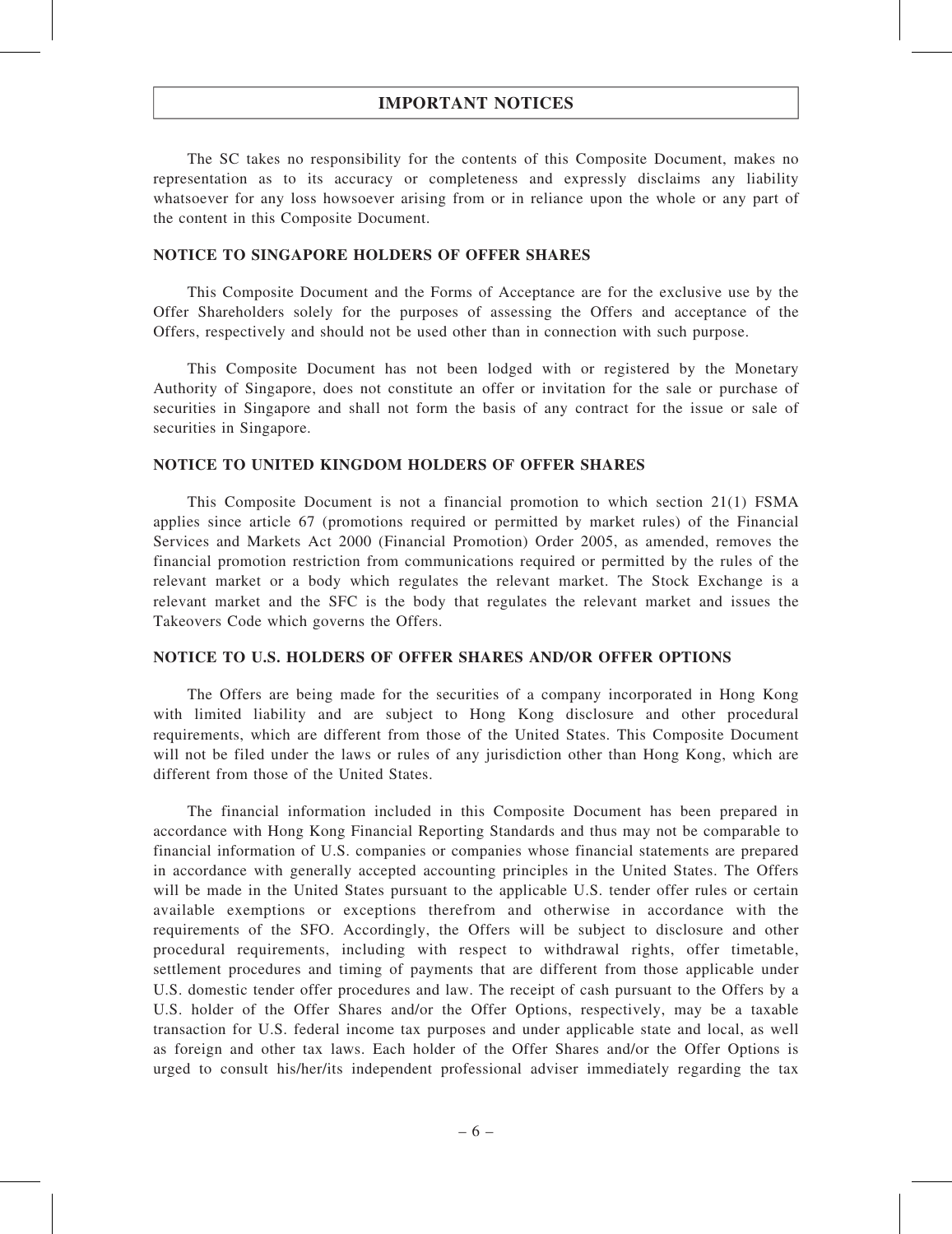The SC takes no responsibility for the contents of this Composite Document, makes no representation as to its accuracy or completeness and expressly disclaims any liability whatsoever for any loss howsoever arising from or in reliance upon the whole or any part of the content in this Composite Document.

### NOTICE TO SINGAPORE HOLDERS OF OFFER SHARES

This Composite Document and the Forms of Acceptance are for the exclusive use by the Offer Shareholders solely for the purposes of assessing the Offers and acceptance of the Offers, respectively and should not be used other than in connection with such purpose.

This Composite Document has not been lodged with or registered by the Monetary Authority of Singapore, does not constitute an offer or invitation for the sale or purchase of securities in Singapore and shall not form the basis of any contract for the issue or sale of securities in Singapore.

#### NOTICE TO UNITED KINGDOM HOLDERS OF OFFER SHARES

This Composite Document is not a financial promotion to which section 21(1) FSMA applies since article 67 (promotions required or permitted by market rules) of the Financial Services and Markets Act 2000 (Financial Promotion) Order 2005, as amended, removes the financial promotion restriction from communications required or permitted by the rules of the relevant market or a body which regulates the relevant market. The Stock Exchange is a relevant market and the SFC is the body that regulates the relevant market and issues the Takeovers Code which governs the Offers.

#### NOTICE TO U.S. HOLDERS OF OFFER SHARES AND/OR OFFER OPTIONS

The Offers are being made for the securities of a company incorporated in Hong Kong with limited liability and are subject to Hong Kong disclosure and other procedural requirements, which are different from those of the United States. This Composite Document will not be filed under the laws or rules of any jurisdiction other than Hong Kong, which are different from those of the United States.

The financial information included in this Composite Document has been prepared in accordance with Hong Kong Financial Reporting Standards and thus may not be comparable to financial information of U.S. companies or companies whose financial statements are prepared in accordance with generally accepted accounting principles in the United States. The Offers will be made in the United States pursuant to the applicable U.S. tender offer rules or certain available exemptions or exceptions therefrom and otherwise in accordance with the requirements of the SFO. Accordingly, the Offers will be subject to disclosure and other procedural requirements, including with respect to withdrawal rights, offer timetable, settlement procedures and timing of payments that are different from those applicable under U.S. domestic tender offer procedures and law. The receipt of cash pursuant to the Offers by a U.S. holder of the Offer Shares and/or the Offer Options, respectively, may be a taxable transaction for U.S. federal income tax purposes and under applicable state and local, as well as foreign and other tax laws. Each holder of the Offer Shares and/or the Offer Options is urged to consult his/her/its independent professional adviser immediately regarding the tax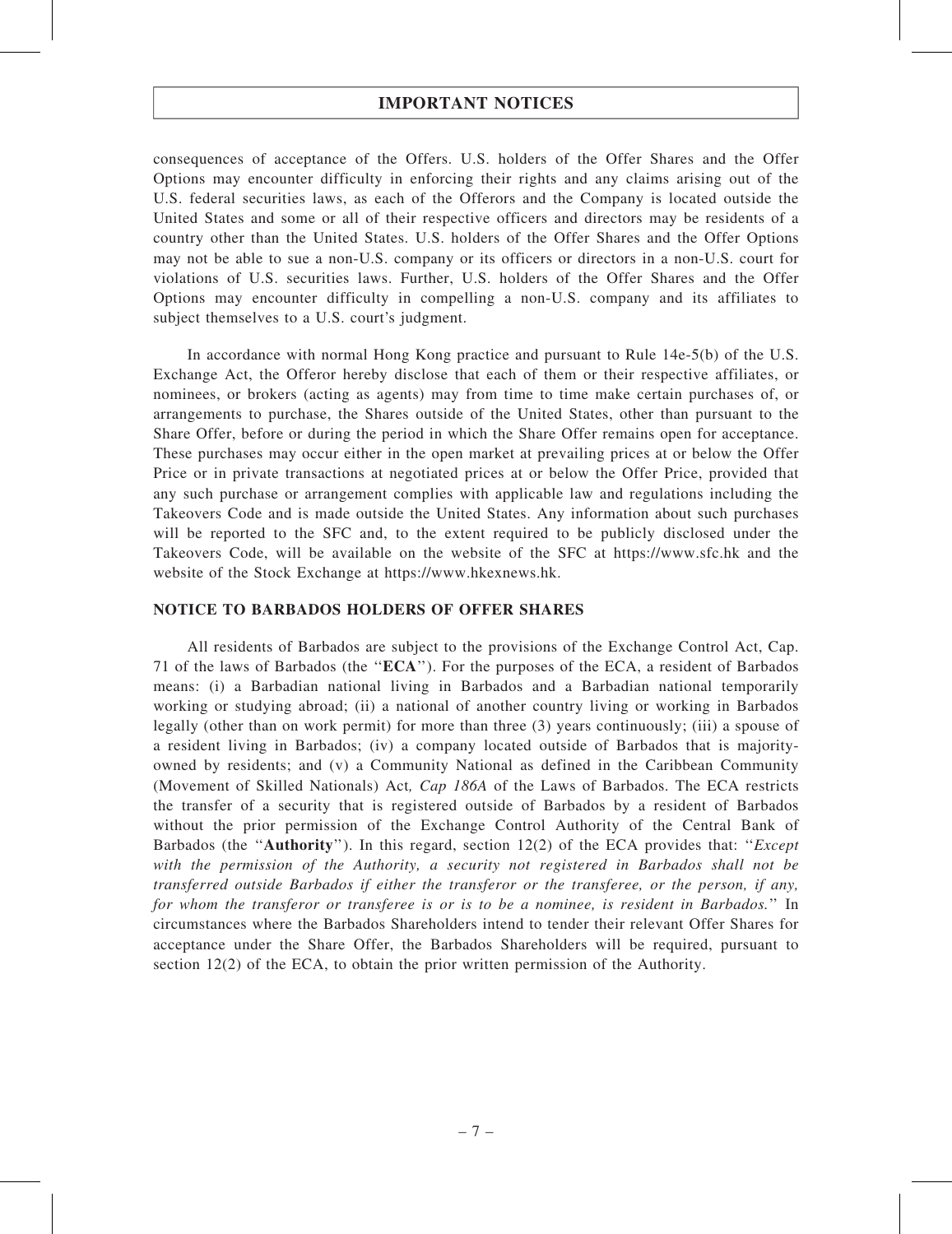consequences of acceptance of the Offers. U.S. holders of the Offer Shares and the Offer Options may encounter difficulty in enforcing their rights and any claims arising out of the U.S. federal securities laws, as each of the Offerors and the Company is located outside the United States and some or all of their respective officers and directors may be residents of a country other than the United States. U.S. holders of the Offer Shares and the Offer Options may not be able to sue a non-U.S. company or its officers or directors in a non-U.S. court for violations of U.S. securities laws. Further, U.S. holders of the Offer Shares and the Offer Options may encounter difficulty in compelling a non-U.S. company and its affiliates to subject themselves to a U.S. court's judgment.

In accordance with normal Hong Kong practice and pursuant to Rule 14e-5(b) of the U.S. Exchange Act, the Offeror hereby disclose that each of them or their respective affiliates, or nominees, or brokers (acting as agents) may from time to time make certain purchases of, or arrangements to purchase, the Shares outside of the United States, other than pursuant to the Share Offer, before or during the period in which the Share Offer remains open for acceptance. These purchases may occur either in the open market at prevailing prices at or below the Offer Price or in private transactions at negotiated prices at or below the Offer Price, provided that any such purchase or arrangement complies with applicable law and regulations including the Takeovers Code and is made outside the United States. Any information about such purchases will be reported to the SFC and, to the extent required to be publicly disclosed under the Takeovers Code, will be available on the website of the SFC at https://www.sfc.hk and the website of the Stock Exchange at https://www.hkexnews.hk.

### NOTICE TO BARBADOS HOLDERS OF OFFER SHARES

All residents of Barbados are subject to the provisions of the Exchange Control Act, Cap. 71 of the laws of Barbados (the ''ECA''). For the purposes of the ECA, a resident of Barbados means: (i) a Barbadian national living in Barbados and a Barbadian national temporarily working or studying abroad; (ii) a national of another country living or working in Barbados legally (other than on work permit) for more than three (3) years continuously; (iii) a spouse of a resident living in Barbados; (iv) a company located outside of Barbados that is majorityowned by residents; and (v) a Community National as defined in the Caribbean Community (Movement of Skilled Nationals) Act, Cap 186A of the Laws of Barbados. The ECA restricts the transfer of a security that is registered outside of Barbados by a resident of Barbados without the prior permission of the Exchange Control Authority of the Central Bank of Barbados (the "Authority"). In this regard, section  $12(2)$  of the ECA provides that: "*Except* with the permission of the Authority, a security not registered in Barbados shall not be transferred outside Barbados if either the transferor or the transferee, or the person, if any, for whom the transferor or transferee is or is to be a nominee, is resident in Barbados.'' In circumstances where the Barbados Shareholders intend to tender their relevant Offer Shares for acceptance under the Share Offer, the Barbados Shareholders will be required, pursuant to section 12(2) of the ECA, to obtain the prior written permission of the Authority.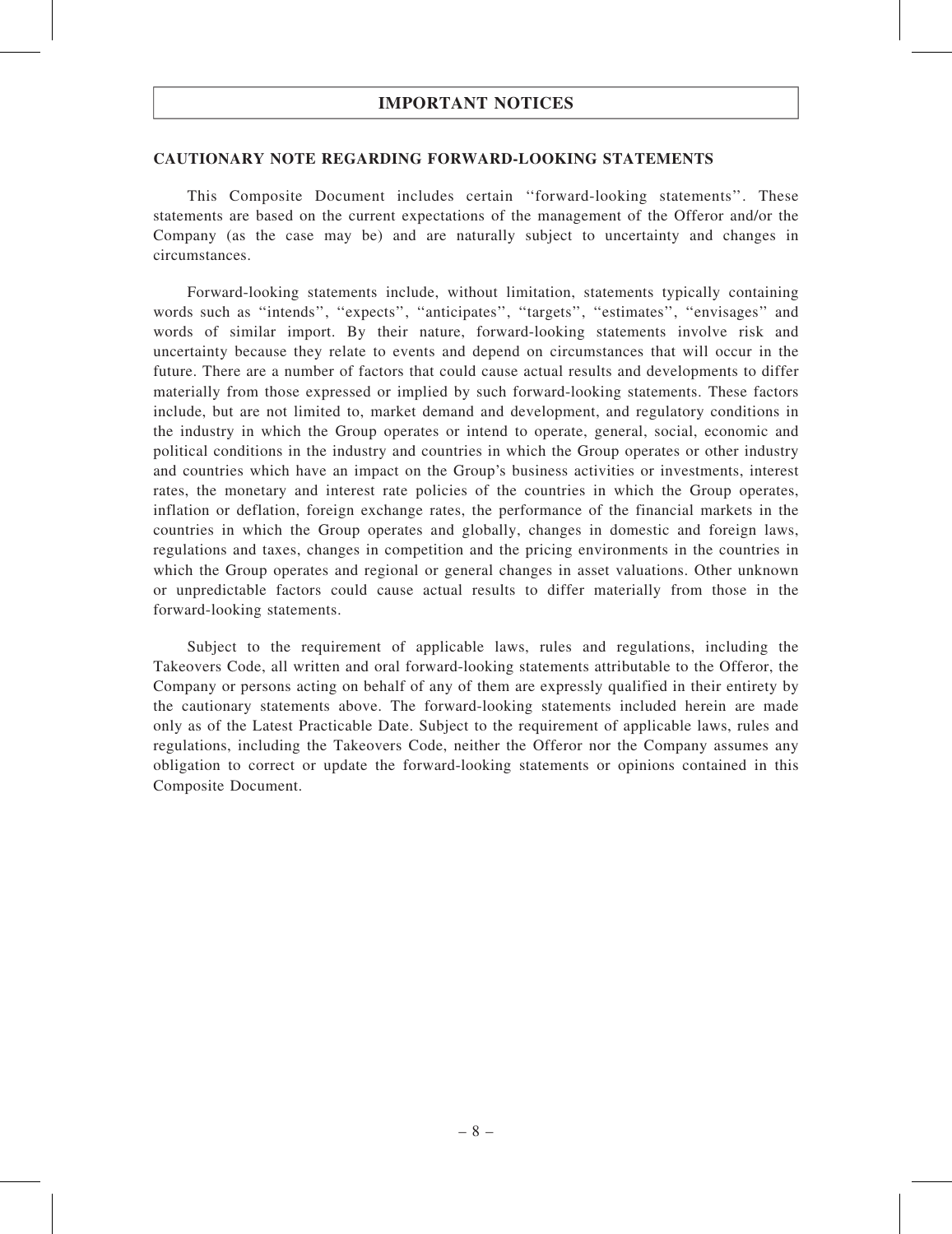#### CAUTIONARY NOTE REGARDING FORWARD-LOOKING STATEMENTS

This Composite Document includes certain ''forward-looking statements''. These statements are based on the current expectations of the management of the Offeror and/or the Company (as the case may be) and are naturally subject to uncertainty and changes in circumstances.

Forward-looking statements include, without limitation, statements typically containing words such as "intends", "expects", "anticipates", "targets", "estimates", "envisages" and words of similar import. By their nature, forward-looking statements involve risk and uncertainty because they relate to events and depend on circumstances that will occur in the future. There are a number of factors that could cause actual results and developments to differ materially from those expressed or implied by such forward-looking statements. These factors include, but are not limited to, market demand and development, and regulatory conditions in the industry in which the Group operates or intend to operate, general, social, economic and political conditions in the industry and countries in which the Group operates or other industry and countries which have an impact on the Group's business activities or investments, interest rates, the monetary and interest rate policies of the countries in which the Group operates, inflation or deflation, foreign exchange rates, the performance of the financial markets in the countries in which the Group operates and globally, changes in domestic and foreign laws, regulations and taxes, changes in competition and the pricing environments in the countries in which the Group operates and regional or general changes in asset valuations. Other unknown or unpredictable factors could cause actual results to differ materially from those in the forward-looking statements.

Subject to the requirement of applicable laws, rules and regulations, including the Takeovers Code, all written and oral forward-looking statements attributable to the Offeror, the Company or persons acting on behalf of any of them are expressly qualified in their entirety by the cautionary statements above. The forward-looking statements included herein are made only as of the Latest Practicable Date. Subject to the requirement of applicable laws, rules and regulations, including the Takeovers Code, neither the Offeror nor the Company assumes any obligation to correct or update the forward-looking statements or opinions contained in this Composite Document.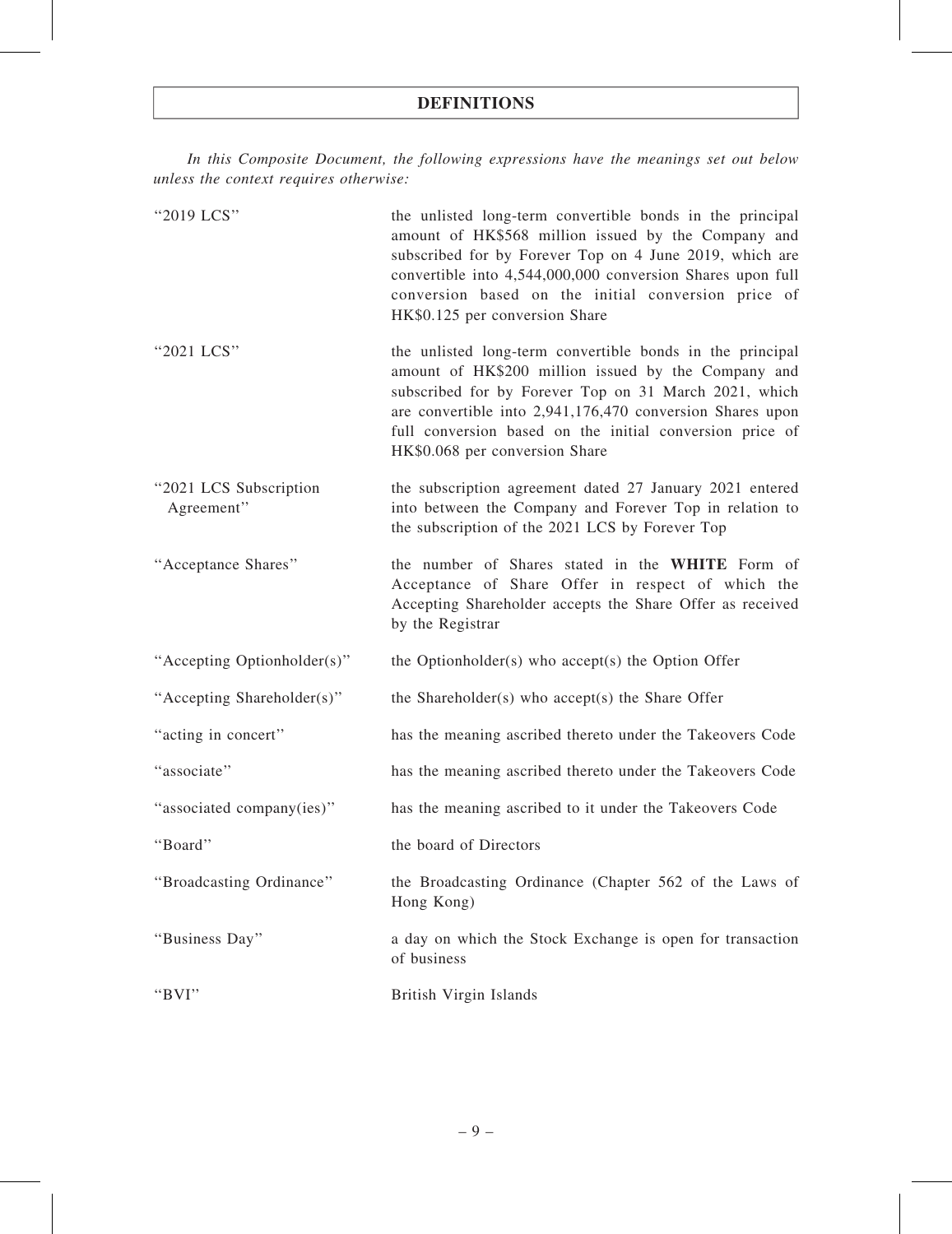In this Composite Document, the following expressions have the meanings set out below unless the context requires otherwise:

| "2019 LCS"                           | the unlisted long-term convertible bonds in the principal<br>amount of HK\$568 million issued by the Company and<br>subscribed for by Forever Top on 4 June 2019, which are<br>convertible into 4,544,000,000 conversion Shares upon full<br>conversion based on the initial conversion price of<br>HK\$0.125 per conversion Share   |
|--------------------------------------|--------------------------------------------------------------------------------------------------------------------------------------------------------------------------------------------------------------------------------------------------------------------------------------------------------------------------------------|
| "2021 LCS"                           | the unlisted long-term convertible bonds in the principal<br>amount of HK\$200 million issued by the Company and<br>subscribed for by Forever Top on 31 March 2021, which<br>are convertible into 2,941,176,470 conversion Shares upon<br>full conversion based on the initial conversion price of<br>HK\$0.068 per conversion Share |
| "2021 LCS Subscription<br>Agreement" | the subscription agreement dated 27 January 2021 entered<br>into between the Company and Forever Top in relation to<br>the subscription of the 2021 LCS by Forever Top                                                                                                                                                               |
| "Acceptance Shares"                  | the number of Shares stated in the WHITE Form of<br>Acceptance of Share Offer in respect of which the<br>Accepting Shareholder accepts the Share Offer as received<br>by the Registrar                                                                                                                                               |
| "Accepting Optionholder(s)"          | the Optionholder(s) who accept(s) the Option Offer                                                                                                                                                                                                                                                                                   |
| "Accepting Shareholder(s)"           | the Shareholder(s) who accept(s) the Share Offer                                                                                                                                                                                                                                                                                     |
| "acting in concert"                  | has the meaning ascribed thereto under the Takeovers Code                                                                                                                                                                                                                                                                            |
| "associate"                          | has the meaning ascribed thereto under the Takeovers Code                                                                                                                                                                                                                                                                            |
| "associated company(ies)"            | has the meaning ascribed to it under the Takeovers Code                                                                                                                                                                                                                                                                              |
| "Board"                              | the board of Directors                                                                                                                                                                                                                                                                                                               |
| "Broadcasting Ordinance"             | the Broadcasting Ordinance (Chapter 562 of the Laws of<br>Hong Kong)                                                                                                                                                                                                                                                                 |
| "Business Day"                       | a day on which the Stock Exchange is open for transaction<br>of business                                                                                                                                                                                                                                                             |
| "BVI"                                | British Virgin Islands                                                                                                                                                                                                                                                                                                               |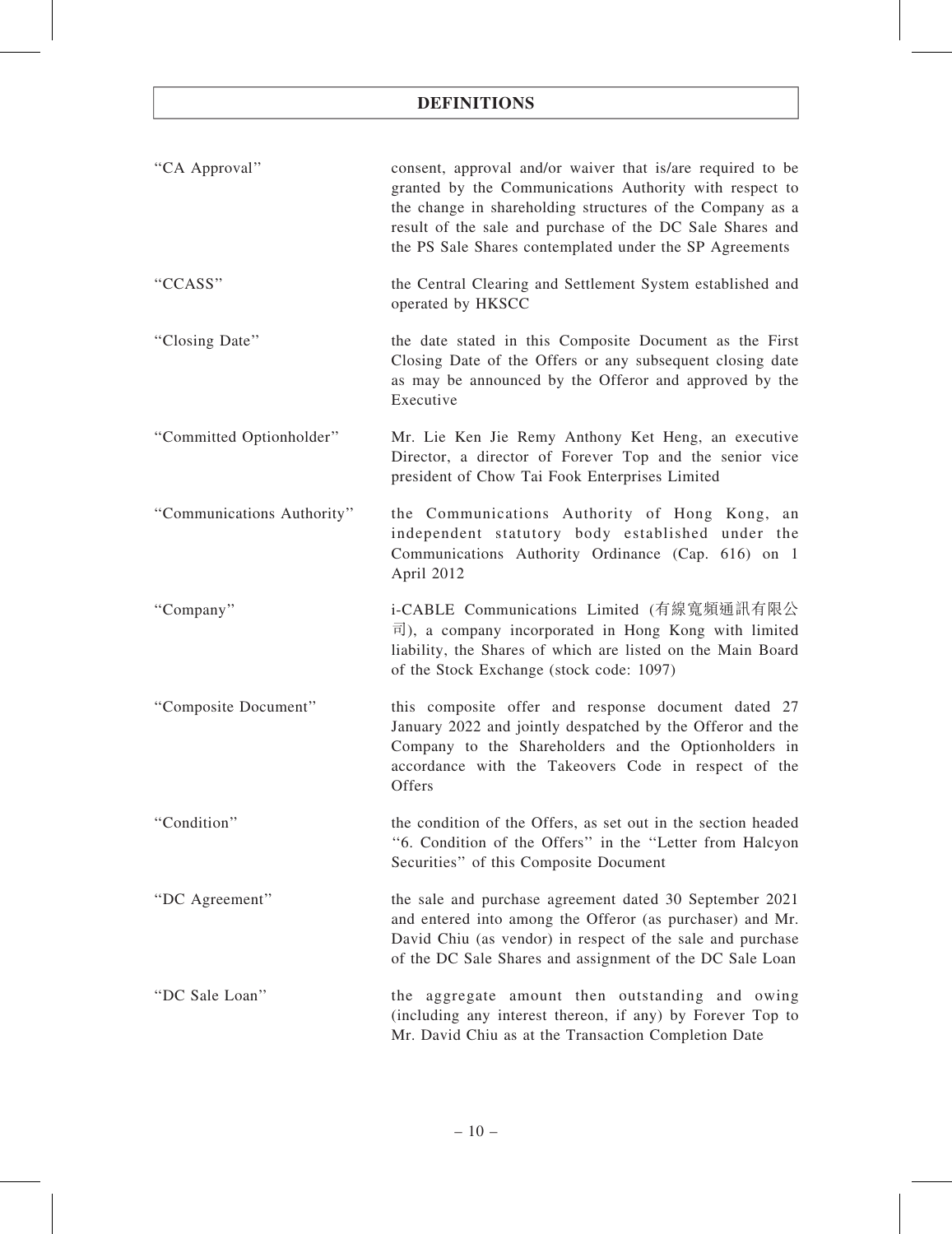| "CA Approval"              | consent, approval and/or waiver that is/are required to be<br>granted by the Communications Authority with respect to<br>the change in shareholding structures of the Company as a<br>result of the sale and purchase of the DC Sale Shares and<br>the PS Sale Shares contemplated under the SP Agreements |
|----------------------------|------------------------------------------------------------------------------------------------------------------------------------------------------------------------------------------------------------------------------------------------------------------------------------------------------------|
| "CCASS"                    | the Central Clearing and Settlement System established and<br>operated by HKSCC                                                                                                                                                                                                                            |
| "Closing Date"             | the date stated in this Composite Document as the First<br>Closing Date of the Offers or any subsequent closing date<br>as may be announced by the Offeror and approved by the<br>Executive                                                                                                                |
| "Committed Optionholder"   | Mr. Lie Ken Jie Remy Anthony Ket Heng, an executive<br>Director, a director of Forever Top and the senior vice<br>president of Chow Tai Fook Enterprises Limited                                                                                                                                           |
| "Communications Authority" | the Communications Authority of Hong Kong,<br>an<br>independent statutory body established under the<br>Communications Authority Ordinance (Cap. 616) on 1<br>April 2012                                                                                                                                   |
| "Company"                  | i-CABLE Communications Limited (有線寬頻通訊有限公<br>$\overline{\mathbb{F}}$ ), a company incorporated in Hong Kong with limited<br>liability, the Shares of which are listed on the Main Board<br>of the Stock Exchange (stock code: 1097)                                                                        |
| "Composite Document"       | this composite offer and response document dated 27<br>January 2022 and jointly despatched by the Offeror and the<br>Company to the Shareholders and the Optionholders in<br>accordance with the Takeovers Code in respect of the<br>Offers                                                                |
| "Condition"                | the condition of the Offers, as set out in the section headed<br>"6. Condition of the Offers" in the "Letter from Halcyon<br>Securities" of this Composite Document                                                                                                                                        |
| "DC Agreement"             | the sale and purchase agreement dated 30 September 2021<br>and entered into among the Offeror (as purchaser) and Mr.<br>David Chiu (as vendor) in respect of the sale and purchase<br>of the DC Sale Shares and assignment of the DC Sale Loan                                                             |
| "DC Sale Loan"             | the aggregate amount then outstanding and owing<br>(including any interest thereon, if any) by Forever Top to<br>Mr. David Chiu as at the Transaction Completion Date                                                                                                                                      |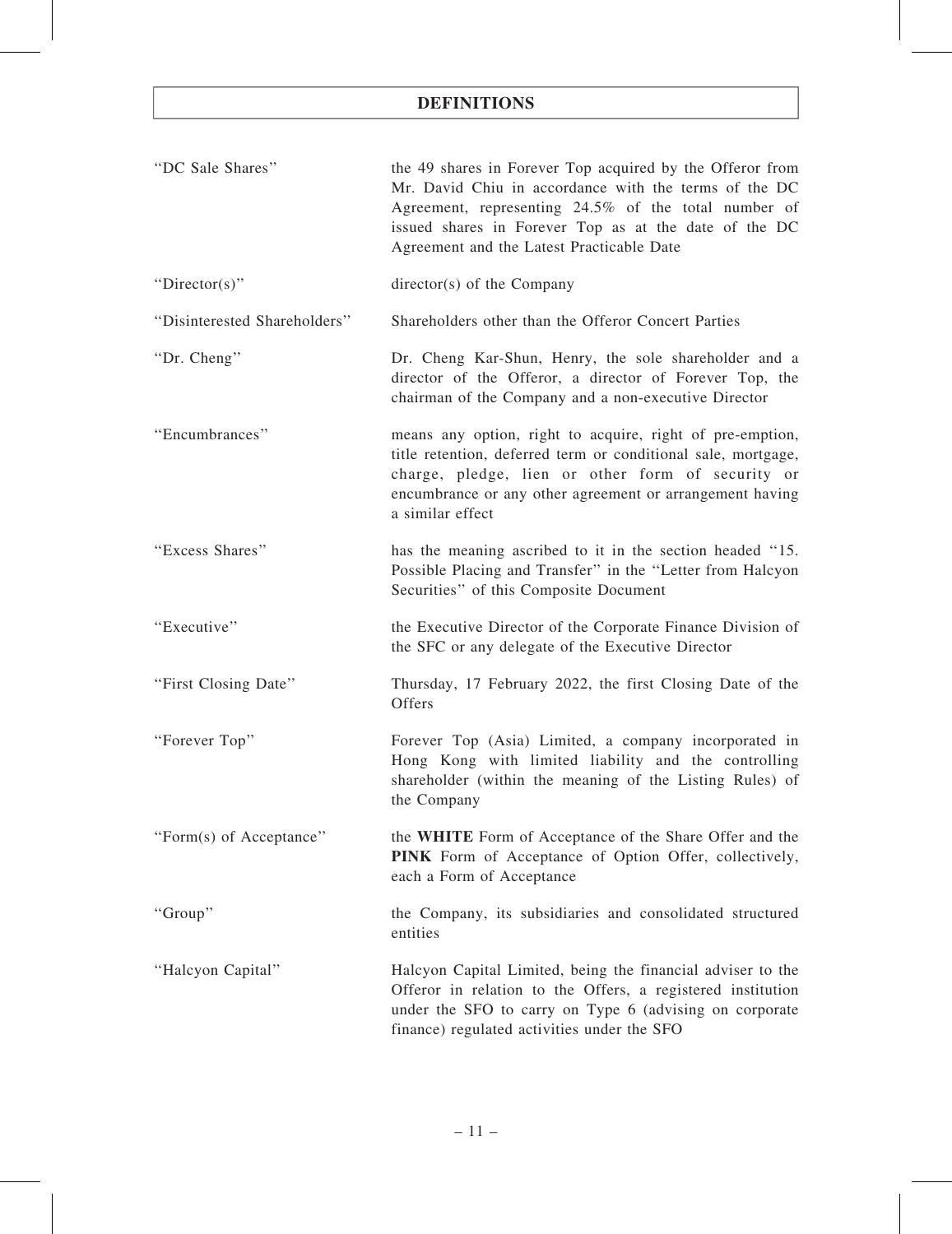| "DC Sale Shares"             | the 49 shares in Forever Top acquired by the Offeror from<br>Mr. David Chiu in accordance with the terms of the DC<br>Agreement, representing 24.5% of the total number of<br>issued shares in Forever Top as at the date of the DC<br>Agreement and the Latest Practicable Date |
|------------------------------|----------------------------------------------------------------------------------------------------------------------------------------------------------------------------------------------------------------------------------------------------------------------------------|
| "Director(s)"                | director(s) of the Company                                                                                                                                                                                                                                                       |
| "Disinterested Shareholders" | Shareholders other than the Offeror Concert Parties                                                                                                                                                                                                                              |
| "Dr. Cheng"                  | Dr. Cheng Kar-Shun, Henry, the sole shareholder and a<br>director of the Offeror, a director of Forever Top, the<br>chairman of the Company and a non-executive Director                                                                                                         |
| "Encumbrances"               | means any option, right to acquire, right of pre-emption,<br>title retention, deferred term or conditional sale, mortgage,<br>charge, pledge, lien or other form of security or<br>encumbrance or any other agreement or arrangement having<br>a similar effect                  |
| "Excess Shares"              | has the meaning ascribed to it in the section headed "15.<br>Possible Placing and Transfer" in the "Letter from Halcyon<br>Securities" of this Composite Document                                                                                                                |
| "Executive"                  | the Executive Director of the Corporate Finance Division of<br>the SFC or any delegate of the Executive Director                                                                                                                                                                 |
| "First Closing Date"         | Thursday, 17 February 2022, the first Closing Date of the<br>Offers                                                                                                                                                                                                              |
| "Forever Top"                | Forever Top (Asia) Limited, a company incorporated in<br>Hong Kong with limited liability and the controlling<br>shareholder (within the meaning of the Listing Rules) of<br>the Company                                                                                         |
| "Form(s) of Acceptance"      | the WHITE Form of Acceptance of the Share Offer and the<br>PINK Form of Acceptance of Option Offer, collectively,<br>each a Form of Acceptance                                                                                                                                   |
| "Group"                      | the Company, its subsidiaries and consolidated structured<br>entities                                                                                                                                                                                                            |
| "Halcyon Capital"            | Halcyon Capital Limited, being the financial adviser to the<br>Offeror in relation to the Offers, a registered institution<br>under the SFO to carry on Type 6 (advising on corporate<br>finance) regulated activities under the SFO                                             |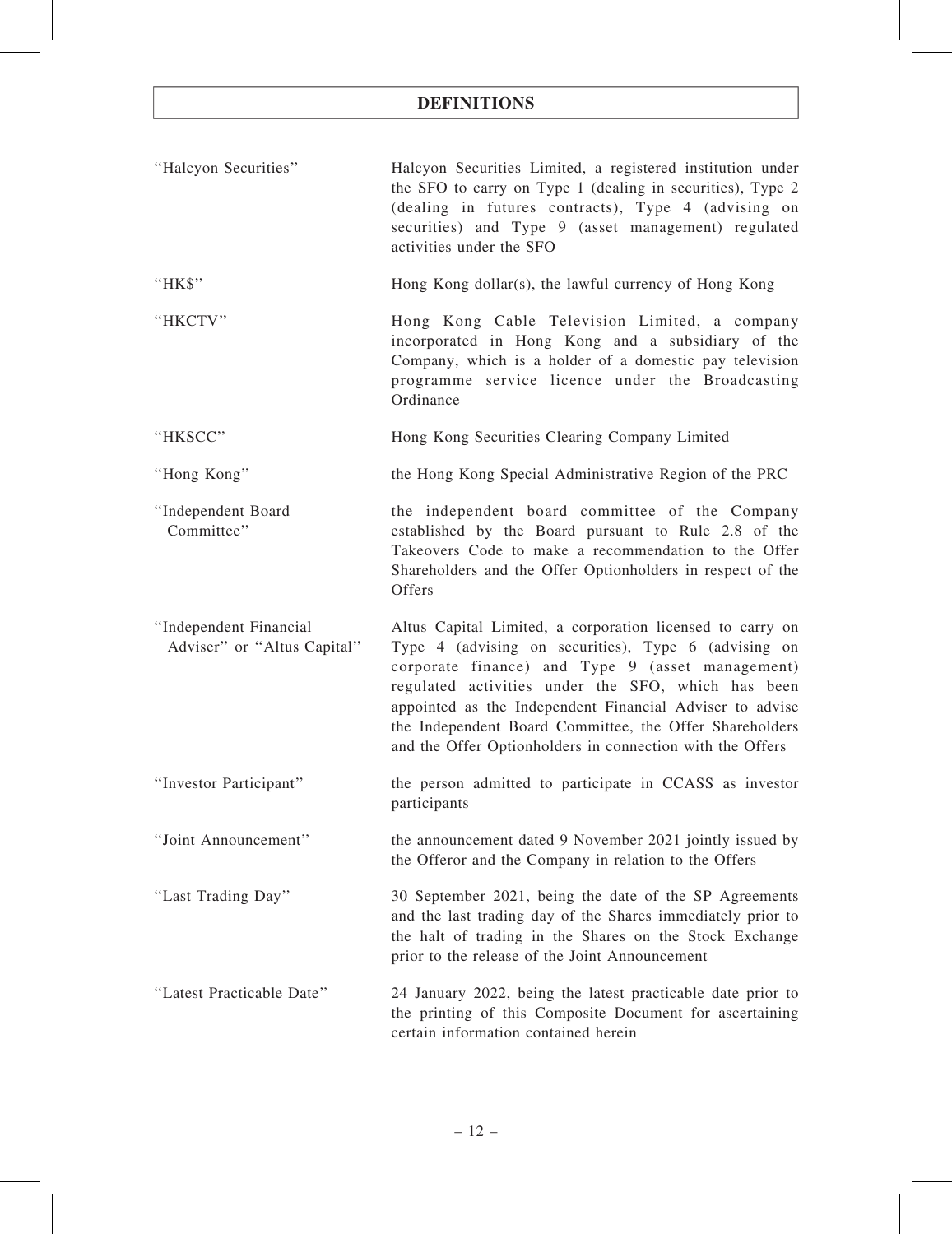| "Halcyon Securities"                                  | Halcyon Securities Limited, a registered institution under<br>the SFO to carry on Type 1 (dealing in securities), Type 2<br>(dealing in futures contracts), Type 4 (advising on<br>securities) and Type 9 (asset management) regulated<br>activities under the SFO                                                                                                                                              |
|-------------------------------------------------------|-----------------------------------------------------------------------------------------------------------------------------------------------------------------------------------------------------------------------------------------------------------------------------------------------------------------------------------------------------------------------------------------------------------------|
| "HK\$"                                                | Hong Kong dollar(s), the lawful currency of Hong Kong                                                                                                                                                                                                                                                                                                                                                           |
| "HKCTV"                                               | Hong Kong Cable Television Limited, a company<br>incorporated in Hong Kong and a subsidiary of the<br>Company, which is a holder of a domestic pay television<br>programme service licence under the Broadcasting<br>Ordinance                                                                                                                                                                                  |
| "HKSCC"                                               | Hong Kong Securities Clearing Company Limited                                                                                                                                                                                                                                                                                                                                                                   |
| "Hong Kong"                                           | the Hong Kong Special Administrative Region of the PRC                                                                                                                                                                                                                                                                                                                                                          |
| "Independent Board<br>Committee"                      | the independent board committee of the Company<br>established by the Board pursuant to Rule 2.8 of the<br>Takeovers Code to make a recommendation to the Offer<br>Shareholders and the Offer Optionholders in respect of the<br>Offers                                                                                                                                                                          |
| "Independent Financial<br>Adviser" or "Altus Capital" | Altus Capital Limited, a corporation licensed to carry on<br>Type 4 (advising on securities), Type 6 (advising on<br>corporate finance) and Type 9 (asset management)<br>regulated activities under the SFO, which has been<br>appointed as the Independent Financial Adviser to advise<br>the Independent Board Committee, the Offer Shareholders<br>and the Offer Optionholders in connection with the Offers |
| "Investor Participant"                                | the person admitted to participate in CCASS as investor<br>participants                                                                                                                                                                                                                                                                                                                                         |
| "Joint Announcement"                                  | the announcement dated 9 November 2021 jointly issued by<br>the Offeror and the Company in relation to the Offers                                                                                                                                                                                                                                                                                               |
| "Last Trading Day"                                    | 30 September 2021, being the date of the SP Agreements<br>and the last trading day of the Shares immediately prior to<br>the halt of trading in the Shares on the Stock Exchange<br>prior to the release of the Joint Announcement                                                                                                                                                                              |
| "Latest Practicable Date"                             | 24 January 2022, being the latest practicable date prior to<br>the printing of this Composite Document for ascertaining<br>certain information contained herein                                                                                                                                                                                                                                                 |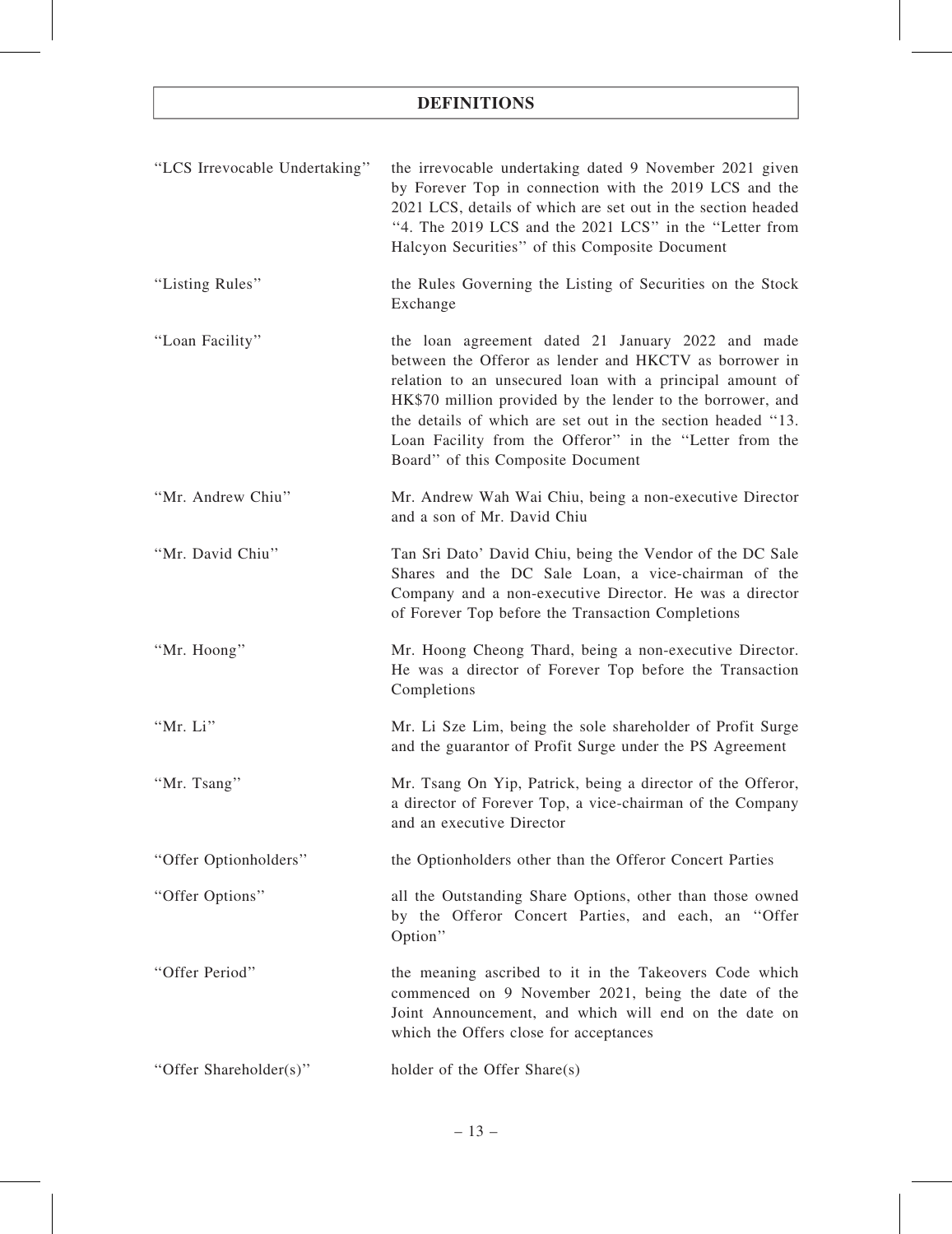| "LCS Irrevocable Undertaking" | the irrevocable undertaking dated 9 November 2021 given<br>by Forever Top in connection with the 2019 LCS and the<br>2021 LCS, details of which are set out in the section headed<br>"4. The 2019 LCS and the 2021 LCS" in the "Letter from<br>Halcyon Securities" of this Composite Document                                                                                                        |
|-------------------------------|------------------------------------------------------------------------------------------------------------------------------------------------------------------------------------------------------------------------------------------------------------------------------------------------------------------------------------------------------------------------------------------------------|
| "Listing Rules"               | the Rules Governing the Listing of Securities on the Stock<br>Exchange                                                                                                                                                                                                                                                                                                                               |
| "Loan Facility"               | the loan agreement dated 21 January 2022 and made<br>between the Offeror as lender and HKCTV as borrower in<br>relation to an unsecured loan with a principal amount of<br>HK\$70 million provided by the lender to the borrower, and<br>the details of which are set out in the section headed "13.<br>Loan Facility from the Offeror" in the "Letter from the<br>Board" of this Composite Document |
| "Mr. Andrew Chiu"             | Mr. Andrew Wah Wai Chiu, being a non-executive Director<br>and a son of Mr. David Chiu                                                                                                                                                                                                                                                                                                               |
| "Mr. David Chiu"              | Tan Sri Dato' David Chiu, being the Vendor of the DC Sale<br>Shares and the DC Sale Loan, a vice-chairman of the<br>Company and a non-executive Director. He was a director<br>of Forever Top before the Transaction Completions                                                                                                                                                                     |
| "Mr. Hoong"                   | Mr. Hoong Cheong Thard, being a non-executive Director.<br>He was a director of Forever Top before the Transaction<br>Completions                                                                                                                                                                                                                                                                    |
| "Mr. Li"                      | Mr. Li Sze Lim, being the sole shareholder of Profit Surge<br>and the guarantor of Profit Surge under the PS Agreement                                                                                                                                                                                                                                                                               |
| "Mr. Tsang"                   | Mr. Tsang On Yip, Patrick, being a director of the Offeror,<br>a director of Forever Top, a vice-chairman of the Company<br>and an executive Director                                                                                                                                                                                                                                                |
| "Offer Optionholders"         | the Optionholders other than the Offeror Concert Parties                                                                                                                                                                                                                                                                                                                                             |
| "Offer Options"               | all the Outstanding Share Options, other than those owned<br>by the Offeror Concert Parties, and each, an "Offer<br>Option"                                                                                                                                                                                                                                                                          |
| "Offer Period"                | the meaning ascribed to it in the Takeovers Code which<br>commenced on 9 November 2021, being the date of the<br>Joint Announcement, and which will end on the date on<br>which the Offers close for acceptances                                                                                                                                                                                     |
| "Offer Shareholder(s)"        | holder of the Offer Share(s)                                                                                                                                                                                                                                                                                                                                                                         |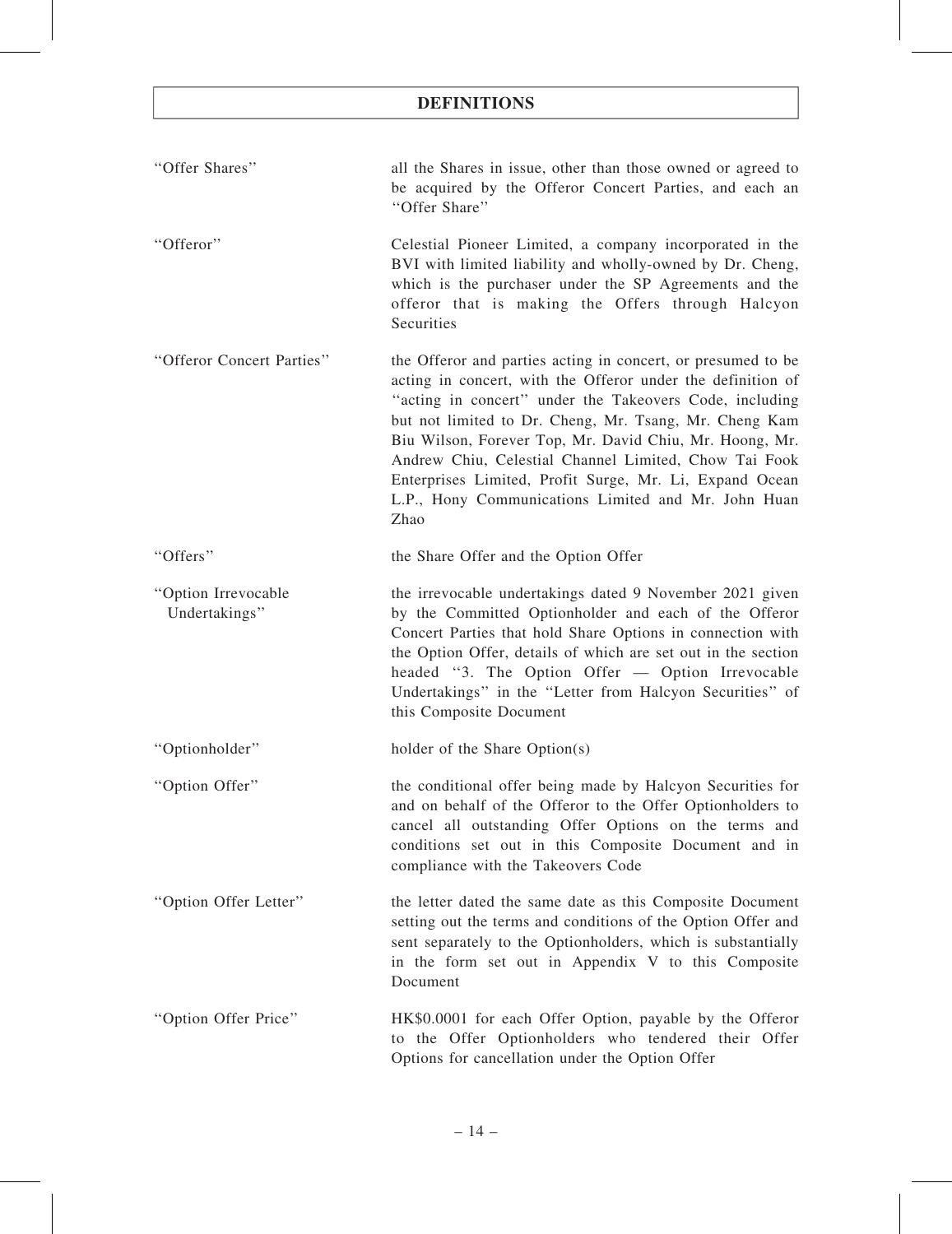| "Offer Shares"         | all the Shares in issue, other than those owned or agreed to |
|------------------------|--------------------------------------------------------------|
|                        | be acquired by the Offeror Concert Parties, and each an      |
|                        | "Offer Share"                                                |
| $H_{\text{Offarnark}}$ | Coloctial Diancer Limited a company incorporated in the      |

''Offeror'' Celestial Pioneer Limited, a company incorporated in the BVI with limited liability and wholly-owned by Dr. Cheng, which is the purchaser under the SP Agreements and the offeror that is making the Offers through Halcyon **Securities** 

''Offeror Concert Parties'' the Offeror and parties acting in concert, or presumed to be acting in concert, with the Offeror under the definition of ''acting in concert'' under the Takeovers Code, including but not limited to Dr. Cheng, Mr. Tsang, Mr. Cheng Kam Biu Wilson, Forever Top, Mr. David Chiu, Mr. Hoong, Mr. Andrew Chiu, Celestial Channel Limited, Chow Tai Fook Enterprises Limited, Profit Surge, Mr. Li, Expand Ocean L.P., Hony Communications Limited and Mr. John Huan Zhao

''Offers'' the Share Offer and the Option Offer

''Option Irrevocable Undertakings'' the irrevocable undertakings dated 9 November 2021 given by the Committed Optionholder and each of the Offeror Concert Parties that hold Share Options in connection with the Option Offer, details of which are set out in the section headed ''3. The Option Offer — Option Irrevocable Undertakings'' in the ''Letter from Halcyon Securities'' of this Composite Document

''Optionholder'' holder of the Share Option(s)

- ''Option Offer'' the conditional offer being made by Halcyon Securities for and on behalf of the Offeror to the Offer Optionholders to cancel all outstanding Offer Options on the terms and conditions set out in this Composite Document and in compliance with the Takeovers Code
- ''Option Offer Letter'' the letter dated the same date as this Composite Document setting out the terms and conditions of the Option Offer and sent separately to the Optionholders, which is substantially in the form set out in Appendix V to this Composite Document
- ''Option Offer Price'' HK\$0.0001 for each Offer Option, payable by the Offeror to the Offer Optionholders who tendered their Offer Options for cancellation under the Option Offer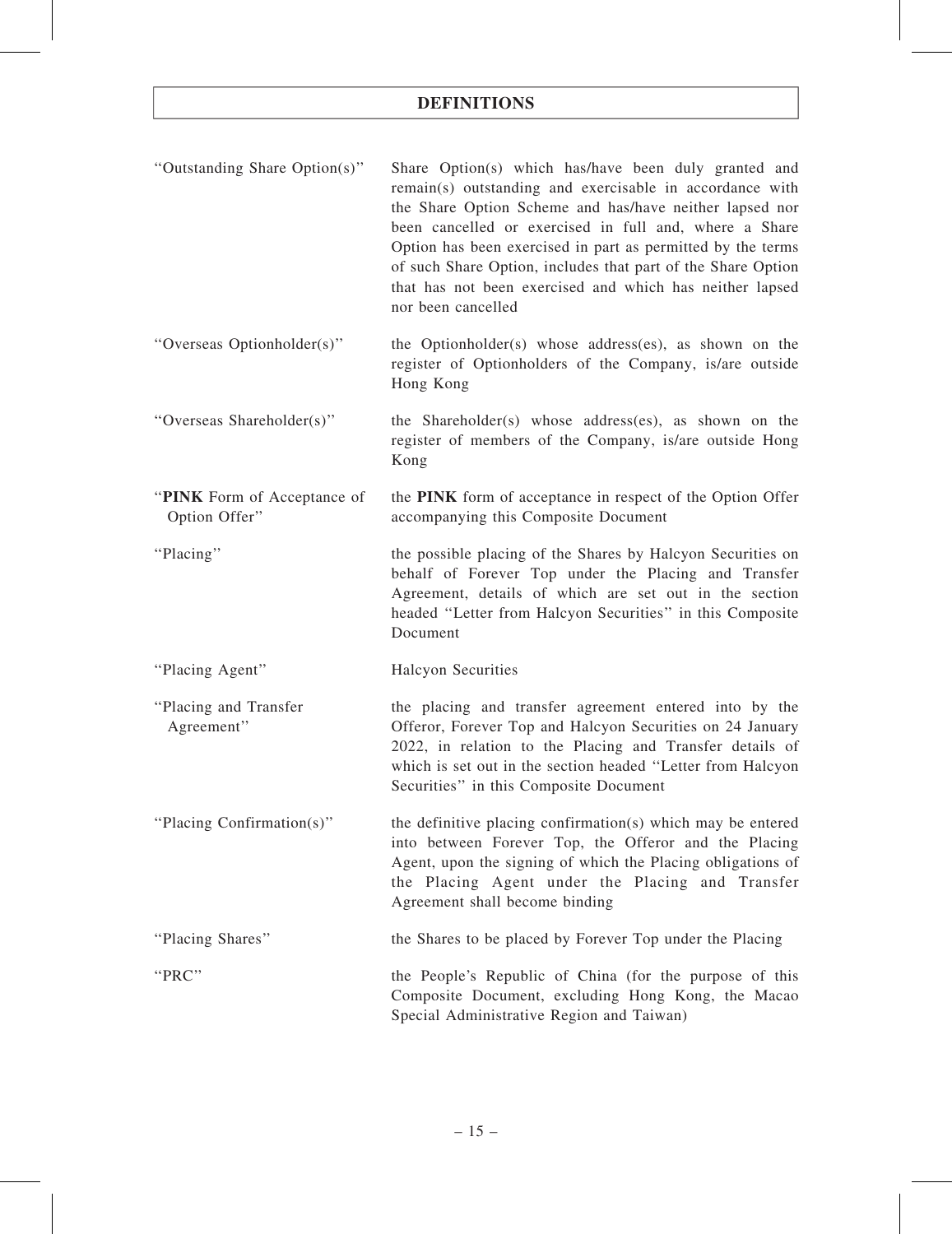| "Outstanding Share Option(s)"                | Share Option(s) which has/have been duly granted and<br>remain(s) outstanding and exercisable in accordance with<br>the Share Option Scheme and has/have neither lapsed nor<br>been cancelled or exercised in full and, where a Share<br>Option has been exercised in part as permitted by the terms<br>of such Share Option, includes that part of the Share Option<br>that has not been exercised and which has neither lapsed<br>nor been cancelled |
|----------------------------------------------|--------------------------------------------------------------------------------------------------------------------------------------------------------------------------------------------------------------------------------------------------------------------------------------------------------------------------------------------------------------------------------------------------------------------------------------------------------|
| "Overseas Optionholder(s)"                   | the Optionholder(s) whose address(es), as shown on the<br>register of Optionholders of the Company, is/are outside<br>Hong Kong                                                                                                                                                                                                                                                                                                                        |
| "Overseas Shareholder(s)"                    | the Shareholder(s) whose address(es), as shown on the<br>register of members of the Company, is/are outside Hong<br>Kong                                                                                                                                                                                                                                                                                                                               |
| "PINK Form of Acceptance of<br>Option Offer" | the PINK form of acceptance in respect of the Option Offer<br>accompanying this Composite Document                                                                                                                                                                                                                                                                                                                                                     |
| "Placing"                                    | the possible placing of the Shares by Halcyon Securities on<br>behalf of Forever Top under the Placing and Transfer<br>Agreement, details of which are set out in the section<br>headed "Letter from Halcyon Securities" in this Composite<br>Document                                                                                                                                                                                                 |
| "Placing Agent"                              | <b>Halcyon Securities</b>                                                                                                                                                                                                                                                                                                                                                                                                                              |
| "Placing and Transfer<br>Agreement"          | the placing and transfer agreement entered into by the<br>Offeror, Forever Top and Halcyon Securities on 24 January<br>2022, in relation to the Placing and Transfer details of<br>which is set out in the section headed "Letter from Halcyon<br>Securities" in this Composite Document                                                                                                                                                               |
| "Placing Confirmation(s)"                    | the definitive placing confirmation(s) which may be entered<br>into between Forever Top, the Offeror and the Placing<br>Agent, upon the signing of which the Placing obligations of<br>the Placing Agent under the Placing and Transfer<br>Agreement shall become binding                                                                                                                                                                              |
| "Placing Shares"                             | the Shares to be placed by Forever Top under the Placing                                                                                                                                                                                                                                                                                                                                                                                               |
| "PRC"                                        | the People's Republic of China (for the purpose of this<br>Composite Document, excluding Hong Kong, the Macao<br>Special Administrative Region and Taiwan)                                                                                                                                                                                                                                                                                             |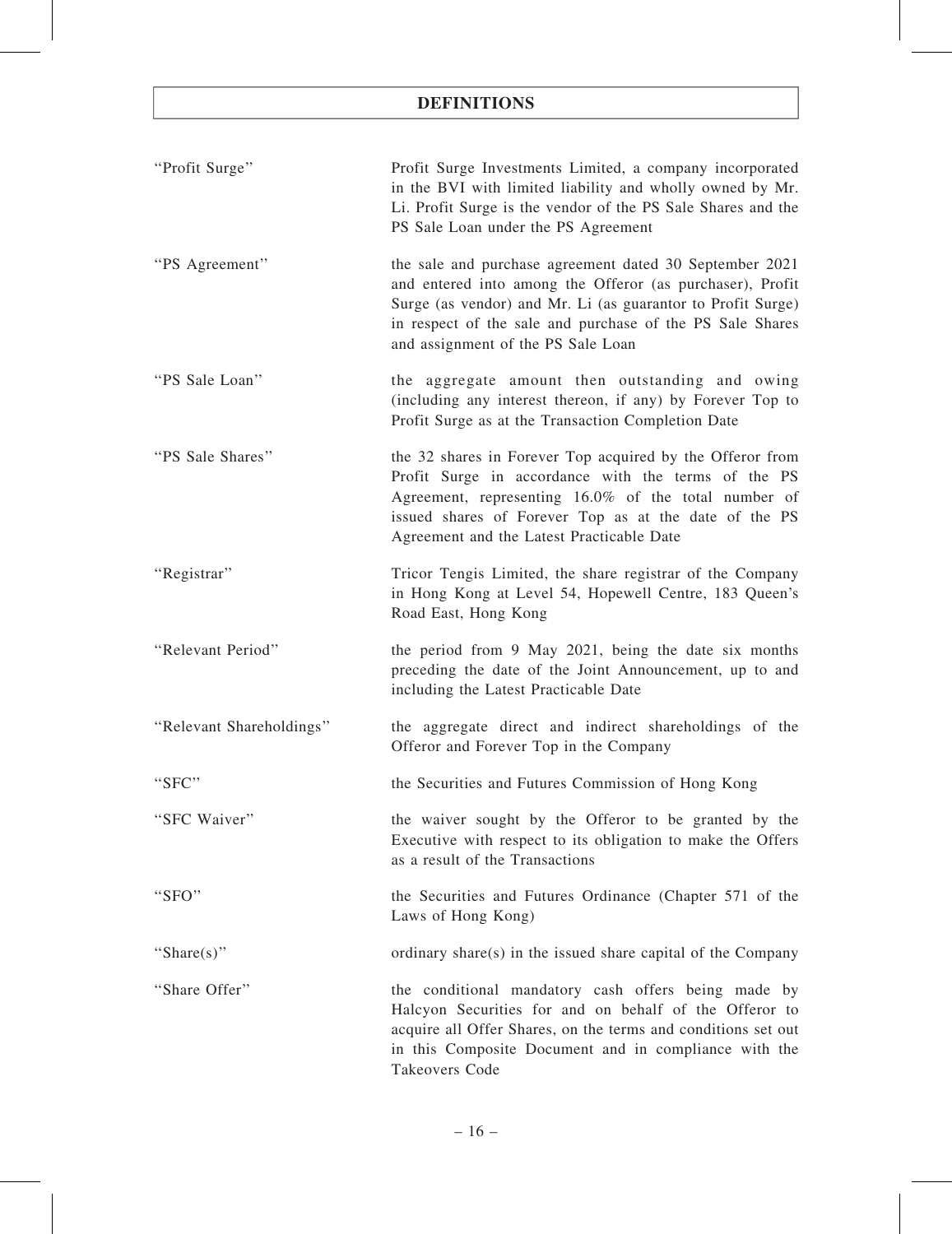| "Profit Surge"           | Profit Surge Investments Limited, a company incorporated<br>in the BVI with limited liability and wholly owned by Mr.<br>Li. Profit Surge is the vendor of the PS Sale Shares and the<br>PS Sale Loan under the PS Agreement                                                           |
|--------------------------|----------------------------------------------------------------------------------------------------------------------------------------------------------------------------------------------------------------------------------------------------------------------------------------|
| "PS Agreement"           | the sale and purchase agreement dated 30 September 2021<br>and entered into among the Offeror (as purchaser), Profit<br>Surge (as vendor) and Mr. Li (as guarantor to Profit Surge)<br>in respect of the sale and purchase of the PS Sale Shares<br>and assignment of the PS Sale Loan |
| "PS Sale Loan"           | the aggregate amount then outstanding and owing<br>(including any interest thereon, if any) by Forever Top to<br>Profit Surge as at the Transaction Completion Date                                                                                                                    |
| "PS Sale Shares"         | the 32 shares in Forever Top acquired by the Offeror from<br>Profit Surge in accordance with the terms of the PS<br>Agreement, representing 16.0% of the total number of<br>issued shares of Forever Top as at the date of the PS<br>Agreement and the Latest Practicable Date         |
| "Registrar"              | Tricor Tengis Limited, the share registrar of the Company<br>in Hong Kong at Level 54, Hopewell Centre, 183 Queen's<br>Road East, Hong Kong                                                                                                                                            |
| "Relevant Period"        | the period from 9 May 2021, being the date six months<br>preceding the date of the Joint Announcement, up to and<br>including the Latest Practicable Date                                                                                                                              |
| "Relevant Shareholdings" | the aggregate direct and indirect shareholdings of the<br>Offeror and Forever Top in the Company                                                                                                                                                                                       |
| "SFC"                    | the Securities and Futures Commission of Hong Kong                                                                                                                                                                                                                                     |
| "SFC Waiver"             | the waiver sought by the Offeror to be granted by the<br>Executive with respect to its obligation to make the Offers<br>as a result of the Transactions                                                                                                                                |
| "SFO"                    | the Securities and Futures Ordinance (Chapter 571 of the<br>Laws of Hong Kong)                                                                                                                                                                                                         |
| "Share(s)"               | ordinary share(s) in the issued share capital of the Company                                                                                                                                                                                                                           |
| "Share Offer"            | the conditional mandatory cash offers being made by<br>Halcyon Securities for and on behalf of the Offeror to<br>acquire all Offer Shares, on the terms and conditions set out<br>in this Composite Document and in compliance with the<br>Takeovers Code                              |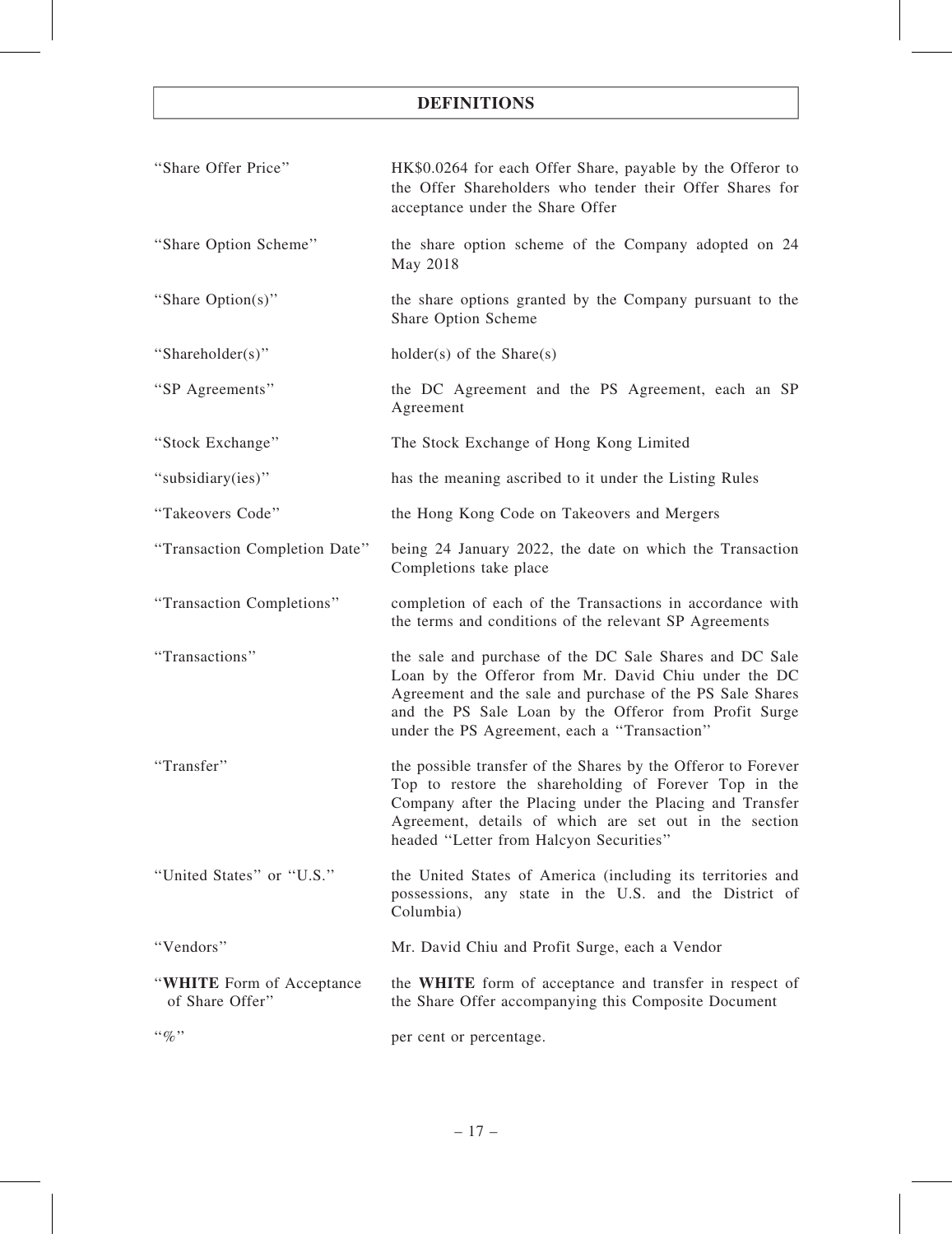| "Share Offer Price"                          | HK\$0.0264 for each Offer Share, payable by the Offeror to<br>the Offer Shareholders who tender their Offer Shares for<br>acceptance under the Share Offer                                                                                                                              |
|----------------------------------------------|-----------------------------------------------------------------------------------------------------------------------------------------------------------------------------------------------------------------------------------------------------------------------------------------|
| "Share Option Scheme"                        | the share option scheme of the Company adopted on 24<br>May 2018                                                                                                                                                                                                                        |
| "Share Option(s)"                            | the share options granted by the Company pursuant to the<br>Share Option Scheme                                                                                                                                                                                                         |
| "Shareholder(s)"                             | $holder(s)$ of the Share(s)                                                                                                                                                                                                                                                             |
| "SP Agreements"                              | the DC Agreement and the PS Agreement, each an SP<br>Agreement                                                                                                                                                                                                                          |
| "Stock Exchange"                             | The Stock Exchange of Hong Kong Limited                                                                                                                                                                                                                                                 |
| "subsidiary(ies)"                            | has the meaning ascribed to it under the Listing Rules                                                                                                                                                                                                                                  |
| "Takeovers Code"                             | the Hong Kong Code on Takeovers and Mergers                                                                                                                                                                                                                                             |
| "Transaction Completion Date"                | being 24 January 2022, the date on which the Transaction<br>Completions take place                                                                                                                                                                                                      |
| "Transaction Completions"                    | completion of each of the Transactions in accordance with<br>the terms and conditions of the relevant SP Agreements                                                                                                                                                                     |
| "Transactions"                               | the sale and purchase of the DC Sale Shares and DC Sale<br>Loan by the Offeror from Mr. David Chiu under the DC<br>Agreement and the sale and purchase of the PS Sale Shares<br>and the PS Sale Loan by the Offeror from Profit Surge<br>under the PS Agreement, each a "Transaction"   |
| "Transfer"                                   | the possible transfer of the Shares by the Offeror to Forever<br>Top to restore the shareholding of Forever Top in the<br>Company after the Placing under the Placing and Transfer<br>Agreement, details of which are set out in the section<br>headed "Letter from Halcyon Securities" |
| "United States" or "U.S."                    | the United States of America (including its territories and<br>possessions, any state in the U.S. and the District of<br>Columbia)                                                                                                                                                      |
| "Vendors"                                    | Mr. David Chiu and Profit Surge, each a Vendor                                                                                                                                                                                                                                          |
| "WHITE Form of Acceptance<br>of Share Offer" | the WHITE form of acceptance and transfer in respect of<br>the Share Offer accompanying this Composite Document                                                                                                                                                                         |
| $``\%"$                                      | per cent or percentage.                                                                                                                                                                                                                                                                 |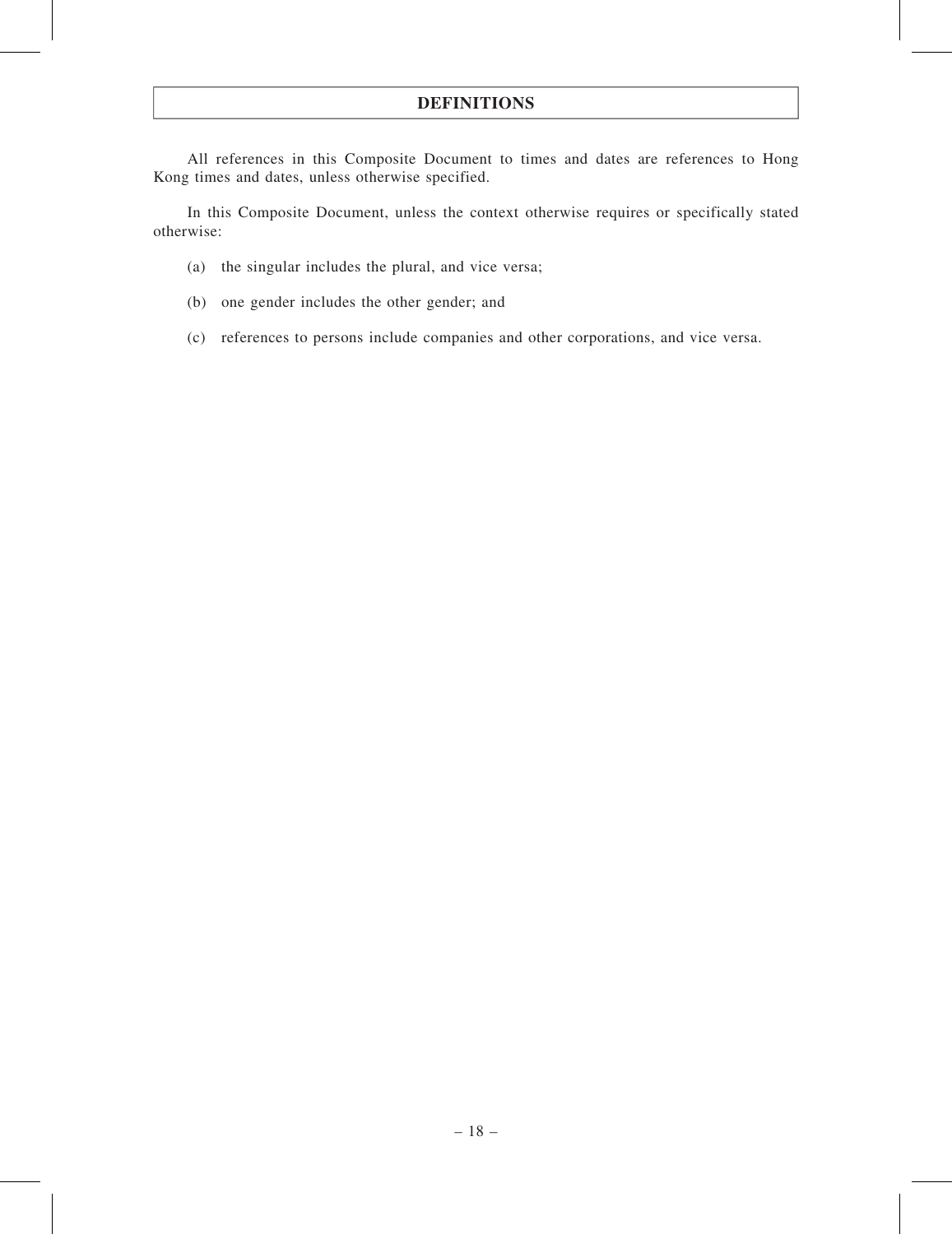All references in this Composite Document to times and dates are references to Hong Kong times and dates, unless otherwise specified.

In this Composite Document, unless the context otherwise requires or specifically stated otherwise:

- (a) the singular includes the plural, and vice versa;
- (b) one gender includes the other gender; and
- (c) references to persons include companies and other corporations, and vice versa.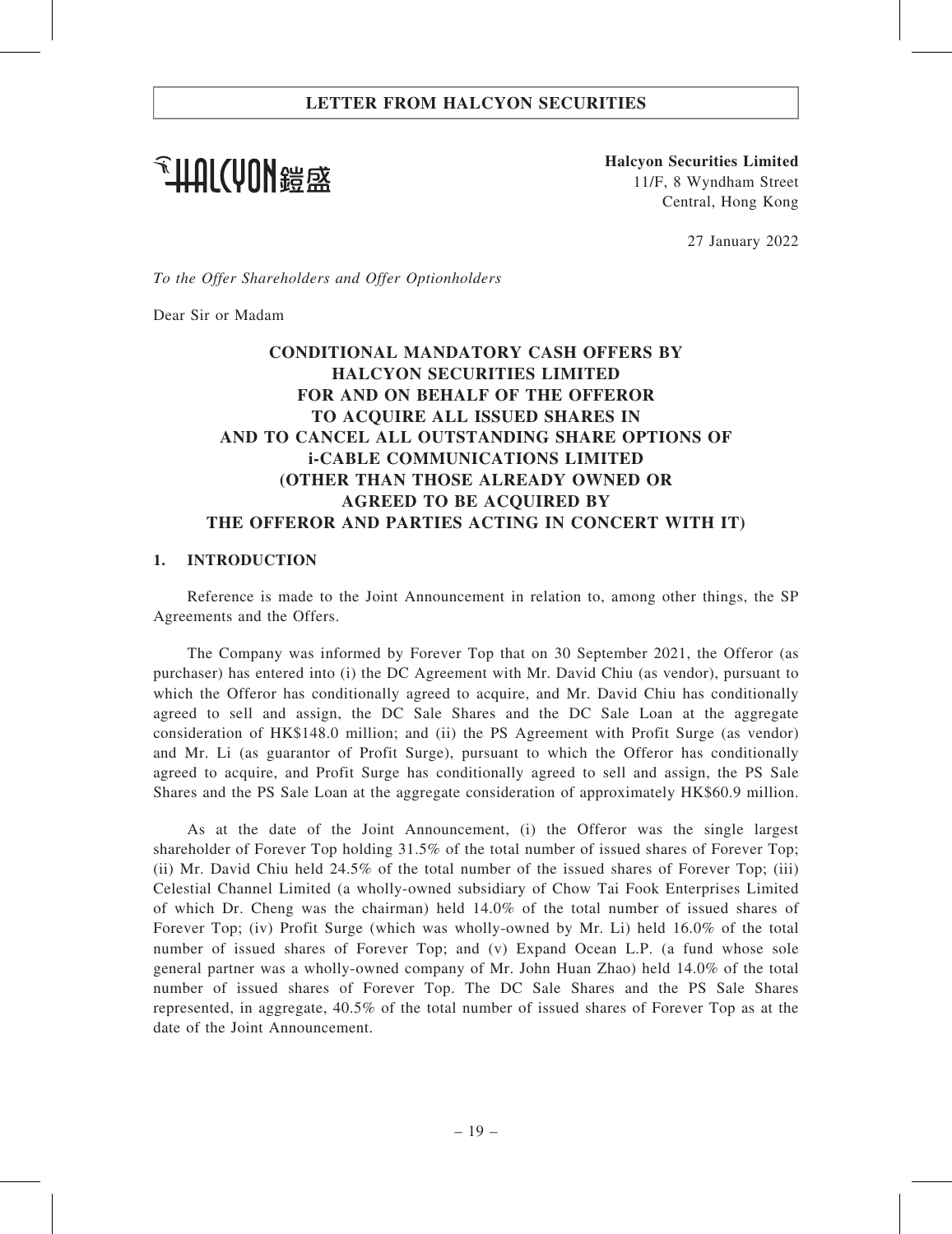**个HAI(VON錯感** 

Halcyon Securities Limited 11/F, 8 Wyndham Street Central, Hong Kong

27 January 2022

To the Offer Shareholders and Offer Optionholders

Dear Sir or Madam

# CONDITIONAL MANDATORY CASH OFFERS BY HALCYON SECURITIES LIMITED FOR AND ON BEHALF OF THE OFFEROR TO ACQUIRE ALL ISSUED SHARES IN AND TO CANCEL ALL OUTSTANDING SHARE OPTIONS OF i-CABLE COMMUNICATIONS LIMITED (OTHER THAN THOSE ALREADY OWNED OR AGREED TO BE ACQUIRED BY THE OFFEROR AND PARTIES ACTING IN CONCERT WITH IT)

### 1. INTRODUCTION

Reference is made to the Joint Announcement in relation to, among other things, the SP Agreements and the Offers.

The Company was informed by Forever Top that on 30 September 2021, the Offeror (as purchaser) has entered into (i) the DC Agreement with Mr. David Chiu (as vendor), pursuant to which the Offeror has conditionally agreed to acquire, and Mr. David Chiu has conditionally agreed to sell and assign, the DC Sale Shares and the DC Sale Loan at the aggregate consideration of HK\$148.0 million; and (ii) the PS Agreement with Profit Surge (as vendor) and Mr. Li (as guarantor of Profit Surge), pursuant to which the Offeror has conditionally agreed to acquire, and Profit Surge has conditionally agreed to sell and assign, the PS Sale Shares and the PS Sale Loan at the aggregate consideration of approximately HK\$60.9 million.

As at the date of the Joint Announcement, (i) the Offeror was the single largest shareholder of Forever Top holding 31.5% of the total number of issued shares of Forever Top; (ii) Mr. David Chiu held 24.5% of the total number of the issued shares of Forever Top; (iii) Celestial Channel Limited (a wholly-owned subsidiary of Chow Tai Fook Enterprises Limited of which Dr. Cheng was the chairman) held 14.0% of the total number of issued shares of Forever Top; (iv) Profit Surge (which was wholly-owned by Mr. Li) held 16.0% of the total number of issued shares of Forever Top; and (v) Expand Ocean L.P. (a fund whose sole general partner was a wholly-owned company of Mr. John Huan Zhao) held 14.0% of the total number of issued shares of Forever Top. The DC Sale Shares and the PS Sale Shares represented, in aggregate, 40.5% of the total number of issued shares of Forever Top as at the date of the Joint Announcement.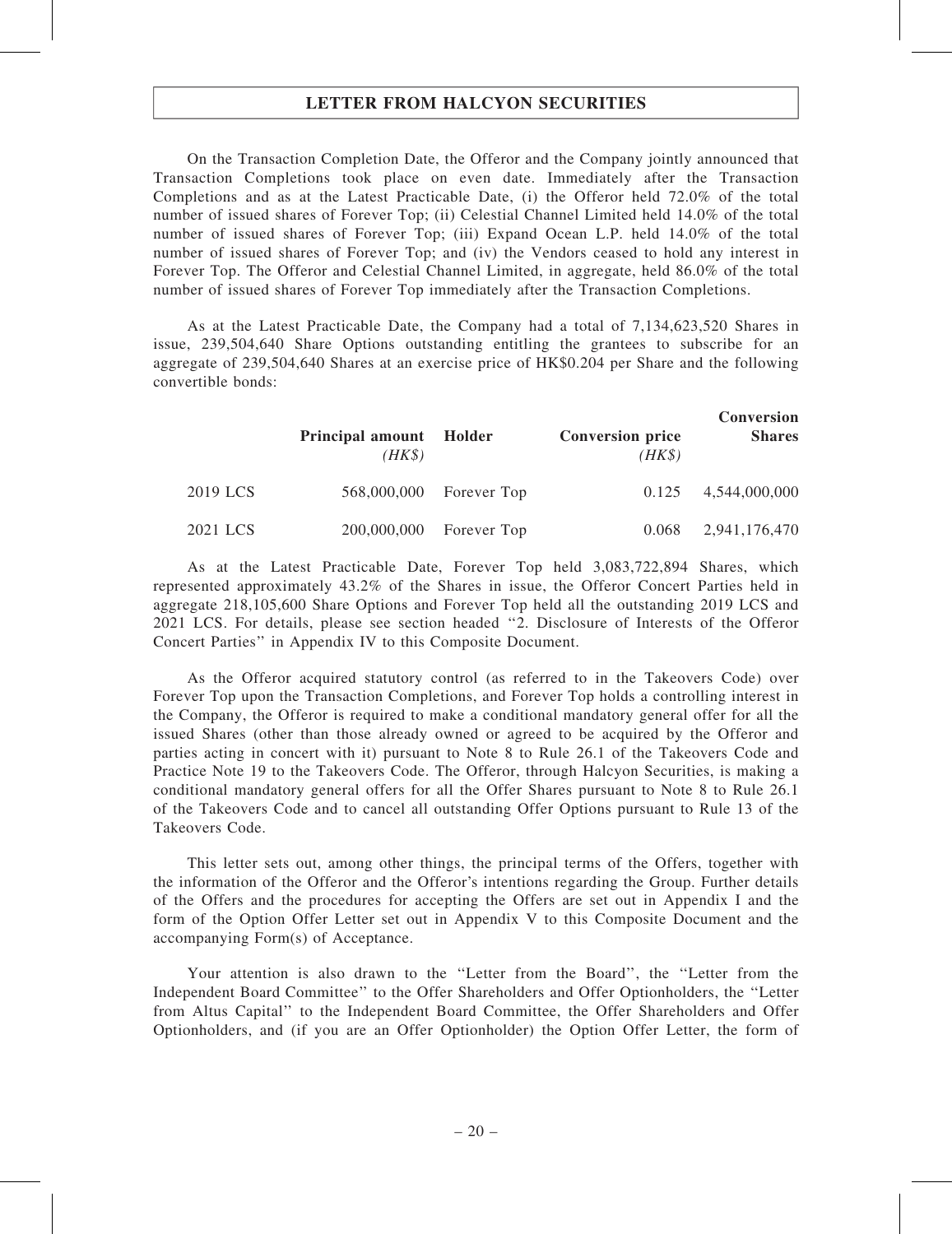On the Transaction Completion Date, the Offeror and the Company jointly announced that Transaction Completions took place on even date. Immediately after the Transaction Completions and as at the Latest Practicable Date, (i) the Offeror held 72.0% of the total number of issued shares of Forever Top; (ii) Celestial Channel Limited held 14.0% of the total number of issued shares of Forever Top; (iii) Expand Ocean L.P. held 14.0% of the total number of issued shares of Forever Top; and (iv) the Vendors ceased to hold any interest in Forever Top. The Offeror and Celestial Channel Limited, in aggregate, held 86.0% of the total number of issued shares of Forever Top immediately after the Transaction Completions.

As at the Latest Practicable Date, the Company had a total of 7,134,623,520 Shares in issue, 239,504,640 Share Options outstanding entitling the grantees to subscribe for an aggregate of 239,504,640 Shares at an exercise price of HK\$0.204 per Share and the following convertible bonds:

|          | Principal amount Holder<br>$(HK\$ |                         | <b>Conversion price</b><br>$(HK\$ | <b>Conversion</b><br><b>Shares</b> |
|----------|-----------------------------------|-------------------------|-----------------------------------|------------------------------------|
| 2019 LCS |                                   | 568,000,000 Forever Top | 0.125                             | 4,544,000,000                      |
| 2021 LCS | 200,000,000                       | Forever Top             | 0.068                             | 2,941,176,470                      |

As at the Latest Practicable Date, Forever Top held 3,083,722,894 Shares, which represented approximately 43.2% of the Shares in issue, the Offeror Concert Parties held in aggregate 218,105,600 Share Options and Forever Top held all the outstanding 2019 LCS and 2021 LCS. For details, please see section headed ''2. Disclosure of Interests of the Offeror Concert Parties'' in Appendix IV to this Composite Document.

As the Offeror acquired statutory control (as referred to in the Takeovers Code) over Forever Top upon the Transaction Completions, and Forever Top holds a controlling interest in the Company, the Offeror is required to make a conditional mandatory general offer for all the issued Shares (other than those already owned or agreed to be acquired by the Offeror and parties acting in concert with it) pursuant to Note 8 to Rule 26.1 of the Takeovers Code and Practice Note 19 to the Takeovers Code. The Offeror, through Halcyon Securities, is making a conditional mandatory general offers for all the Offer Shares pursuant to Note 8 to Rule 26.1 of the Takeovers Code and to cancel all outstanding Offer Options pursuant to Rule 13 of the Takeovers Code.

This letter sets out, among other things, the principal terms of the Offers, together with the information of the Offeror and the Offeror's intentions regarding the Group. Further details of the Offers and the procedures for accepting the Offers are set out in Appendix I and the form of the Option Offer Letter set out in Appendix V to this Composite Document and the accompanying Form(s) of Acceptance.

Your attention is also drawn to the ''Letter from the Board'', the ''Letter from the Independent Board Committee'' to the Offer Shareholders and Offer Optionholders, the ''Letter from Altus Capital'' to the Independent Board Committee, the Offer Shareholders and Offer Optionholders, and (if you are an Offer Optionholder) the Option Offer Letter, the form of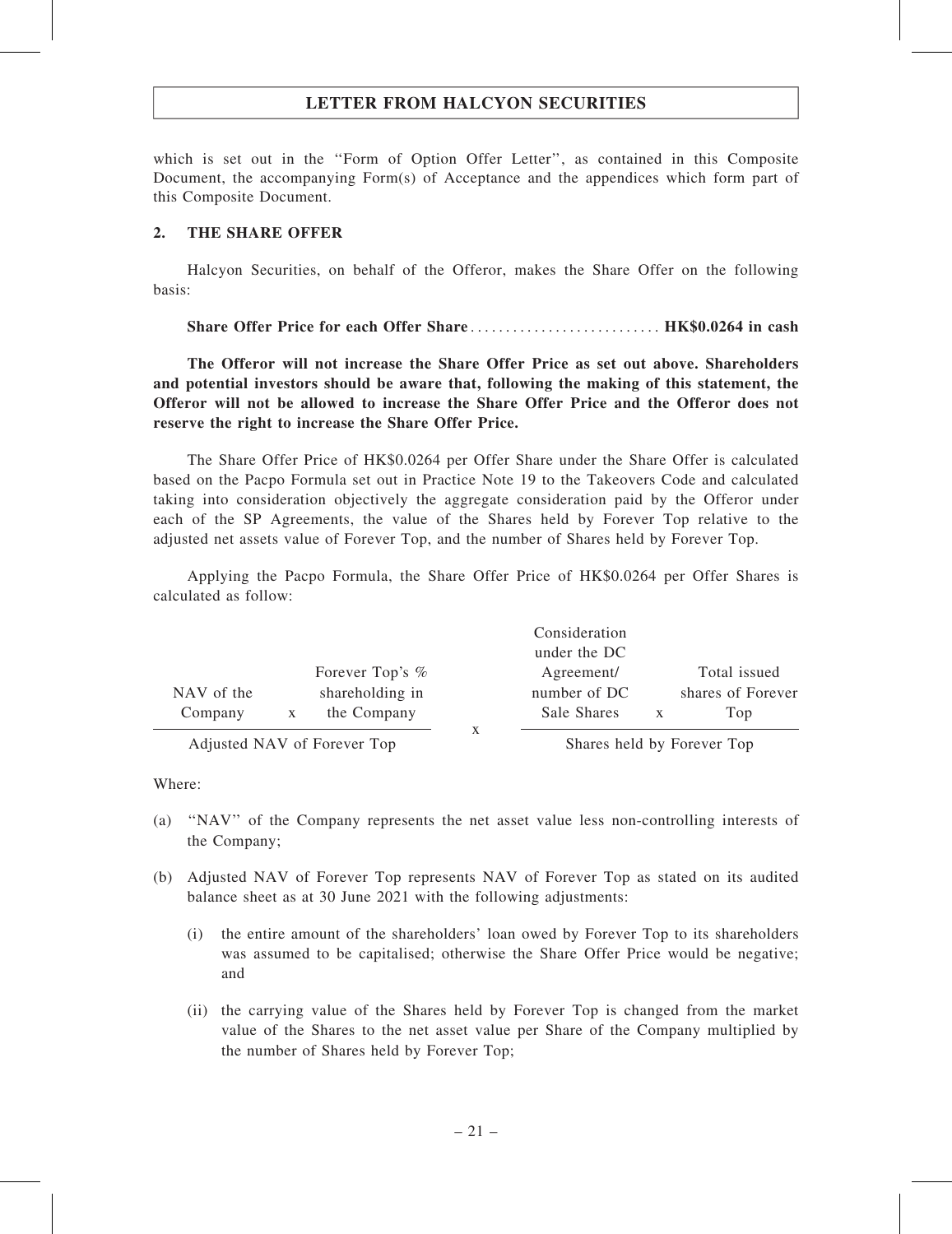which is set out in the ''Form of Option Offer Letter'', as contained in this Composite Document, the accompanying Form(s) of Acceptance and the appendices which form part of this Composite Document.

### 2. THE SHARE OFFER

Halcyon Securities, on behalf of the Offeror, makes the Share Offer on the following basis:

Share Offer Price for each Offer Share ........................... HK\$0.0264 in cash

The Offeror will not increase the Share Offer Price as set out above. Shareholders and potential investors should be aware that, following the making of this statement, the Offeror will not be allowed to increase the Share Offer Price and the Offeror does not reserve the right to increase the Share Offer Price.

The Share Offer Price of HK\$0.0264 per Offer Share under the Share Offer is calculated based on the Pacpo Formula set out in Practice Note 19 to the Takeovers Code and calculated taking into consideration objectively the aggregate consideration paid by the Offeror under each of the SP Agreements, the value of the Shares held by Forever Top relative to the adjusted net assets value of Forever Top, and the number of Shares held by Forever Top.

Applying the Pacpo Formula, the Share Offer Price of HK\$0.0264 per Offer Shares is calculated as follow:

|                                              |                 | Consideration |                   |
|----------------------------------------------|-----------------|---------------|-------------------|
|                                              |                 | under the DC  |                   |
|                                              | Forever Top's % | Agreement/    | Total issued      |
| NAV of the                                   | shareholding in | number of DC  | shares of Forever |
| Company                                      | the Company     | Sale Shares   | Top               |
| $\cdots$ $\cdots$ $\cdots$ $\cdots$ $\cdots$ | –               |               | –                 |

Adjusted NAV of Forever Top Shares held by Forever Top

Where:

- (a) ''NAV'' of the Company represents the net asset value less non-controlling interests of the Company;
- (b) Adjusted NAV of Forever Top represents NAV of Forever Top as stated on its audited balance sheet as at 30 June 2021 with the following adjustments:
	- (i) the entire amount of the shareholders' loan owed by Forever Top to its shareholders was assumed to be capitalised; otherwise the Share Offer Price would be negative; and
	- (ii) the carrying value of the Shares held by Forever Top is changed from the market value of the Shares to the net asset value per Share of the Company multiplied by the number of Shares held by Forever Top;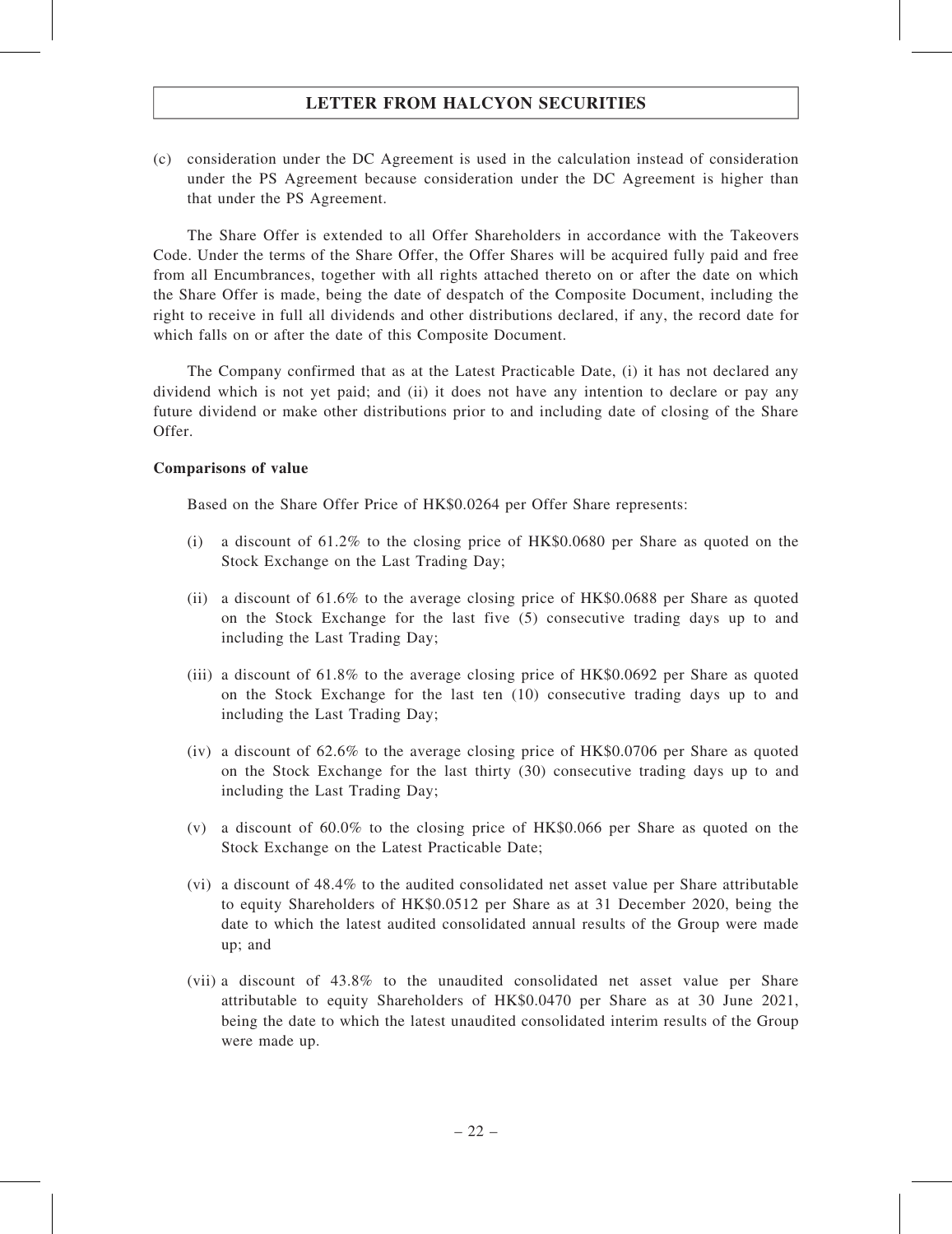(c) consideration under the DC Agreement is used in the calculation instead of consideration under the PS Agreement because consideration under the DC Agreement is higher than that under the PS Agreement.

The Share Offer is extended to all Offer Shareholders in accordance with the Takeovers Code. Under the terms of the Share Offer, the Offer Shares will be acquired fully paid and free from all Encumbrances, together with all rights attached thereto on or after the date on which the Share Offer is made, being the date of despatch of the Composite Document, including the right to receive in full all dividends and other distributions declared, if any, the record date for which falls on or after the date of this Composite Document.

The Company confirmed that as at the Latest Practicable Date, (i) it has not declared any dividend which is not yet paid; and (ii) it does not have any intention to declare or pay any future dividend or make other distributions prior to and including date of closing of the Share Offer.

### Comparisons of value

Based on the Share Offer Price of HK\$0.0264 per Offer Share represents:

- (i) a discount of 61.2% to the closing price of HK\$0.0680 per Share as quoted on the Stock Exchange on the Last Trading Day;
- (ii) a discount of 61.6% to the average closing price of HK\$0.0688 per Share as quoted on the Stock Exchange for the last five (5) consecutive trading days up to and including the Last Trading Day;
- (iii) a discount of 61.8% to the average closing price of HK\$0.0692 per Share as quoted on the Stock Exchange for the last ten (10) consecutive trading days up to and including the Last Trading Day;
- (iv) a discount of 62.6% to the average closing price of HK\$0.0706 per Share as quoted on the Stock Exchange for the last thirty (30) consecutive trading days up to and including the Last Trading Day;
- (v) a discount of 60.0% to the closing price of HK\$0.066 per Share as quoted on the Stock Exchange on the Latest Practicable Date;
- (vi) a discount of 48.4% to the audited consolidated net asset value per Share attributable to equity Shareholders of HK\$0.0512 per Share as at 31 December 2020, being the date to which the latest audited consolidated annual results of the Group were made up; and
- (vii) a discount of 43.8% to the unaudited consolidated net asset value per Share attributable to equity Shareholders of HK\$0.0470 per Share as at 30 June 2021, being the date to which the latest unaudited consolidated interim results of the Group were made up.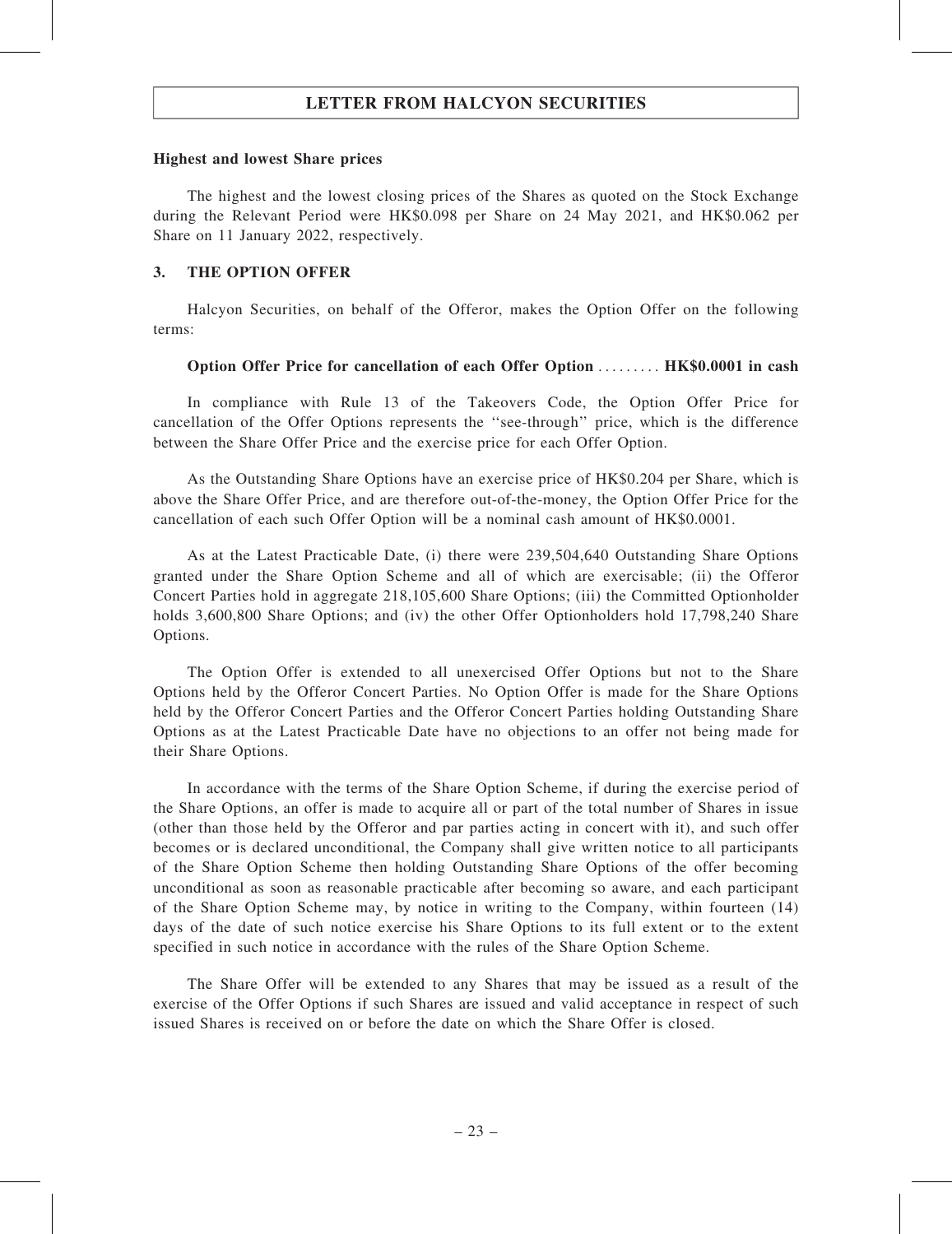#### Highest and lowest Share prices

The highest and the lowest closing prices of the Shares as quoted on the Stock Exchange during the Relevant Period were HK\$0.098 per Share on 24 May 2021, and HK\$0.062 per Share on 11 January 2022, respectively.

### 3. THE OPTION OFFER

Halcyon Securities, on behalf of the Offeror, makes the Option Offer on the following terms:

### Option Offer Price for cancellation of each Offer Option ......... HK\$0.0001 in cash

In compliance with Rule 13 of the Takeovers Code, the Option Offer Price for cancellation of the Offer Options represents the ''see-through'' price, which is the difference between the Share Offer Price and the exercise price for each Offer Option.

As the Outstanding Share Options have an exercise price of HK\$0.204 per Share, which is above the Share Offer Price, and are therefore out-of-the-money, the Option Offer Price for the cancellation of each such Offer Option will be a nominal cash amount of HK\$0.0001.

As at the Latest Practicable Date, (i) there were 239,504,640 Outstanding Share Options granted under the Share Option Scheme and all of which are exercisable; (ii) the Offeror Concert Parties hold in aggregate 218,105,600 Share Options; (iii) the Committed Optionholder holds 3,600,800 Share Options; and (iv) the other Offer Optionholders hold 17,798,240 Share Options.

The Option Offer is extended to all unexercised Offer Options but not to the Share Options held by the Offeror Concert Parties. No Option Offer is made for the Share Options held by the Offeror Concert Parties and the Offeror Concert Parties holding Outstanding Share Options as at the Latest Practicable Date have no objections to an offer not being made for their Share Options.

In accordance with the terms of the Share Option Scheme, if during the exercise period of the Share Options, an offer is made to acquire all or part of the total number of Shares in issue (other than those held by the Offeror and par parties acting in concert with it), and such offer becomes or is declared unconditional, the Company shall give written notice to all participants of the Share Option Scheme then holding Outstanding Share Options of the offer becoming unconditional as soon as reasonable practicable after becoming so aware, and each participant of the Share Option Scheme may, by notice in writing to the Company, within fourteen (14) days of the date of such notice exercise his Share Options to its full extent or to the extent specified in such notice in accordance with the rules of the Share Option Scheme.

The Share Offer will be extended to any Shares that may be issued as a result of the exercise of the Offer Options if such Shares are issued and valid acceptance in respect of such issued Shares is received on or before the date on which the Share Offer is closed.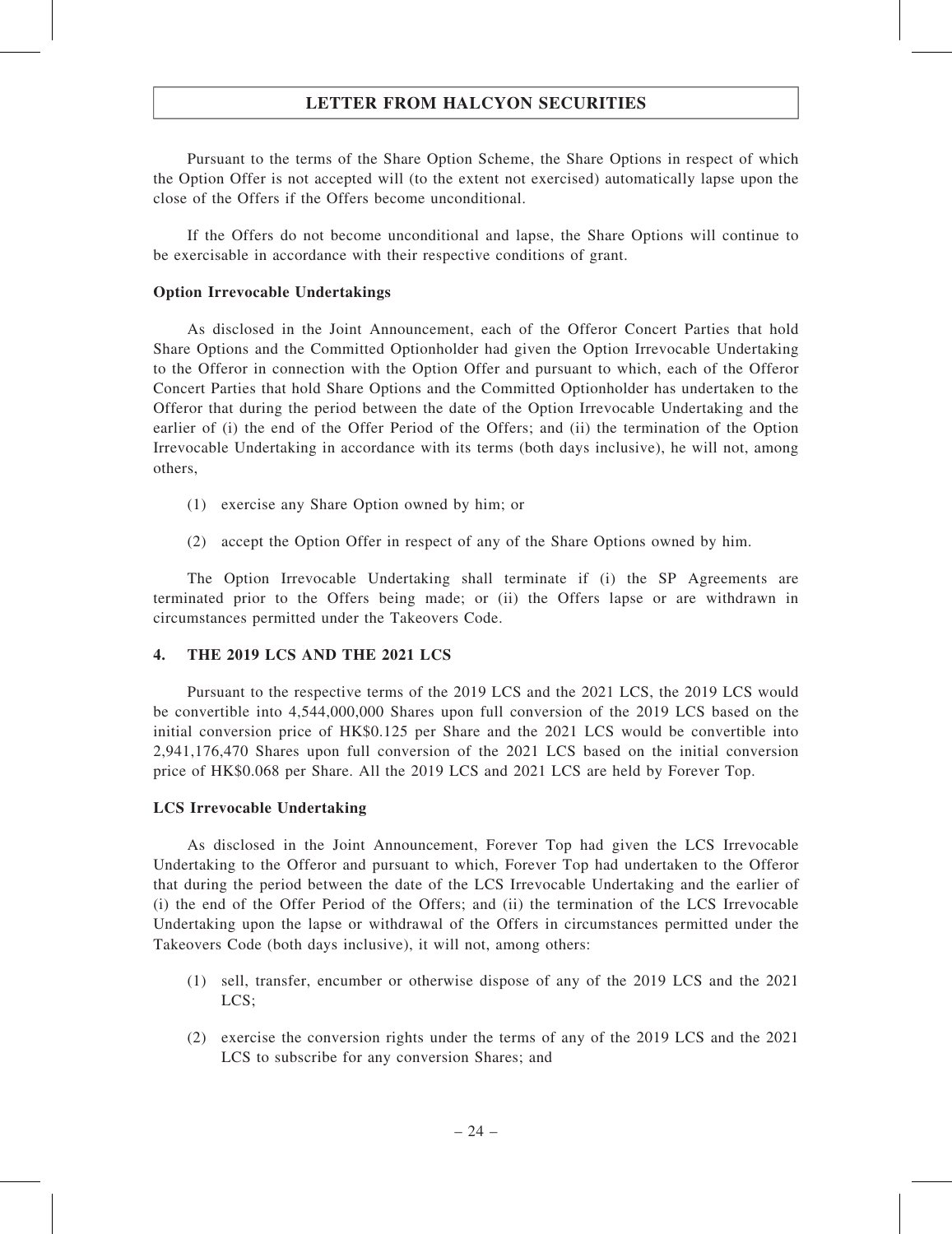Pursuant to the terms of the Share Option Scheme, the Share Options in respect of which the Option Offer is not accepted will (to the extent not exercised) automatically lapse upon the close of the Offers if the Offers become unconditional.

If the Offers do not become unconditional and lapse, the Share Options will continue to be exercisable in accordance with their respective conditions of grant.

### Option Irrevocable Undertakings

As disclosed in the Joint Announcement, each of the Offeror Concert Parties that hold Share Options and the Committed Optionholder had given the Option Irrevocable Undertaking to the Offeror in connection with the Option Offer and pursuant to which, each of the Offeror Concert Parties that hold Share Options and the Committed Optionholder has undertaken to the Offeror that during the period between the date of the Option Irrevocable Undertaking and the earlier of (i) the end of the Offer Period of the Offers; and (ii) the termination of the Option Irrevocable Undertaking in accordance with its terms (both days inclusive), he will not, among others,

- (1) exercise any Share Option owned by him; or
- (2) accept the Option Offer in respect of any of the Share Options owned by him.

The Option Irrevocable Undertaking shall terminate if (i) the SP Agreements are terminated prior to the Offers being made; or (ii) the Offers lapse or are withdrawn in circumstances permitted under the Takeovers Code.

### 4. THE 2019 LCS AND THE 2021 LCS

Pursuant to the respective terms of the 2019 LCS and the 2021 LCS, the 2019 LCS would be convertible into 4,544,000,000 Shares upon full conversion of the 2019 LCS based on the initial conversion price of HK\$0.125 per Share and the 2021 LCS would be convertible into 2,941,176,470 Shares upon full conversion of the 2021 LCS based on the initial conversion price of HK\$0.068 per Share. All the 2019 LCS and 2021 LCS are held by Forever Top.

#### LCS Irrevocable Undertaking

As disclosed in the Joint Announcement, Forever Top had given the LCS Irrevocable Undertaking to the Offeror and pursuant to which, Forever Top had undertaken to the Offeror that during the period between the date of the LCS Irrevocable Undertaking and the earlier of (i) the end of the Offer Period of the Offers; and (ii) the termination of the LCS Irrevocable Undertaking upon the lapse or withdrawal of the Offers in circumstances permitted under the Takeovers Code (both days inclusive), it will not, among others:

- (1) sell, transfer, encumber or otherwise dispose of any of the 2019 LCS and the 2021 LCS:
- (2) exercise the conversion rights under the terms of any of the 2019 LCS and the 2021 LCS to subscribe for any conversion Shares; and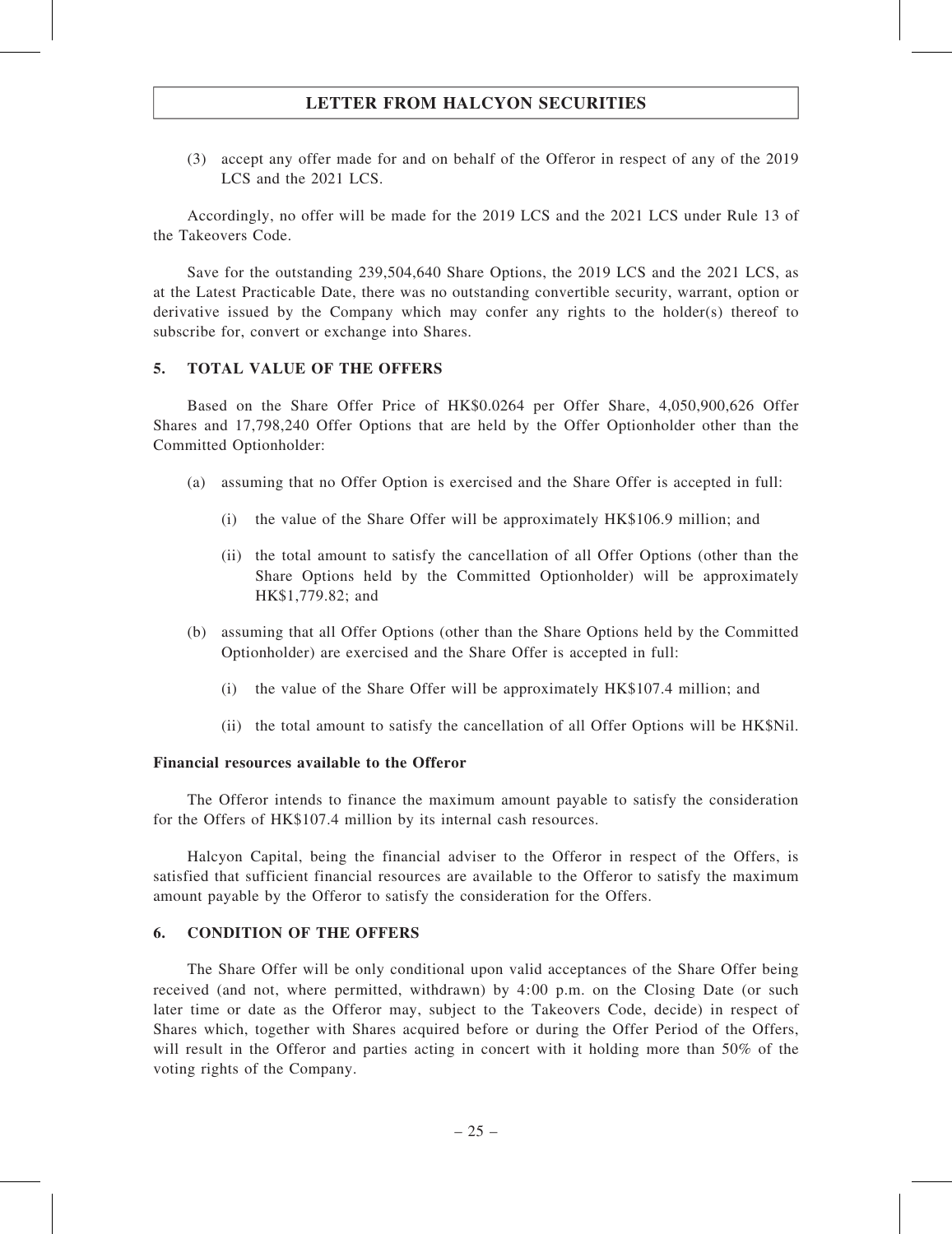(3) accept any offer made for and on behalf of the Offeror in respect of any of the 2019 LCS and the 2021 LCS.

Accordingly, no offer will be made for the 2019 LCS and the 2021 LCS under Rule 13 of the Takeovers Code.

Save for the outstanding 239,504,640 Share Options, the 2019 LCS and the 2021 LCS, as at the Latest Practicable Date, there was no outstanding convertible security, warrant, option or derivative issued by the Company which may confer any rights to the holder(s) thereof to subscribe for, convert or exchange into Shares.

#### 5. TOTAL VALUE OF THE OFFERS

Based on the Share Offer Price of HK\$0.0264 per Offer Share, 4,050,900,626 Offer Shares and 17,798,240 Offer Options that are held by the Offer Optionholder other than the Committed Optionholder:

- (a) assuming that no Offer Option is exercised and the Share Offer is accepted in full:
	- (i) the value of the Share Offer will be approximately HK\$106.9 million; and
	- (ii) the total amount to satisfy the cancellation of all Offer Options (other than the Share Options held by the Committed Optionholder) will be approximately HK\$1,779.82; and
- (b) assuming that all Offer Options (other than the Share Options held by the Committed Optionholder) are exercised and the Share Offer is accepted in full:
	- (i) the value of the Share Offer will be approximately HK\$107.4 million; and
	- (ii) the total amount to satisfy the cancellation of all Offer Options will be HK\$Nil.

#### Financial resources available to the Offeror

The Offeror intends to finance the maximum amount payable to satisfy the consideration for the Offers of HK\$107.4 million by its internal cash resources.

Halcyon Capital, being the financial adviser to the Offeror in respect of the Offers, is satisfied that sufficient financial resources are available to the Offeror to satisfy the maximum amount payable by the Offeror to satisfy the consideration for the Offers.

### 6. CONDITION OF THE OFFERS

The Share Offer will be only conditional upon valid acceptances of the Share Offer being received (and not, where permitted, withdrawn) by 4:00 p.m. on the Closing Date (or such later time or date as the Offeror may, subject to the Takeovers Code, decide) in respect of Shares which, together with Shares acquired before or during the Offer Period of the Offers, will result in the Offeror and parties acting in concert with it holding more than 50% of the voting rights of the Company.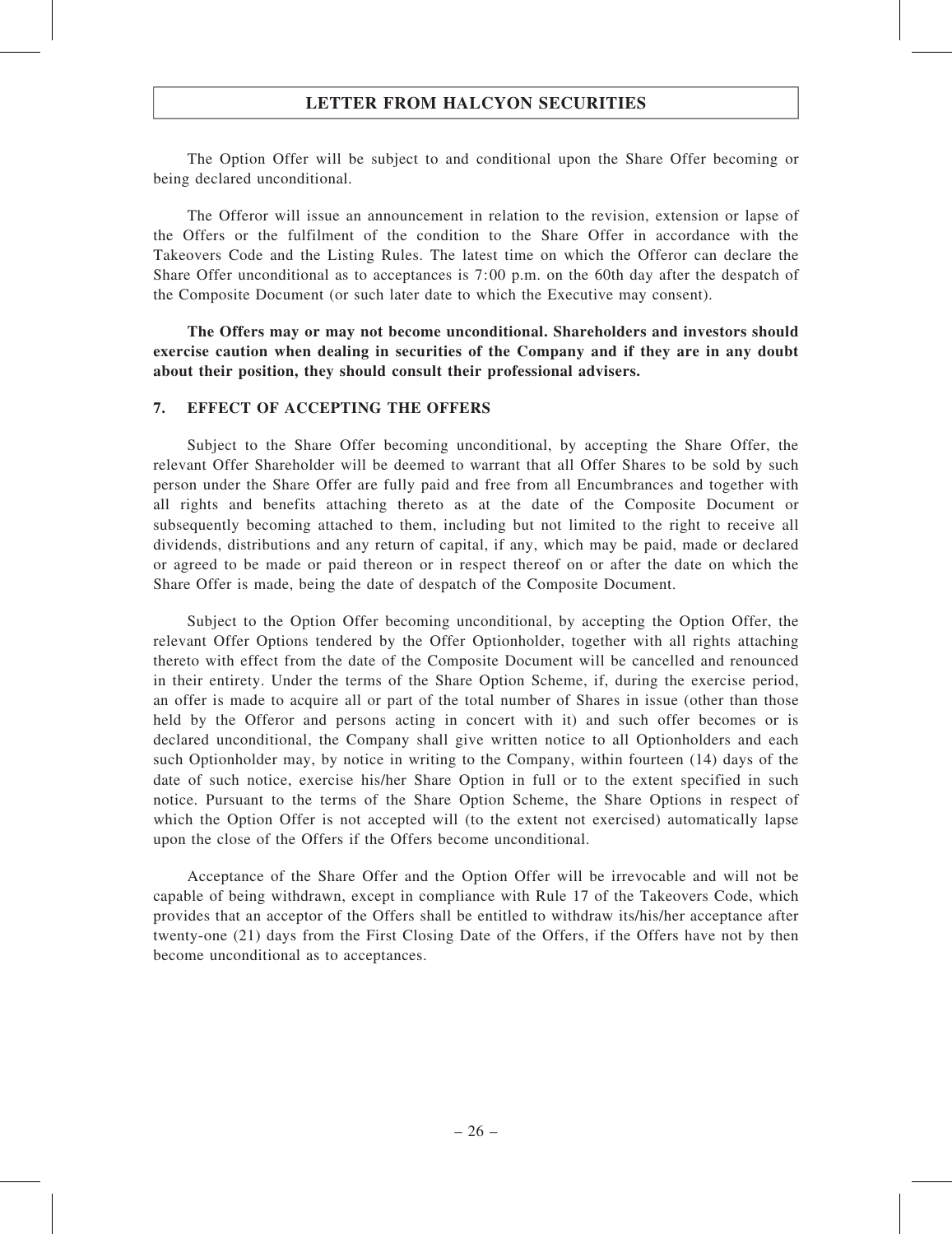The Option Offer will be subject to and conditional upon the Share Offer becoming or being declared unconditional.

The Offeror will issue an announcement in relation to the revision, extension or lapse of the Offers or the fulfilment of the condition to the Share Offer in accordance with the Takeovers Code and the Listing Rules. The latest time on which the Offeror can declare the Share Offer unconditional as to acceptances is 7:00 p.m. on the 60th day after the despatch of the Composite Document (or such later date to which the Executive may consent).

The Offers may or may not become unconditional. Shareholders and investors should exercise caution when dealing in securities of the Company and if they are in any doubt about their position, they should consult their professional advisers.

### 7. EFFECT OF ACCEPTING THE OFFERS

Subject to the Share Offer becoming unconditional, by accepting the Share Offer, the relevant Offer Shareholder will be deemed to warrant that all Offer Shares to be sold by such person under the Share Offer are fully paid and free from all Encumbrances and together with all rights and benefits attaching thereto as at the date of the Composite Document or subsequently becoming attached to them, including but not limited to the right to receive all dividends, distributions and any return of capital, if any, which may be paid, made or declared or agreed to be made or paid thereon or in respect thereof on or after the date on which the Share Offer is made, being the date of despatch of the Composite Document.

Subject to the Option Offer becoming unconditional, by accepting the Option Offer, the relevant Offer Options tendered by the Offer Optionholder, together with all rights attaching thereto with effect from the date of the Composite Document will be cancelled and renounced in their entirety. Under the terms of the Share Option Scheme, if, during the exercise period, an offer is made to acquire all or part of the total number of Shares in issue (other than those held by the Offeror and persons acting in concert with it) and such offer becomes or is declared unconditional, the Company shall give written notice to all Optionholders and each such Optionholder may, by notice in writing to the Company, within fourteen (14) days of the date of such notice, exercise his/her Share Option in full or to the extent specified in such notice. Pursuant to the terms of the Share Option Scheme, the Share Options in respect of which the Option Offer is not accepted will (to the extent not exercised) automatically lapse upon the close of the Offers if the Offers become unconditional.

Acceptance of the Share Offer and the Option Offer will be irrevocable and will not be capable of being withdrawn, except in compliance with Rule 17 of the Takeovers Code, which provides that an acceptor of the Offers shall be entitled to withdraw its/his/her acceptance after twenty-one (21) days from the First Closing Date of the Offers, if the Offers have not by then become unconditional as to acceptances.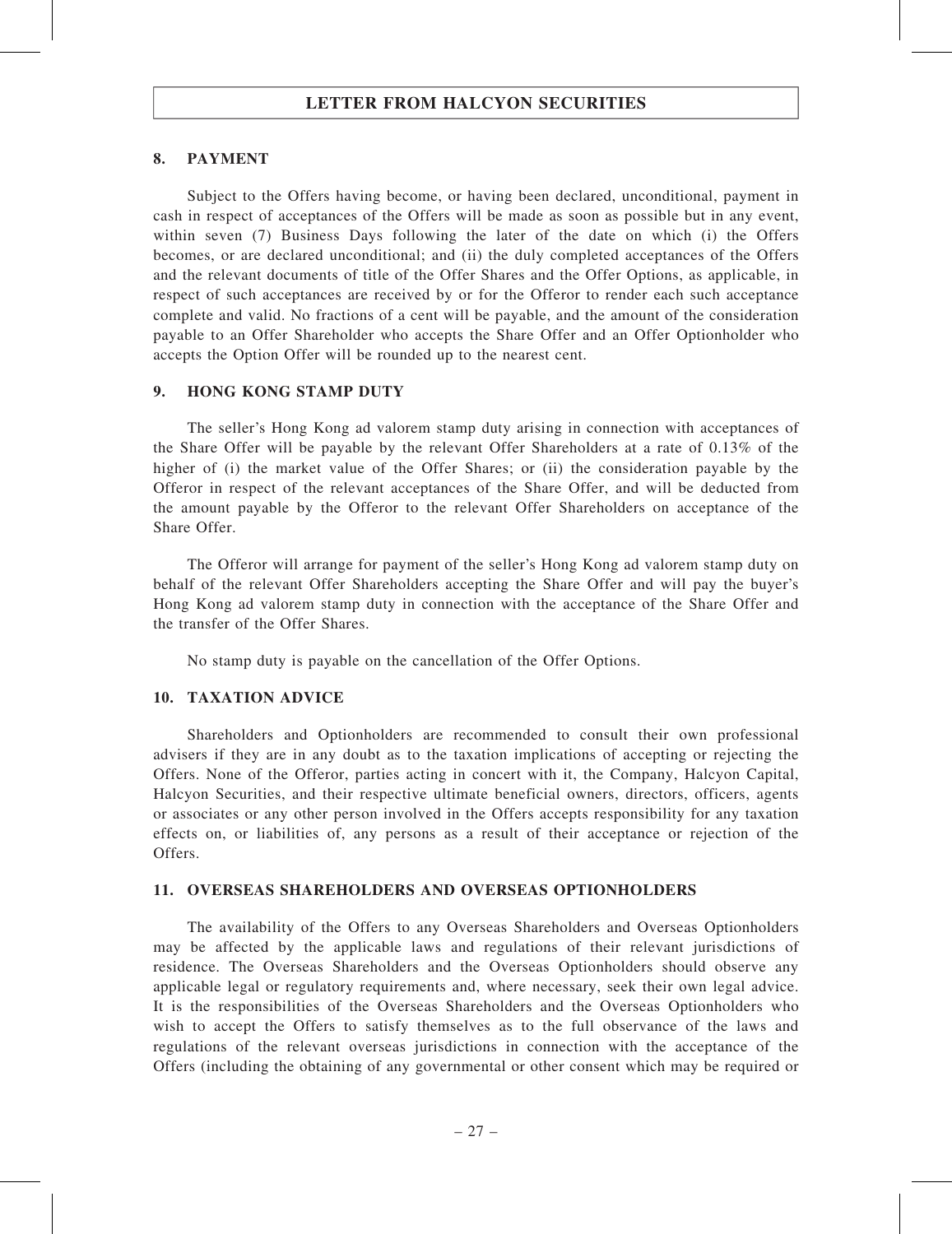### 8. PAYMENT

Subject to the Offers having become, or having been declared, unconditional, payment in cash in respect of acceptances of the Offers will be made as soon as possible but in any event, within seven (7) Business Days following the later of the date on which (i) the Offers becomes, or are declared unconditional; and (ii) the duly completed acceptances of the Offers and the relevant documents of title of the Offer Shares and the Offer Options, as applicable, in respect of such acceptances are received by or for the Offeror to render each such acceptance complete and valid. No fractions of a cent will be payable, and the amount of the consideration payable to an Offer Shareholder who accepts the Share Offer and an Offer Optionholder who accepts the Option Offer will be rounded up to the nearest cent.

### 9. HONG KONG STAMP DUTY

The seller's Hong Kong ad valorem stamp duty arising in connection with acceptances of the Share Offer will be payable by the relevant Offer Shareholders at a rate of 0.13% of the higher of (i) the market value of the Offer Shares; or (ii) the consideration payable by the Offeror in respect of the relevant acceptances of the Share Offer, and will be deducted from the amount payable by the Offeror to the relevant Offer Shareholders on acceptance of the Share Offer.

The Offeror will arrange for payment of the seller's Hong Kong ad valorem stamp duty on behalf of the relevant Offer Shareholders accepting the Share Offer and will pay the buyer's Hong Kong ad valorem stamp duty in connection with the acceptance of the Share Offer and the transfer of the Offer Shares.

No stamp duty is payable on the cancellation of the Offer Options.

### 10. TAXATION ADVICE

Shareholders and Optionholders are recommended to consult their own professional advisers if they are in any doubt as to the taxation implications of accepting or rejecting the Offers. None of the Offeror, parties acting in concert with it, the Company, Halcyon Capital, Halcyon Securities, and their respective ultimate beneficial owners, directors, officers, agents or associates or any other person involved in the Offers accepts responsibility for any taxation effects on, or liabilities of, any persons as a result of their acceptance or rejection of the Offers.

### 11. OVERSEAS SHAREHOLDERS AND OVERSEAS OPTIONHOLDERS

The availability of the Offers to any Overseas Shareholders and Overseas Optionholders may be affected by the applicable laws and regulations of their relevant jurisdictions of residence. The Overseas Shareholders and the Overseas Optionholders should observe any applicable legal or regulatory requirements and, where necessary, seek their own legal advice. It is the responsibilities of the Overseas Shareholders and the Overseas Optionholders who wish to accept the Offers to satisfy themselves as to the full observance of the laws and regulations of the relevant overseas jurisdictions in connection with the acceptance of the Offers (including the obtaining of any governmental or other consent which may be required or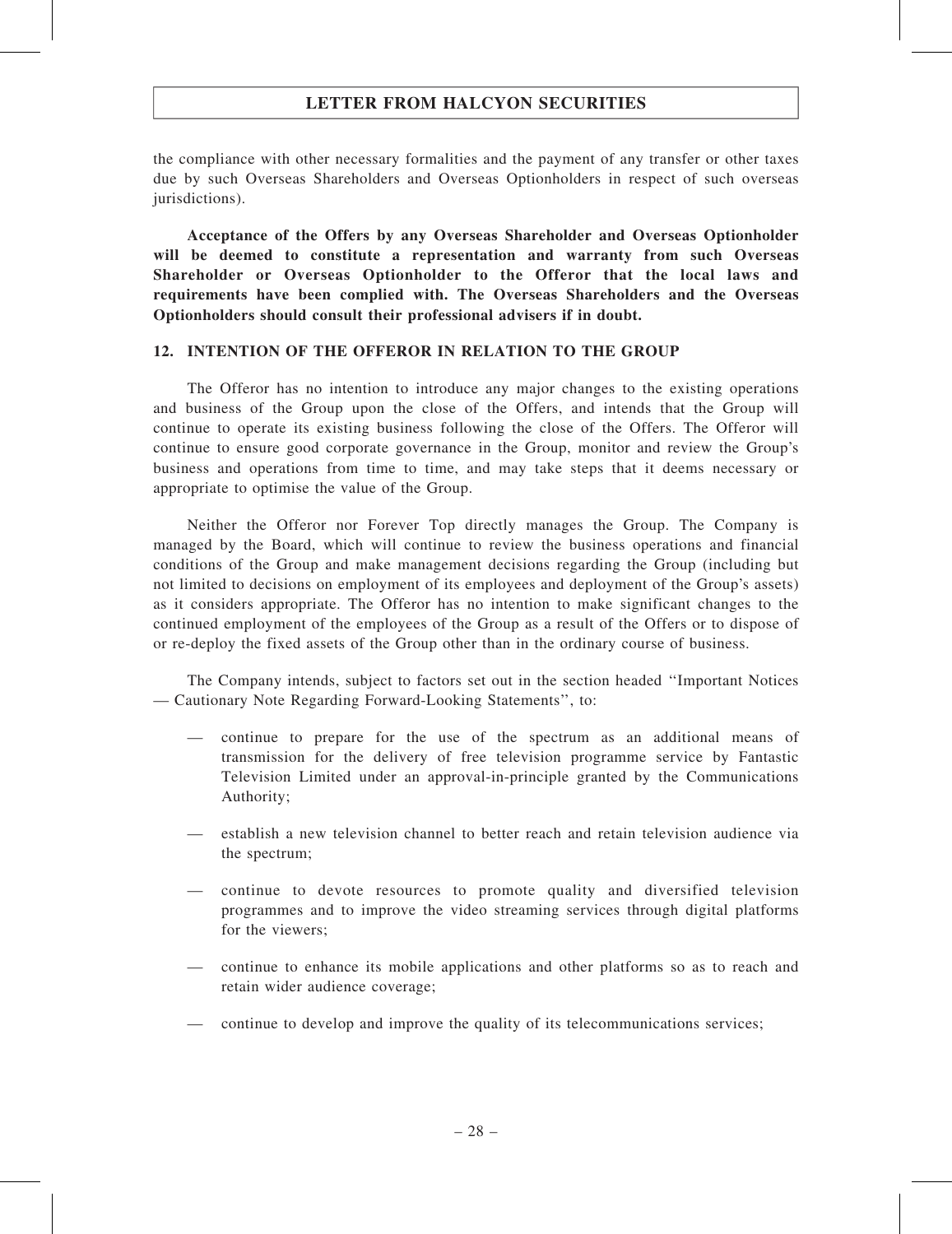the compliance with other necessary formalities and the payment of any transfer or other taxes due by such Overseas Shareholders and Overseas Optionholders in respect of such overseas jurisdictions).

Acceptance of the Offers by any Overseas Shareholder and Overseas Optionholder will be deemed to constitute a representation and warranty from such Overseas Shareholder or Overseas Optionholder to the Offeror that the local laws and requirements have been complied with. The Overseas Shareholders and the Overseas Optionholders should consult their professional advisers if in doubt.

### 12. INTENTION OF THE OFFEROR IN RELATION TO THE GROUP

The Offeror has no intention to introduce any major changes to the existing operations and business of the Group upon the close of the Offers, and intends that the Group will continue to operate its existing business following the close of the Offers. The Offeror will continue to ensure good corporate governance in the Group, monitor and review the Group's business and operations from time to time, and may take steps that it deems necessary or appropriate to optimise the value of the Group.

Neither the Offeror nor Forever Top directly manages the Group. The Company is managed by the Board, which will continue to review the business operations and financial conditions of the Group and make management decisions regarding the Group (including but not limited to decisions on employment of its employees and deployment of the Group's assets) as it considers appropriate. The Offeror has no intention to make significant changes to the continued employment of the employees of the Group as a result of the Offers or to dispose of or re-deploy the fixed assets of the Group other than in the ordinary course of business.

The Company intends, subject to factors set out in the section headed ''Important Notices — Cautionary Note Regarding Forward-Looking Statements'', to:

- continue to prepare for the use of the spectrum as an additional means of transmission for the delivery of free television programme service by Fantastic Television Limited under an approval-in-principle granted by the Communications Authority;
- establish a new television channel to better reach and retain television audience via the spectrum;
- continue to devote resources to promote quality and diversified television programmes and to improve the video streaming services through digital platforms for the viewers;
- continue to enhance its mobile applications and other platforms so as to reach and retain wider audience coverage;
- continue to develop and improve the quality of its telecommunications services;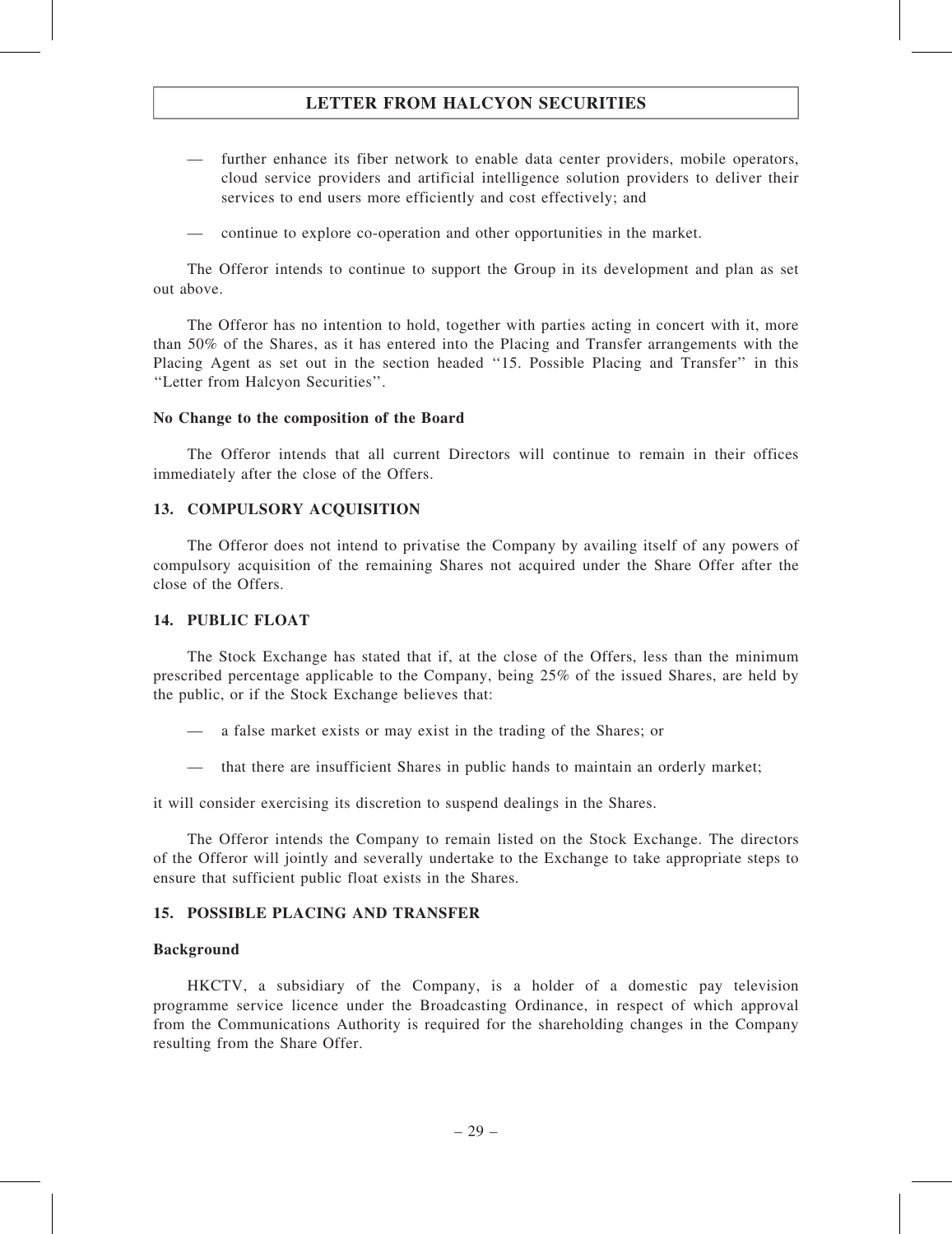- further enhance its fiber network to enable data center providers, mobile operators, cloud service providers and artificial intelligence solution providers to deliver their services to end users more efficiently and cost effectively; and
- continue to explore co-operation and other opportunities in the market.

The Offeror intends to continue to support the Group in its development and plan as set out above.

The Offeror has no intention to hold, together with parties acting in concert with it, more than 50% of the Shares, as it has entered into the Placing and Transfer arrangements with the Placing Agent as set out in the section headed "15. Possible Placing and Transfer" in this ''Letter from Halcyon Securities''.

#### No Change to the composition of the Board

The Offeror intends that all current Directors will continue to remain in their offices immediately after the close of the Offers.

### 13. COMPULSORY ACQUISITION

The Offeror does not intend to privatise the Company by availing itself of any powers of compulsory acquisition of the remaining Shares not acquired under the Share Offer after the close of the Offers.

#### 14. PUBLIC FLOAT

The Stock Exchange has stated that if, at the close of the Offers, less than the minimum prescribed percentage applicable to the Company, being 25% of the issued Shares, are held by the public, or if the Stock Exchange believes that:

- a false market exists or may exist in the trading of the Shares; or
- that there are insufficient Shares in public hands to maintain an orderly market;

it will consider exercising its discretion to suspend dealings in the Shares.

The Offeror intends the Company to remain listed on the Stock Exchange. The directors of the Offeror will jointly and severally undertake to the Exchange to take appropriate steps to ensure that sufficient public float exists in the Shares.

### 15. POSSIBLE PLACING AND TRANSFER

#### Background

HKCTV, a subsidiary of the Company, is a holder of a domestic pay television programme service licence under the Broadcasting Ordinance, in respect of which approval from the Communications Authority is required for the shareholding changes in the Company resulting from the Share Offer.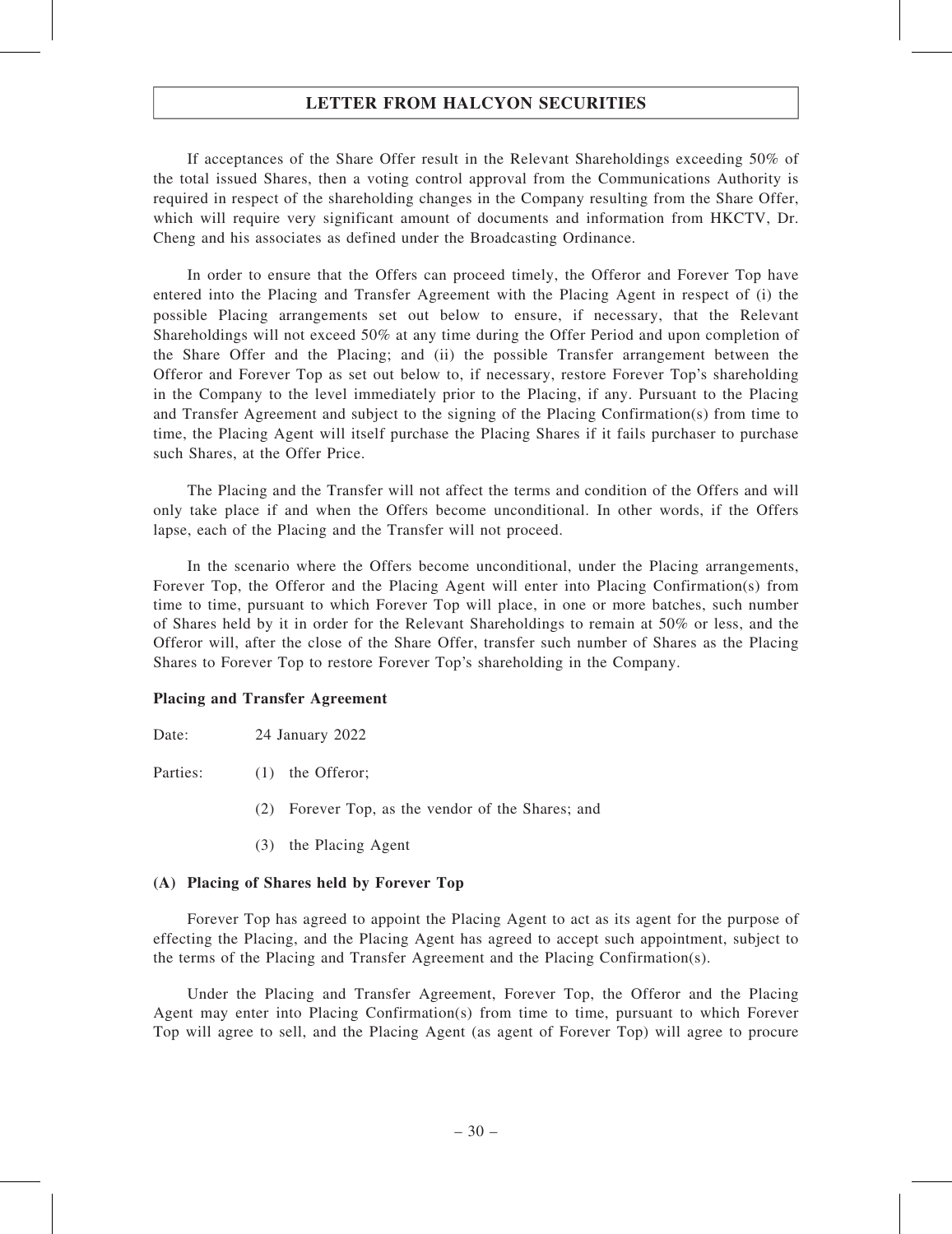If acceptances of the Share Offer result in the Relevant Shareholdings exceeding 50% of the total issued Shares, then a voting control approval from the Communications Authority is required in respect of the shareholding changes in the Company resulting from the Share Offer, which will require very significant amount of documents and information from HKCTV, Dr. Cheng and his associates as defined under the Broadcasting Ordinance.

In order to ensure that the Offers can proceed timely, the Offeror and Forever Top have entered into the Placing and Transfer Agreement with the Placing Agent in respect of (i) the possible Placing arrangements set out below to ensure, if necessary, that the Relevant Shareholdings will not exceed 50% at any time during the Offer Period and upon completion of the Share Offer and the Placing; and (ii) the possible Transfer arrangement between the Offeror and Forever Top as set out below to, if necessary, restore Forever Top's shareholding in the Company to the level immediately prior to the Placing, if any. Pursuant to the Placing and Transfer Agreement and subject to the signing of the Placing Confirmation(s) from time to time, the Placing Agent will itself purchase the Placing Shares if it fails purchaser to purchase such Shares, at the Offer Price.

The Placing and the Transfer will not affect the terms and condition of the Offers and will only take place if and when the Offers become unconditional. In other words, if the Offers lapse, each of the Placing and the Transfer will not proceed.

In the scenario where the Offers become unconditional, under the Placing arrangements, Forever Top, the Offeror and the Placing Agent will enter into Placing Confirmation(s) from time to time, pursuant to which Forever Top will place, in one or more batches, such number of Shares held by it in order for the Relevant Shareholdings to remain at 50% or less, and the Offeror will, after the close of the Share Offer, transfer such number of Shares as the Placing Shares to Forever Top to restore Forever Top's shareholding in the Company.

### Placing and Transfer Agreement

Date: 24 January 2022

Parties: (1) the Offeror;

- (2) Forever Top, as the vendor of the Shares; and
- (3) the Placing Agent

### (A) Placing of Shares held by Forever Top

Forever Top has agreed to appoint the Placing Agent to act as its agent for the purpose of effecting the Placing, and the Placing Agent has agreed to accept such appointment, subject to the terms of the Placing and Transfer Agreement and the Placing Confirmation(s).

Under the Placing and Transfer Agreement, Forever Top, the Offeror and the Placing Agent may enter into Placing Confirmation(s) from time to time, pursuant to which Forever Top will agree to sell, and the Placing Agent (as agent of Forever Top) will agree to procure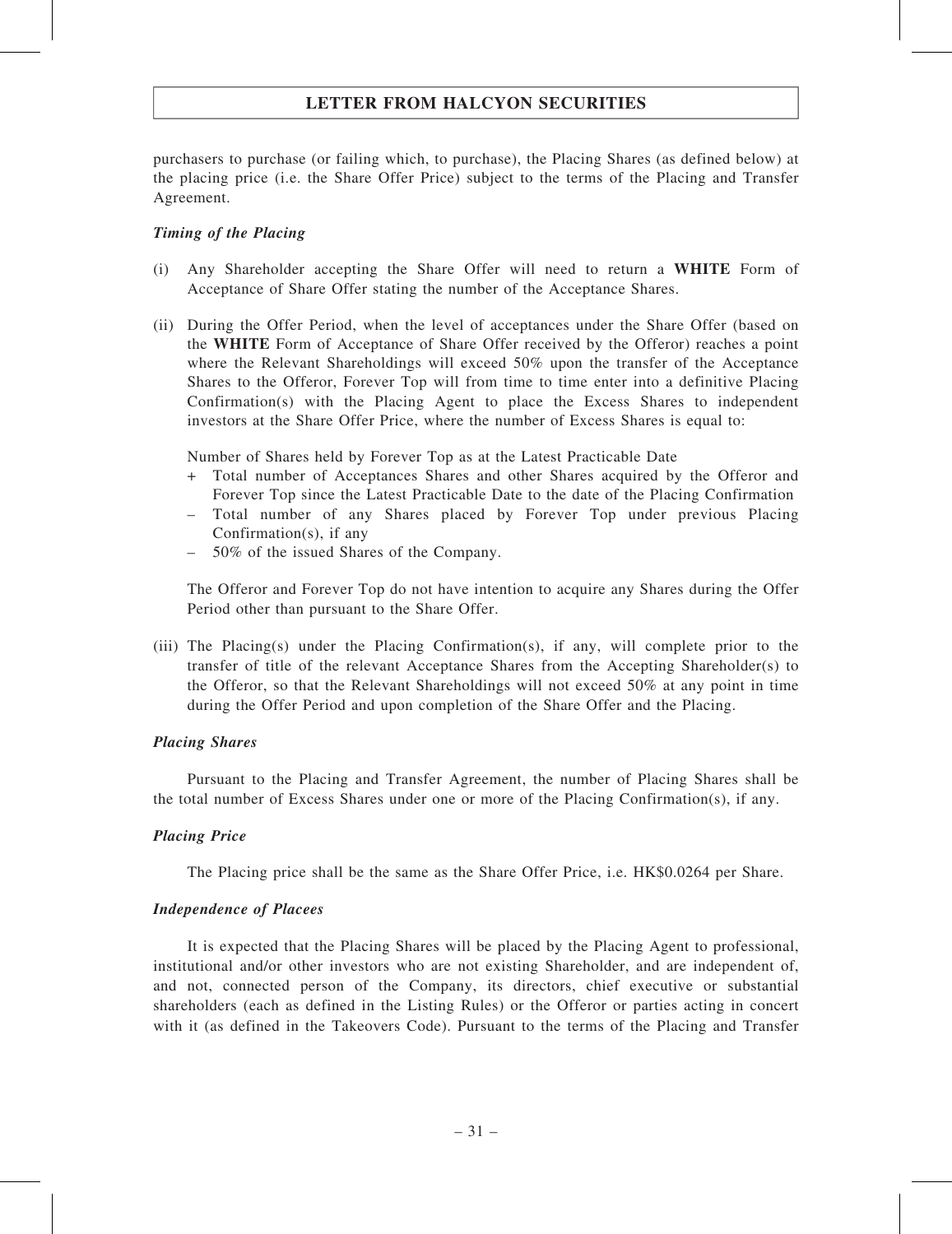purchasers to purchase (or failing which, to purchase), the Placing Shares (as defined below) at the placing price (i.e. the Share Offer Price) subject to the terms of the Placing and Transfer Agreement.

### Timing of the Placing

- (i) Any Shareholder accepting the Share Offer will need to return a WHITE Form of Acceptance of Share Offer stating the number of the Acceptance Shares.
- (ii) During the Offer Period, when the level of acceptances under the Share Offer (based on the WHITE Form of Acceptance of Share Offer received by the Offeror) reaches a point where the Relevant Shareholdings will exceed 50% upon the transfer of the Acceptance Shares to the Offeror, Forever Top will from time to time enter into a definitive Placing Confirmation(s) with the Placing Agent to place the Excess Shares to independent investors at the Share Offer Price, where the number of Excess Shares is equal to:

Number of Shares held by Forever Top as at the Latest Practicable Date

- + Total number of Acceptances Shares and other Shares acquired by the Offeror and Forever Top since the Latest Practicable Date to the date of the Placing Confirmation
- Total number of any Shares placed by Forever Top under previous Placing Confirmation(s), if any
- 50% of the issued Shares of the Company.

The Offeror and Forever Top do not have intention to acquire any Shares during the Offer Period other than pursuant to the Share Offer.

(iii) The Placing(s) under the Placing Confirmation(s), if any, will complete prior to the transfer of title of the relevant Acceptance Shares from the Accepting Shareholder(s) to the Offeror, so that the Relevant Shareholdings will not exceed 50% at any point in time during the Offer Period and upon completion of the Share Offer and the Placing.

#### Placing Shares

Pursuant to the Placing and Transfer Agreement, the number of Placing Shares shall be the total number of Excess Shares under one or more of the Placing Confirmation(s), if any.

### Placing Price

The Placing price shall be the same as the Share Offer Price, i.e. HK\$0.0264 per Share.

#### Independence of Placees

It is expected that the Placing Shares will be placed by the Placing Agent to professional, institutional and/or other investors who are not existing Shareholder, and are independent of, and not, connected person of the Company, its directors, chief executive or substantial shareholders (each as defined in the Listing Rules) or the Offeror or parties acting in concert with it (as defined in the Takeovers Code). Pursuant to the terms of the Placing and Transfer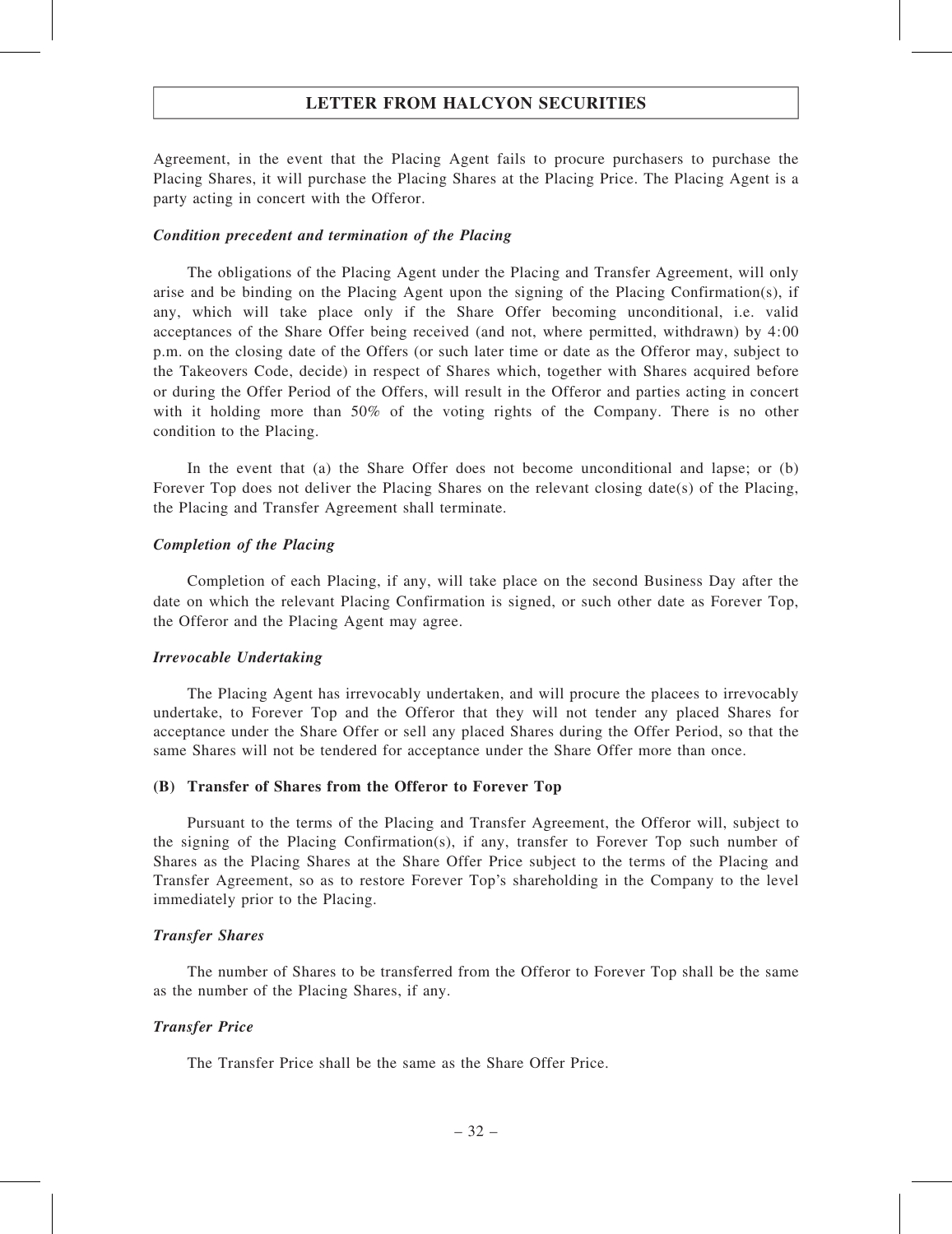Agreement, in the event that the Placing Agent fails to procure purchasers to purchase the Placing Shares, it will purchase the Placing Shares at the Placing Price. The Placing Agent is a party acting in concert with the Offeror.

#### Condition precedent and termination of the Placing

The obligations of the Placing Agent under the Placing and Transfer Agreement, will only arise and be binding on the Placing Agent upon the signing of the Placing Confirmation(s), if any, which will take place only if the Share Offer becoming unconditional, i.e. valid acceptances of the Share Offer being received (and not, where permitted, withdrawn) by 4:00 p.m. on the closing date of the Offers (or such later time or date as the Offeror may, subject to the Takeovers Code, decide) in respect of Shares which, together with Shares acquired before or during the Offer Period of the Offers, will result in the Offeror and parties acting in concert with it holding more than 50% of the voting rights of the Company. There is no other condition to the Placing.

In the event that (a) the Share Offer does not become unconditional and lapse; or (b) Forever Top does not deliver the Placing Shares on the relevant closing date(s) of the Placing, the Placing and Transfer Agreement shall terminate.

#### Completion of the Placing

Completion of each Placing, if any, will take place on the second Business Day after the date on which the relevant Placing Confirmation is signed, or such other date as Forever Top, the Offeror and the Placing Agent may agree.

#### Irrevocable Undertaking

The Placing Agent has irrevocably undertaken, and will procure the placees to irrevocably undertake, to Forever Top and the Offeror that they will not tender any placed Shares for acceptance under the Share Offer or sell any placed Shares during the Offer Period, so that the same Shares will not be tendered for acceptance under the Share Offer more than once.

#### (B) Transfer of Shares from the Offeror to Forever Top

Pursuant to the terms of the Placing and Transfer Agreement, the Offeror will, subject to the signing of the Placing Confirmation(s), if any, transfer to Forever Top such number of Shares as the Placing Shares at the Share Offer Price subject to the terms of the Placing and Transfer Agreement, so as to restore Forever Top's shareholding in the Company to the level immediately prior to the Placing.

#### Transfer Shares

The number of Shares to be transferred from the Offeror to Forever Top shall be the same as the number of the Placing Shares, if any.

#### Transfer Price

The Transfer Price shall be the same as the Share Offer Price.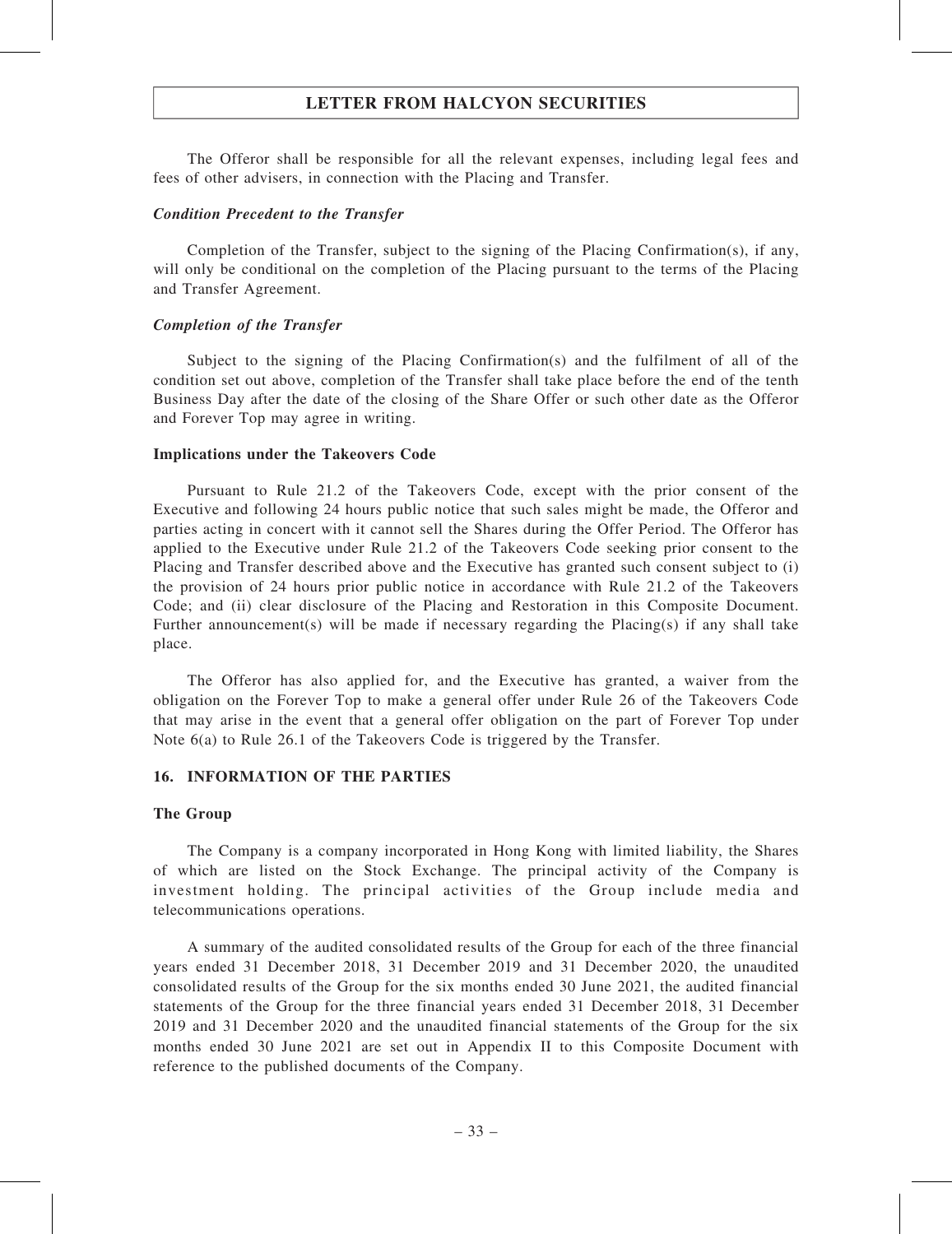The Offeror shall be responsible for all the relevant expenses, including legal fees and fees of other advisers, in connection with the Placing and Transfer.

#### Condition Precedent to the Transfer

Completion of the Transfer, subject to the signing of the Placing Confirmation(s), if any, will only be conditional on the completion of the Placing pursuant to the terms of the Placing and Transfer Agreement.

### Completion of the Transfer

Subject to the signing of the Placing Confirmation(s) and the fulfilment of all of the condition set out above, completion of the Transfer shall take place before the end of the tenth Business Day after the date of the closing of the Share Offer or such other date as the Offeror and Forever Top may agree in writing.

### Implications under the Takeovers Code

Pursuant to Rule 21.2 of the Takeovers Code, except with the prior consent of the Executive and following 24 hours public notice that such sales might be made, the Offeror and parties acting in concert with it cannot sell the Shares during the Offer Period. The Offeror has applied to the Executive under Rule 21.2 of the Takeovers Code seeking prior consent to the Placing and Transfer described above and the Executive has granted such consent subject to (i) the provision of 24 hours prior public notice in accordance with Rule 21.2 of the Takeovers Code; and (ii) clear disclosure of the Placing and Restoration in this Composite Document. Further announcement(s) will be made if necessary regarding the Placing(s) if any shall take place.

The Offeror has also applied for, and the Executive has granted, a waiver from the obligation on the Forever Top to make a general offer under Rule 26 of the Takeovers Code that may arise in the event that a general offer obligation on the part of Forever Top under Note 6(a) to Rule 26.1 of the Takeovers Code is triggered by the Transfer.

### 16. INFORMATION OF THE PARTIES

### The Group

The Company is a company incorporated in Hong Kong with limited liability, the Shares of which are listed on the Stock Exchange. The principal activity of the Company is investment holding. The principal activities of the Group include media and telecommunications operations.

A summary of the audited consolidated results of the Group for each of the three financial years ended 31 December 2018, 31 December 2019 and 31 December 2020, the unaudited consolidated results of the Group for the six months ended 30 June 2021, the audited financial statements of the Group for the three financial years ended 31 December 2018, 31 December 2019 and 31 December 2020 and the unaudited financial statements of the Group for the six months ended 30 June 2021 are set out in Appendix II to this Composite Document with reference to the published documents of the Company.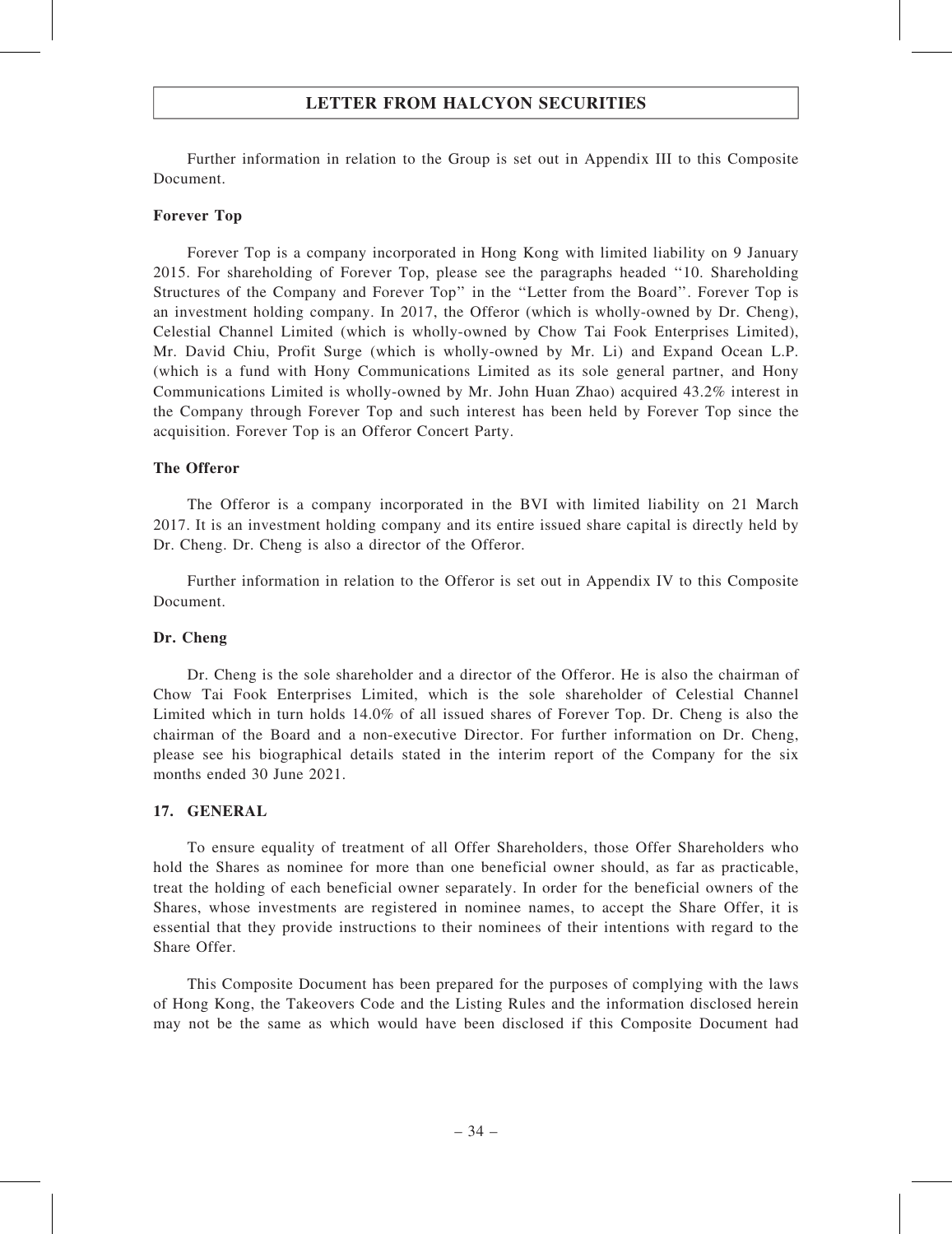Further information in relation to the Group is set out in Appendix III to this Composite Document.

### Forever Top

Forever Top is a company incorporated in Hong Kong with limited liability on 9 January 2015. For shareholding of Forever Top, please see the paragraphs headed ''10. Shareholding Structures of the Company and Forever Top'' in the ''Letter from the Board''. Forever Top is an investment holding company. In 2017, the Offeror (which is wholly-owned by Dr. Cheng), Celestial Channel Limited (which is wholly-owned by Chow Tai Fook Enterprises Limited), Mr. David Chiu, Profit Surge (which is wholly-owned by Mr. Li) and Expand Ocean L.P. (which is a fund with Hony Communications Limited as its sole general partner, and Hony Communications Limited is wholly-owned by Mr. John Huan Zhao) acquired 43.2% interest in the Company through Forever Top and such interest has been held by Forever Top since the acquisition. Forever Top is an Offeror Concert Party.

### The Offeror

The Offeror is a company incorporated in the BVI with limited liability on 21 March 2017. It is an investment holding company and its entire issued share capital is directly held by Dr. Cheng. Dr. Cheng is also a director of the Offeror.

Further information in relation to the Offeror is set out in Appendix IV to this Composite Document.

### Dr. Cheng

Dr. Cheng is the sole shareholder and a director of the Offeror. He is also the chairman of Chow Tai Fook Enterprises Limited, which is the sole shareholder of Celestial Channel Limited which in turn holds 14.0% of all issued shares of Forever Top. Dr. Cheng is also the chairman of the Board and a non-executive Director. For further information on Dr. Cheng, please see his biographical details stated in the interim report of the Company for the six months ended 30 June 2021.

#### 17. GENERAL

To ensure equality of treatment of all Offer Shareholders, those Offer Shareholders who hold the Shares as nominee for more than one beneficial owner should, as far as practicable, treat the holding of each beneficial owner separately. In order for the beneficial owners of the Shares, whose investments are registered in nominee names, to accept the Share Offer, it is essential that they provide instructions to their nominees of their intentions with regard to the Share Offer.

This Composite Document has been prepared for the purposes of complying with the laws of Hong Kong, the Takeovers Code and the Listing Rules and the information disclosed herein may not be the same as which would have been disclosed if this Composite Document had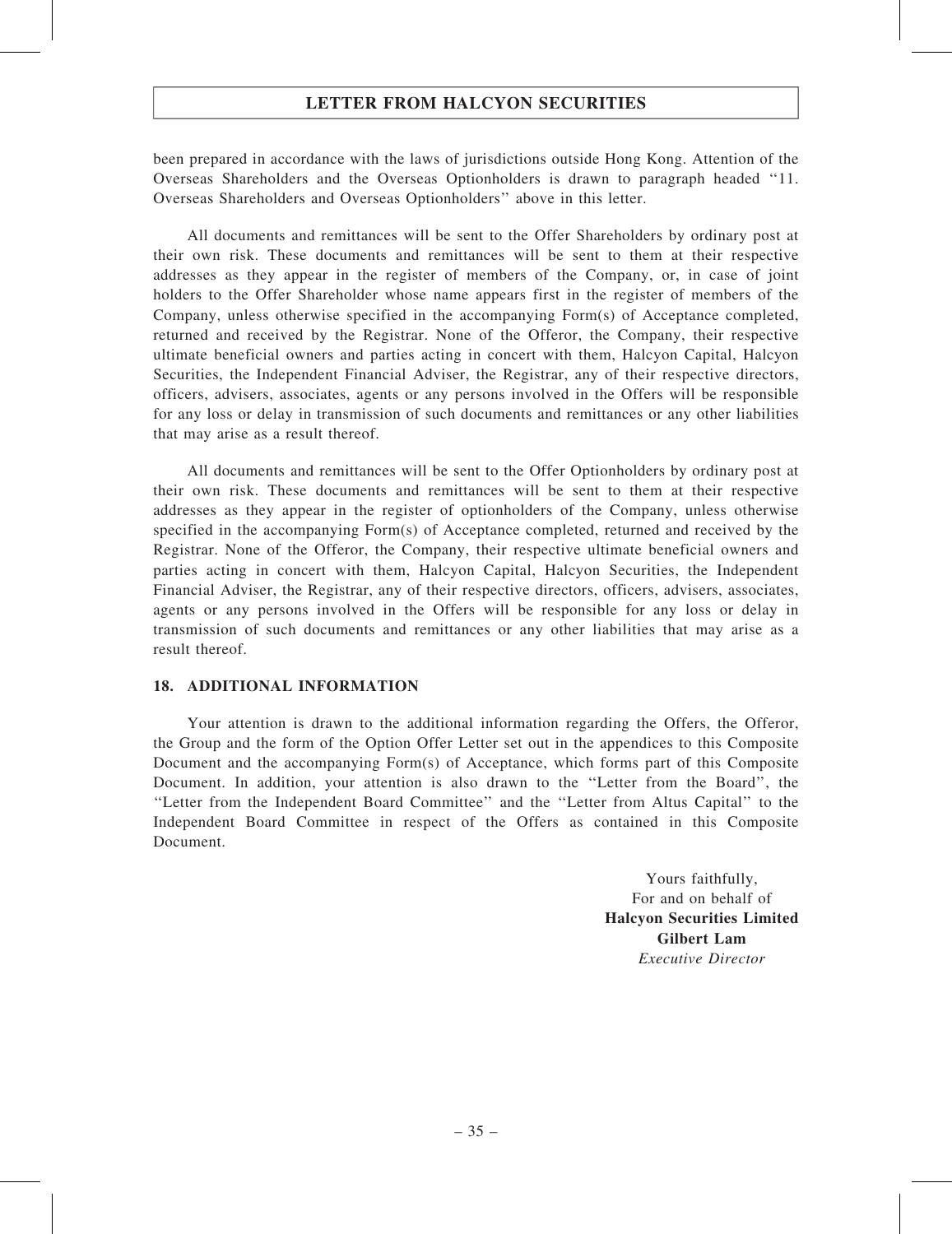## LETTER FROM HALCYON SECURITIES

been prepared in accordance with the laws of jurisdictions outside Hong Kong. Attention of the Overseas Shareholders and the Overseas Optionholders is drawn to paragraph headed ''11. Overseas Shareholders and Overseas Optionholders'' above in this letter.

All documents and remittances will be sent to the Offer Shareholders by ordinary post at their own risk. These documents and remittances will be sent to them at their respective addresses as they appear in the register of members of the Company, or, in case of joint holders to the Offer Shareholder whose name appears first in the register of members of the Company, unless otherwise specified in the accompanying Form(s) of Acceptance completed, returned and received by the Registrar. None of the Offeror, the Company, their respective ultimate beneficial owners and parties acting in concert with them, Halcyon Capital, Halcyon Securities, the Independent Financial Adviser, the Registrar, any of their respective directors, officers, advisers, associates, agents or any persons involved in the Offers will be responsible for any loss or delay in transmission of such documents and remittances or any other liabilities that may arise as a result thereof.

All documents and remittances will be sent to the Offer Optionholders by ordinary post at their own risk. These documents and remittances will be sent to them at their respective addresses as they appear in the register of optionholders of the Company, unless otherwise specified in the accompanying Form(s) of Acceptance completed, returned and received by the Registrar. None of the Offeror, the Company, their respective ultimate beneficial owners and parties acting in concert with them, Halcyon Capital, Halcyon Securities, the Independent Financial Adviser, the Registrar, any of their respective directors, officers, advisers, associates, agents or any persons involved in the Offers will be responsible for any loss or delay in transmission of such documents and remittances or any other liabilities that may arise as a result thereof.

## 18. ADDITIONAL INFORMATION

Your attention is drawn to the additional information regarding the Offers, the Offeror, the Group and the form of the Option Offer Letter set out in the appendices to this Composite Document and the accompanying Form(s) of Acceptance, which forms part of this Composite Document. In addition, your attention is also drawn to the ''Letter from the Board'', the ''Letter from the Independent Board Committee'' and the ''Letter from Altus Capital'' to the Independent Board Committee in respect of the Offers as contained in this Composite Document.

> Yours faithfully, For and on behalf of Halcyon Securities Limited Gilbert Lam Executive Director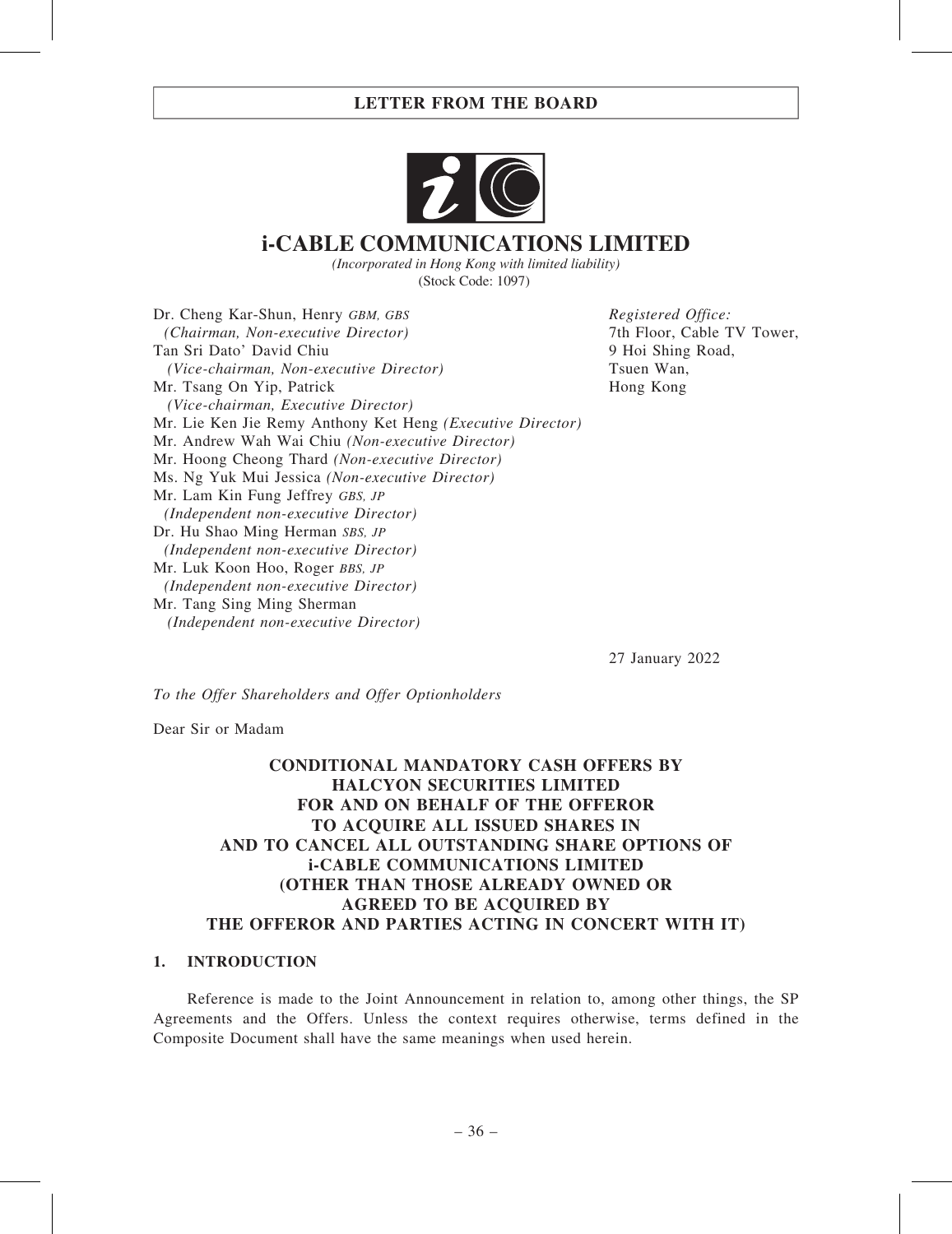

# **i-CABLE COMMUNICATIONS LIMITED**

*(Incorporated in Hong Kong with limited liability)* (Stock Code: 1097)

Dr. Cheng Kar-Shun, Henry GBM, GBS (Chairman, Non-executive Director) Tan Sri Dato' David Chiu (Vice-chairman, Non-executive Director) Mr. Tsang On Yip, Patrick (Vice-chairman, Executive Director) Mr. Lie Ken Jie Remy Anthony Ket Heng (Executive Director) Mr. Andrew Wah Wai Chiu (Non-executive Director) Mr. Hoong Cheong Thard (Non-executive Director) Ms. Ng Yuk Mui Jessica (Non-executive Director) Mr. Lam Kin Fung Jeffrey GBS, JP (Independent non-executive Director) Dr. Hu Shao Ming Herman SBS, JP (Independent non-executive Director) Mr. Luk Koon Hoo, Roger BBS, JP (Independent non-executive Director) Mr. Tang Sing Ming Sherman (Independent non-executive Director)

Registered Office: 7th Floor, Cable TV Tower, 9 Hoi Shing Road, Tsuen Wan, Hong Kong

27 January 2022

To the Offer Shareholders and Offer Optionholders

Dear Sir or Madam

## CONDITIONAL MANDATORY CASH OFFERS BY HALCYON SECURITIES LIMITED FOR AND ON BEHALF OF THE OFFEROR TO ACQUIRE ALL ISSUED SHARES IN AND TO CANCEL ALL OUTSTANDING SHARE OPTIONS OF i-CABLE COMMUNICATIONS LIMITED (OTHER THAN THOSE ALREADY OWNED OR AGREED TO BE ACQUIRED BY THE OFFEROR AND PARTIES ACTING IN CONCERT WITH IT)

### 1. INTRODUCTION

Reference is made to the Joint Announcement in relation to, among other things, the SP Agreements and the Offers. Unless the context requires otherwise, terms defined in the Composite Document shall have the same meanings when used herein.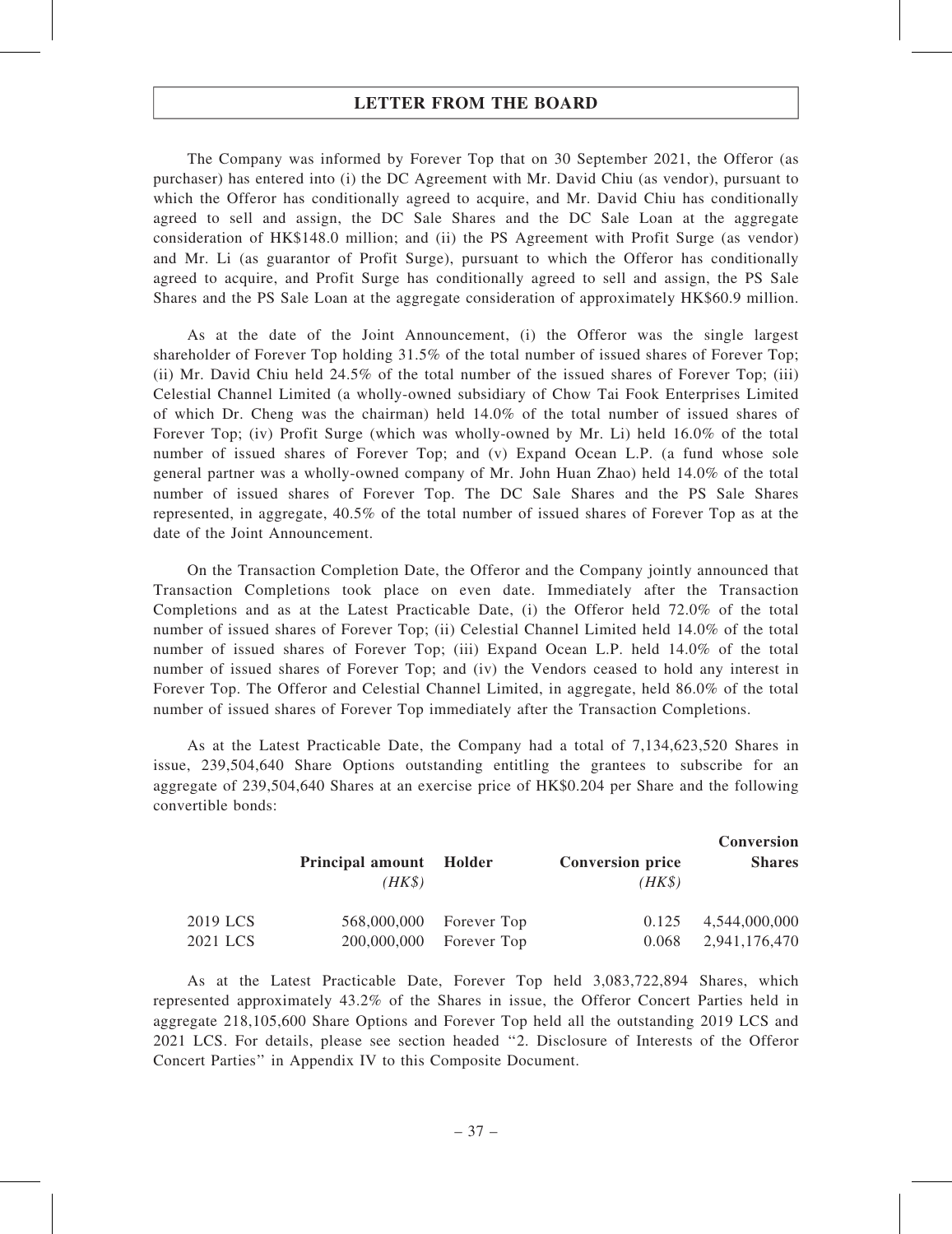The Company was informed by Forever Top that on 30 September 2021, the Offeror (as purchaser) has entered into (i) the DC Agreement with Mr. David Chiu (as vendor), pursuant to which the Offeror has conditionally agreed to acquire, and Mr. David Chiu has conditionally agreed to sell and assign, the DC Sale Shares and the DC Sale Loan at the aggregate consideration of HK\$148.0 million; and (ii) the PS Agreement with Profit Surge (as vendor) and Mr. Li (as guarantor of Profit Surge), pursuant to which the Offeror has conditionally agreed to acquire, and Profit Surge has conditionally agreed to sell and assign, the PS Sale Shares and the PS Sale Loan at the aggregate consideration of approximately HK\$60.9 million.

As at the date of the Joint Announcement, (i) the Offeror was the single largest shareholder of Forever Top holding 31.5% of the total number of issued shares of Forever Top; (ii) Mr. David Chiu held 24.5% of the total number of the issued shares of Forever Top; (iii) Celestial Channel Limited (a wholly-owned subsidiary of Chow Tai Fook Enterprises Limited of which Dr. Cheng was the chairman) held 14.0% of the total number of issued shares of Forever Top; (iv) Profit Surge (which was wholly-owned by Mr. Li) held 16.0% of the total number of issued shares of Forever Top; and (v) Expand Ocean L.P. (a fund whose sole general partner was a wholly-owned company of Mr. John Huan Zhao) held 14.0% of the total number of issued shares of Forever Top. The DC Sale Shares and the PS Sale Shares represented, in aggregate, 40.5% of the total number of issued shares of Forever Top as at the date of the Joint Announcement.

On the Transaction Completion Date, the Offeror and the Company jointly announced that Transaction Completions took place on even date. Immediately after the Transaction Completions and as at the Latest Practicable Date, (i) the Offeror held 72.0% of the total number of issued shares of Forever Top; (ii) Celestial Channel Limited held 14.0% of the total number of issued shares of Forever Top; (iii) Expand Ocean L.P. held 14.0% of the total number of issued shares of Forever Top; and (iv) the Vendors ceased to hold any interest in Forever Top. The Offeror and Celestial Channel Limited, in aggregate, held 86.0% of the total number of issued shares of Forever Top immediately after the Transaction Completions.

As at the Latest Practicable Date, the Company had a total of 7,134,623,520 Shares in issue, 239,504,640 Share Options outstanding entitling the grantees to subscribe for an aggregate of 239,504,640 Shares at an exercise price of HK\$0.204 per Share and the following convertible bonds:

|          | Principal amount Holder<br>$(HK\$ |                         | <b>Conversion price</b><br>$(HK\$ | Conversion<br><b>Shares</b> |
|----------|-----------------------------------|-------------------------|-----------------------------------|-----------------------------|
| 2019 LCS |                                   | 568,000,000 Forever Top | 0.125                             | 4,544,000,000               |
| 2021 LCS |                                   | 200,000,000 Forever Top | 0.068                             | 2,941,176,470               |

As at the Latest Practicable Date, Forever Top held 3,083,722,894 Shares, which represented approximately 43.2% of the Shares in issue, the Offeror Concert Parties held in aggregate 218,105,600 Share Options and Forever Top held all the outstanding 2019 LCS and 2021 LCS. For details, please see section headed ''2. Disclosure of Interests of the Offeror Concert Parties'' in Appendix IV to this Composite Document.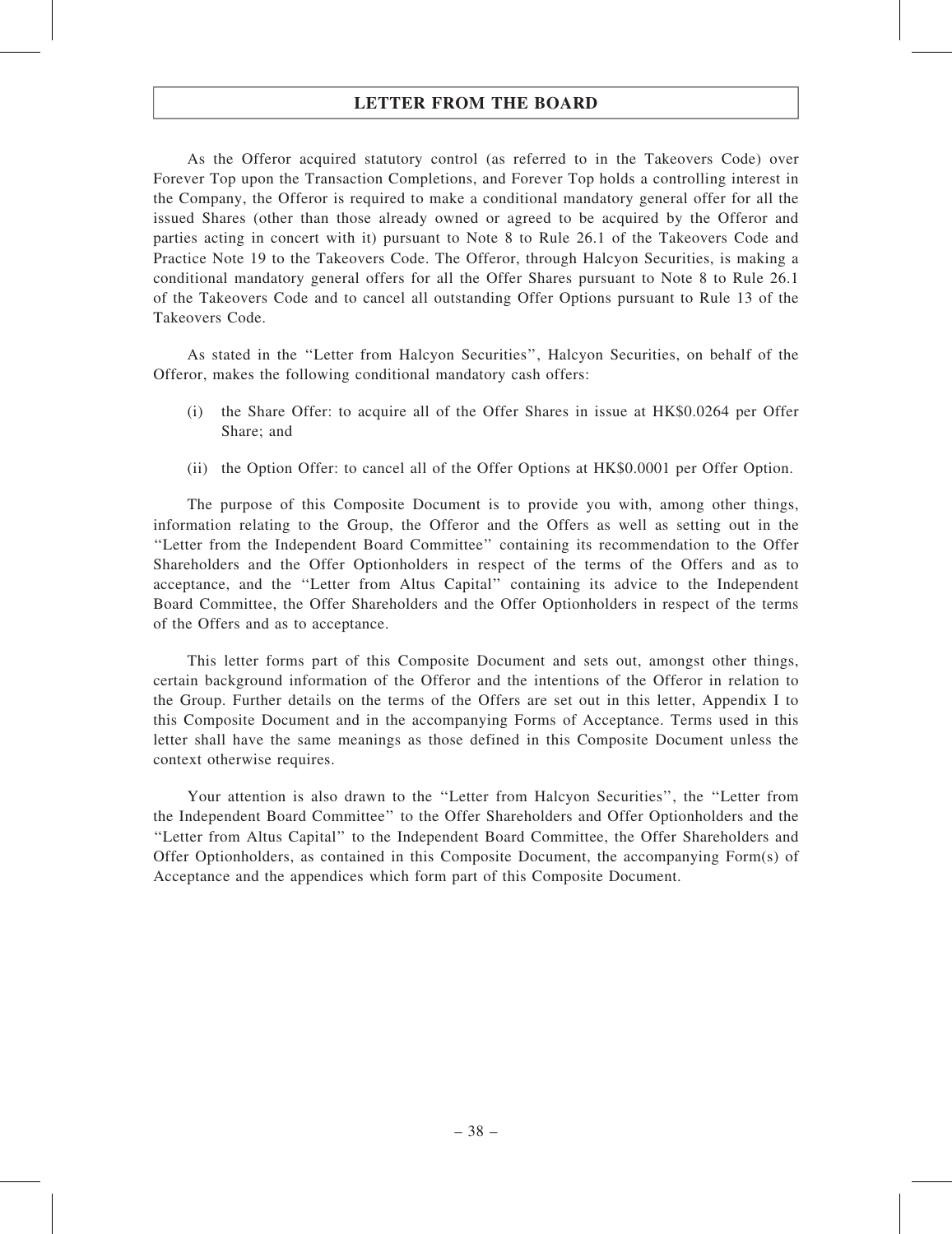As the Offeror acquired statutory control (as referred to in the Takeovers Code) over Forever Top upon the Transaction Completions, and Forever Top holds a controlling interest in the Company, the Offeror is required to make a conditional mandatory general offer for all the issued Shares (other than those already owned or agreed to be acquired by the Offeror and parties acting in concert with it) pursuant to Note 8 to Rule 26.1 of the Takeovers Code and Practice Note 19 to the Takeovers Code. The Offeror, through Halcyon Securities, is making a conditional mandatory general offers for all the Offer Shares pursuant to Note 8 to Rule 26.1 of the Takeovers Code and to cancel all outstanding Offer Options pursuant to Rule 13 of the Takeovers Code.

As stated in the ''Letter from Halcyon Securities'', Halcyon Securities, on behalf of the Offeror, makes the following conditional mandatory cash offers:

- (i) the Share Offer: to acquire all of the Offer Shares in issue at HK\$0.0264 per Offer Share; and
- (ii) the Option Offer: to cancel all of the Offer Options at HK\$0.0001 per Offer Option.

The purpose of this Composite Document is to provide you with, among other things, information relating to the Group, the Offeror and the Offers as well as setting out in the ''Letter from the Independent Board Committee'' containing its recommendation to the Offer Shareholders and the Offer Optionholders in respect of the terms of the Offers and as to acceptance, and the ''Letter from Altus Capital'' containing its advice to the Independent Board Committee, the Offer Shareholders and the Offer Optionholders in respect of the terms of the Offers and as to acceptance.

This letter forms part of this Composite Document and sets out, amongst other things, certain background information of the Offeror and the intentions of the Offeror in relation to the Group. Further details on the terms of the Offers are set out in this letter, Appendix I to this Composite Document and in the accompanying Forms of Acceptance. Terms used in this letter shall have the same meanings as those defined in this Composite Document unless the context otherwise requires.

Your attention is also drawn to the ''Letter from Halcyon Securities'', the ''Letter from the Independent Board Committee'' to the Offer Shareholders and Offer Optionholders and the ''Letter from Altus Capital'' to the Independent Board Committee, the Offer Shareholders and Offer Optionholders, as contained in this Composite Document, the accompanying Form(s) of Acceptance and the appendices which form part of this Composite Document.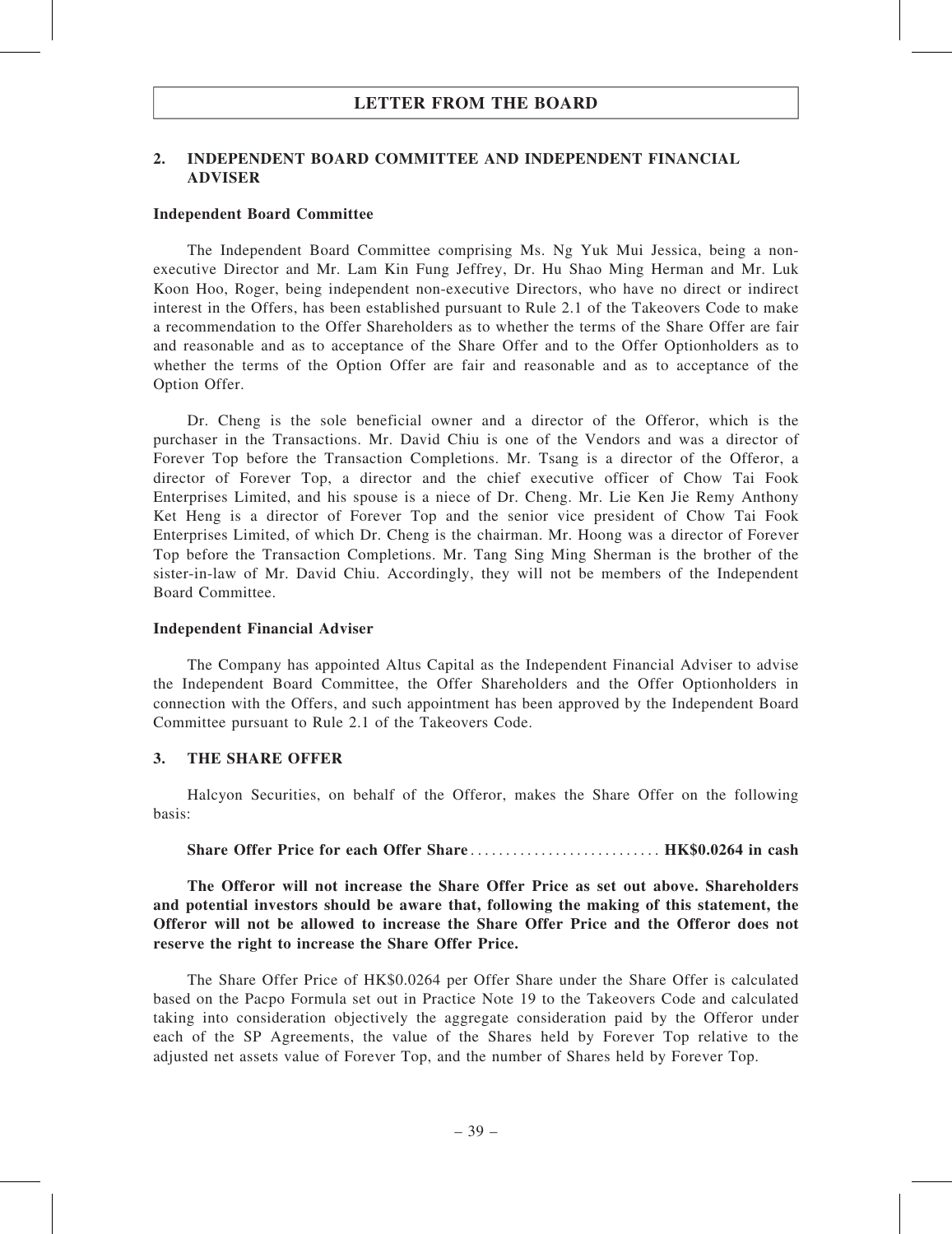## 2. INDEPENDENT BOARD COMMITTEE AND INDEPENDENT FINANCIAL ADVISER

#### Independent Board Committee

The Independent Board Committee comprising Ms. Ng Yuk Mui Jessica, being a nonexecutive Director and Mr. Lam Kin Fung Jeffrey, Dr. Hu Shao Ming Herman and Mr. Luk Koon Hoo, Roger, being independent non-executive Directors, who have no direct or indirect interest in the Offers, has been established pursuant to Rule 2.1 of the Takeovers Code to make a recommendation to the Offer Shareholders as to whether the terms of the Share Offer are fair and reasonable and as to acceptance of the Share Offer and to the Offer Optionholders as to whether the terms of the Option Offer are fair and reasonable and as to acceptance of the Option Offer.

Dr. Cheng is the sole beneficial owner and a director of the Offeror, which is the purchaser in the Transactions. Mr. David Chiu is one of the Vendors and was a director of Forever Top before the Transaction Completions. Mr. Tsang is a director of the Offeror, a director of Forever Top, a director and the chief executive officer of Chow Tai Fook Enterprises Limited, and his spouse is a niece of Dr. Cheng. Mr. Lie Ken Jie Remy Anthony Ket Heng is a director of Forever Top and the senior vice president of Chow Tai Fook Enterprises Limited, of which Dr. Cheng is the chairman. Mr. Hoong was a director of Forever Top before the Transaction Completions. Mr. Tang Sing Ming Sherman is the brother of the sister-in-law of Mr. David Chiu. Accordingly, they will not be members of the Independent Board Committee.

#### Independent Financial Adviser

The Company has appointed Altus Capital as the Independent Financial Adviser to advise the Independent Board Committee, the Offer Shareholders and the Offer Optionholders in connection with the Offers, and such appointment has been approved by the Independent Board Committee pursuant to Rule 2.1 of the Takeovers Code.

### 3. THE SHARE OFFER

Halcyon Securities, on behalf of the Offeror, makes the Share Offer on the following basis:

### Share Offer Price for each Offer Share ........................... HK\$0.0264 in cash

The Offeror will not increase the Share Offer Price as set out above. Shareholders and potential investors should be aware that, following the making of this statement, the Offeror will not be allowed to increase the Share Offer Price and the Offeror does not reserve the right to increase the Share Offer Price.

The Share Offer Price of HK\$0.0264 per Offer Share under the Share Offer is calculated based on the Pacpo Formula set out in Practice Note 19 to the Takeovers Code and calculated taking into consideration objectively the aggregate consideration paid by the Offeror under each of the SP Agreements, the value of the Shares held by Forever Top relative to the adjusted net assets value of Forever Top, and the number of Shares held by Forever Top.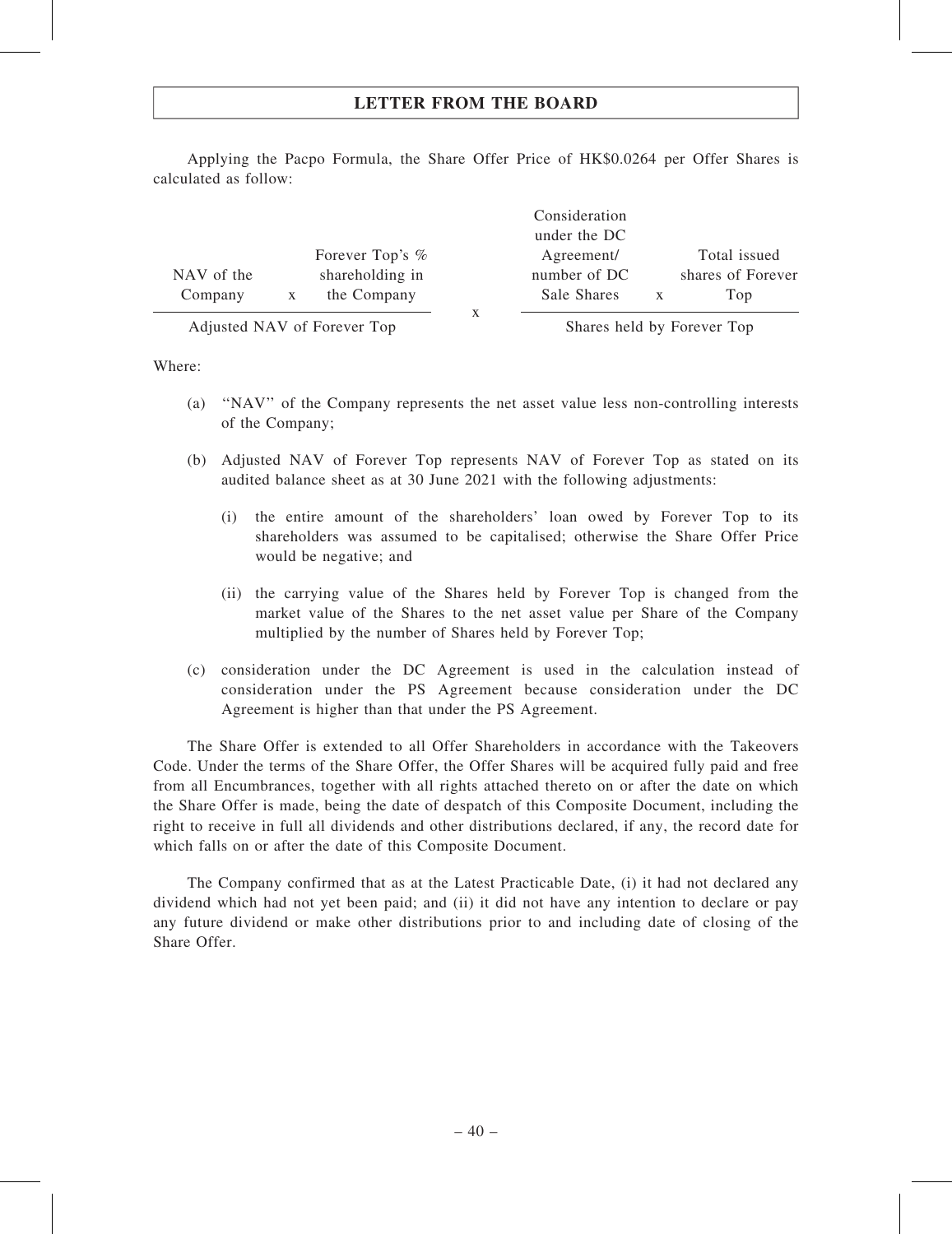|            |                 | Consideration |                   |
|------------|-----------------|---------------|-------------------|
|            |                 | under the DC  |                   |
|            | Forever Top's % | Agreement/    | Total issued      |
| NAV of the | shareholding in | number of DC  | shares of Forever |
| Company    | the Company     | Sale Shares   | Top               |
|            |                 |               |                   |

Applying the Pacpo Formula, the Share Offer Price of HK\$0.0264 per Offer Shares is calculated as follow:

Adjusted NAV of Forever Top Shares held by Forever Top

Where:

- (a) ''NAV'' of the Company represents the net asset value less non-controlling interests of the Company;
- (b) Adjusted NAV of Forever Top represents NAV of Forever Top as stated on its audited balance sheet as at 30 June 2021 with the following adjustments:
	- (i) the entire amount of the shareholders' loan owed by Forever Top to its shareholders was assumed to be capitalised; otherwise the Share Offer Price would be negative; and
	- (ii) the carrying value of the Shares held by Forever Top is changed from the market value of the Shares to the net asset value per Share of the Company multiplied by the number of Shares held by Forever Top;
- (c) consideration under the DC Agreement is used in the calculation instead of consideration under the PS Agreement because consideration under the DC Agreement is higher than that under the PS Agreement.

The Share Offer is extended to all Offer Shareholders in accordance with the Takeovers Code. Under the terms of the Share Offer, the Offer Shares will be acquired fully paid and free from all Encumbrances, together with all rights attached thereto on or after the date on which the Share Offer is made, being the date of despatch of this Composite Document, including the right to receive in full all dividends and other distributions declared, if any, the record date for which falls on or after the date of this Composite Document.

The Company confirmed that as at the Latest Practicable Date, (i) it had not declared any dividend which had not yet been paid; and (ii) it did not have any intention to declare or pay any future dividend or make other distributions prior to and including date of closing of the Share Offer.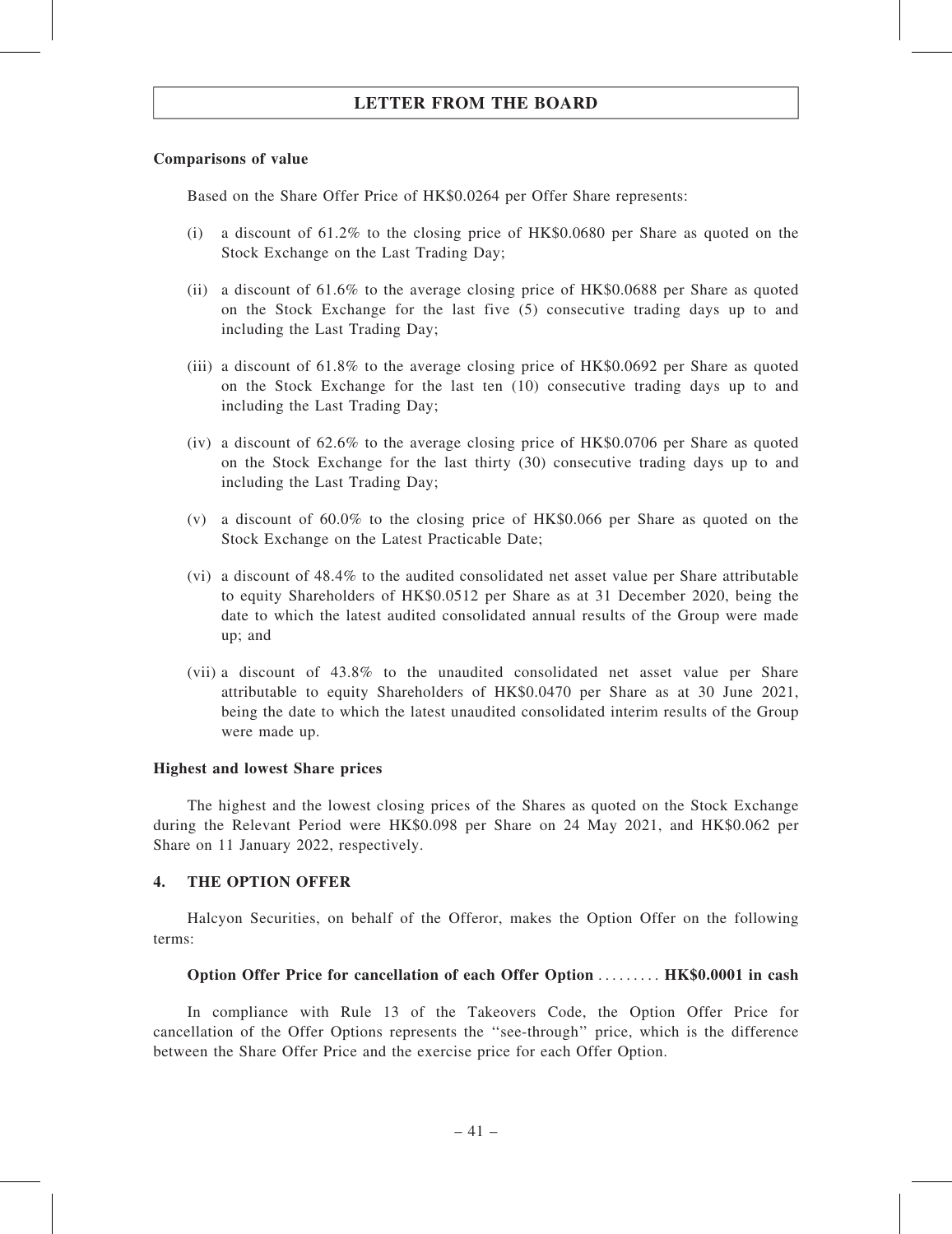### Comparisons of value

Based on the Share Offer Price of HK\$0.0264 per Offer Share represents:

- (i) a discount of 61.2% to the closing price of HK\$0.0680 per Share as quoted on the Stock Exchange on the Last Trading Day;
- (ii) a discount of 61.6% to the average closing price of HK\$0.0688 per Share as quoted on the Stock Exchange for the last five (5) consecutive trading days up to and including the Last Trading Day;
- (iii) a discount of 61.8% to the average closing price of HK\$0.0692 per Share as quoted on the Stock Exchange for the last ten (10) consecutive trading days up to and including the Last Trading Day;
- (iv) a discount of 62.6% to the average closing price of HK\$0.0706 per Share as quoted on the Stock Exchange for the last thirty (30) consecutive trading days up to and including the Last Trading Day;
- (v) a discount of 60.0% to the closing price of HK\$0.066 per Share as quoted on the Stock Exchange on the Latest Practicable Date;
- (vi) a discount of 48.4% to the audited consolidated net asset value per Share attributable to equity Shareholders of HK\$0.0512 per Share as at 31 December 2020, being the date to which the latest audited consolidated annual results of the Group were made up; and
- (vii) a discount of 43.8% to the unaudited consolidated net asset value per Share attributable to equity Shareholders of HK\$0.0470 per Share as at 30 June 2021, being the date to which the latest unaudited consolidated interim results of the Group were made up.

### Highest and lowest Share prices

The highest and the lowest closing prices of the Shares as quoted on the Stock Exchange during the Relevant Period were HK\$0.098 per Share on 24 May 2021, and HK\$0.062 per Share on 11 January 2022, respectively.

### 4. THE OPTION OFFER

Halcyon Securities, on behalf of the Offeror, makes the Option Offer on the following terms:

### Option Offer Price for cancellation of each Offer Option ......... HK\$0.0001 in cash

In compliance with Rule 13 of the Takeovers Code, the Option Offer Price for cancellation of the Offer Options represents the ''see-through'' price, which is the difference between the Share Offer Price and the exercise price for each Offer Option.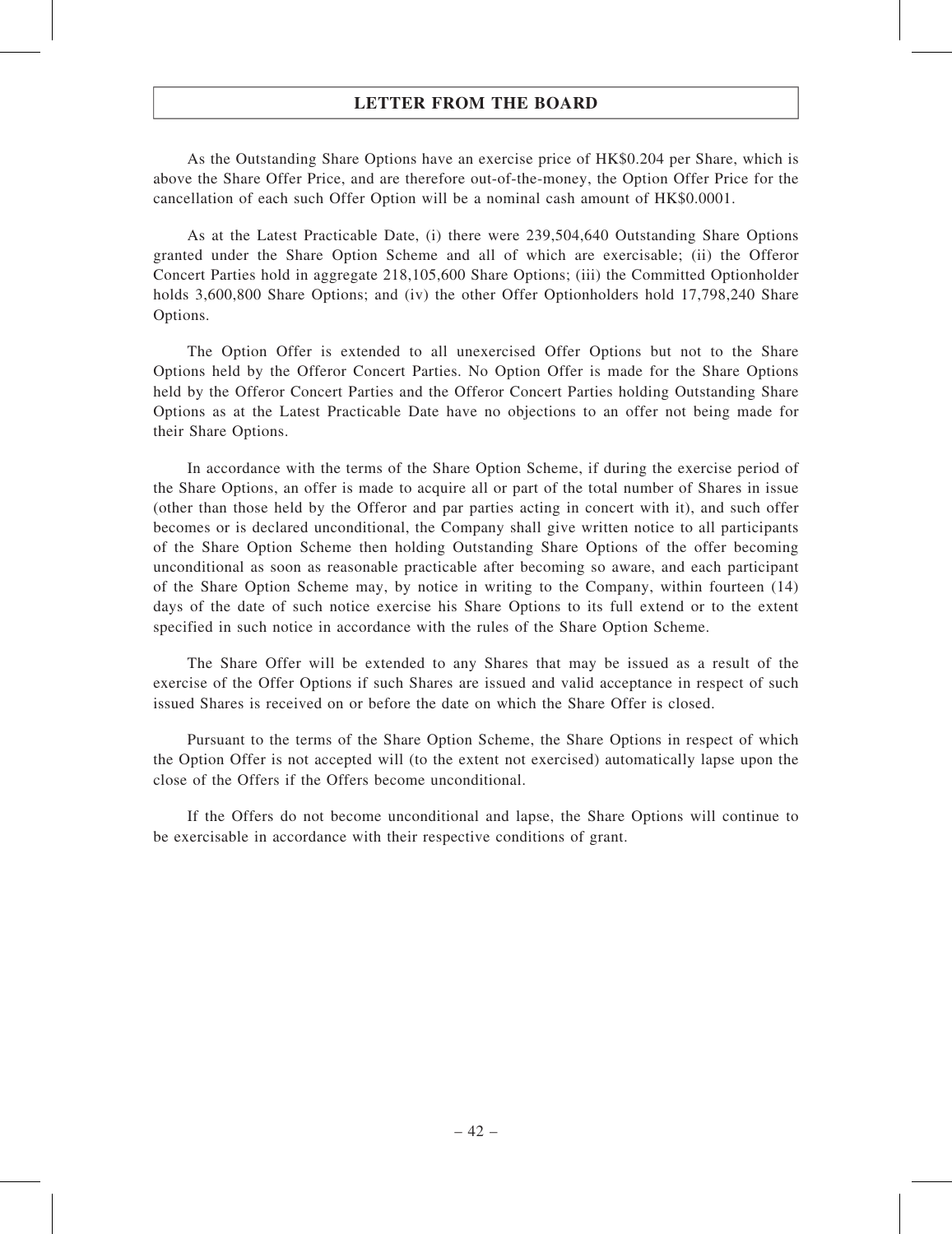As the Outstanding Share Options have an exercise price of HK\$0.204 per Share, which is above the Share Offer Price, and are therefore out-of-the-money, the Option Offer Price for the cancellation of each such Offer Option will be a nominal cash amount of HK\$0.0001.

As at the Latest Practicable Date, (i) there were 239,504,640 Outstanding Share Options granted under the Share Option Scheme and all of which are exercisable; (ii) the Offeror Concert Parties hold in aggregate 218,105,600 Share Options; (iii) the Committed Optionholder holds 3,600,800 Share Options; and (iv) the other Offer Optionholders hold 17,798,240 Share Options.

The Option Offer is extended to all unexercised Offer Options but not to the Share Options held by the Offeror Concert Parties. No Option Offer is made for the Share Options held by the Offeror Concert Parties and the Offeror Concert Parties holding Outstanding Share Options as at the Latest Practicable Date have no objections to an offer not being made for their Share Options.

In accordance with the terms of the Share Option Scheme, if during the exercise period of the Share Options, an offer is made to acquire all or part of the total number of Shares in issue (other than those held by the Offeror and par parties acting in concert with it), and such offer becomes or is declared unconditional, the Company shall give written notice to all participants of the Share Option Scheme then holding Outstanding Share Options of the offer becoming unconditional as soon as reasonable practicable after becoming so aware, and each participant of the Share Option Scheme may, by notice in writing to the Company, within fourteen (14) days of the date of such notice exercise his Share Options to its full extend or to the extent specified in such notice in accordance with the rules of the Share Option Scheme.

The Share Offer will be extended to any Shares that may be issued as a result of the exercise of the Offer Options if such Shares are issued and valid acceptance in respect of such issued Shares is received on or before the date on which the Share Offer is closed.

Pursuant to the terms of the Share Option Scheme, the Share Options in respect of which the Option Offer is not accepted will (to the extent not exercised) automatically lapse upon the close of the Offers if the Offers become unconditional.

If the Offers do not become unconditional and lapse, the Share Options will continue to be exercisable in accordance with their respective conditions of grant.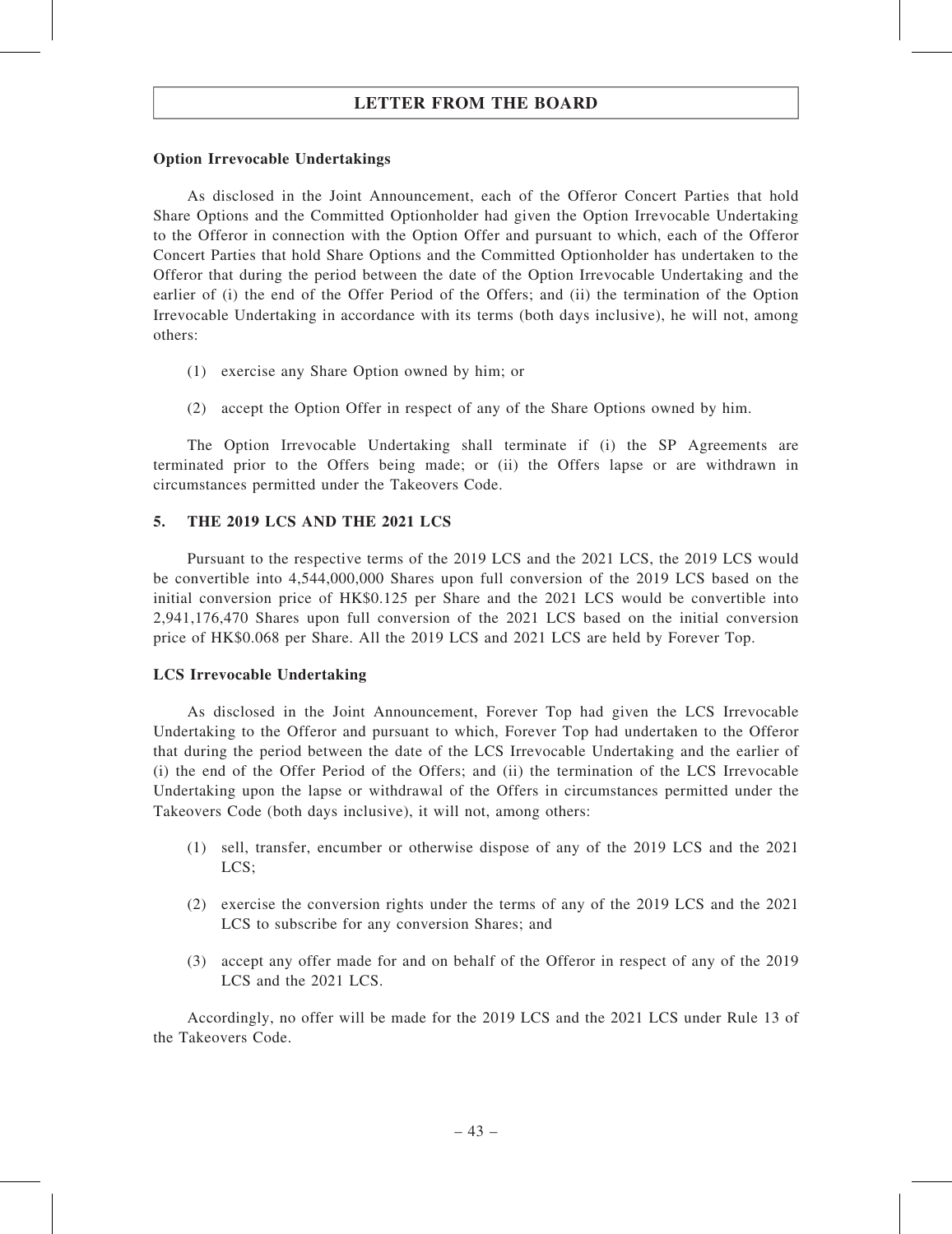### Option Irrevocable Undertakings

As disclosed in the Joint Announcement, each of the Offeror Concert Parties that hold Share Options and the Committed Optionholder had given the Option Irrevocable Undertaking to the Offeror in connection with the Option Offer and pursuant to which, each of the Offeror Concert Parties that hold Share Options and the Committed Optionholder has undertaken to the Offeror that during the period between the date of the Option Irrevocable Undertaking and the earlier of (i) the end of the Offer Period of the Offers; and (ii) the termination of the Option Irrevocable Undertaking in accordance with its terms (both days inclusive), he will not, among others:

- (1) exercise any Share Option owned by him; or
- (2) accept the Option Offer in respect of any of the Share Options owned by him.

The Option Irrevocable Undertaking shall terminate if (i) the SP Agreements are terminated prior to the Offers being made; or (ii) the Offers lapse or are withdrawn in circumstances permitted under the Takeovers Code.

### 5. THE 2019 LCS AND THE 2021 LCS

Pursuant to the respective terms of the 2019 LCS and the 2021 LCS, the 2019 LCS would be convertible into 4,544,000,000 Shares upon full conversion of the 2019 LCS based on the initial conversion price of HK\$0.125 per Share and the 2021 LCS would be convertible into 2,941,176,470 Shares upon full conversion of the 2021 LCS based on the initial conversion price of HK\$0.068 per Share. All the 2019 LCS and 2021 LCS are held by Forever Top.

### LCS Irrevocable Undertaking

As disclosed in the Joint Announcement, Forever Top had given the LCS Irrevocable Undertaking to the Offeror and pursuant to which, Forever Top had undertaken to the Offeror that during the period between the date of the LCS Irrevocable Undertaking and the earlier of (i) the end of the Offer Period of the Offers; and (ii) the termination of the LCS Irrevocable Undertaking upon the lapse or withdrawal of the Offers in circumstances permitted under the Takeovers Code (both days inclusive), it will not, among others:

- (1) sell, transfer, encumber or otherwise dispose of any of the 2019 LCS and the 2021 LCS;
- (2) exercise the conversion rights under the terms of any of the 2019 LCS and the 2021 LCS to subscribe for any conversion Shares; and
- (3) accept any offer made for and on behalf of the Offeror in respect of any of the 2019 LCS and the 2021 LCS.

Accordingly, no offer will be made for the 2019 LCS and the 2021 LCS under Rule 13 of the Takeovers Code.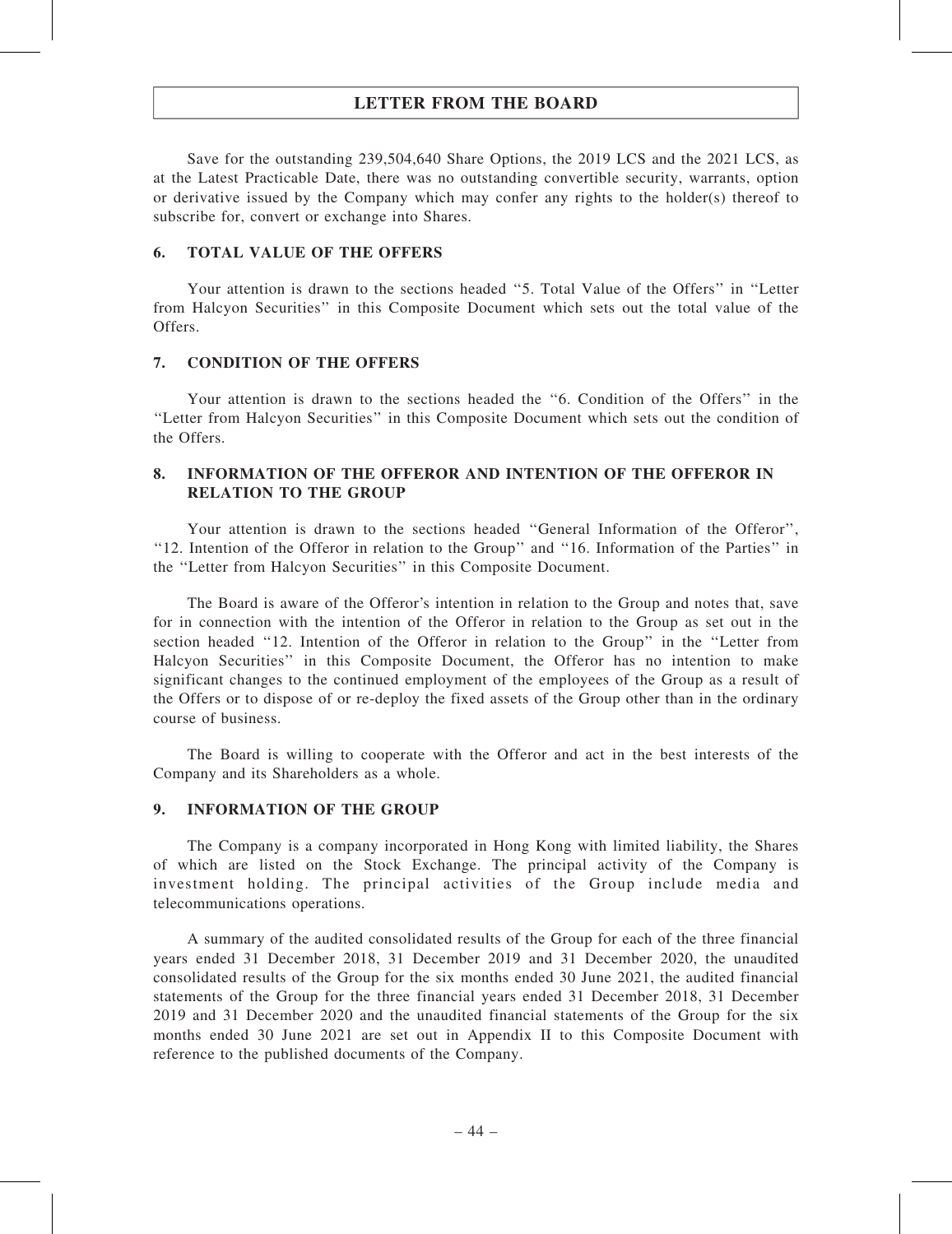Save for the outstanding 239,504,640 Share Options, the 2019 LCS and the 2021 LCS, as at the Latest Practicable Date, there was no outstanding convertible security, warrants, option or derivative issued by the Company which may confer any rights to the holder(s) thereof to subscribe for, convert or exchange into Shares.

#### 6. TOTAL VALUE OF THE OFFERS

Your attention is drawn to the sections headed "5. Total Value of the Offers" in "Letter from Halcyon Securities'' in this Composite Document which sets out the total value of the Offers.

#### 7. CONDITION OF THE OFFERS

Your attention is drawn to the sections headed the ''6. Condition of the Offers'' in the ''Letter from Halcyon Securities'' in this Composite Document which sets out the condition of the Offers.

### 8. INFORMATION OF THE OFFEROR AND INTENTION OF THE OFFEROR IN RELATION TO THE GROUP

Your attention is drawn to the sections headed ''General Information of the Offeror'', ''12. Intention of the Offeror in relation to the Group'' and ''16. Information of the Parties'' in the ''Letter from Halcyon Securities'' in this Composite Document.

The Board is aware of the Offeror's intention in relation to the Group and notes that, save for in connection with the intention of the Offeror in relation to the Group as set out in the section headed ''12. Intention of the Offeror in relation to the Group'' in the ''Letter from Halcyon Securities'' in this Composite Document, the Offeror has no intention to make significant changes to the continued employment of the employees of the Group as a result of the Offers or to dispose of or re-deploy the fixed assets of the Group other than in the ordinary course of business.

The Board is willing to cooperate with the Offeror and act in the best interests of the Company and its Shareholders as a whole.

#### 9. INFORMATION OF THE GROUP

The Company is a company incorporated in Hong Kong with limited liability, the Shares of which are listed on the Stock Exchange. The principal activity of the Company is investment holding. The principal activities of the Group include media and telecommunications operations.

A summary of the audited consolidated results of the Group for each of the three financial years ended 31 December 2018, 31 December 2019 and 31 December 2020, the unaudited consolidated results of the Group for the six months ended 30 June 2021, the audited financial statements of the Group for the three financial years ended 31 December 2018, 31 December 2019 and 31 December 2020 and the unaudited financial statements of the Group for the six months ended 30 June 2021 are set out in Appendix II to this Composite Document with reference to the published documents of the Company.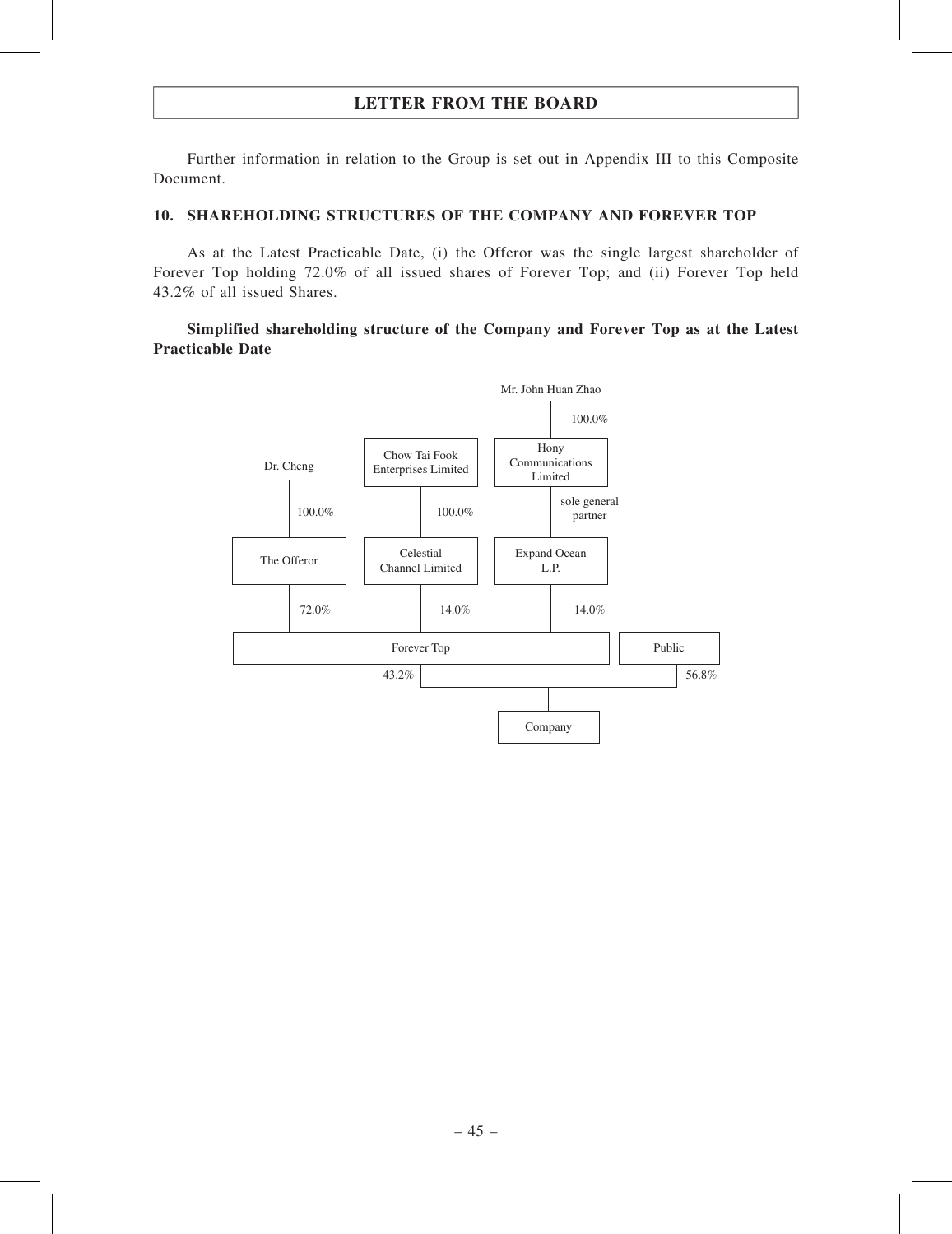Further information in relation to the Group is set out in Appendix III to this Composite Document.

### 10. SHAREHOLDING STRUCTURES OF THE COMPANY AND FOREVER TOP

As at the Latest Practicable Date, (i) the Offeror was the single largest shareholder of Forever Top holding 72.0% of all issued shares of Forever Top; and (ii) Forever Top held 43.2% of all issued Shares.

## Simplified shareholding structure of the Company and Forever Top as at the Latest Practicable Date

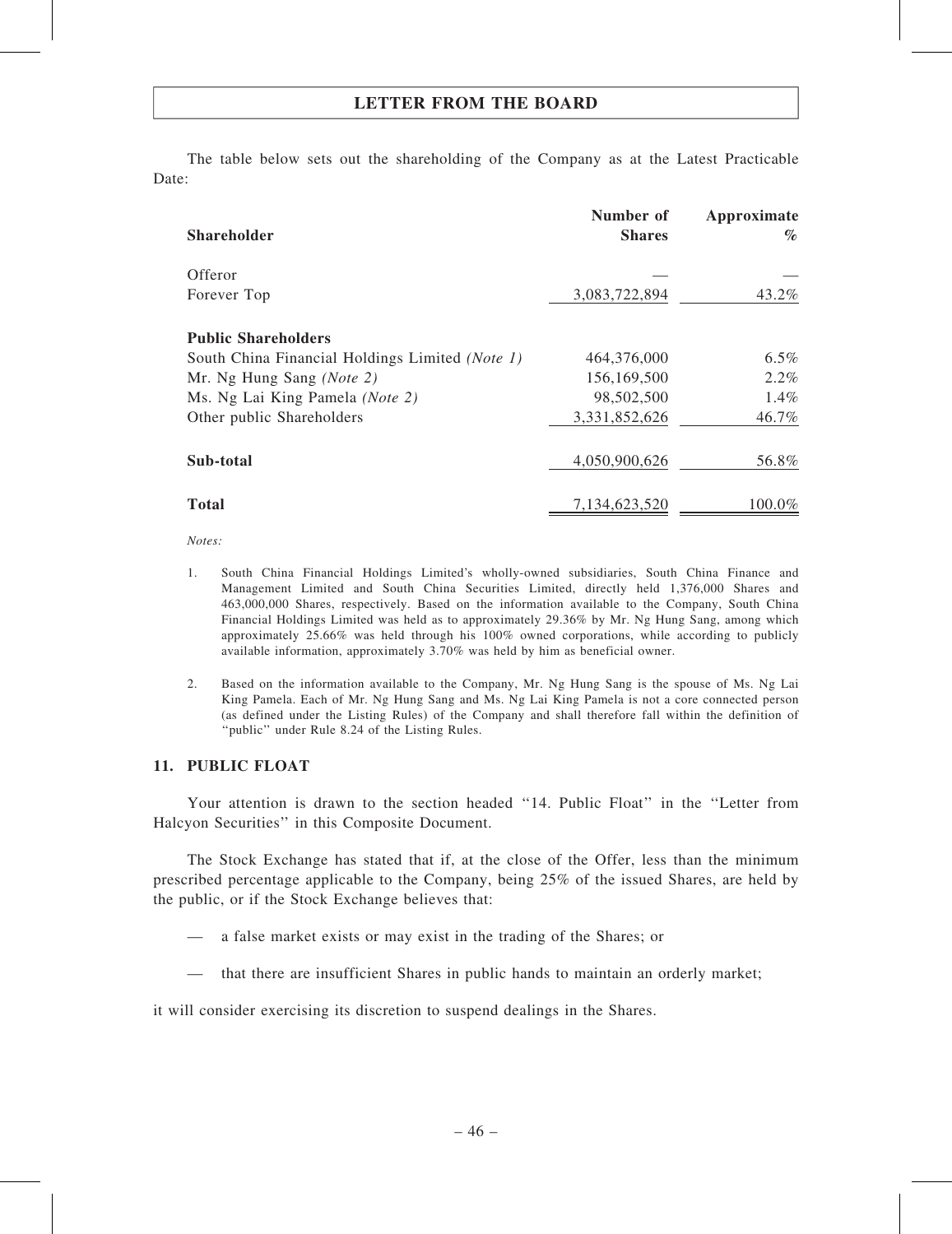The table below sets out the shareholding of the Company as at the Latest Practicable Date:

| <b>Shareholder</b>                              | Number of<br><b>Shares</b> | Approximate<br>$\%$ |
|-------------------------------------------------|----------------------------|---------------------|
| Offeror                                         |                            |                     |
| Forever Top                                     | 3,083,722,894              | 43.2%               |
| <b>Public Shareholders</b>                      |                            |                     |
| South China Financial Holdings Limited (Note 1) | 464,376,000                | 6.5%                |
| Mr. Ng Hung Sang (Note 2)                       | 156,169,500                | $2.2\%$             |
| Ms. Ng Lai King Pamela (Note 2)                 | 98,502,500                 | 1.4%                |
| Other public Shareholders                       | 3,331,852,626              | 46.7%               |
| Sub-total                                       | 4,050,900,626              | 56.8%               |
| <b>Total</b>                                    | 7,134,623,520              | 100.0%              |

#### Notes:

- 1. South China Financial Holdings Limited's wholly-owned subsidiaries, South China Finance and Management Limited and South China Securities Limited, directly held 1,376,000 Shares and 463,000,000 Shares, respectively. Based on the information available to the Company, South China Financial Holdings Limited was held as to approximately 29.36% by Mr. Ng Hung Sang, among which approximately 25.66% was held through his 100% owned corporations, while according to publicly available information, approximately 3.70% was held by him as beneficial owner.
- 2. Based on the information available to the Company, Mr. Ng Hung Sang is the spouse of Ms. Ng Lai King Pamela. Each of Mr. Ng Hung Sang and Ms. Ng Lai King Pamela is not a core connected person (as defined under the Listing Rules) of the Company and shall therefore fall within the definition of ''public'' under Rule 8.24 of the Listing Rules.

### 11. PUBLIC FLOAT

Your attention is drawn to the section headed "14. Public Float" in the "Letter from Halcyon Securities'' in this Composite Document.

The Stock Exchange has stated that if, at the close of the Offer, less than the minimum prescribed percentage applicable to the Company, being 25% of the issued Shares, are held by the public, or if the Stock Exchange believes that:

- a false market exists or may exist in the trading of the Shares; or
- that there are insufficient Shares in public hands to maintain an orderly market;

it will consider exercising its discretion to suspend dealings in the Shares.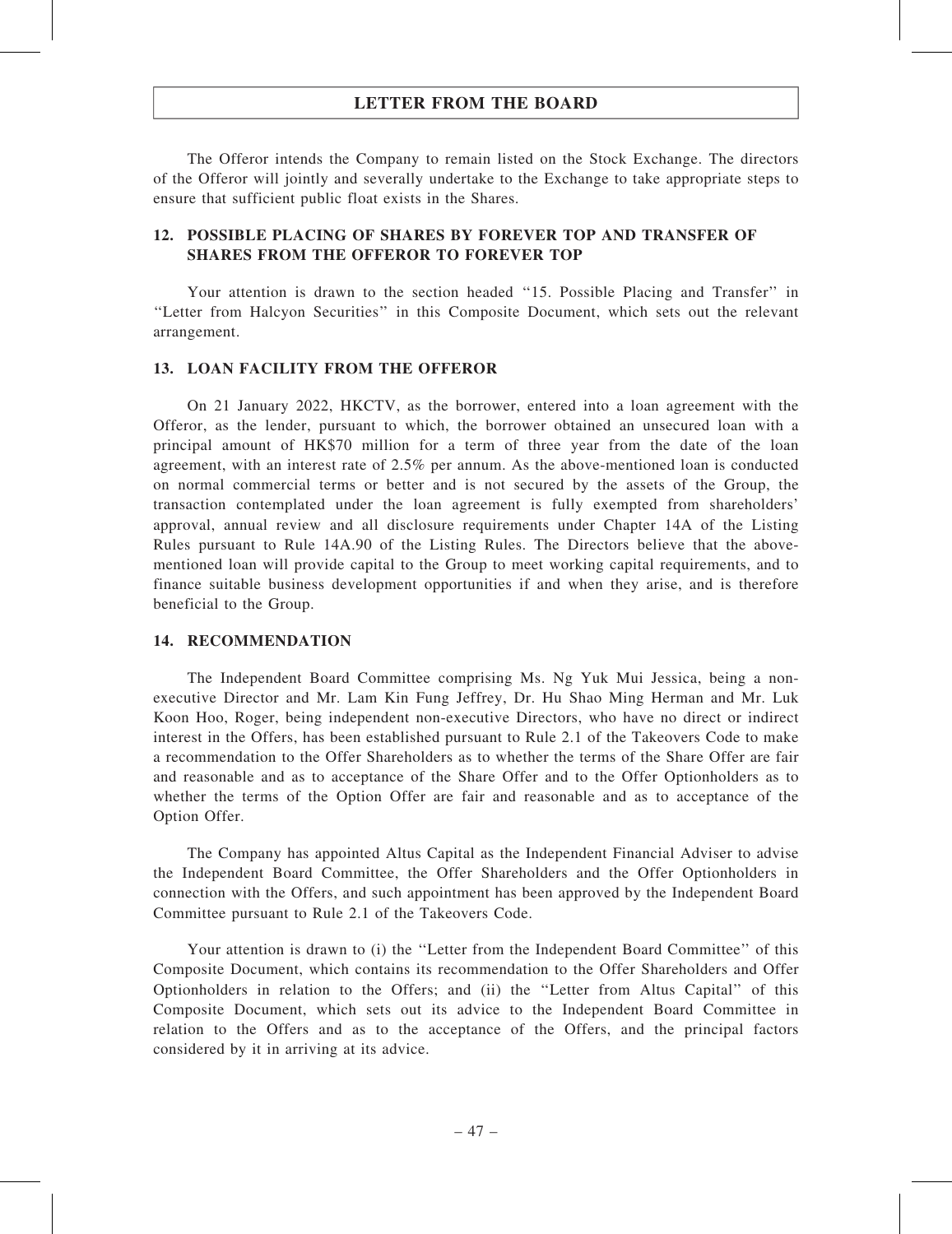The Offeror intends the Company to remain listed on the Stock Exchange. The directors of the Offeror will jointly and severally undertake to the Exchange to take appropriate steps to ensure that sufficient public float exists in the Shares.

## 12. POSSIBLE PLACING OF SHARES BY FOREVER TOP AND TRANSFER OF SHARES FROM THE OFFEROR TO FOREVER TOP

Your attention is drawn to the section headed "15. Possible Placing and Transfer" in ''Letter from Halcyon Securities'' in this Composite Document, which sets out the relevant arrangement.

### 13. LOAN FACILITY FROM THE OFFEROR

On 21 January 2022, HKCTV, as the borrower, entered into a loan agreement with the Offeror, as the lender, pursuant to which, the borrower obtained an unsecured loan with a principal amount of HK\$70 million for a term of three year from the date of the loan agreement, with an interest rate of 2.5% per annum. As the above-mentioned loan is conducted on normal commercial terms or better and is not secured by the assets of the Group, the transaction contemplated under the loan agreement is fully exempted from shareholders' approval, annual review and all disclosure requirements under Chapter 14A of the Listing Rules pursuant to Rule 14A.90 of the Listing Rules. The Directors believe that the abovementioned loan will provide capital to the Group to meet working capital requirements, and to finance suitable business development opportunities if and when they arise, and is therefore beneficial to the Group.

### 14. RECOMMENDATION

The Independent Board Committee comprising Ms. Ng Yuk Mui Jessica, being a nonexecutive Director and Mr. Lam Kin Fung Jeffrey, Dr. Hu Shao Ming Herman and Mr. Luk Koon Hoo, Roger, being independent non-executive Directors, who have no direct or indirect interest in the Offers, has been established pursuant to Rule 2.1 of the Takeovers Code to make a recommendation to the Offer Shareholders as to whether the terms of the Share Offer are fair and reasonable and as to acceptance of the Share Offer and to the Offer Optionholders as to whether the terms of the Option Offer are fair and reasonable and as to acceptance of the Option Offer.

The Company has appointed Altus Capital as the Independent Financial Adviser to advise the Independent Board Committee, the Offer Shareholders and the Offer Optionholders in connection with the Offers, and such appointment has been approved by the Independent Board Committee pursuant to Rule 2.1 of the Takeovers Code.

Your attention is drawn to (i) the ''Letter from the Independent Board Committee'' of this Composite Document, which contains its recommendation to the Offer Shareholders and Offer Optionholders in relation to the Offers; and (ii) the ''Letter from Altus Capital'' of this Composite Document, which sets out its advice to the Independent Board Committee in relation to the Offers and as to the acceptance of the Offers, and the principal factors considered by it in arriving at its advice.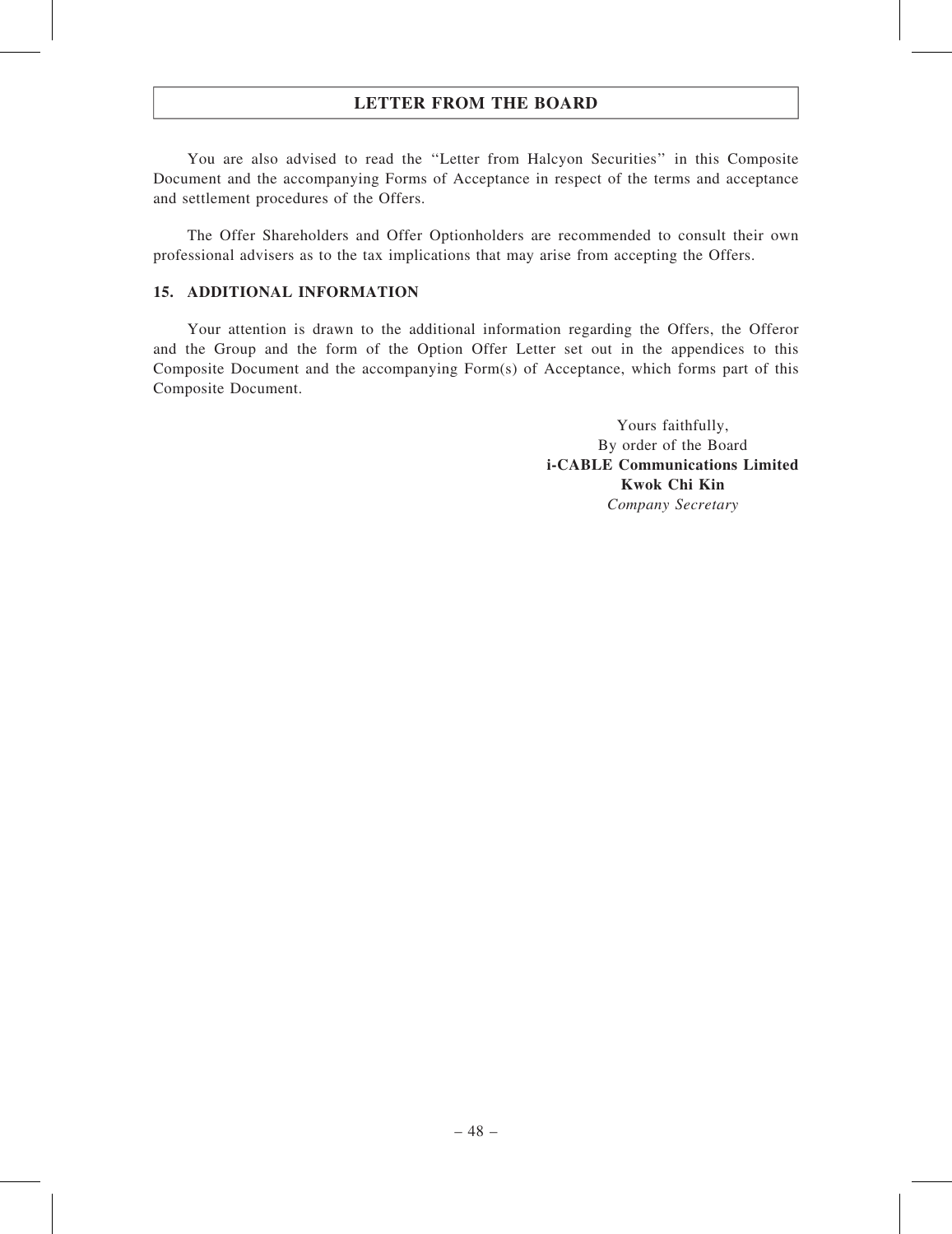You are also advised to read the ''Letter from Halcyon Securities'' in this Composite Document and the accompanying Forms of Acceptance in respect of the terms and acceptance and settlement procedures of the Offers.

The Offer Shareholders and Offer Optionholders are recommended to consult their own professional advisers as to the tax implications that may arise from accepting the Offers.

## 15. ADDITIONAL INFORMATION

Your attention is drawn to the additional information regarding the Offers, the Offeror and the Group and the form of the Option Offer Letter set out in the appendices to this Composite Document and the accompanying Form(s) of Acceptance, which forms part of this Composite Document.

> Yours faithfully, By order of the Board i-CABLE Communications Limited Kwok Chi Kin Company Secretary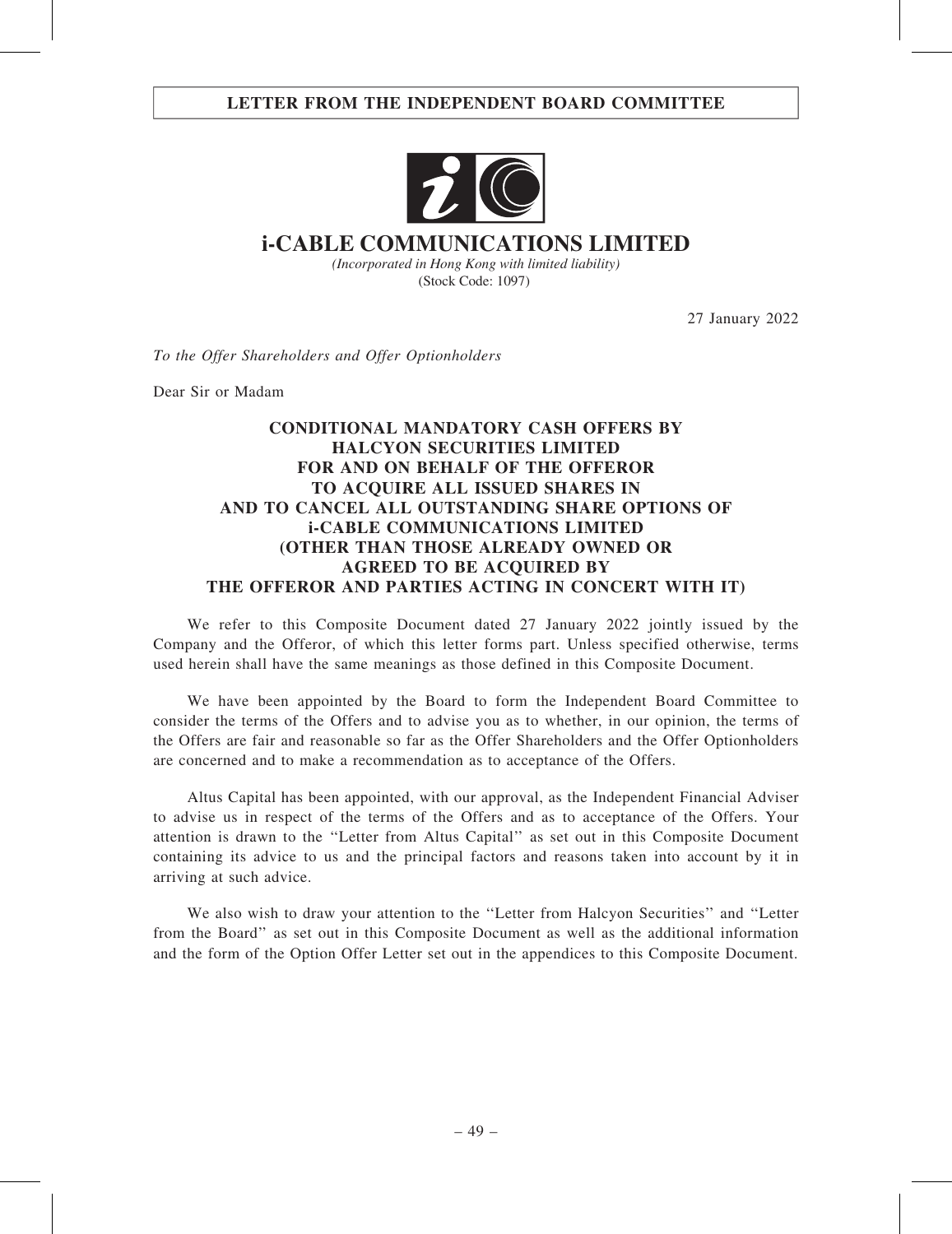## LETTER FROM THE INDEPENDENT BOARD COMMITTEE



# **i-CABLE COMMUNICATIONS LIMITED**

*(Incorporated in Hong Kong with limited liability)* (Stock Code: 1097)

27 January 2022

To the Offer Shareholders and Offer Optionholders

Dear Sir or Madam

## CONDITIONAL MANDATORY CASH OFFERS BY HALCYON SECURITIES LIMITED FOR AND ON BEHALF OF THE OFFEROR TO ACQUIRE ALL ISSUED SHARES IN AND TO CANCEL ALL OUTSTANDING SHARE OPTIONS OF i-CABLE COMMUNICATIONS LIMITED (OTHER THAN THOSE ALREADY OWNED OR AGREED TO BE ACQUIRED BY THE OFFEROR AND PARTIES ACTING IN CONCERT WITH IT)

We refer to this Composite Document dated 27 January 2022 jointly issued by the Company and the Offeror, of which this letter forms part. Unless specified otherwise, terms used herein shall have the same meanings as those defined in this Composite Document.

We have been appointed by the Board to form the Independent Board Committee to consider the terms of the Offers and to advise you as to whether, in our opinion, the terms of the Offers are fair and reasonable so far as the Offer Shareholders and the Offer Optionholders are concerned and to make a recommendation as to acceptance of the Offers.

Altus Capital has been appointed, with our approval, as the Independent Financial Adviser to advise us in respect of the terms of the Offers and as to acceptance of the Offers. Your attention is drawn to the ''Letter from Altus Capital'' as set out in this Composite Document containing its advice to us and the principal factors and reasons taken into account by it in arriving at such advice.

We also wish to draw your attention to the ''Letter from Halcyon Securities'' and ''Letter from the Board'' as set out in this Composite Document as well as the additional information and the form of the Option Offer Letter set out in the appendices to this Composite Document.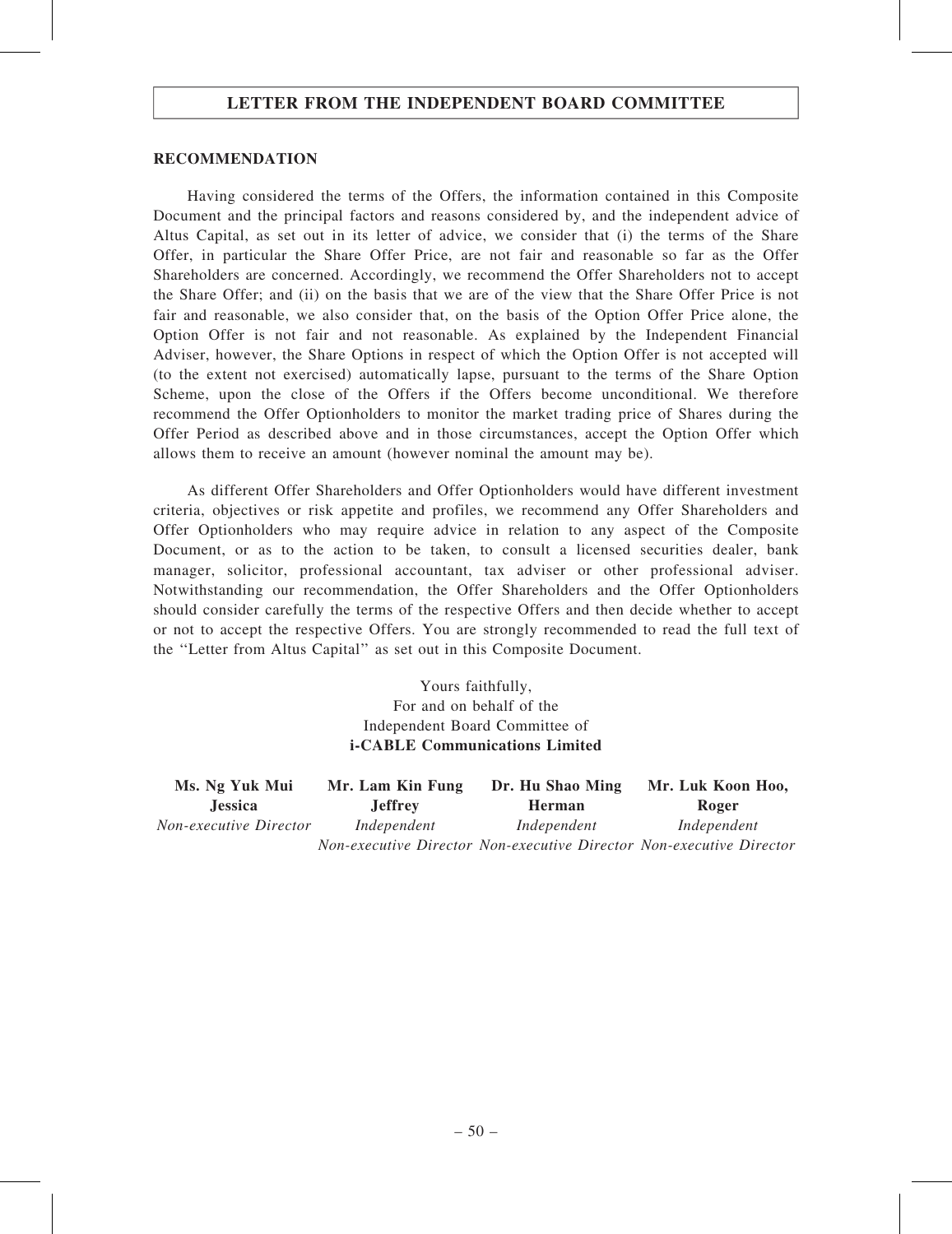## LETTER FROM THE INDEPENDENT BOARD COMMITTEE

### RECOMMENDATION

Having considered the terms of the Offers, the information contained in this Composite Document and the principal factors and reasons considered by, and the independent advice of Altus Capital, as set out in its letter of advice, we consider that (i) the terms of the Share Offer, in particular the Share Offer Price, are not fair and reasonable so far as the Offer Shareholders are concerned. Accordingly, we recommend the Offer Shareholders not to accept the Share Offer; and (ii) on the basis that we are of the view that the Share Offer Price is not fair and reasonable, we also consider that, on the basis of the Option Offer Price alone, the Option Offer is not fair and not reasonable. As explained by the Independent Financial Adviser, however, the Share Options in respect of which the Option Offer is not accepted will (to the extent not exercised) automatically lapse, pursuant to the terms of the Share Option Scheme, upon the close of the Offers if the Offers become unconditional. We therefore recommend the Offer Optionholders to monitor the market trading price of Shares during the Offer Period as described above and in those circumstances, accept the Option Offer which allows them to receive an amount (however nominal the amount may be).

As different Offer Shareholders and Offer Optionholders would have different investment criteria, objectives or risk appetite and profiles, we recommend any Offer Shareholders and Offer Optionholders who may require advice in relation to any aspect of the Composite Document, or as to the action to be taken, to consult a licensed securities dealer, bank manager, solicitor, professional accountant, tax adviser or other professional adviser. Notwithstanding our recommendation, the Offer Shareholders and the Offer Optionholders should consider carefully the terms of the respective Offers and then decide whether to accept or not to accept the respective Offers. You are strongly recommended to read the full text of the ''Letter from Altus Capital'' as set out in this Composite Document.

> Yours faithfully, For and on behalf of the Independent Board Committee of i-CABLE Communications Limited

| Ms. Ng Yuk Mui         | Mr. Lam Kin Fung | Dr. Hu Shao Ming | Mr. Luk Koon Hoo,                                                    |
|------------------------|------------------|------------------|----------------------------------------------------------------------|
| <b>Jessica</b>         | <b>Jeffrey</b>   | <b>Herman</b>    | Roger                                                                |
| Non-executive Director | Independent      | Independent      | Independent                                                          |
|                        |                  |                  | Non-executive Director Non-executive Director Non-executive Director |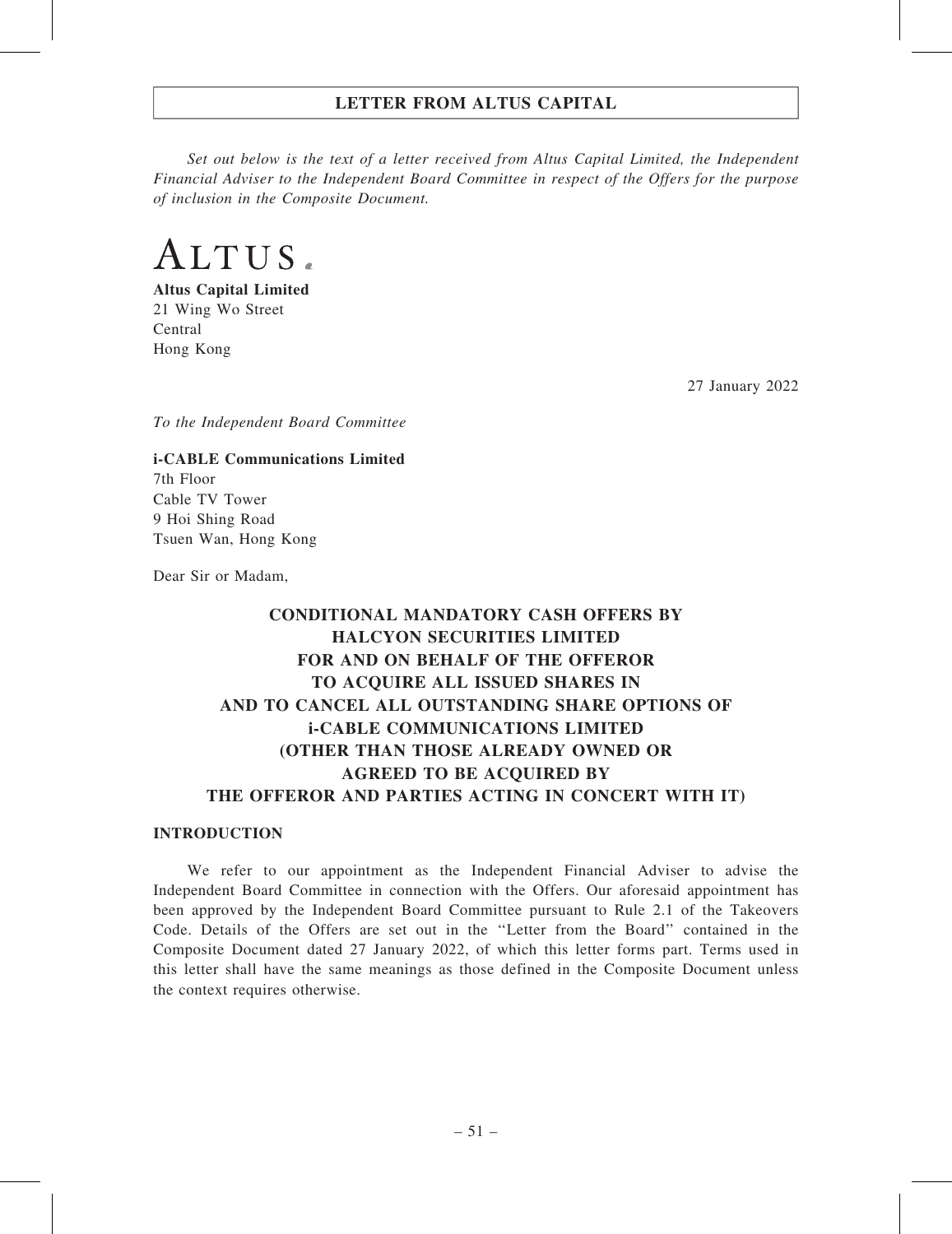Set out below is the text of a letter received from Altus Capital Limited, the Independent Financial Adviser to the Independent Board Committee in respect of the Offers for the purpose of inclusion in the Composite Document.

ALTUS.

Altus Capital Limited 21 Wing Wo Street Central Hong Kong

27 January 2022

To the Independent Board Committee

i-CABLE Communications Limited 7th Floor Cable TV Tower 9 Hoi Shing Road Tsuen Wan, Hong Kong

Dear Sir or Madam,

# CONDITIONAL MANDATORY CASH OFFERS BY HALCYON SECURITIES LIMITED FOR AND ON BEHALF OF THE OFFEROR TO ACQUIRE ALL ISSUED SHARES IN AND TO CANCEL ALL OUTSTANDING SHARE OPTIONS OF i-CABLE COMMUNICATIONS LIMITED (OTHER THAN THOSE ALREADY OWNED OR AGREED TO BE ACQUIRED BY THE OFFEROR AND PARTIES ACTING IN CONCERT WITH IT)

### INTRODUCTION

We refer to our appointment as the Independent Financial Adviser to advise the Independent Board Committee in connection with the Offers. Our aforesaid appointment has been approved by the Independent Board Committee pursuant to Rule 2.1 of the Takeovers Code. Details of the Offers are set out in the ''Letter from the Board'' contained in the Composite Document dated 27 January 2022, of which this letter forms part. Terms used in this letter shall have the same meanings as those defined in the Composite Document unless the context requires otherwise.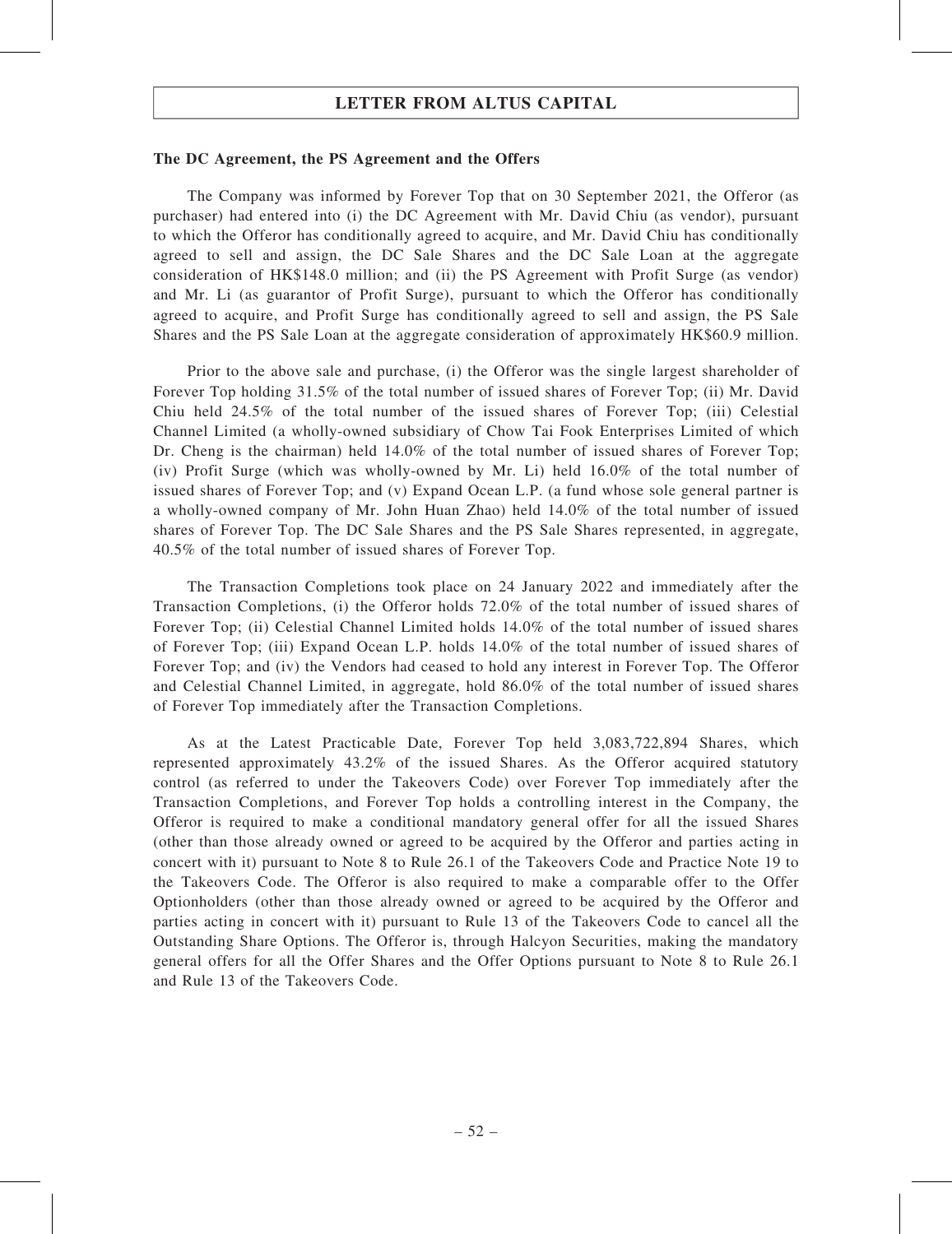#### The DC Agreement, the PS Agreement and the Offers

The Company was informed by Forever Top that on 30 September 2021, the Offeror (as purchaser) had entered into (i) the DC Agreement with Mr. David Chiu (as vendor), pursuant to which the Offeror has conditionally agreed to acquire, and Mr. David Chiu has conditionally agreed to sell and assign, the DC Sale Shares and the DC Sale Loan at the aggregate consideration of HK\$148.0 million; and (ii) the PS Agreement with Profit Surge (as vendor) and Mr. Li (as guarantor of Profit Surge), pursuant to which the Offeror has conditionally agreed to acquire, and Profit Surge has conditionally agreed to sell and assign, the PS Sale Shares and the PS Sale Loan at the aggregate consideration of approximately HK\$60.9 million.

Prior to the above sale and purchase, (i) the Offeror was the single largest shareholder of Forever Top holding 31.5% of the total number of issued shares of Forever Top; (ii) Mr. David Chiu held 24.5% of the total number of the issued shares of Forever Top; (iii) Celestial Channel Limited (a wholly-owned subsidiary of Chow Tai Fook Enterprises Limited of which Dr. Cheng is the chairman) held 14.0% of the total number of issued shares of Forever Top; (iv) Profit Surge (which was wholly-owned by Mr. Li) held 16.0% of the total number of issued shares of Forever Top; and (v) Expand Ocean L.P. (a fund whose sole general partner is a wholly-owned company of Mr. John Huan Zhao) held 14.0% of the total number of issued shares of Forever Top. The DC Sale Shares and the PS Sale Shares represented, in aggregate, 40.5% of the total number of issued shares of Forever Top.

The Transaction Completions took place on 24 January 2022 and immediately after the Transaction Completions, (i) the Offeror holds 72.0% of the total number of issued shares of Forever Top; (ii) Celestial Channel Limited holds 14.0% of the total number of issued shares of Forever Top; (iii) Expand Ocean L.P. holds 14.0% of the total number of issued shares of Forever Top; and (iv) the Vendors had ceased to hold any interest in Forever Top. The Offeror and Celestial Channel Limited, in aggregate, hold 86.0% of the total number of issued shares of Forever Top immediately after the Transaction Completions.

As at the Latest Practicable Date, Forever Top held 3,083,722,894 Shares, which represented approximately 43.2% of the issued Shares. As the Offeror acquired statutory control (as referred to under the Takeovers Code) over Forever Top immediately after the Transaction Completions, and Forever Top holds a controlling interest in the Company, the Offeror is required to make a conditional mandatory general offer for all the issued Shares (other than those already owned or agreed to be acquired by the Offeror and parties acting in concert with it) pursuant to Note 8 to Rule 26.1 of the Takeovers Code and Practice Note 19 to the Takeovers Code. The Offeror is also required to make a comparable offer to the Offer Optionholders (other than those already owned or agreed to be acquired by the Offeror and parties acting in concert with it) pursuant to Rule 13 of the Takeovers Code to cancel all the Outstanding Share Options. The Offeror is, through Halcyon Securities, making the mandatory general offers for all the Offer Shares and the Offer Options pursuant to Note 8 to Rule 26.1 and Rule 13 of the Takeovers Code.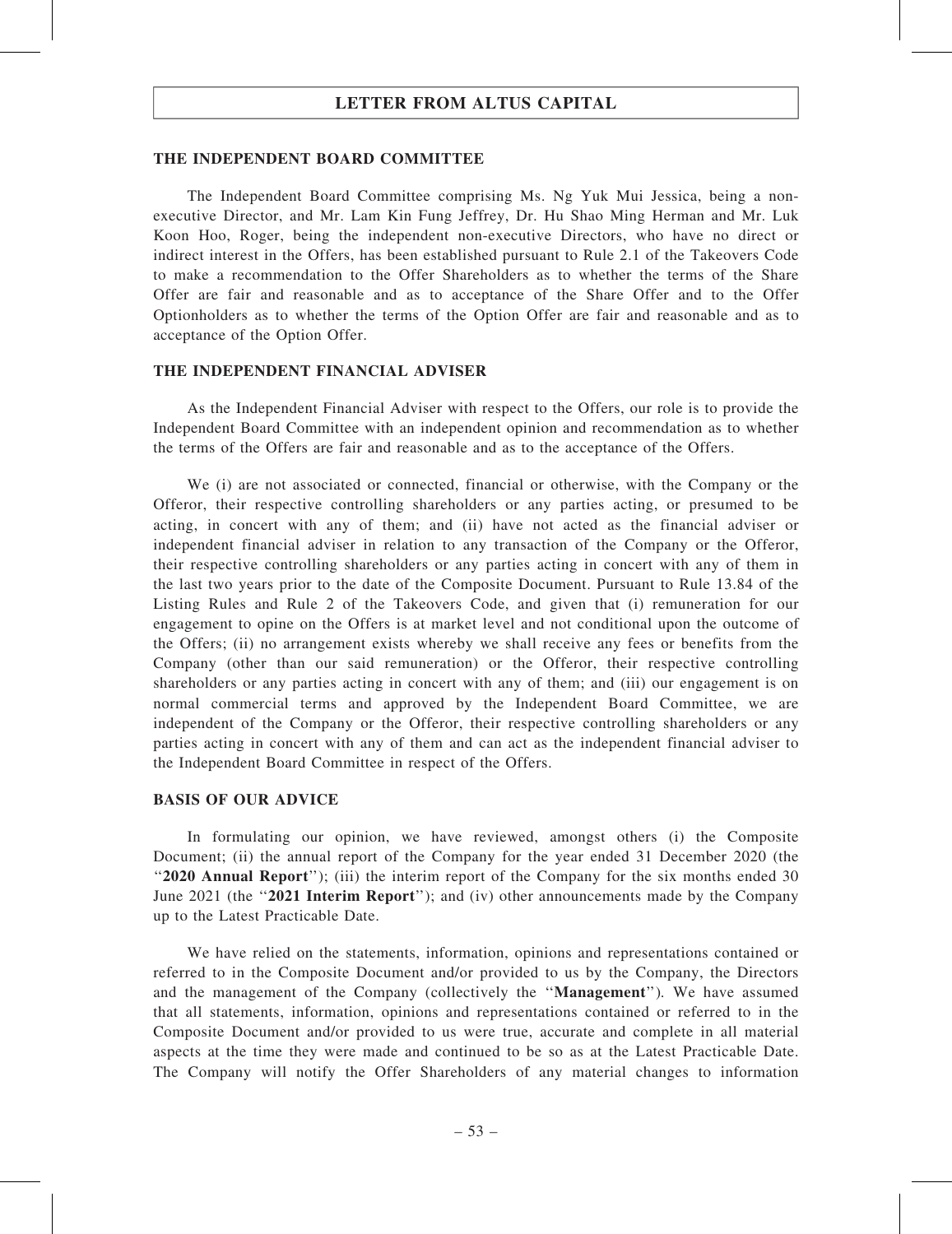#### THE INDEPENDENT BOARD COMMITTEE

The Independent Board Committee comprising Ms. Ng Yuk Mui Jessica, being a nonexecutive Director, and Mr. Lam Kin Fung Jeffrey, Dr. Hu Shao Ming Herman and Mr. Luk Koon Hoo, Roger, being the independent non-executive Directors, who have no direct or indirect interest in the Offers, has been established pursuant to Rule 2.1 of the Takeovers Code to make a recommendation to the Offer Shareholders as to whether the terms of the Share Offer are fair and reasonable and as to acceptance of the Share Offer and to the Offer Optionholders as to whether the terms of the Option Offer are fair and reasonable and as to acceptance of the Option Offer.

#### THE INDEPENDENT FINANCIAL ADVISER

As the Independent Financial Adviser with respect to the Offers, our role is to provide the Independent Board Committee with an independent opinion and recommendation as to whether the terms of the Offers are fair and reasonable and as to the acceptance of the Offers.

We (i) are not associated or connected, financial or otherwise, with the Company or the Offeror, their respective controlling shareholders or any parties acting, or presumed to be acting, in concert with any of them; and (ii) have not acted as the financial adviser or independent financial adviser in relation to any transaction of the Company or the Offeror, their respective controlling shareholders or any parties acting in concert with any of them in the last two years prior to the date of the Composite Document. Pursuant to Rule 13.84 of the Listing Rules and Rule 2 of the Takeovers Code, and given that (i) remuneration for our engagement to opine on the Offers is at market level and not conditional upon the outcome of the Offers; (ii) no arrangement exists whereby we shall receive any fees or benefits from the Company (other than our said remuneration) or the Offeror, their respective controlling shareholders or any parties acting in concert with any of them; and (iii) our engagement is on normal commercial terms and approved by the Independent Board Committee, we are independent of the Company or the Offeror, their respective controlling shareholders or any parties acting in concert with any of them and can act as the independent financial adviser to the Independent Board Committee in respect of the Offers.

### BASIS OF OUR ADVICE

In formulating our opinion, we have reviewed, amongst others (i) the Composite Document; (ii) the annual report of the Company for the year ended 31 December 2020 (the ''2020 Annual Report''); (iii) the interim report of the Company for the six months ended 30 June 2021 (the "2021 Interim Report"); and (iv) other announcements made by the Company up to the Latest Practicable Date.

We have relied on the statements, information, opinions and representations contained or referred to in the Composite Document and/or provided to us by the Company, the Directors and the management of the Company (collectively the ''Management''). We have assumed that all statements, information, opinions and representations contained or referred to in the Composite Document and/or provided to us were true, accurate and complete in all material aspects at the time they were made and continued to be so as at the Latest Practicable Date. The Company will notify the Offer Shareholders of any material changes to information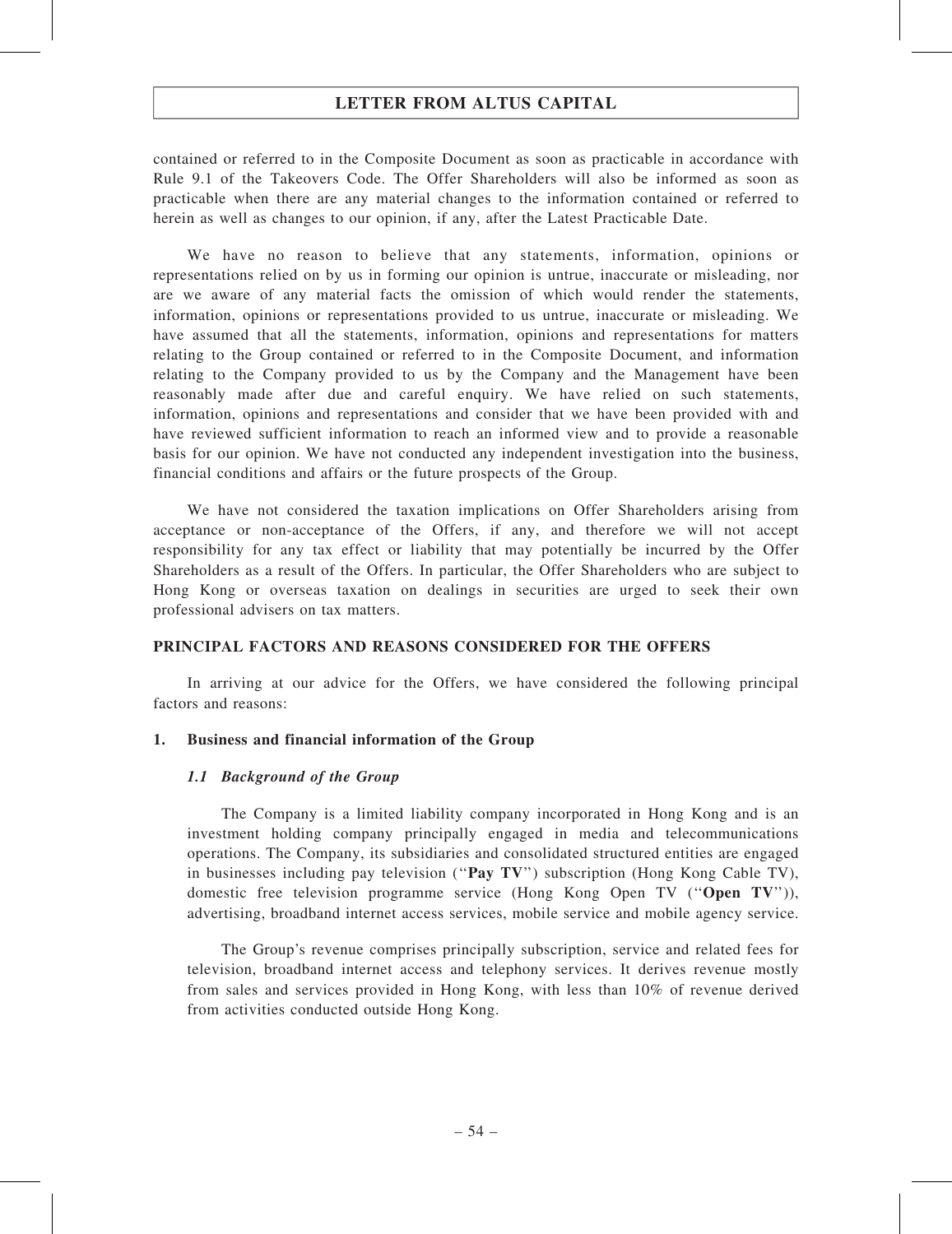contained or referred to in the Composite Document as soon as practicable in accordance with Rule 9.1 of the Takeovers Code. The Offer Shareholders will also be informed as soon as practicable when there are any material changes to the information contained or referred to herein as well as changes to our opinion, if any, after the Latest Practicable Date.

We have no reason to believe that any statements, information, opinions or representations relied on by us in forming our opinion is untrue, inaccurate or misleading, nor are we aware of any material facts the omission of which would render the statements, information, opinions or representations provided to us untrue, inaccurate or misleading. We have assumed that all the statements, information, opinions and representations for matters relating to the Group contained or referred to in the Composite Document, and information relating to the Company provided to us by the Company and the Management have been reasonably made after due and careful enquiry. We have relied on such statements, information, opinions and representations and consider that we have been provided with and have reviewed sufficient information to reach an informed view and to provide a reasonable basis for our opinion. We have not conducted any independent investigation into the business, financial conditions and affairs or the future prospects of the Group.

We have not considered the taxation implications on Offer Shareholders arising from acceptance or non-acceptance of the Offers, if any, and therefore we will not accept responsibility for any tax effect or liability that may potentially be incurred by the Offer Shareholders as a result of the Offers. In particular, the Offer Shareholders who are subject to Hong Kong or overseas taxation on dealings in securities are urged to seek their own professional advisers on tax matters.

### PRINCIPAL FACTORS AND REASONS CONSIDERED FOR THE OFFERS

In arriving at our advice for the Offers, we have considered the following principal factors and reasons:

#### 1. Business and financial information of the Group

#### 1.1 Background of the Group

The Company is a limited liability company incorporated in Hong Kong and is an investment holding company principally engaged in media and telecommunications operations. The Company, its subsidiaries and consolidated structured entities are engaged in businesses including pay television ("Pay  $T V$ ") subscription (Hong Kong Cable TV), domestic free television programme service (Hong Kong Open TV (''Open TV'')), advertising, broadband internet access services, mobile service and mobile agency service.

The Group's revenue comprises principally subscription, service and related fees for television, broadband internet access and telephony services. It derives revenue mostly from sales and services provided in Hong Kong, with less than 10% of revenue derived from activities conducted outside Hong Kong.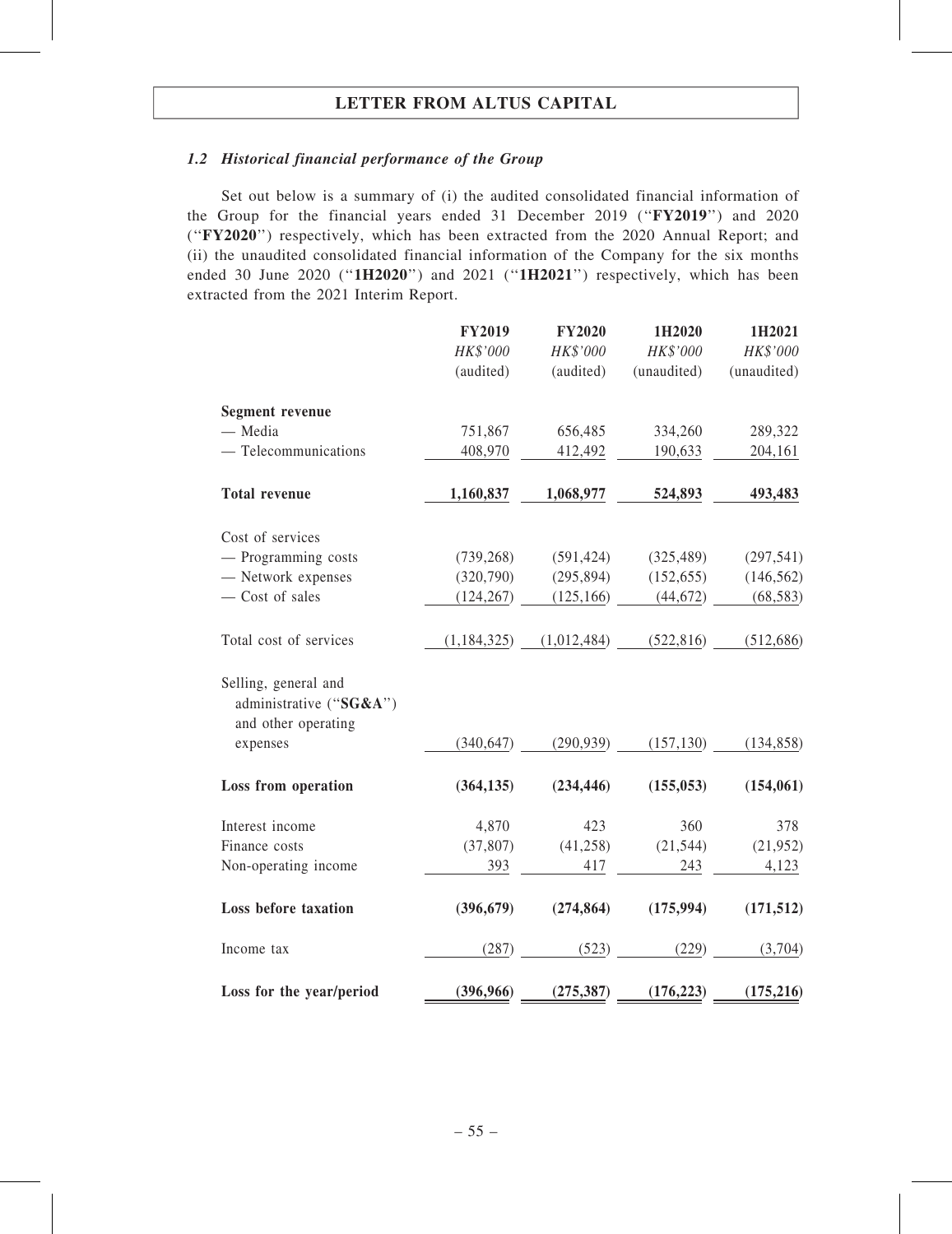## 1.2 Historical financial performance of the Group

Set out below is a summary of (i) the audited consolidated financial information of the Group for the financial years ended 31 December 2019 (''FY2019'') and 2020 (''FY2020'') respectively, which has been extracted from the 2020 Annual Report; and (ii) the unaudited consolidated financial information of the Company for the six months ended 30 June 2020 ("1H2020") and 2021 ("1H2021") respectively, which has been extracted from the 2021 Interim Report.

|                                                                        | <b>FY2019</b> | <b>FY2020</b> | 1H2020      | 1H2021      |
|------------------------------------------------------------------------|---------------|---------------|-------------|-------------|
|                                                                        | HK\$'000      | HK\$'000      | HK\$'000    | HK\$'000    |
|                                                                        | (audited)     | (audited)     | (unaudited) | (unaudited) |
| <b>Segment revenue</b>                                                 |               |               |             |             |
| - Media                                                                | 751,867       | 656,485       | 334,260     | 289,322     |
| $-$ Telecommunications                                                 | 408,970       | 412,492       | 190,633     | 204,161     |
| <b>Total revenue</b>                                                   | 1,160,837     | 1,068,977     | 524,893     | 493,483     |
| Cost of services                                                       |               |               |             |             |
| - Programming costs                                                    | (739, 268)    | (591, 424)    | (325, 489)  | (297, 541)  |
| - Network expenses                                                     | (320,790)     | (295, 894)    | (152, 655)  | (146, 562)  |
| - Cost of sales                                                        | (124, 267)    | (125, 166)    | (44, 672)   | (68, 583)   |
| Total cost of services                                                 | (1, 184, 325) | (1,012,484)   | (522, 816)  | (512, 686)  |
| Selling, general and<br>administrative ("SG&A")<br>and other operating |               |               |             |             |
| expenses                                                               | (340, 647)    | (290, 939)    | (157, 130)  | (134, 858)  |
| Loss from operation                                                    | (364, 135)    | (234, 446)    | (155, 053)  | (154, 061)  |
| Interest income                                                        | 4,870         | 423           | 360         | 378         |
| Finance costs                                                          | (37, 807)     | (41, 258)     | (21, 544)   | (21, 952)   |
| Non-operating income                                                   | 393           | 417           | 243         | 4,123       |
| <b>Loss before taxation</b>                                            | (396, 679)    | (274, 864)    | (175, 994)  | (171, 512)  |
| Income tax                                                             | (287)         | (523)         | (229)       | (3,704)     |
| Loss for the year/period                                               | (396,966)     | (275, 387)    | (176, 223)  | (175, 216)  |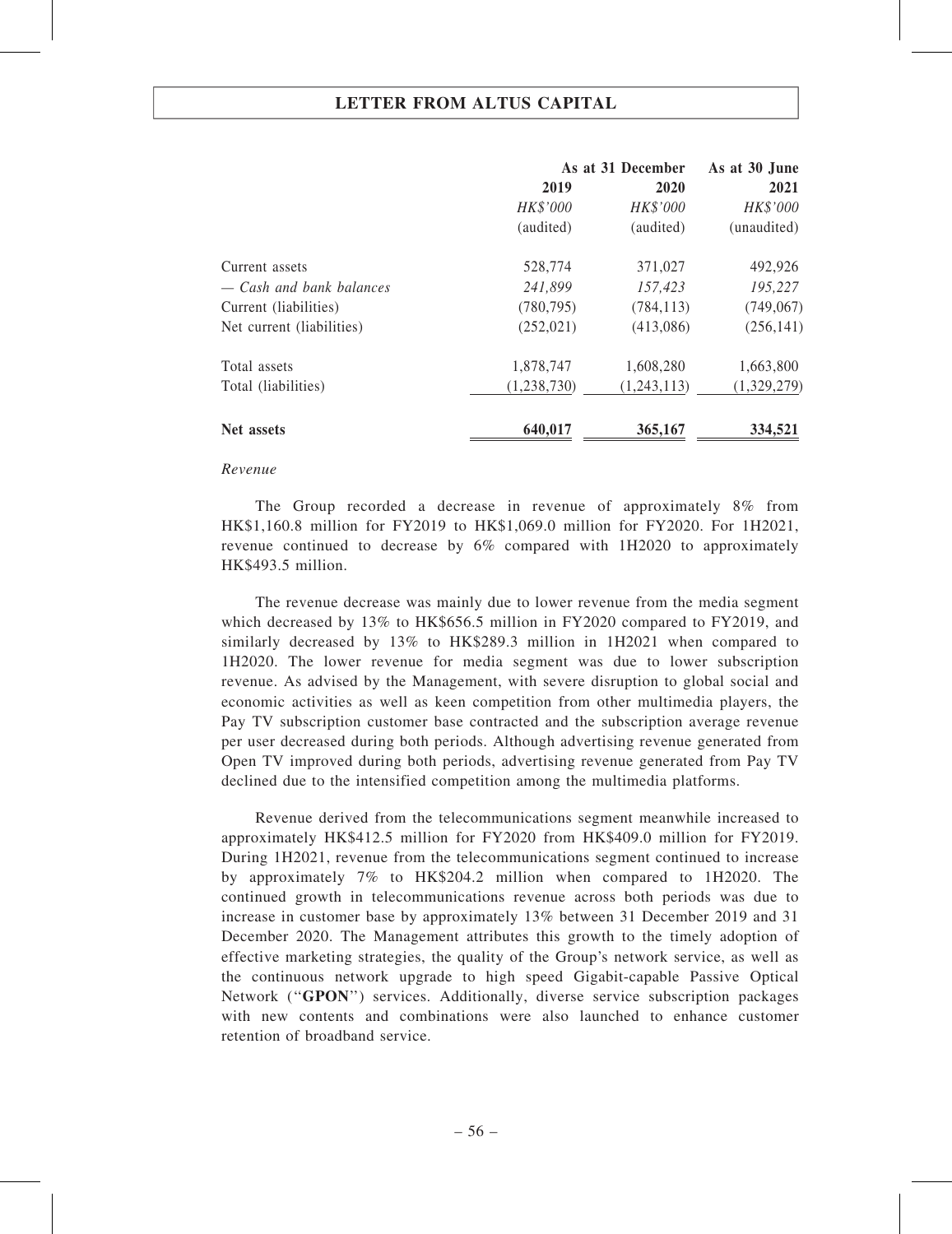|                           |             | As at 31 December |             |
|---------------------------|-------------|-------------------|-------------|
|                           | 2019        | 2020              | 2021        |
|                           | HK\$'000    | HK\$'000          | HK\$'000    |
|                           | (audited)   | (audited)         | (unaudited) |
| Current assets            | 528,774     | 371,027           | 492,926     |
| — Cash and bank balances  | 241,899     | 157,423           | 195,227     |
| Current (liabilities)     | (780, 795)  | (784, 113)        | (749,067)   |
| Net current (liabilities) | (252, 021)  | (413,086)         | (256, 141)  |
| Total assets              | 1,878,747   | 1,608,280         | 1,663,800   |
| Total (liabilities)       | (1,238,730) | (1,243,113)       | (1,329,279) |
| Net assets                | 640,017     | 365,167           | 334,521     |

#### Revenue

The Group recorded a decrease in revenue of approximately 8% from HK\$1,160.8 million for FY2019 to HK\$1,069.0 million for FY2020. For 1H2021, revenue continued to decrease by 6% compared with 1H2020 to approximately HK\$493.5 million.

The revenue decrease was mainly due to lower revenue from the media segment which decreased by 13% to HK\$656.5 million in FY2020 compared to FY2019, and similarly decreased by 13% to HK\$289.3 million in 1H2021 when compared to 1H2020. The lower revenue for media segment was due to lower subscription revenue. As advised by the Management, with severe disruption to global social and economic activities as well as keen competition from other multimedia players, the Pay TV subscription customer base contracted and the subscription average revenue per user decreased during both periods. Although advertising revenue generated from Open TV improved during both periods, advertising revenue generated from Pay TV declined due to the intensified competition among the multimedia platforms.

Revenue derived from the telecommunications segment meanwhile increased to approximately HK\$412.5 million for FY2020 from HK\$409.0 million for FY2019. During 1H2021, revenue from the telecommunications segment continued to increase by approximately 7% to HK\$204.2 million when compared to 1H2020. The continued growth in telecommunications revenue across both periods was due to increase in customer base by approximately 13% between 31 December 2019 and 31 December 2020. The Management attributes this growth to the timely adoption of effective marketing strategies, the quality of the Group's network service, as well as the continuous network upgrade to high speed Gigabit-capable Passive Optical Network ("GPON") services. Additionally, diverse service subscription packages with new contents and combinations were also launched to enhance customer retention of broadband service.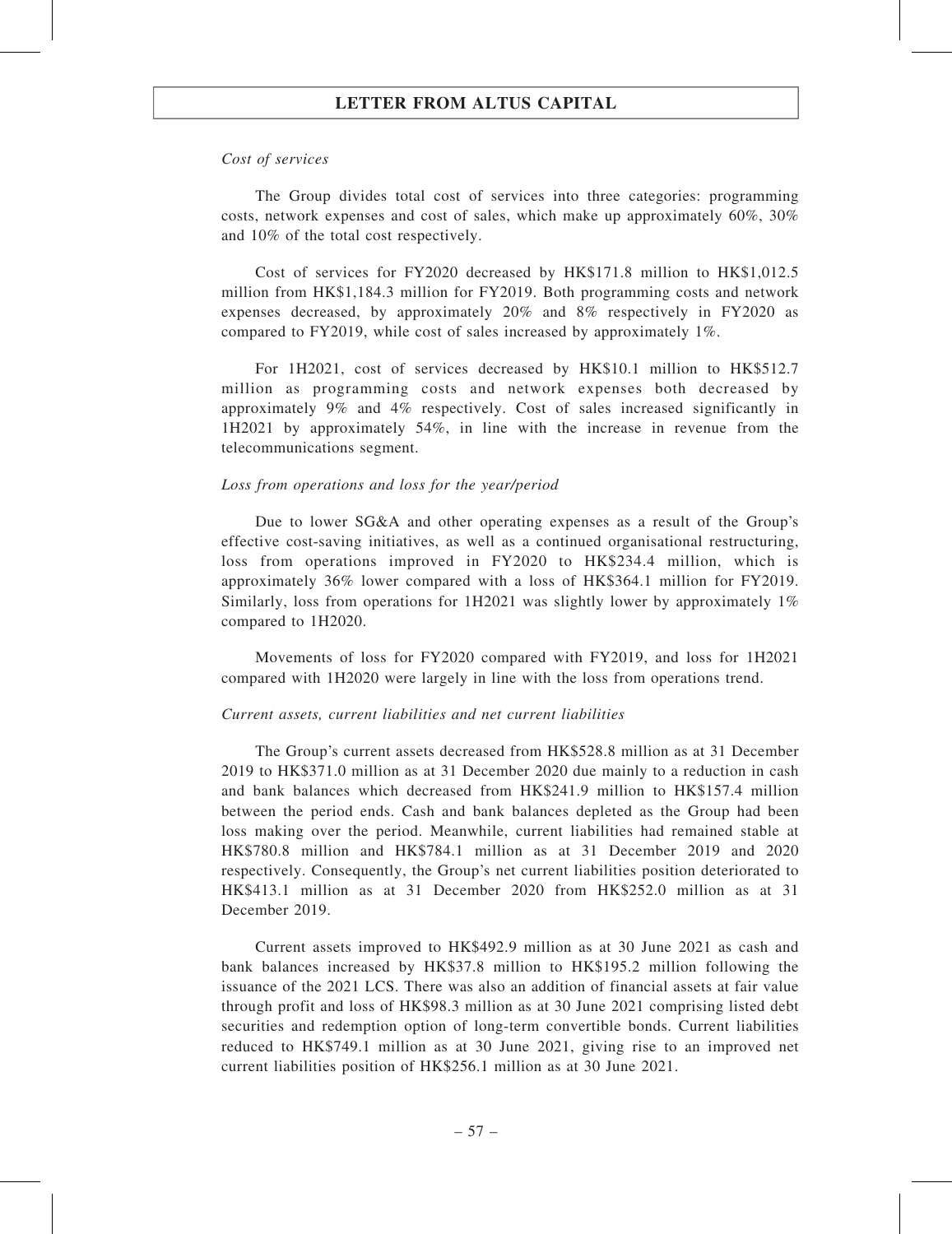#### Cost of services

The Group divides total cost of services into three categories: programming costs, network expenses and cost of sales, which make up approximately 60%, 30% and 10% of the total cost respectively.

Cost of services for FY2020 decreased by HK\$171.8 million to HK\$1,012.5 million from HK\$1,184.3 million for FY2019. Both programming costs and network expenses decreased, by approximately 20% and 8% respectively in FY2020 as compared to FY2019, while cost of sales increased by approximately 1%.

For 1H2021, cost of services decreased by HK\$10.1 million to HK\$512.7 million as programming costs and network expenses both decreased by approximately 9% and 4% respectively. Cost of sales increased significantly in 1H2021 by approximately 54%, in line with the increase in revenue from the telecommunications segment.

#### Loss from operations and loss for the year/period

Due to lower SG&A and other operating expenses as a result of the Group's effective cost-saving initiatives, as well as a continued organisational restructuring, loss from operations improved in FY2020 to HK\$234.4 million, which is approximately 36% lower compared with a loss of HK\$364.1 million for FY2019. Similarly, loss from operations for 1H2021 was slightly lower by approximately 1% compared to 1H2020.

Movements of loss for FY2020 compared with FY2019, and loss for 1H2021 compared with 1H2020 were largely in line with the loss from operations trend.

#### Current assets, current liabilities and net current liabilities

The Group's current assets decreased from HK\$528.8 million as at 31 December 2019 to HK\$371.0 million as at 31 December 2020 due mainly to a reduction in cash and bank balances which decreased from HK\$241.9 million to HK\$157.4 million between the period ends. Cash and bank balances depleted as the Group had been loss making over the period. Meanwhile, current liabilities had remained stable at HK\$780.8 million and HK\$784.1 million as at 31 December 2019 and 2020 respectively. Consequently, the Group's net current liabilities position deteriorated to HK\$413.1 million as at 31 December 2020 from HK\$252.0 million as at 31 December 2019.

Current assets improved to HK\$492.9 million as at 30 June 2021 as cash and bank balances increased by HK\$37.8 million to HK\$195.2 million following the issuance of the 2021 LCS. There was also an addition of financial assets at fair value through profit and loss of HK\$98.3 million as at 30 June 2021 comprising listed debt securities and redemption option of long-term convertible bonds. Current liabilities reduced to HK\$749.1 million as at 30 June 2021, giving rise to an improved net current liabilities position of HK\$256.1 million as at 30 June 2021.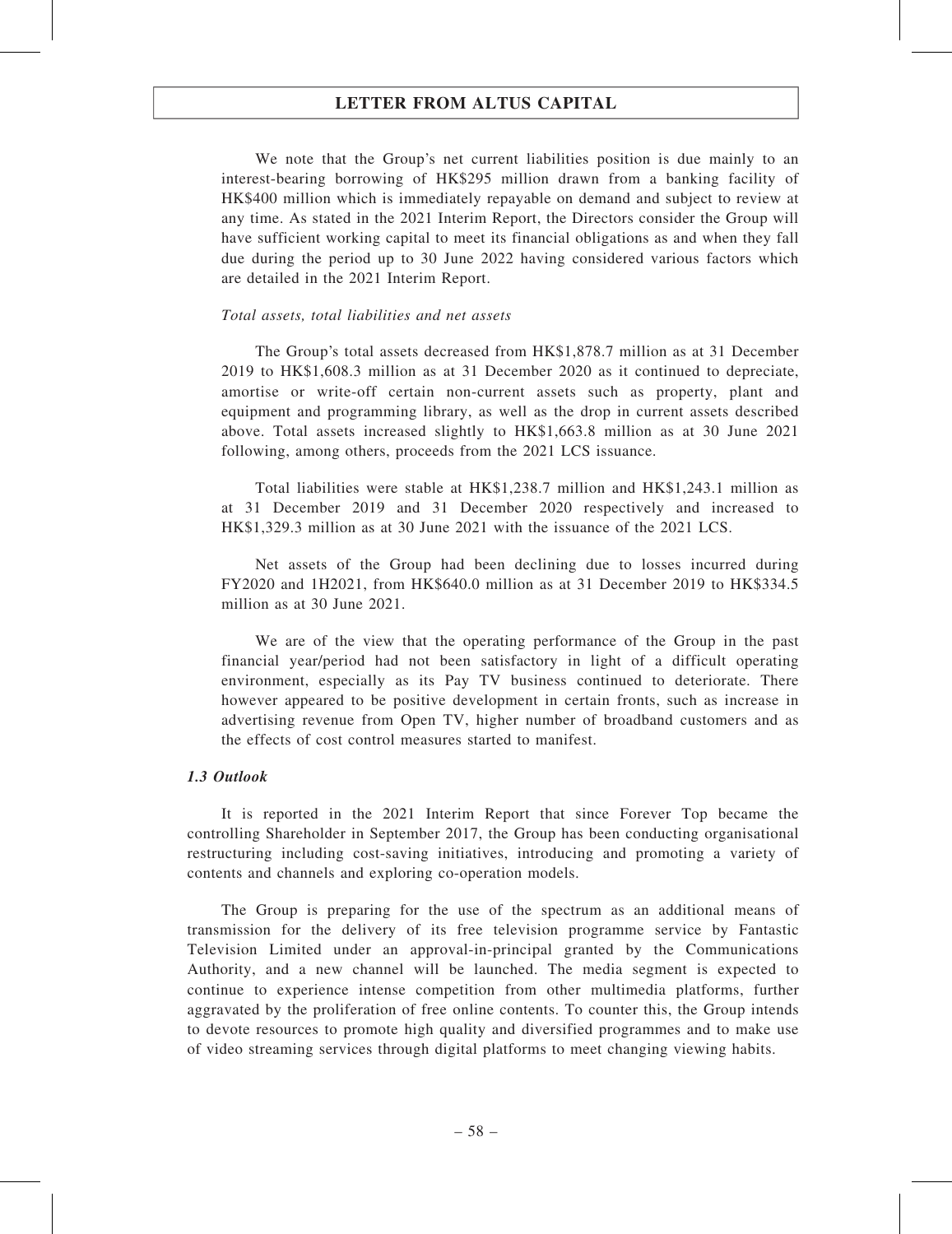We note that the Group's net current liabilities position is due mainly to an interest-bearing borrowing of HK\$295 million drawn from a banking facility of HK\$400 million which is immediately repayable on demand and subject to review at any time. As stated in the 2021 Interim Report, the Directors consider the Group will have sufficient working capital to meet its financial obligations as and when they fall due during the period up to 30 June 2022 having considered various factors which are detailed in the 2021 Interim Report.

#### Total assets, total liabilities and net assets

The Group's total assets decreased from HK\$1,878.7 million as at 31 December 2019 to HK\$1,608.3 million as at 31 December 2020 as it continued to depreciate, amortise or write-off certain non-current assets such as property, plant and equipment and programming library, as well as the drop in current assets described above. Total assets increased slightly to HK\$1,663.8 million as at 30 June 2021 following, among others, proceeds from the 2021 LCS issuance.

Total liabilities were stable at HK\$1,238.7 million and HK\$1,243.1 million as at 31 December 2019 and 31 December 2020 respectively and increased to HK\$1,329.3 million as at 30 June 2021 with the issuance of the 2021 LCS.

Net assets of the Group had been declining due to losses incurred during FY2020 and 1H2021, from HK\$640.0 million as at 31 December 2019 to HK\$334.5 million as at 30 June 2021.

We are of the view that the operating performance of the Group in the past financial year/period had not been satisfactory in light of a difficult operating environment, especially as its Pay TV business continued to deteriorate. There however appeared to be positive development in certain fronts, such as increase in advertising revenue from Open TV, higher number of broadband customers and as the effects of cost control measures started to manifest.

### 1.3 Outlook

It is reported in the 2021 Interim Report that since Forever Top became the controlling Shareholder in September 2017, the Group has been conducting organisational restructuring including cost-saving initiatives, introducing and promoting a variety of contents and channels and exploring co-operation models.

The Group is preparing for the use of the spectrum as an additional means of transmission for the delivery of its free television programme service by Fantastic Television Limited under an approval-in-principal granted by the Communications Authority, and a new channel will be launched. The media segment is expected to continue to experience intense competition from other multimedia platforms, further aggravated by the proliferation of free online contents. To counter this, the Group intends to devote resources to promote high quality and diversified programmes and to make use of video streaming services through digital platforms to meet changing viewing habits.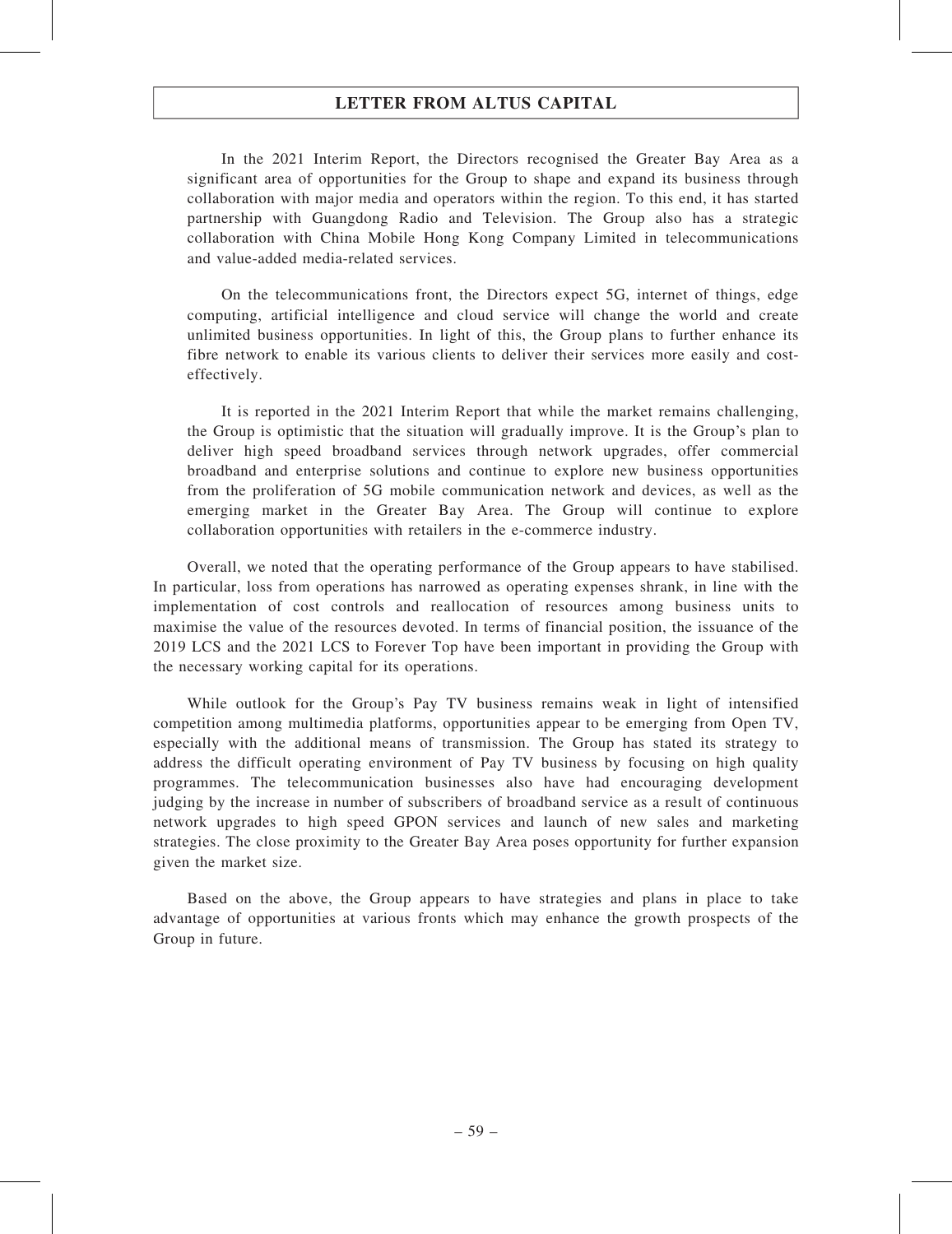In the 2021 Interim Report, the Directors recognised the Greater Bay Area as a significant area of opportunities for the Group to shape and expand its business through collaboration with major media and operators within the region. To this end, it has started partnership with Guangdong Radio and Television. The Group also has a strategic collaboration with China Mobile Hong Kong Company Limited in telecommunications and value-added media-related services.

On the telecommunications front, the Directors expect 5G, internet of things, edge computing, artificial intelligence and cloud service will change the world and create unlimited business opportunities. In light of this, the Group plans to further enhance its fibre network to enable its various clients to deliver their services more easily and costeffectively.

It is reported in the 2021 Interim Report that while the market remains challenging, the Group is optimistic that the situation will gradually improve. It is the Group's plan to deliver high speed broadband services through network upgrades, offer commercial broadband and enterprise solutions and continue to explore new business opportunities from the proliferation of 5G mobile communication network and devices, as well as the emerging market in the Greater Bay Area. The Group will continue to explore collaboration opportunities with retailers in the e-commerce industry.

Overall, we noted that the operating performance of the Group appears to have stabilised. In particular, loss from operations has narrowed as operating expenses shrank, in line with the implementation of cost controls and reallocation of resources among business units to maximise the value of the resources devoted. In terms of financial position, the issuance of the 2019 LCS and the 2021 LCS to Forever Top have been important in providing the Group with the necessary working capital for its operations.

While outlook for the Group's Pay TV business remains weak in light of intensified competition among multimedia platforms, opportunities appear to be emerging from Open TV, especially with the additional means of transmission. The Group has stated its strategy to address the difficult operating environment of Pay TV business by focusing on high quality programmes. The telecommunication businesses also have had encouraging development judging by the increase in number of subscribers of broadband service as a result of continuous network upgrades to high speed GPON services and launch of new sales and marketing strategies. The close proximity to the Greater Bay Area poses opportunity for further expansion given the market size.

Based on the above, the Group appears to have strategies and plans in place to take advantage of opportunities at various fronts which may enhance the growth prospects of the Group in future.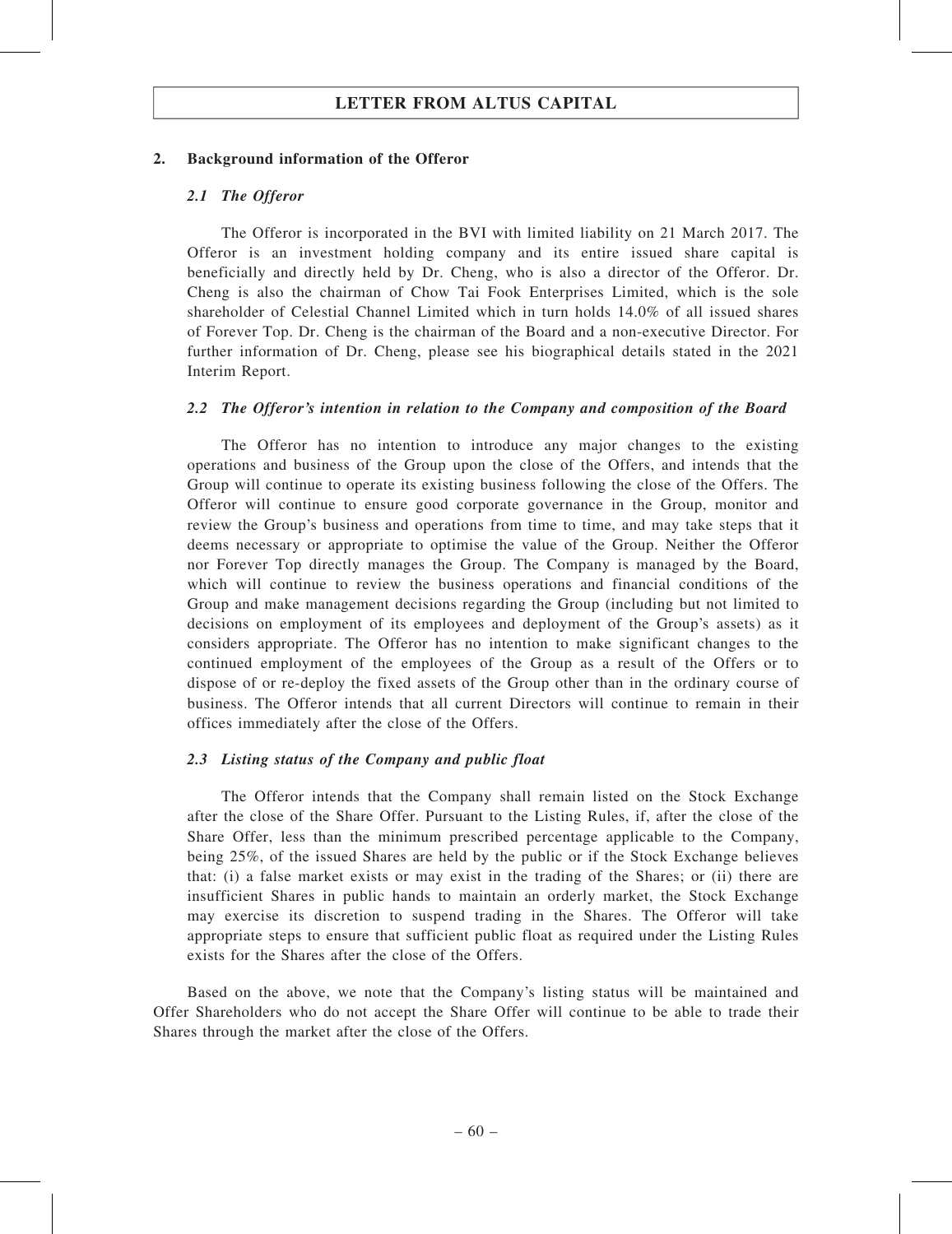### 2. Background information of the Offeror

### 2.1 The Offeror

The Offeror is incorporated in the BVI with limited liability on 21 March 2017. The Offeror is an investment holding company and its entire issued share capital is beneficially and directly held by Dr. Cheng, who is also a director of the Offeror. Dr. Cheng is also the chairman of Chow Tai Fook Enterprises Limited, which is the sole shareholder of Celestial Channel Limited which in turn holds 14.0% of all issued shares of Forever Top. Dr. Cheng is the chairman of the Board and a non-executive Director. For further information of Dr. Cheng, please see his biographical details stated in the 2021 Interim Report.

### 2.2 The Offeror's intention in relation to the Company and composition of the Board

The Offeror has no intention to introduce any major changes to the existing operations and business of the Group upon the close of the Offers, and intends that the Group will continue to operate its existing business following the close of the Offers. The Offeror will continue to ensure good corporate governance in the Group, monitor and review the Group's business and operations from time to time, and may take steps that it deems necessary or appropriate to optimise the value of the Group. Neither the Offeror nor Forever Top directly manages the Group. The Company is managed by the Board, which will continue to review the business operations and financial conditions of the Group and make management decisions regarding the Group (including but not limited to decisions on employment of its employees and deployment of the Group's assets) as it considers appropriate. The Offeror has no intention to make significant changes to the continued employment of the employees of the Group as a result of the Offers or to dispose of or re-deploy the fixed assets of the Group other than in the ordinary course of business. The Offeror intends that all current Directors will continue to remain in their offices immediately after the close of the Offers.

### 2.3 Listing status of the Company and public float

The Offeror intends that the Company shall remain listed on the Stock Exchange after the close of the Share Offer. Pursuant to the Listing Rules, if, after the close of the Share Offer, less than the minimum prescribed percentage applicable to the Company, being 25%, of the issued Shares are held by the public or if the Stock Exchange believes that: (i) a false market exists or may exist in the trading of the Shares; or (ii) there are insufficient Shares in public hands to maintain an orderly market, the Stock Exchange may exercise its discretion to suspend trading in the Shares. The Offeror will take appropriate steps to ensure that sufficient public float as required under the Listing Rules exists for the Shares after the close of the Offers.

Based on the above, we note that the Company's listing status will be maintained and Offer Shareholders who do not accept the Share Offer will continue to be able to trade their Shares through the market after the close of the Offers.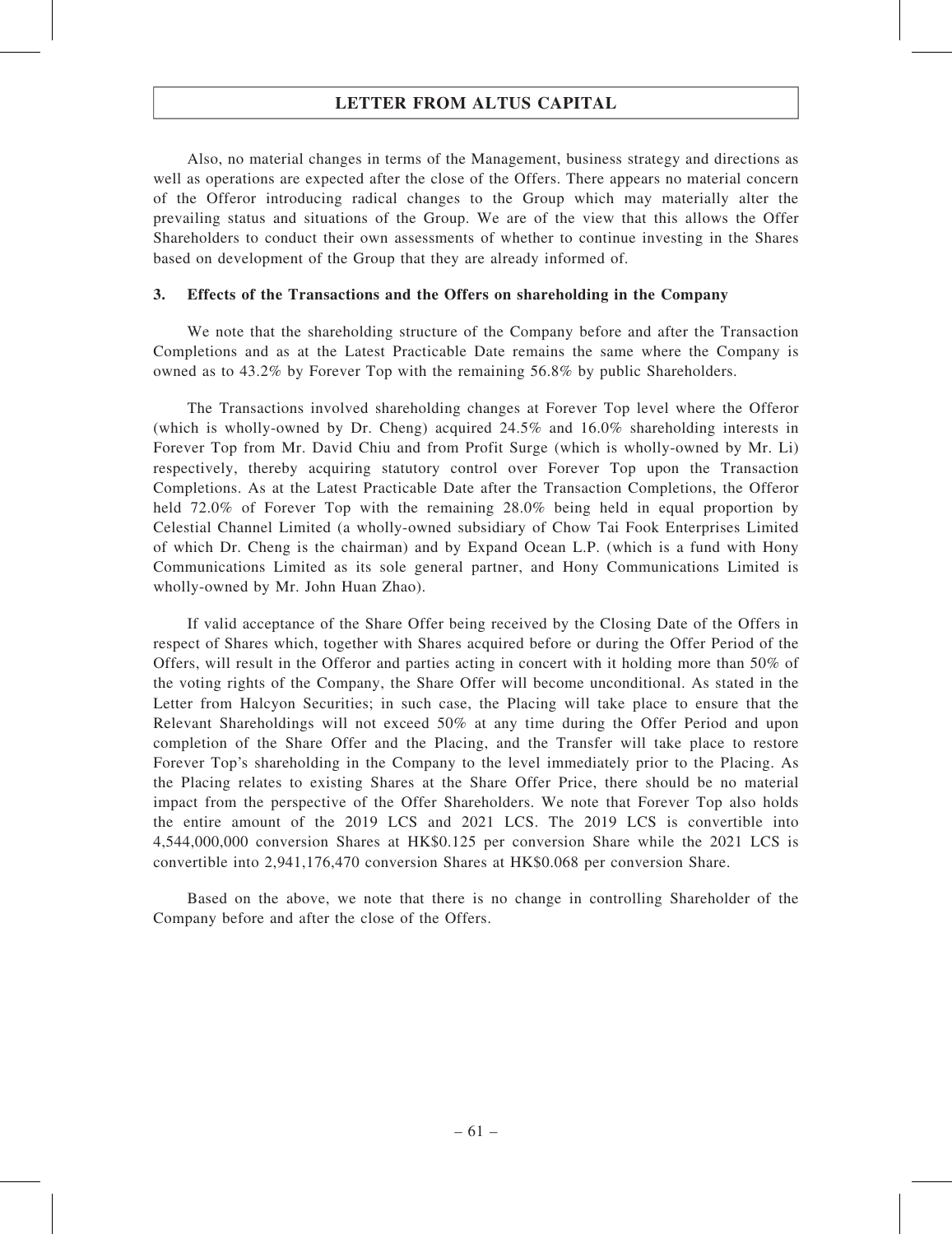Also, no material changes in terms of the Management, business strategy and directions as well as operations are expected after the close of the Offers. There appears no material concern of the Offeror introducing radical changes to the Group which may materially alter the prevailing status and situations of the Group. We are of the view that this allows the Offer Shareholders to conduct their own assessments of whether to continue investing in the Shares based on development of the Group that they are already informed of.

### 3. Effects of the Transactions and the Offers on shareholding in the Company

We note that the shareholding structure of the Company before and after the Transaction Completions and as at the Latest Practicable Date remains the same where the Company is owned as to 43.2% by Forever Top with the remaining 56.8% by public Shareholders.

The Transactions involved shareholding changes at Forever Top level where the Offeror (which is wholly-owned by Dr. Cheng) acquired 24.5% and 16.0% shareholding interests in Forever Top from Mr. David Chiu and from Profit Surge (which is wholly-owned by Mr. Li) respectively, thereby acquiring statutory control over Forever Top upon the Transaction Completions. As at the Latest Practicable Date after the Transaction Completions, the Offeror held 72.0% of Forever Top with the remaining 28.0% being held in equal proportion by Celestial Channel Limited (a wholly-owned subsidiary of Chow Tai Fook Enterprises Limited of which Dr. Cheng is the chairman) and by Expand Ocean L.P. (which is a fund with Hony Communications Limited as its sole general partner, and Hony Communications Limited is wholly-owned by Mr. John Huan Zhao).

If valid acceptance of the Share Offer being received by the Closing Date of the Offers in respect of Shares which, together with Shares acquired before or during the Offer Period of the Offers, will result in the Offeror and parties acting in concert with it holding more than 50% of the voting rights of the Company, the Share Offer will become unconditional. As stated in the Letter from Halcyon Securities; in such case, the Placing will take place to ensure that the Relevant Shareholdings will not exceed 50% at any time during the Offer Period and upon completion of the Share Offer and the Placing, and the Transfer will take place to restore Forever Top's shareholding in the Company to the level immediately prior to the Placing. As the Placing relates to existing Shares at the Share Offer Price, there should be no material impact from the perspective of the Offer Shareholders. We note that Forever Top also holds the entire amount of the 2019 LCS and 2021 LCS. The 2019 LCS is convertible into 4,544,000,000 conversion Shares at HK\$0.125 per conversion Share while the 2021 LCS is convertible into 2,941,176,470 conversion Shares at HK\$0.068 per conversion Share.

Based on the above, we note that there is no change in controlling Shareholder of the Company before and after the close of the Offers.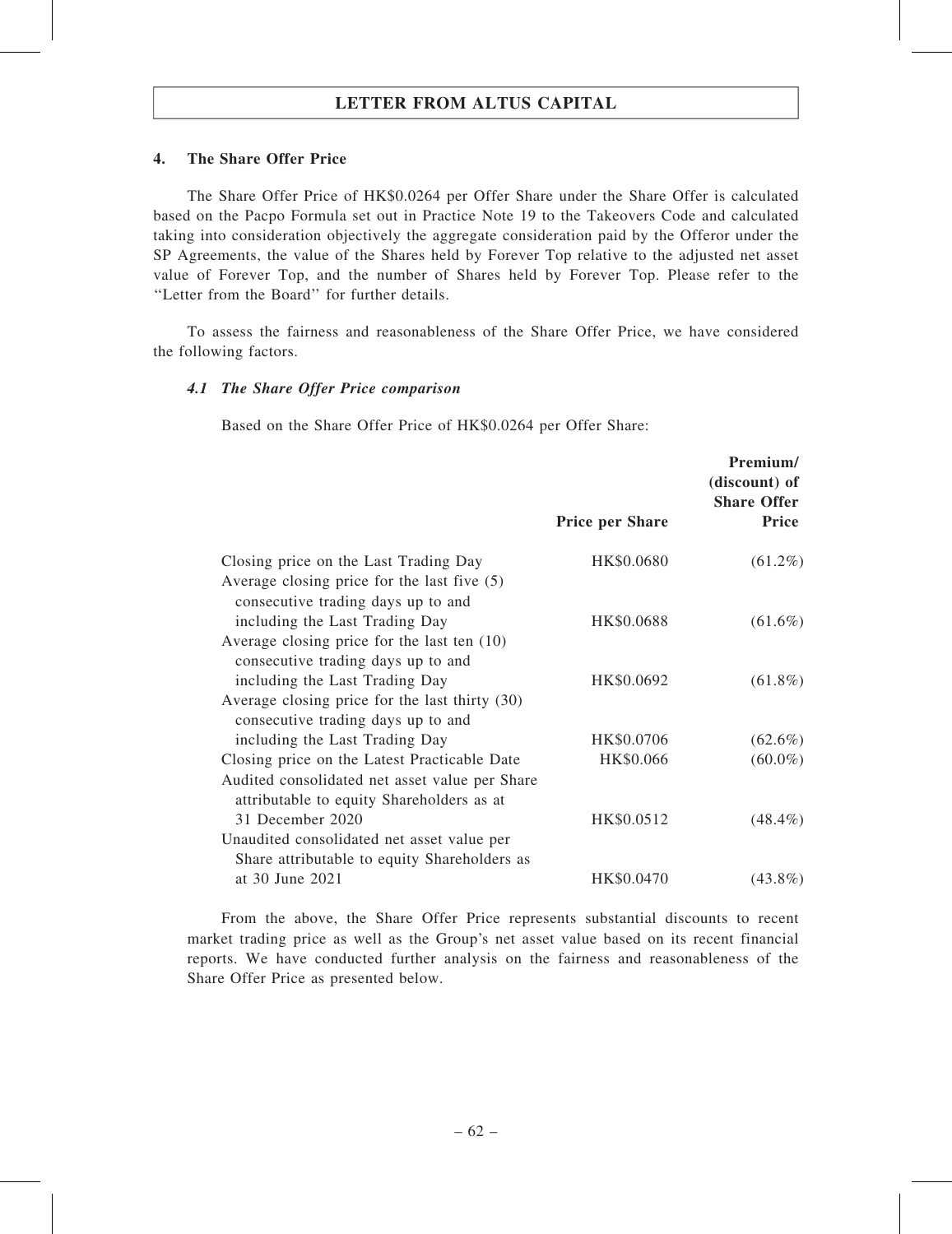### 4. The Share Offer Price

The Share Offer Price of HK\$0.0264 per Offer Share under the Share Offer is calculated based on the Pacpo Formula set out in Practice Note 19 to the Takeovers Code and calculated taking into consideration objectively the aggregate consideration paid by the Offeror under the SP Agreements, the value of the Shares held by Forever Top relative to the adjusted net asset value of Forever Top, and the number of Shares held by Forever Top. Please refer to the ''Letter from the Board'' for further details.

To assess the fairness and reasonableness of the Share Offer Price, we have considered the following factors.

### 4.1 The Share Offer Price comparison

Based on the Share Offer Price of HK\$0.0264 per Offer Share:

|                                                                                                                              |                        | Premium/<br>(discount) of<br><b>Share Offer</b> |
|------------------------------------------------------------------------------------------------------------------------------|------------------------|-------------------------------------------------|
|                                                                                                                              | <b>Price per Share</b> | <b>Price</b>                                    |
| Closing price on the Last Trading Day<br>Average closing price for the last five $(5)$<br>consecutive trading days up to and | HK\$0.0680             | $(61.2\%)$                                      |
| including the Last Trading Day                                                                                               | HK\$0.0688             | $(61.6\%)$                                      |
| Average closing price for the last ten $(10)$<br>consecutive trading days up to and                                          |                        |                                                 |
| including the Last Trading Day<br>Average closing price for the last thirty (30)<br>consecutive trading days up to and       | HK\$0.0692             | $(61.8\%)$                                      |
| including the Last Trading Day                                                                                               | HK\$0.0706             | $(62.6\%)$                                      |
| Closing price on the Latest Practicable Date                                                                                 | HK\$0.066              | $(60.0\%)$                                      |
| Audited consolidated net asset value per Share<br>attributable to equity Shareholders as at                                  |                        |                                                 |
| 31 December 2020                                                                                                             | HK\$0.0512             | $(48.4\%)$                                      |
| Unaudited consolidated net asset value per<br>Share attributable to equity Shareholders as                                   |                        |                                                 |
| at 30 June 2021                                                                                                              | HK\$0.0470             | $(43.8\%)$                                      |

From the above, the Share Offer Price represents substantial discounts to recent market trading price as well as the Group's net asset value based on its recent financial reports. We have conducted further analysis on the fairness and reasonableness of the Share Offer Price as presented below.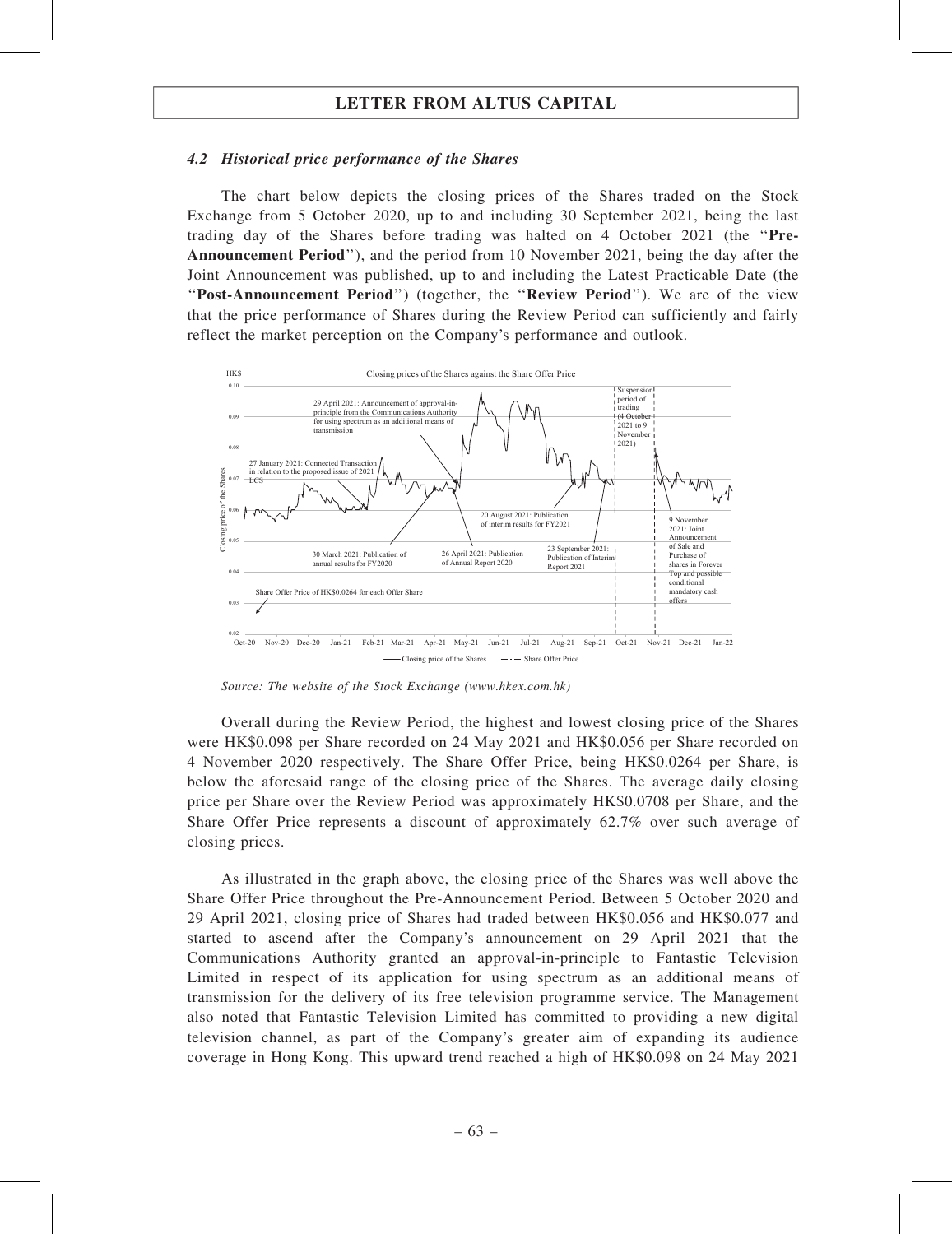#### 4.2 Historical price performance of the Shares

The chart below depicts the closing prices of the Shares traded on the Stock Exchange from 5 October 2020, up to and including 30 September 2021, being the last trading day of the Shares before trading was halted on 4 October 2021 (the ''Pre-Announcement Period''), and the period from 10 November 2021, being the day after the Joint Announcement was published, up to and including the Latest Practicable Date (the ''Post-Announcement Period'') (together, the ''Review Period''). We are of the view that the price performance of Shares during the Review Period can sufficiently and fairly reflect the market perception on the Company's performance and outlook.



Source: The website of the Stock Exchange (www.hkex.com.hk)

Overall during the Review Period, the highest and lowest closing price of the Shares were HK\$0.098 per Share recorded on 24 May 2021 and HK\$0.056 per Share recorded on 4 November 2020 respectively. The Share Offer Price, being HK\$0.0264 per Share, is below the aforesaid range of the closing price of the Shares. The average daily closing price per Share over the Review Period was approximately HK\$0.0708 per Share, and the Share Offer Price represents a discount of approximately 62.7% over such average of closing prices.

As illustrated in the graph above, the closing price of the Shares was well above the Share Offer Price throughout the Pre-Announcement Period. Between 5 October 2020 and 29 April 2021, closing price of Shares had traded between HK\$0.056 and HK\$0.077 and started to ascend after the Company's announcement on 29 April 2021 that the Communications Authority granted an approval-in-principle to Fantastic Television Limited in respect of its application for using spectrum as an additional means of transmission for the delivery of its free television programme service. The Management also noted that Fantastic Television Limited has committed to providing a new digital television channel, as part of the Company's greater aim of expanding its audience coverage in Hong Kong. This upward trend reached a high of HK\$0.098 on 24 May 2021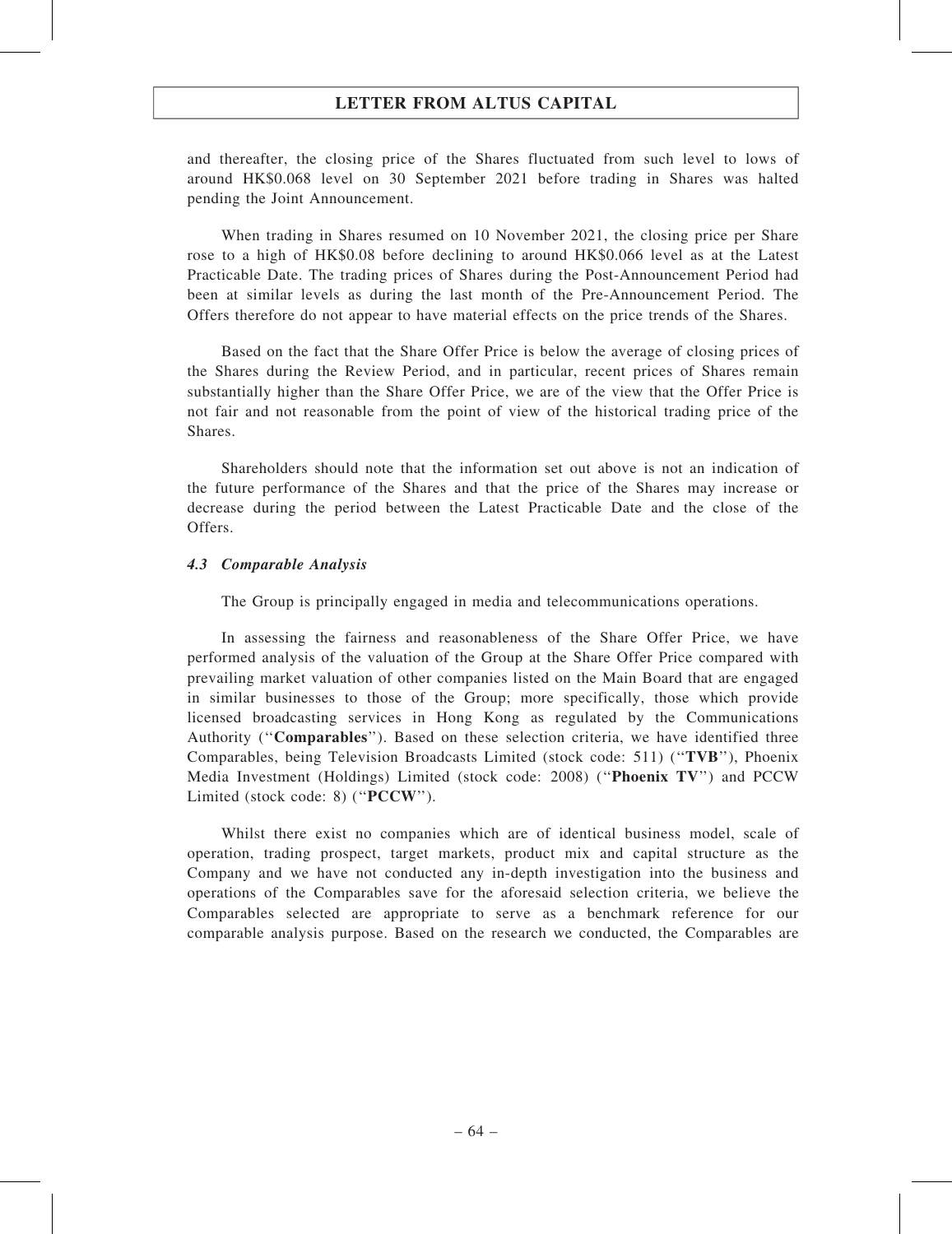and thereafter, the closing price of the Shares fluctuated from such level to lows of around HK\$0.068 level on 30 September 2021 before trading in Shares was halted pending the Joint Announcement.

When trading in Shares resumed on 10 November 2021, the closing price per Share rose to a high of HK\$0.08 before declining to around HK\$0.066 level as at the Latest Practicable Date. The trading prices of Shares during the Post-Announcement Period had been at similar levels as during the last month of the Pre-Announcement Period. The Offers therefore do not appear to have material effects on the price trends of the Shares.

Based on the fact that the Share Offer Price is below the average of closing prices of the Shares during the Review Period, and in particular, recent prices of Shares remain substantially higher than the Share Offer Price, we are of the view that the Offer Price is not fair and not reasonable from the point of view of the historical trading price of the Shares.

Shareholders should note that the information set out above is not an indication of the future performance of the Shares and that the price of the Shares may increase or decrease during the period between the Latest Practicable Date and the close of the Offers.

### 4.3 Comparable Analysis

The Group is principally engaged in media and telecommunications operations.

In assessing the fairness and reasonableness of the Share Offer Price, we have performed analysis of the valuation of the Group at the Share Offer Price compared with prevailing market valuation of other companies listed on the Main Board that are engaged in similar businesses to those of the Group; more specifically, those which provide licensed broadcasting services in Hong Kong as regulated by the Communications Authority ("**Comparables**"). Based on these selection criteria, we have identified three Comparables, being Television Broadcasts Limited (stock code: 511) (''TVB''), Phoenix Media Investment (Holdings) Limited (stock code: 2008) (''Phoenix TV'') and PCCW Limited (stock code: 8) ("PCCW").

Whilst there exist no companies which are of identical business model, scale of operation, trading prospect, target markets, product mix and capital structure as the Company and we have not conducted any in-depth investigation into the business and operations of the Comparables save for the aforesaid selection criteria, we believe the Comparables selected are appropriate to serve as a benchmark reference for our comparable analysis purpose. Based on the research we conducted, the Comparables are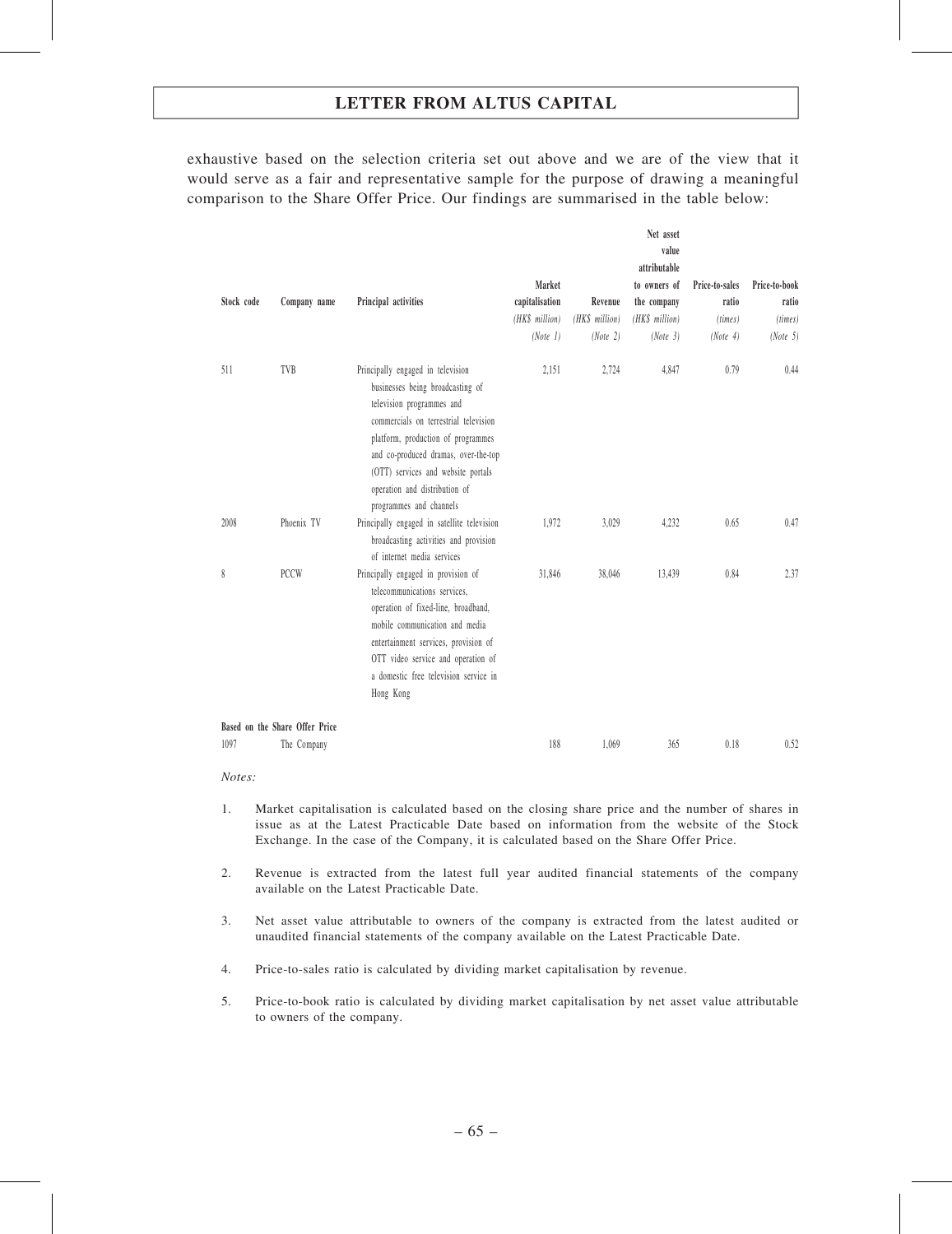exhaustive based on the selection criteria set out above and we are of the view that it would serve as a fair and representative sample for the purpose of drawing a meaningful comparison to the Share Offer Price. Our findings are summarised in the table below:

| Stock code | Company name                   | Principal activities                                                                                                                                                                                                                                                                                                        | Market<br>capitalisation<br>(HK\$ million)<br>(Note 1) | Revenue<br>(HK\$ million)<br>(Note 2) | Net asset<br>value<br>attributable<br>to owners of<br>the company<br>(HK\$ million)<br>(Note 3) | Price-to-sales<br>ratio<br>(times)<br>(Note 4) | Price-to-book<br>ratio<br>(times)<br>(Note 5) |
|------------|--------------------------------|-----------------------------------------------------------------------------------------------------------------------------------------------------------------------------------------------------------------------------------------------------------------------------------------------------------------------------|--------------------------------------------------------|---------------------------------------|-------------------------------------------------------------------------------------------------|------------------------------------------------|-----------------------------------------------|
| 511        | TVB                            | Principally engaged in television<br>businesses being broadcasting of<br>television programmes and<br>commercials on terrestrial television<br>platform, production of programmes<br>and co-produced dramas, over-the-top<br>(OTT) services and website portals<br>operation and distribution of<br>programmes and channels | 2,151                                                  | 2,724                                 | 4,847                                                                                           | 0.79                                           | 0.44                                          |
| 2008       | Phoenix TV                     | Principally engaged in satellite television<br>broadcasting activities and provision<br>of internet media services                                                                                                                                                                                                          | 1,972                                                  | 3,029                                 | 4,232                                                                                           | 0.65                                           | 0.47                                          |
| 8          | <b>PCCW</b>                    | Principally engaged in provision of<br>telecommunications services,<br>operation of fixed-line, broadband,<br>mobile communication and media<br>entertainment services, provision of<br>OTT video service and operation of<br>a domestic free television service in<br>Hong Kong                                            | 31,846                                                 | 38,046                                | 13,439                                                                                          | 0.84                                           | 2.37                                          |
|            | Based on the Share Offer Price |                                                                                                                                                                                                                                                                                                                             |                                                        |                                       |                                                                                                 |                                                |                                               |
| 1097       | The Company                    |                                                                                                                                                                                                                                                                                                                             | 188                                                    | 1,069                                 | 365                                                                                             | 0.18                                           | 0.52                                          |

Notes:

- 1. Market capitalisation is calculated based on the closing share price and the number of shares in issue as at the Latest Practicable Date based on information from the website of the Stock Exchange. In the case of the Company, it is calculated based on the Share Offer Price.
- 2. Revenue is extracted from the latest full year audited financial statements of the company available on the Latest Practicable Date.
- 3. Net asset value attributable to owners of the company is extracted from the latest audited or unaudited financial statements of the company available on the Latest Practicable Date.
- 4. Price-to-sales ratio is calculated by dividing market capitalisation by revenue.
- 5. Price-to-book ratio is calculated by dividing market capitalisation by net asset value attributable to owners of the company.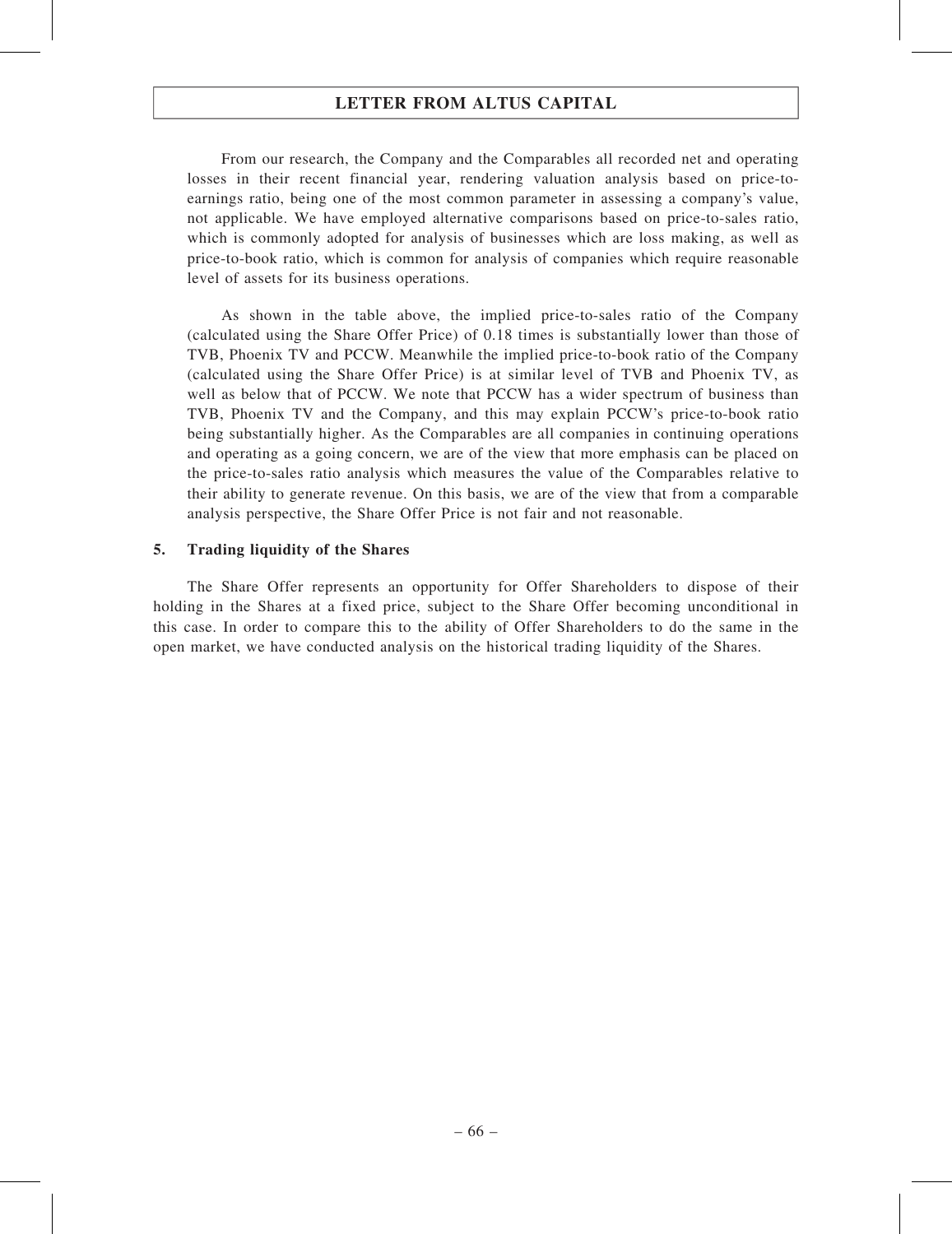From our research, the Company and the Comparables all recorded net and operating losses in their recent financial year, rendering valuation analysis based on price-toearnings ratio, being one of the most common parameter in assessing a company's value, not applicable. We have employed alternative comparisons based on price-to-sales ratio, which is commonly adopted for analysis of businesses which are loss making, as well as price-to-book ratio, which is common for analysis of companies which require reasonable level of assets for its business operations.

As shown in the table above, the implied price-to-sales ratio of the Company (calculated using the Share Offer Price) of 0.18 times is substantially lower than those of TVB, Phoenix TV and PCCW. Meanwhile the implied price-to-book ratio of the Company (calculated using the Share Offer Price) is at similar level of TVB and Phoenix TV, as well as below that of PCCW. We note that PCCW has a wider spectrum of business than TVB, Phoenix TV and the Company, and this may explain PCCW's price-to-book ratio being substantially higher. As the Comparables are all companies in continuing operations and operating as a going concern, we are of the view that more emphasis can be placed on the price-to-sales ratio analysis which measures the value of the Comparables relative to their ability to generate revenue. On this basis, we are of the view that from a comparable analysis perspective, the Share Offer Price is not fair and not reasonable.

### 5. Trading liquidity of the Shares

The Share Offer represents an opportunity for Offer Shareholders to dispose of their holding in the Shares at a fixed price, subject to the Share Offer becoming unconditional in this case. In order to compare this to the ability of Offer Shareholders to do the same in the open market, we have conducted analysis on the historical trading liquidity of the Shares.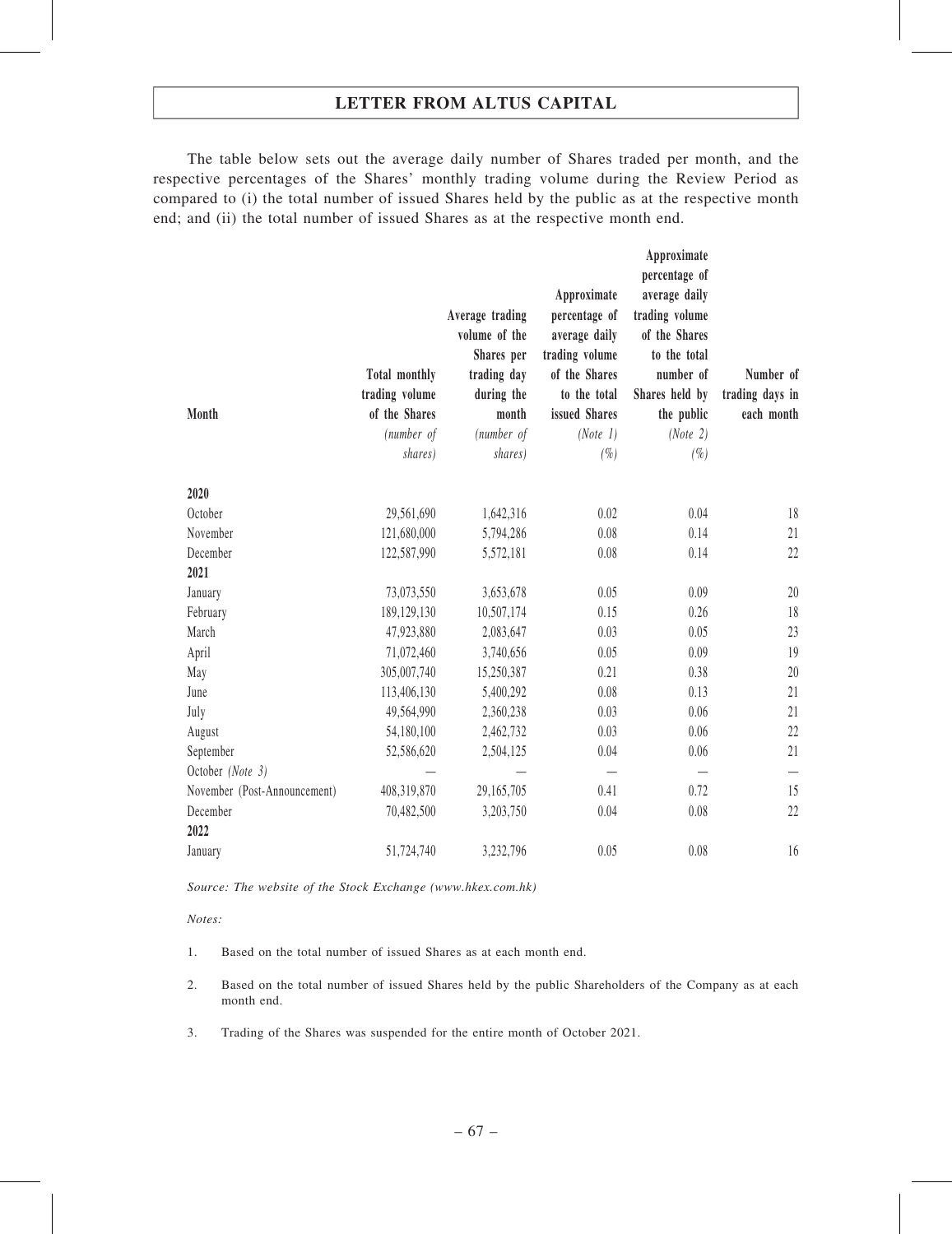The table below sets out the average daily number of Shares traded per month, and the respective percentages of the Shares' monthly trading volume during the Review Period as compared to (i) the total number of issued Shares held by the public as at the respective month end; and (ii) the total number of issued Shares as at the respective month end.

| Month                        | <b>Total monthly</b><br>trading volume<br>of the Shares<br>(number of<br>shares) | Average trading<br>volume of the<br>Shares per<br>trading day<br>during the<br>month<br>(number of<br>shares) | Approximate<br>percentage of<br>average daily<br>trading volume<br>of the Shares<br>to the total<br>issued Shares<br>(Note 1)<br>$(\% )$ | Approximate<br>percentage of<br>average daily<br>trading volume<br>of the Shares<br>to the total<br>number of<br>Shares held by<br>the public<br>(Note 2)<br>$(\% )$ | Number of<br>trading days in<br>each month |
|------------------------------|----------------------------------------------------------------------------------|---------------------------------------------------------------------------------------------------------------|------------------------------------------------------------------------------------------------------------------------------------------|----------------------------------------------------------------------------------------------------------------------------------------------------------------------|--------------------------------------------|
| 2020                         |                                                                                  |                                                                                                               |                                                                                                                                          |                                                                                                                                                                      |                                            |
| October                      | 29,561,690                                                                       | 1,642,316                                                                                                     | 0.02                                                                                                                                     | 0.04                                                                                                                                                                 | 18                                         |
| November                     | 121,680,000                                                                      | 5,794,286                                                                                                     | 0.08                                                                                                                                     | 0.14                                                                                                                                                                 | 21                                         |
| December                     | 122,587,990                                                                      | 5,572,181                                                                                                     | 0.08                                                                                                                                     | 0.14                                                                                                                                                                 | 22                                         |
| 2021                         |                                                                                  |                                                                                                               |                                                                                                                                          |                                                                                                                                                                      |                                            |
| January                      | 73,073,550                                                                       | 3,653,678                                                                                                     | 0.05                                                                                                                                     | 0.09                                                                                                                                                                 | 20                                         |
| February                     | 189,129,130                                                                      | 10,507,174                                                                                                    | 0.15                                                                                                                                     | 0.26                                                                                                                                                                 | 18                                         |
| March                        | 47,923,880                                                                       | 2,083,647                                                                                                     | 0.03                                                                                                                                     | 0.05                                                                                                                                                                 | 23                                         |
| April                        | 71,072,460                                                                       | 3,740,656                                                                                                     | 0.05                                                                                                                                     | 0.09                                                                                                                                                                 | 19                                         |
| May                          | 305,007,740                                                                      | 15,250,387                                                                                                    | 0.21                                                                                                                                     | 0.38                                                                                                                                                                 | 20                                         |
| June                         | 113,406,130                                                                      | 5,400,292                                                                                                     | 0.08                                                                                                                                     | 0.13                                                                                                                                                                 | 21                                         |
| July                         | 49,564,990                                                                       | 2,360,238                                                                                                     | 0.03                                                                                                                                     | 0.06                                                                                                                                                                 | 21                                         |
| August                       | 54,180,100                                                                       | 2,462,732                                                                                                     | 0.03                                                                                                                                     | 0.06                                                                                                                                                                 | 22                                         |
| September                    | 52,586,620                                                                       | 2,504,125                                                                                                     | 0.04                                                                                                                                     | 0.06                                                                                                                                                                 | 21                                         |
| October (Note 3)             |                                                                                  |                                                                                                               |                                                                                                                                          |                                                                                                                                                                      |                                            |
| November (Post-Announcement) | 408,319,870                                                                      | 29,165,705                                                                                                    | 0.41                                                                                                                                     | 0.72                                                                                                                                                                 | 15                                         |
| December<br>2022             | 70,482,500                                                                       | 3,203,750                                                                                                     | 0.04                                                                                                                                     | 0.08                                                                                                                                                                 | 22                                         |
| January                      | 51,724,740                                                                       | 3,232,796                                                                                                     | 0.05                                                                                                                                     | 0.08                                                                                                                                                                 | 16                                         |

Source: The website of the Stock Exchange (www.hkex.com.hk)

Notes:

- 1. Based on the total number of issued Shares as at each month end.
- 2. Based on the total number of issued Shares held by the public Shareholders of the Company as at each month end.
- 3. Trading of the Shares was suspended for the entire month of October 2021.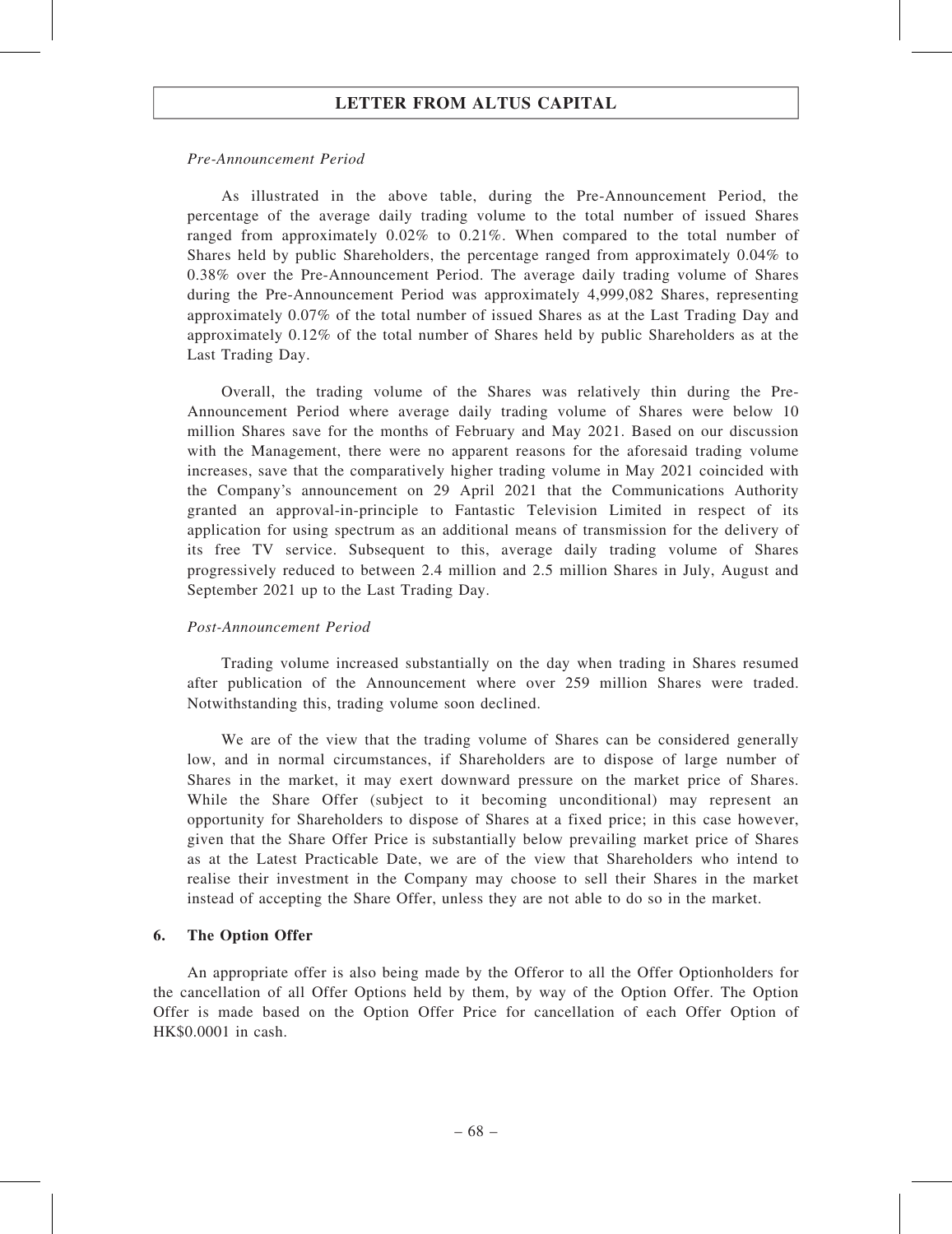#### Pre-Announcement Period

As illustrated in the above table, during the Pre-Announcement Period, the percentage of the average daily trading volume to the total number of issued Shares ranged from approximately 0.02% to 0.21%. When compared to the total number of Shares held by public Shareholders, the percentage ranged from approximately 0.04% to 0.38% over the Pre-Announcement Period. The average daily trading volume of Shares during the Pre-Announcement Period was approximately 4,999,082 Shares, representing approximately 0.07% of the total number of issued Shares as at the Last Trading Day and approximately 0.12% of the total number of Shares held by public Shareholders as at the Last Trading Day.

Overall, the trading volume of the Shares was relatively thin during the Pre-Announcement Period where average daily trading volume of Shares were below 10 million Shares save for the months of February and May 2021. Based on our discussion with the Management, there were no apparent reasons for the aforesaid trading volume increases, save that the comparatively higher trading volume in May 2021 coincided with the Company's announcement on 29 April 2021 that the Communications Authority granted an approval-in-principle to Fantastic Television Limited in respect of its application for using spectrum as an additional means of transmission for the delivery of its free TV service. Subsequent to this, average daily trading volume of Shares progressively reduced to between 2.4 million and 2.5 million Shares in July, August and September 2021 up to the Last Trading Day.

### Post-Announcement Period

Trading volume increased substantially on the day when trading in Shares resumed after publication of the Announcement where over 259 million Shares were traded. Notwithstanding this, trading volume soon declined.

We are of the view that the trading volume of Shares can be considered generally low, and in normal circumstances, if Shareholders are to dispose of large number of Shares in the market, it may exert downward pressure on the market price of Shares. While the Share Offer (subject to it becoming unconditional) may represent an opportunity for Shareholders to dispose of Shares at a fixed price; in this case however, given that the Share Offer Price is substantially below prevailing market price of Shares as at the Latest Practicable Date, we are of the view that Shareholders who intend to realise their investment in the Company may choose to sell their Shares in the market instead of accepting the Share Offer, unless they are not able to do so in the market.

### 6. The Option Offer

An appropriate offer is also being made by the Offeror to all the Offer Optionholders for the cancellation of all Offer Options held by them, by way of the Option Offer. The Option Offer is made based on the Option Offer Price for cancellation of each Offer Option of HK\$0.0001 in cash.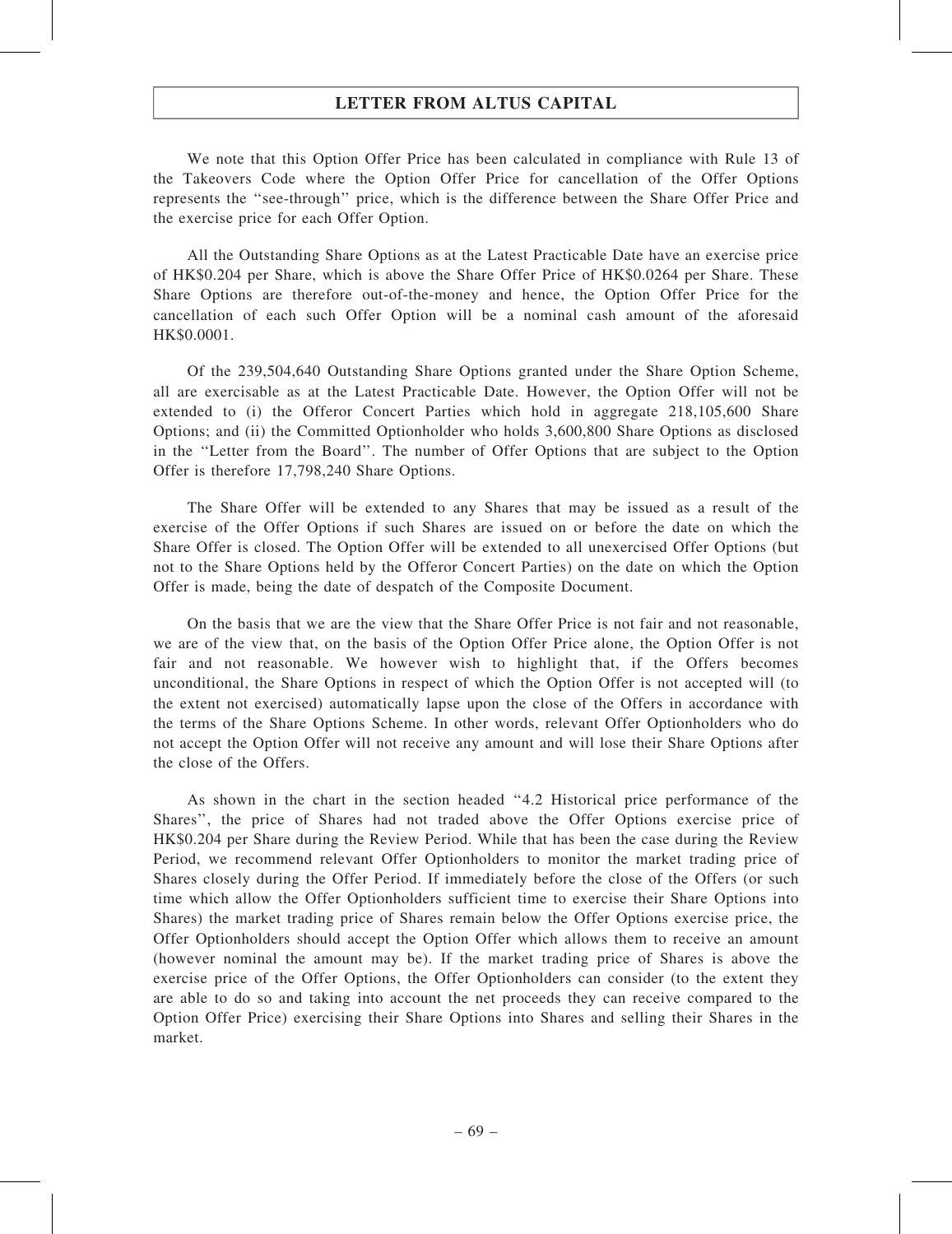We note that this Option Offer Price has been calculated in compliance with Rule 13 of the Takeovers Code where the Option Offer Price for cancellation of the Offer Options represents the ''see-through'' price, which is the difference between the Share Offer Price and the exercise price for each Offer Option.

All the Outstanding Share Options as at the Latest Practicable Date have an exercise price of HK\$0.204 per Share, which is above the Share Offer Price of HK\$0.0264 per Share. These Share Options are therefore out-of-the-money and hence, the Option Offer Price for the cancellation of each such Offer Option will be a nominal cash amount of the aforesaid HK\$0.0001.

Of the 239,504,640 Outstanding Share Options granted under the Share Option Scheme, all are exercisable as at the Latest Practicable Date. However, the Option Offer will not be extended to (i) the Offeror Concert Parties which hold in aggregate 218,105,600 Share Options; and (ii) the Committed Optionholder who holds 3,600,800 Share Options as disclosed in the ''Letter from the Board''. The number of Offer Options that are subject to the Option Offer is therefore 17,798,240 Share Options.

The Share Offer will be extended to any Shares that may be issued as a result of the exercise of the Offer Options if such Shares are issued on or before the date on which the Share Offer is closed. The Option Offer will be extended to all unexercised Offer Options (but not to the Share Options held by the Offeror Concert Parties) on the date on which the Option Offer is made, being the date of despatch of the Composite Document.

On the basis that we are the view that the Share Offer Price is not fair and not reasonable, we are of the view that, on the basis of the Option Offer Price alone, the Option Offer is not fair and not reasonable. We however wish to highlight that, if the Offers becomes unconditional, the Share Options in respect of which the Option Offer is not accepted will (to the extent not exercised) automatically lapse upon the close of the Offers in accordance with the terms of the Share Options Scheme. In other words, relevant Offer Optionholders who do not accept the Option Offer will not receive any amount and will lose their Share Options after the close of the Offers.

As shown in the chart in the section headed ''4.2 Historical price performance of the Shares'', the price of Shares had not traded above the Offer Options exercise price of HK\$0.204 per Share during the Review Period. While that has been the case during the Review Period, we recommend relevant Offer Optionholders to monitor the market trading price of Shares closely during the Offer Period. If immediately before the close of the Offers (or such time which allow the Offer Optionholders sufficient time to exercise their Share Options into Shares) the market trading price of Shares remain below the Offer Options exercise price, the Offer Optionholders should accept the Option Offer which allows them to receive an amount (however nominal the amount may be). If the market trading price of Shares is above the exercise price of the Offer Options, the Offer Optionholders can consider (to the extent they are able to do so and taking into account the net proceeds they can receive compared to the Option Offer Price) exercising their Share Options into Shares and selling their Shares in the market.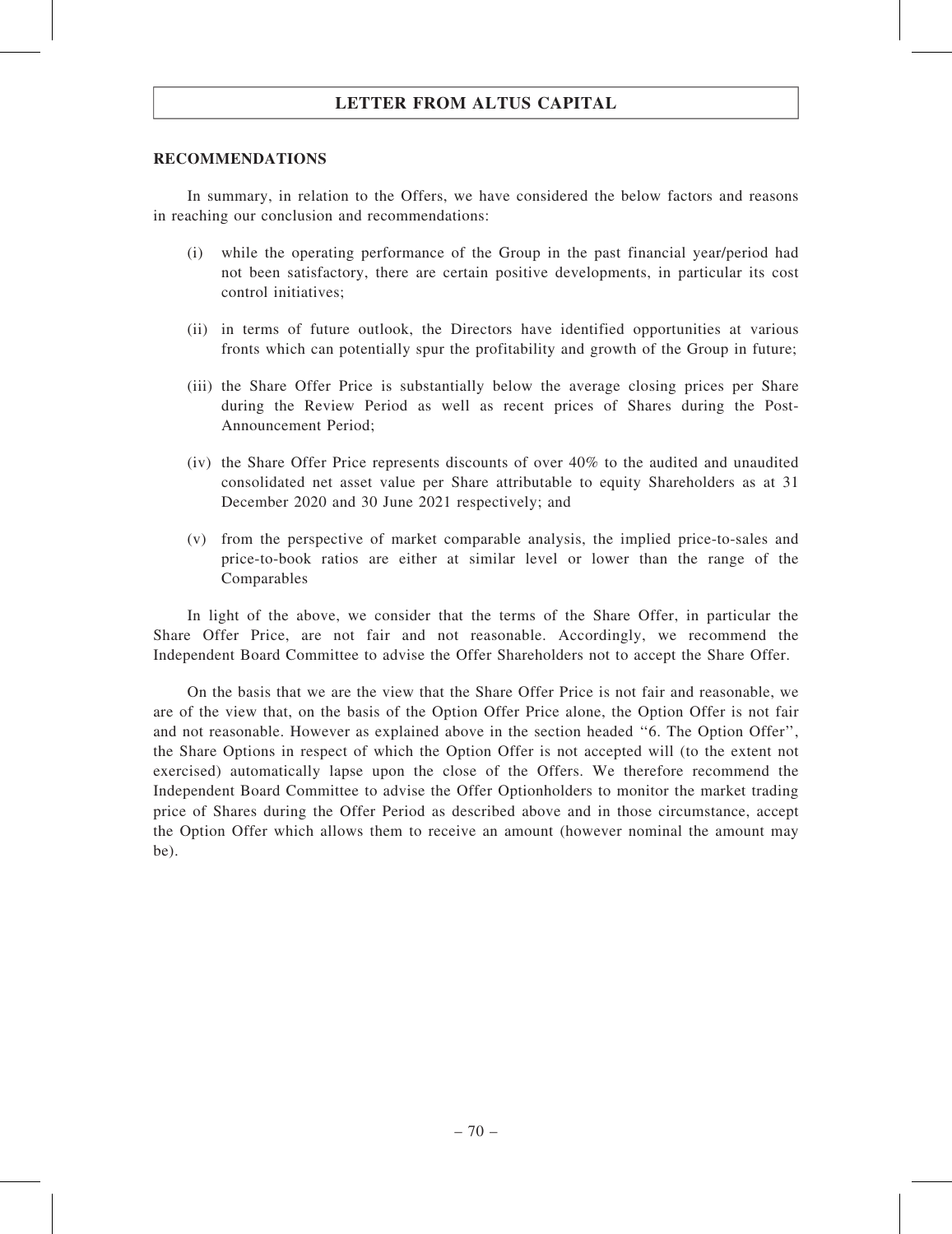### RECOMMENDATIONS

In summary, in relation to the Offers, we have considered the below factors and reasons in reaching our conclusion and recommendations:

- (i) while the operating performance of the Group in the past financial year/period had not been satisfactory, there are certain positive developments, in particular its cost control initiatives;
- (ii) in terms of future outlook, the Directors have identified opportunities at various fronts which can potentially spur the profitability and growth of the Group in future;
- (iii) the Share Offer Price is substantially below the average closing prices per Share during the Review Period as well as recent prices of Shares during the Post-Announcement Period;
- (iv) the Share Offer Price represents discounts of over 40% to the audited and unaudited consolidated net asset value per Share attributable to equity Shareholders as at 31 December 2020 and 30 June 2021 respectively; and
- (v) from the perspective of market comparable analysis, the implied price-to-sales and price-to-book ratios are either at similar level or lower than the range of the Comparables

In light of the above, we consider that the terms of the Share Offer, in particular the Share Offer Price, are not fair and not reasonable. Accordingly, we recommend the Independent Board Committee to advise the Offer Shareholders not to accept the Share Offer.

On the basis that we are the view that the Share Offer Price is not fair and reasonable, we are of the view that, on the basis of the Option Offer Price alone, the Option Offer is not fair and not reasonable. However as explained above in the section headed ''6. The Option Offer'', the Share Options in respect of which the Option Offer is not accepted will (to the extent not exercised) automatically lapse upon the close of the Offers. We therefore recommend the Independent Board Committee to advise the Offer Optionholders to monitor the market trading price of Shares during the Offer Period as described above and in those circumstance, accept the Option Offer which allows them to receive an amount (however nominal the amount may be).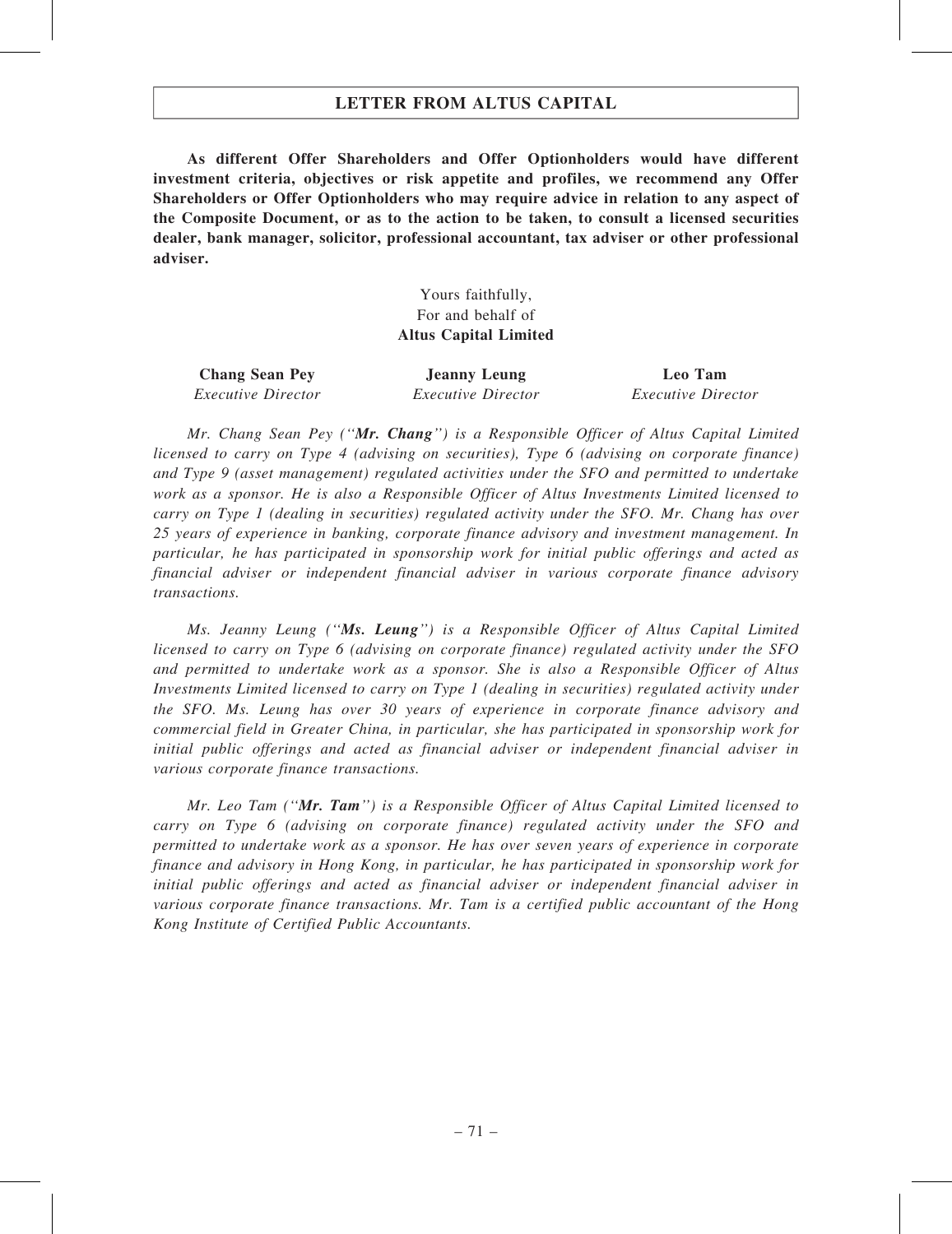# LETTER FROM ALTUS CAPITAL

As different Offer Shareholders and Offer Optionholders would have different investment criteria, objectives or risk appetite and profiles, we recommend any Offer Shareholders or Offer Optionholders who may require advice in relation to any aspect of the Composite Document, or as to the action to be taken, to consult a licensed securities dealer, bank manager, solicitor, professional accountant, tax adviser or other professional adviser.

> Yours faithfully, For and behalf of Altus Capital Limited

| <b>Chang Sean Pey</b>     | <b>Jeanny Leung</b>       | Leo Tam                   |
|---------------------------|---------------------------|---------------------------|
| <i>Executive Director</i> | <i>Executive Director</i> | <i>Executive Director</i> |

Mr. Chang Sean Pey ("Mr. Chang") is a Responsible Officer of Altus Capital Limited licensed to carry on Type 4 (advising on securities), Type 6 (advising on corporate finance) and Type 9 (asset management) regulated activities under the SFO and permitted to undertake work as a sponsor. He is also a Responsible Officer of Altus Investments Limited licensed to carry on Type 1 (dealing in securities) regulated activity under the SFO. Mr. Chang has over 25 years of experience in banking, corporate finance advisory and investment management. In particular, he has participated in sponsorship work for initial public offerings and acted as financial adviser or independent financial adviser in various corporate finance advisory transactions.

Ms. Jeanny Leung (''Ms. Leung'') is a Responsible Officer of Altus Capital Limited licensed to carry on Type 6 (advising on corporate finance) regulated activity under the SFO and permitted to undertake work as a sponsor. She is also a Responsible Officer of Altus Investments Limited licensed to carry on Type 1 (dealing in securities) regulated activity under the SFO. Ms. Leung has over 30 years of experience in corporate finance advisory and commercial field in Greater China, in particular, she has participated in sponsorship work for initial public offerings and acted as financial adviser or independent financial adviser in various corporate finance transactions.

Mr. Leo Tam (" $Mr.$  Tam") is a Responsible Officer of Altus Capital Limited licensed to carry on Type 6 (advising on corporate finance) regulated activity under the SFO and permitted to undertake work as a sponsor. He has over seven years of experience in corporate finance and advisory in Hong Kong, in particular, he has participated in sponsorship work for initial public offerings and acted as financial adviser or independent financial adviser in various corporate finance transactions. Mr. Tam is a certified public accountant of the Hong Kong Institute of Certified Public Accountants.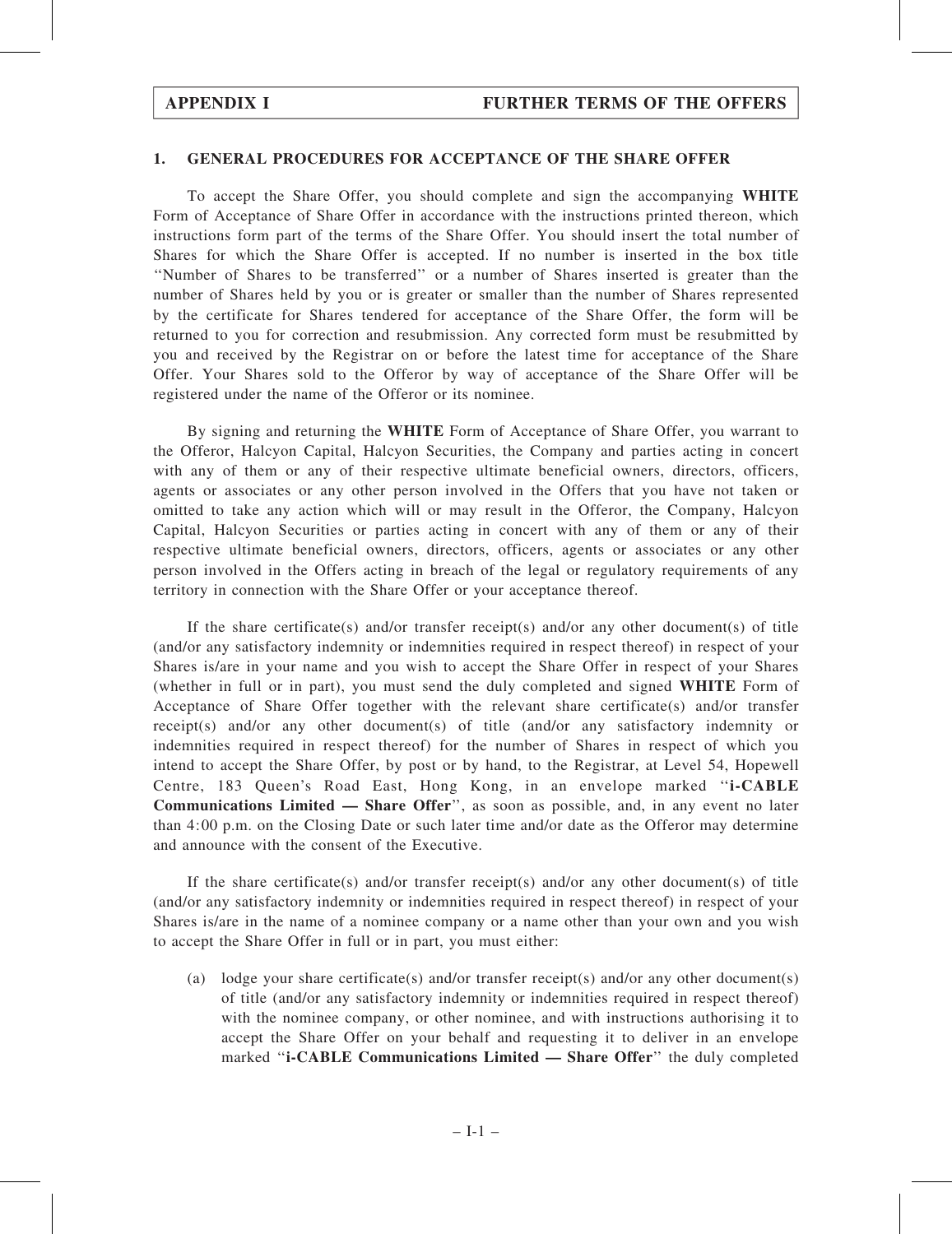### 1. GENERAL PROCEDURES FOR ACCEPTANCE OF THE SHARE OFFER

To accept the Share Offer, you should complete and sign the accompanying WHITE Form of Acceptance of Share Offer in accordance with the instructions printed thereon, which instructions form part of the terms of the Share Offer. You should insert the total number of Shares for which the Share Offer is accepted. If no number is inserted in the box title ''Number of Shares to be transferred'' or a number of Shares inserted is greater than the number of Shares held by you or is greater or smaller than the number of Shares represented by the certificate for Shares tendered for acceptance of the Share Offer, the form will be returned to you for correction and resubmission. Any corrected form must be resubmitted by you and received by the Registrar on or before the latest time for acceptance of the Share Offer. Your Shares sold to the Offeror by way of acceptance of the Share Offer will be registered under the name of the Offeror or its nominee.

By signing and returning the WHITE Form of Acceptance of Share Offer, you warrant to the Offeror, Halcyon Capital, Halcyon Securities, the Company and parties acting in concert with any of them or any of their respective ultimate beneficial owners, directors, officers, agents or associates or any other person involved in the Offers that you have not taken or omitted to take any action which will or may result in the Offeror, the Company, Halcyon Capital, Halcyon Securities or parties acting in concert with any of them or any of their respective ultimate beneficial owners, directors, officers, agents or associates or any other person involved in the Offers acting in breach of the legal or regulatory requirements of any territory in connection with the Share Offer or your acceptance thereof.

If the share certificate(s) and/or transfer receipt(s) and/or any other document(s) of title (and/or any satisfactory indemnity or indemnities required in respect thereof) in respect of your Shares is/are in your name and you wish to accept the Share Offer in respect of your Shares (whether in full or in part), you must send the duly completed and signed WHITE Form of Acceptance of Share Offer together with the relevant share certificate(s) and/or transfer receipt(s) and/or any other document(s) of title (and/or any satisfactory indemnity or indemnities required in respect thereof) for the number of Shares in respect of which you intend to accept the Share Offer, by post or by hand, to the Registrar, at Level 54, Hopewell Centre, 183 Queen's Road East, Hong Kong, in an envelope marked ''i-CABLE Communications Limited — Share Offer'', as soon as possible, and, in any event no later than 4:00 p.m. on the Closing Date or such later time and/or date as the Offeror may determine and announce with the consent of the Executive.

If the share certificate(s) and/or transfer receipt(s) and/or any other document(s) of title (and/or any satisfactory indemnity or indemnities required in respect thereof) in respect of your Shares is/are in the name of a nominee company or a name other than your own and you wish to accept the Share Offer in full or in part, you must either:

(a) lodge your share certificate(s) and/or transfer receipt(s) and/or any other document(s) of title (and/or any satisfactory indemnity or indemnities required in respect thereof) with the nominee company, or other nominee, and with instructions authorising it to accept the Share Offer on your behalf and requesting it to deliver in an envelope marked "i-CABLE Communications Limited — Share Offer" the duly completed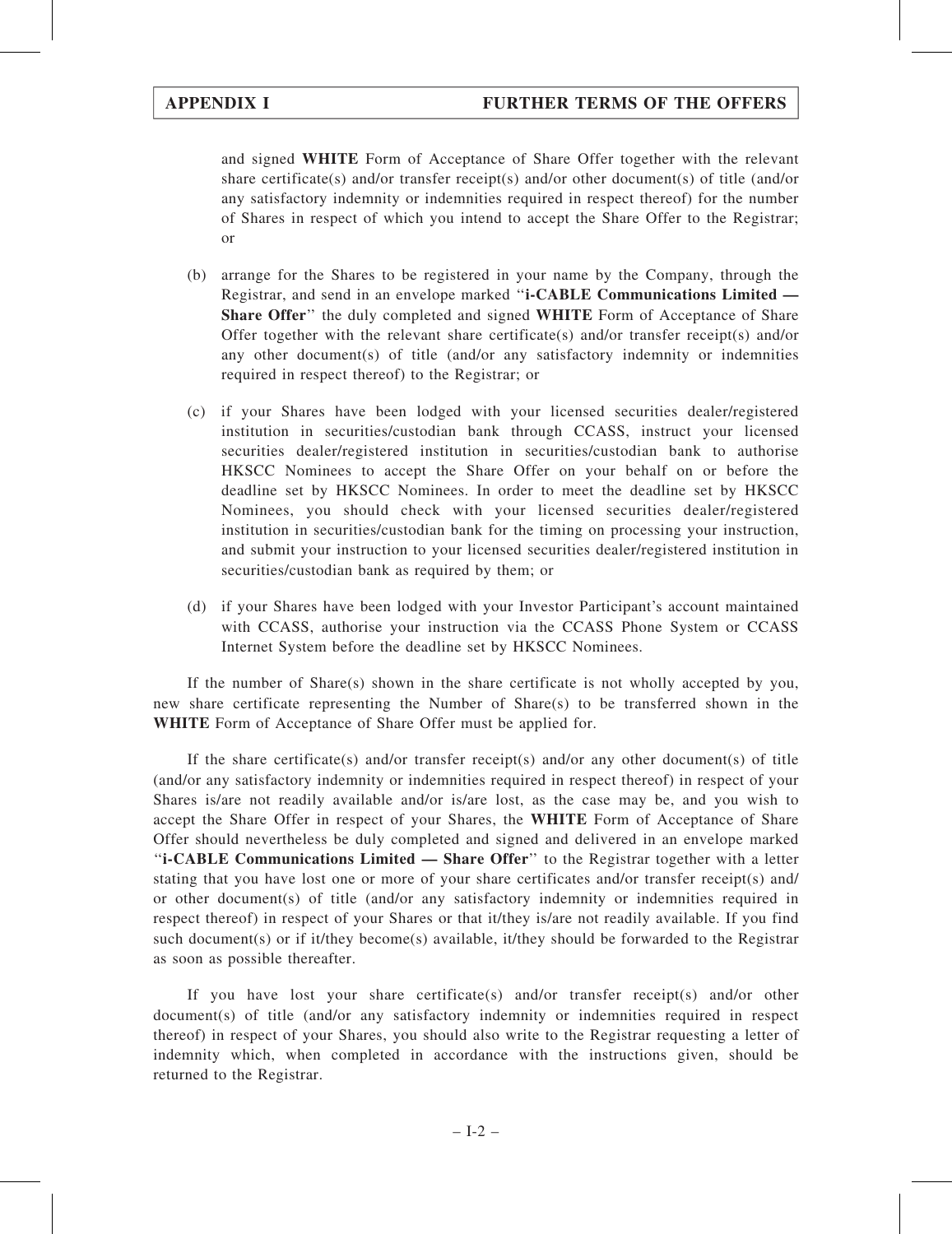and signed WHITE Form of Acceptance of Share Offer together with the relevant share certificate(s) and/or transfer receipt(s) and/or other document(s) of title (and/or any satisfactory indemnity or indemnities required in respect thereof) for the number of Shares in respect of which you intend to accept the Share Offer to the Registrar; or

- (b) arrange for the Shares to be registered in your name by the Company, through the Registrar, and send in an envelope marked ''i-CABLE Communications Limited — Share Offer" the duly completed and signed WHITE Form of Acceptance of Share Offer together with the relevant share certificate(s) and/or transfer receipt(s) and/or any other document(s) of title (and/or any satisfactory indemnity or indemnities required in respect thereof) to the Registrar; or
- (c) if your Shares have been lodged with your licensed securities dealer/registered institution in securities/custodian bank through CCASS, instruct your licensed securities dealer/registered institution in securities/custodian bank to authorise HKSCC Nominees to accept the Share Offer on your behalf on or before the deadline set by HKSCC Nominees. In order to meet the deadline set by HKSCC Nominees, you should check with your licensed securities dealer/registered institution in securities/custodian bank for the timing on processing your instruction, and submit your instruction to your licensed securities dealer/registered institution in securities/custodian bank as required by them; or
- (d) if your Shares have been lodged with your Investor Participant's account maintained with CCASS, authorise your instruction via the CCASS Phone System or CCASS Internet System before the deadline set by HKSCC Nominees.

If the number of  $Share(s)$  shown in the share certificate is not wholly accepted by you, new share certificate representing the Number of Share(s) to be transferred shown in the WHITE Form of Acceptance of Share Offer must be applied for.

If the share certificate(s) and/or transfer receipt(s) and/or any other document(s) of title (and/or any satisfactory indemnity or indemnities required in respect thereof) in respect of your Shares is/are not readily available and/or is/are lost, as the case may be, and you wish to accept the Share Offer in respect of your Shares, the WHITE Form of Acceptance of Share Offer should nevertheless be duly completed and signed and delivered in an envelope marked ''i-CABLE Communications Limited — Share Offer'' to the Registrar together with a letter stating that you have lost one or more of your share certificates and/or transfer receipt(s) and/ or other document(s) of title (and/or any satisfactory indemnity or indemnities required in respect thereof) in respect of your Shares or that it/they is/are not readily available. If you find such document(s) or if it/they become(s) available, it/they should be forwarded to the Registrar as soon as possible thereafter.

If you have lost your share certificate(s) and/or transfer receipt(s) and/or other document(s) of title (and/or any satisfactory indemnity or indemnities required in respect thereof) in respect of your Shares, you should also write to the Registrar requesting a letter of indemnity which, when completed in accordance with the instructions given, should be returned to the Registrar.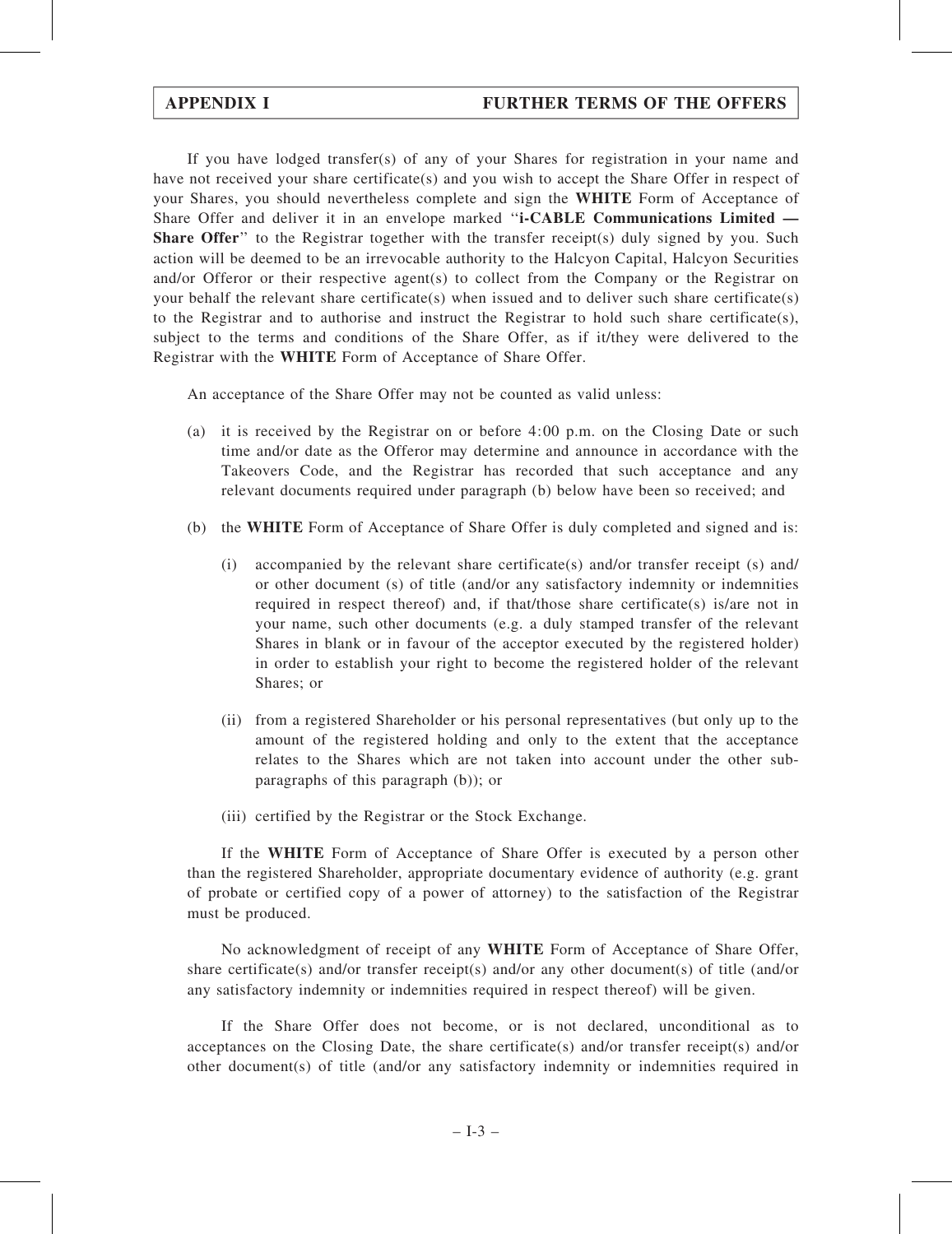If you have lodged transfer(s) of any of your Shares for registration in your name and have not received your share certificate(s) and you wish to accept the Share Offer in respect of your Shares, you should nevertheless complete and sign the WHITE Form of Acceptance of Share Offer and deliver it in an envelope marked "i-CABLE Communications Limited — **Share Offer**'' to the Registrar together with the transfer receipt(s) duly signed by you. Such action will be deemed to be an irrevocable authority to the Halcyon Capital, Halcyon Securities and/or Offeror or their respective agent(s) to collect from the Company or the Registrar on your behalf the relevant share certificate(s) when issued and to deliver such share certificate(s) to the Registrar and to authorise and instruct the Registrar to hold such share certificate(s), subject to the terms and conditions of the Share Offer, as if it/they were delivered to the Registrar with the WHITE Form of Acceptance of Share Offer.

An acceptance of the Share Offer may not be counted as valid unless:

- (a) it is received by the Registrar on or before 4:00 p.m. on the Closing Date or such time and/or date as the Offeror may determine and announce in accordance with the Takeovers Code, and the Registrar has recorded that such acceptance and any relevant documents required under paragraph (b) below have been so received; and
- (b) the WHITE Form of Acceptance of Share Offer is duly completed and signed and is:
	- (i) accompanied by the relevant share certificate(s) and/or transfer receipt (s) and/ or other document (s) of title (and/or any satisfactory indemnity or indemnities required in respect thereof) and, if that/those share certificate(s) is/are not in your name, such other documents (e.g. a duly stamped transfer of the relevant Shares in blank or in favour of the acceptor executed by the registered holder) in order to establish your right to become the registered holder of the relevant Shares; or
	- (ii) from a registered Shareholder or his personal representatives (but only up to the amount of the registered holding and only to the extent that the acceptance relates to the Shares which are not taken into account under the other subparagraphs of this paragraph (b)); or
	- (iii) certified by the Registrar or the Stock Exchange.

If the WHITE Form of Acceptance of Share Offer is executed by a person other than the registered Shareholder, appropriate documentary evidence of authority (e.g. grant of probate or certified copy of a power of attorney) to the satisfaction of the Registrar must be produced.

No acknowledgment of receipt of any WHITE Form of Acceptance of Share Offer, share certificate(s) and/or transfer receipt(s) and/or any other document(s) of title (and/or any satisfactory indemnity or indemnities required in respect thereof) will be given.

If the Share Offer does not become, or is not declared, unconditional as to acceptances on the Closing Date, the share certificate(s) and/or transfer receipt(s) and/or other document(s) of title (and/or any satisfactory indemnity or indemnities required in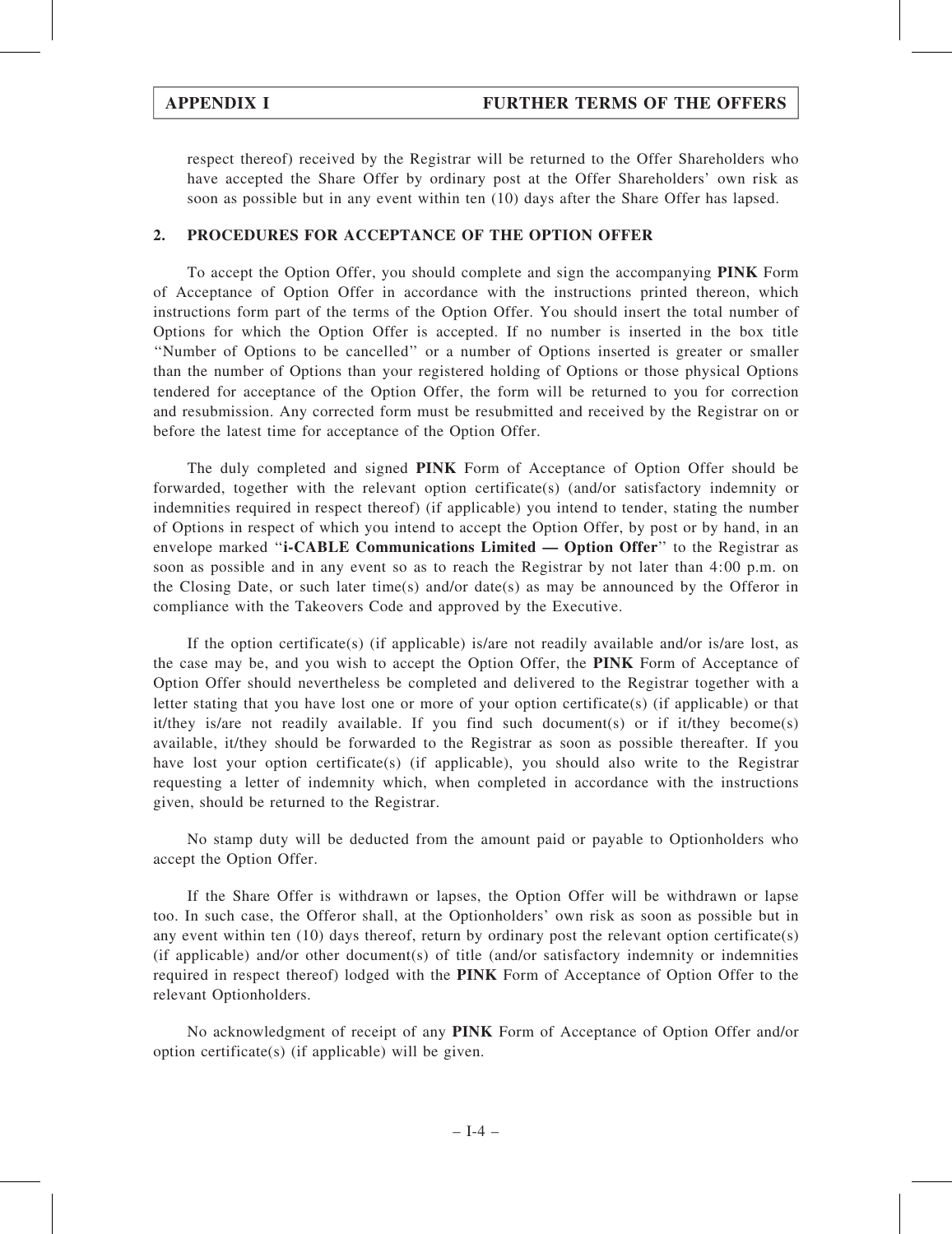respect thereof) received by the Registrar will be returned to the Offer Shareholders who have accepted the Share Offer by ordinary post at the Offer Shareholders' own risk as soon as possible but in any event within ten (10) days after the Share Offer has lapsed.

## 2. PROCEDURES FOR ACCEPTANCE OF THE OPTION OFFER

To accept the Option Offer, you should complete and sign the accompanying PINK Form of Acceptance of Option Offer in accordance with the instructions printed thereon, which instructions form part of the terms of the Option Offer. You should insert the total number of Options for which the Option Offer is accepted. If no number is inserted in the box title ''Number of Options to be cancelled'' or a number of Options inserted is greater or smaller than the number of Options than your registered holding of Options or those physical Options tendered for acceptance of the Option Offer, the form will be returned to you for correction and resubmission. Any corrected form must be resubmitted and received by the Registrar on or before the latest time for acceptance of the Option Offer.

The duly completed and signed PINK Form of Acceptance of Option Offer should be forwarded, together with the relevant option certificate(s) (and/or satisfactory indemnity or indemnities required in respect thereof) (if applicable) you intend to tender, stating the number of Options in respect of which you intend to accept the Option Offer, by post or by hand, in an envelope marked ''i-CABLE Communications Limited — Option Offer'' to the Registrar as soon as possible and in any event so as to reach the Registrar by not later than 4:00 p.m. on the Closing Date, or such later time(s) and/or date(s) as may be announced by the Offeror in compliance with the Takeovers Code and approved by the Executive.

If the option certificate(s) (if applicable) is/are not readily available and/or is/are lost, as the case may be, and you wish to accept the Option Offer, the PINK Form of Acceptance of Option Offer should nevertheless be completed and delivered to the Registrar together with a letter stating that you have lost one or more of your option certificate(s) (if applicable) or that it/they is/are not readily available. If you find such document(s) or if it/they become(s) available, it/they should be forwarded to the Registrar as soon as possible thereafter. If you have lost your option certificate(s) (if applicable), you should also write to the Registrar requesting a letter of indemnity which, when completed in accordance with the instructions given, should be returned to the Registrar.

No stamp duty will be deducted from the amount paid or payable to Optionholders who accept the Option Offer.

If the Share Offer is withdrawn or lapses, the Option Offer will be withdrawn or lapse too. In such case, the Offeror shall, at the Optionholders' own risk as soon as possible but in any event within ten (10) days thereof, return by ordinary post the relevant option certificate(s) (if applicable) and/or other document(s) of title (and/or satisfactory indemnity or indemnities required in respect thereof) lodged with the PINK Form of Acceptance of Option Offer to the relevant Optionholders.

No acknowledgment of receipt of any PINK Form of Acceptance of Option Offer and/or option certificate(s) (if applicable) will be given.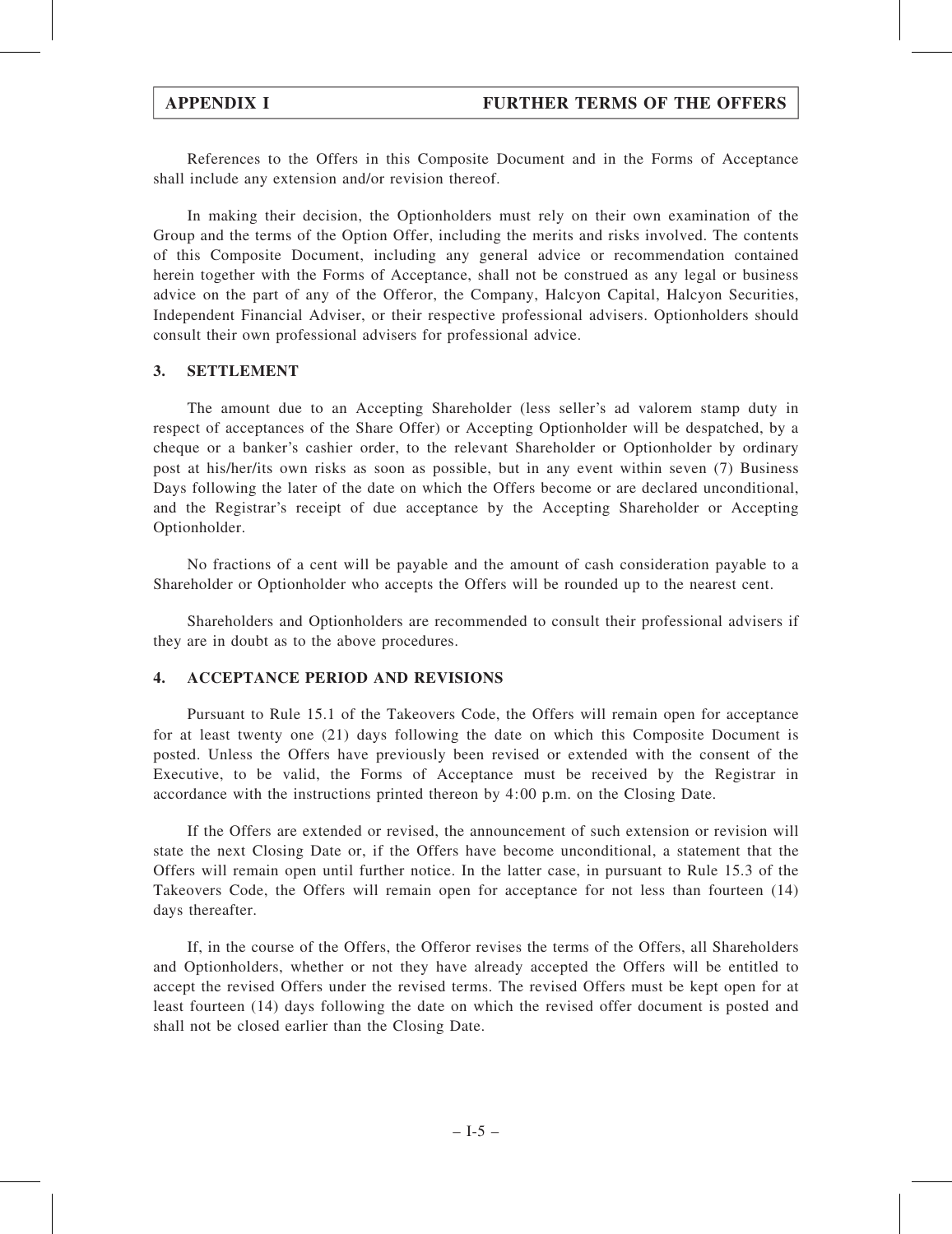References to the Offers in this Composite Document and in the Forms of Acceptance shall include any extension and/or revision thereof.

In making their decision, the Optionholders must rely on their own examination of the Group and the terms of the Option Offer, including the merits and risks involved. The contents of this Composite Document, including any general advice or recommendation contained herein together with the Forms of Acceptance, shall not be construed as any legal or business advice on the part of any of the Offeror, the Company, Halcyon Capital, Halcyon Securities, Independent Financial Adviser, or their respective professional advisers. Optionholders should consult their own professional advisers for professional advice.

## 3. SETTLEMENT

The amount due to an Accepting Shareholder (less seller's ad valorem stamp duty in respect of acceptances of the Share Offer) or Accepting Optionholder will be despatched, by a cheque or a banker's cashier order, to the relevant Shareholder or Optionholder by ordinary post at his/her/its own risks as soon as possible, but in any event within seven (7) Business Days following the later of the date on which the Offers become or are declared unconditional, and the Registrar's receipt of due acceptance by the Accepting Shareholder or Accepting Optionholder.

No fractions of a cent will be payable and the amount of cash consideration payable to a Shareholder or Optionholder who accepts the Offers will be rounded up to the nearest cent.

Shareholders and Optionholders are recommended to consult their professional advisers if they are in doubt as to the above procedures.

### 4. ACCEPTANCE PERIOD AND REVISIONS

Pursuant to Rule 15.1 of the Takeovers Code, the Offers will remain open for acceptance for at least twenty one (21) days following the date on which this Composite Document is posted. Unless the Offers have previously been revised or extended with the consent of the Executive, to be valid, the Forms of Acceptance must be received by the Registrar in accordance with the instructions printed thereon by 4:00 p.m. on the Closing Date.

If the Offers are extended or revised, the announcement of such extension or revision will state the next Closing Date or, if the Offers have become unconditional, a statement that the Offers will remain open until further notice. In the latter case, in pursuant to Rule 15.3 of the Takeovers Code, the Offers will remain open for acceptance for not less than fourteen (14) days thereafter.

If, in the course of the Offers, the Offeror revises the terms of the Offers, all Shareholders and Optionholders, whether or not they have already accepted the Offers will be entitled to accept the revised Offers under the revised terms. The revised Offers must be kept open for at least fourteen (14) days following the date on which the revised offer document is posted and shall not be closed earlier than the Closing Date.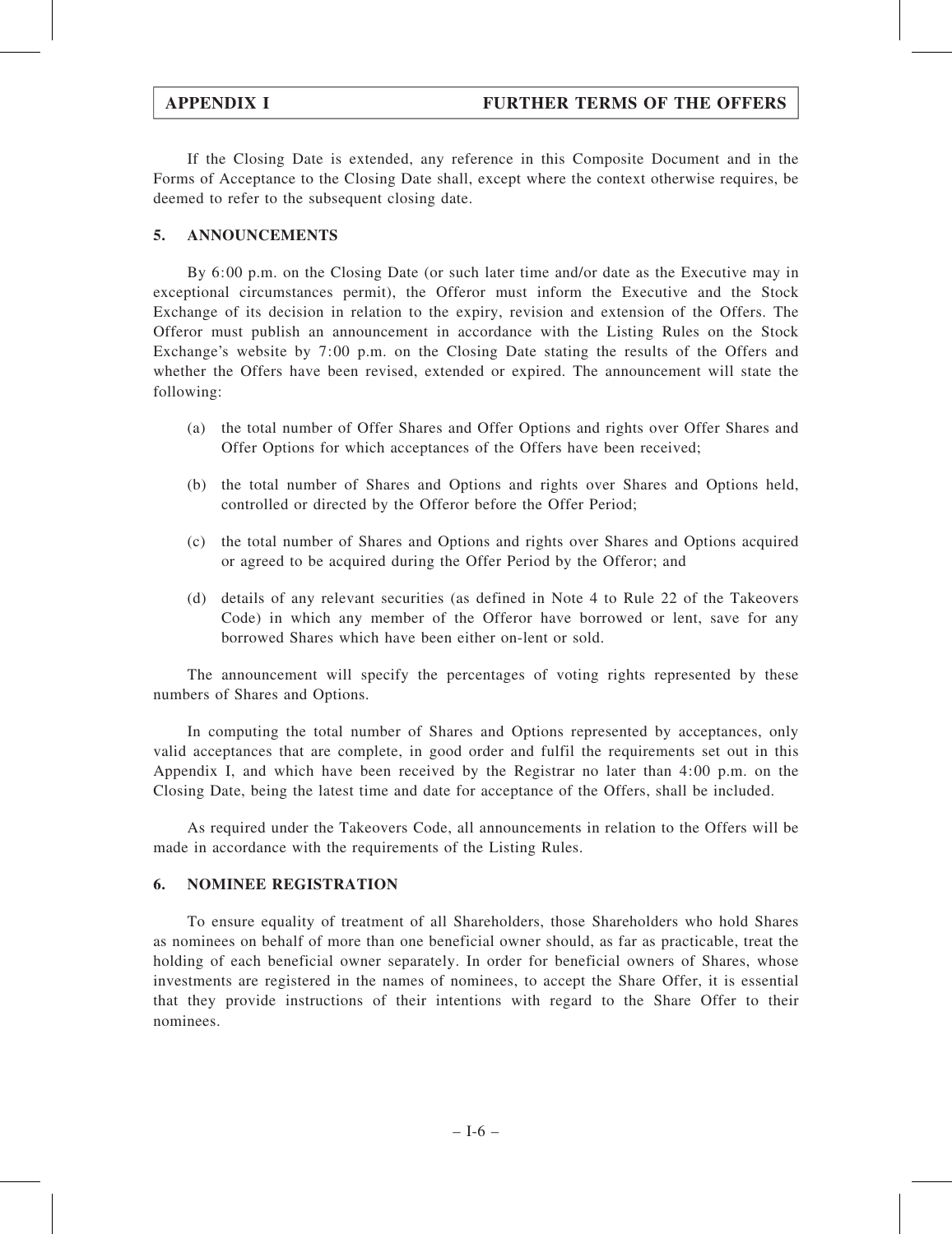If the Closing Date is extended, any reference in this Composite Document and in the Forms of Acceptance to the Closing Date shall, except where the context otherwise requires, be deemed to refer to the subsequent closing date.

## 5. ANNOUNCEMENTS

By 6:00 p.m. on the Closing Date (or such later time and/or date as the Executive may in exceptional circumstances permit), the Offeror must inform the Executive and the Stock Exchange of its decision in relation to the expiry, revision and extension of the Offers. The Offeror must publish an announcement in accordance with the Listing Rules on the Stock Exchange's website by 7:00 p.m. on the Closing Date stating the results of the Offers and whether the Offers have been revised, extended or expired. The announcement will state the following:

- (a) the total number of Offer Shares and Offer Options and rights over Offer Shares and Offer Options for which acceptances of the Offers have been received;
- (b) the total number of Shares and Options and rights over Shares and Options held, controlled or directed by the Offeror before the Offer Period;
- (c) the total number of Shares and Options and rights over Shares and Options acquired or agreed to be acquired during the Offer Period by the Offeror; and
- (d) details of any relevant securities (as defined in Note 4 to Rule 22 of the Takeovers Code) in which any member of the Offeror have borrowed or lent, save for any borrowed Shares which have been either on-lent or sold.

The announcement will specify the percentages of voting rights represented by these numbers of Shares and Options.

In computing the total number of Shares and Options represented by acceptances, only valid acceptances that are complete, in good order and fulfil the requirements set out in this Appendix I, and which have been received by the Registrar no later than 4:00 p.m. on the Closing Date, being the latest time and date for acceptance of the Offers, shall be included.

As required under the Takeovers Code, all announcements in relation to the Offers will be made in accordance with the requirements of the Listing Rules.

### 6. NOMINEE REGISTRATION

To ensure equality of treatment of all Shareholders, those Shareholders who hold Shares as nominees on behalf of more than one beneficial owner should, as far as practicable, treat the holding of each beneficial owner separately. In order for beneficial owners of Shares, whose investments are registered in the names of nominees, to accept the Share Offer, it is essential that they provide instructions of their intentions with regard to the Share Offer to their nominees.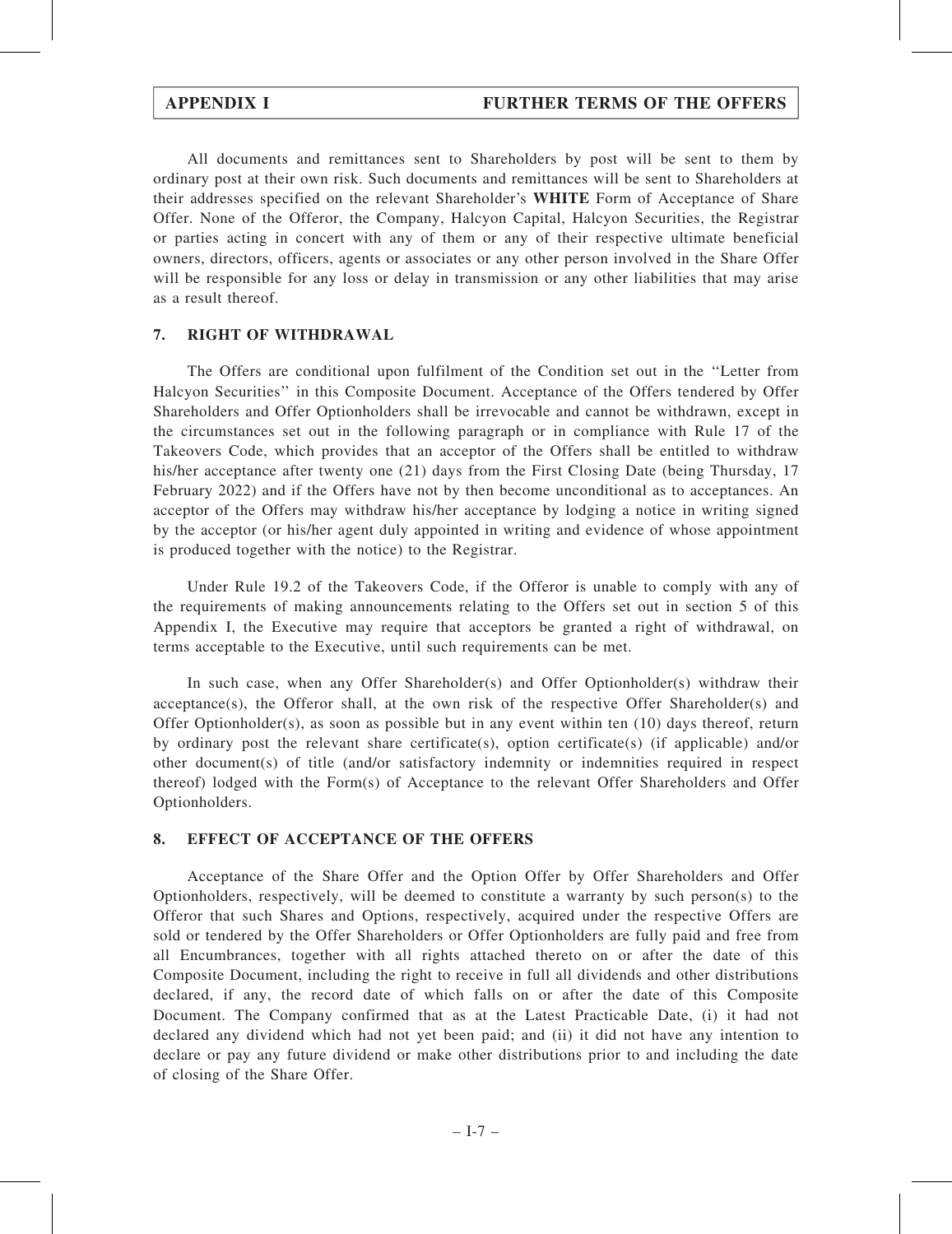All documents and remittances sent to Shareholders by post will be sent to them by ordinary post at their own risk. Such documents and remittances will be sent to Shareholders at their addresses specified on the relevant Shareholder's WHITE Form of Acceptance of Share Offer. None of the Offeror, the Company, Halcyon Capital, Halcyon Securities, the Registrar or parties acting in concert with any of them or any of their respective ultimate beneficial owners, directors, officers, agents or associates or any other person involved in the Share Offer will be responsible for any loss or delay in transmission or any other liabilities that may arise as a result thereof.

## 7. RIGHT OF WITHDRAWAL

The Offers are conditional upon fulfilment of the Condition set out in the ''Letter from Halcyon Securities'' in this Composite Document. Acceptance of the Offers tendered by Offer Shareholders and Offer Optionholders shall be irrevocable and cannot be withdrawn, except in the circumstances set out in the following paragraph or in compliance with Rule 17 of the Takeovers Code, which provides that an acceptor of the Offers shall be entitled to withdraw his/her acceptance after twenty one (21) days from the First Closing Date (being Thursday, 17 February 2022) and if the Offers have not by then become unconditional as to acceptances. An acceptor of the Offers may withdraw his/her acceptance by lodging a notice in writing signed by the acceptor (or his/her agent duly appointed in writing and evidence of whose appointment is produced together with the notice) to the Registrar.

Under Rule 19.2 of the Takeovers Code, if the Offeror is unable to comply with any of the requirements of making announcements relating to the Offers set out in section 5 of this Appendix I, the Executive may require that acceptors be granted a right of withdrawal, on terms acceptable to the Executive, until such requirements can be met.

In such case, when any Offer Shareholder(s) and Offer Optionholder(s) withdraw their  $acceptance(s)$ , the Offeror shall, at the own risk of the respective Offer Shareholder(s) and Offer Optionholder(s), as soon as possible but in any event within ten (10) days thereof, return by ordinary post the relevant share certificate(s), option certificate(s) (if applicable) and/or other document(s) of title (and/or satisfactory indemnity or indemnities required in respect thereof) lodged with the Form(s) of Acceptance to the relevant Offer Shareholders and Offer Optionholders.

## 8. EFFECT OF ACCEPTANCE OF THE OFFERS

Acceptance of the Share Offer and the Option Offer by Offer Shareholders and Offer Optionholders, respectively, will be deemed to constitute a warranty by such person(s) to the Offeror that such Shares and Options, respectively, acquired under the respective Offers are sold or tendered by the Offer Shareholders or Offer Optionholders are fully paid and free from all Encumbrances, together with all rights attached thereto on or after the date of this Composite Document, including the right to receive in full all dividends and other distributions declared, if any, the record date of which falls on or after the date of this Composite Document. The Company confirmed that as at the Latest Practicable Date, (i) it had not declared any dividend which had not yet been paid; and (ii) it did not have any intention to declare or pay any future dividend or make other distributions prior to and including the date of closing of the Share Offer.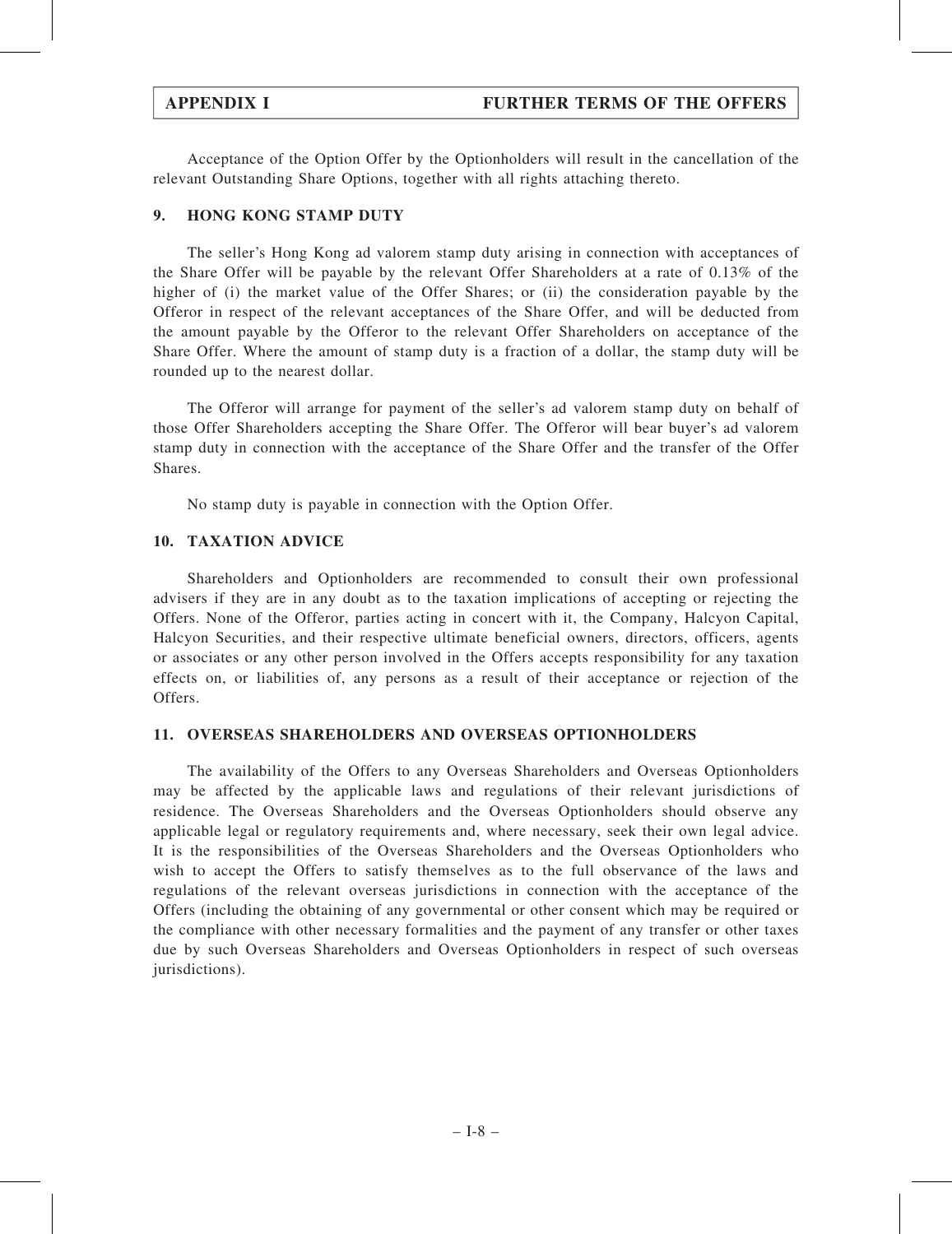Acceptance of the Option Offer by the Optionholders will result in the cancellation of the relevant Outstanding Share Options, together with all rights attaching thereto.

## 9. HONG KONG STAMP DUTY

The seller's Hong Kong ad valorem stamp duty arising in connection with acceptances of the Share Offer will be payable by the relevant Offer Shareholders at a rate of 0.13% of the higher of (i) the market value of the Offer Shares; or (ii) the consideration payable by the Offeror in respect of the relevant acceptances of the Share Offer, and will be deducted from the amount payable by the Offeror to the relevant Offer Shareholders on acceptance of the Share Offer. Where the amount of stamp duty is a fraction of a dollar, the stamp duty will be rounded up to the nearest dollar.

The Offeror will arrange for payment of the seller's ad valorem stamp duty on behalf of those Offer Shareholders accepting the Share Offer. The Offeror will bear buyer's ad valorem stamp duty in connection with the acceptance of the Share Offer and the transfer of the Offer Shares.

No stamp duty is payable in connection with the Option Offer.

## 10. TAXATION ADVICE

Shareholders and Optionholders are recommended to consult their own professional advisers if they are in any doubt as to the taxation implications of accepting or rejecting the Offers. None of the Offeror, parties acting in concert with it, the Company, Halcyon Capital, Halcyon Securities, and their respective ultimate beneficial owners, directors, officers, agents or associates or any other person involved in the Offers accepts responsibility for any taxation effects on, or liabilities of, any persons as a result of their acceptance or rejection of the Offers.

## 11. OVERSEAS SHAREHOLDERS AND OVERSEAS OPTIONHOLDERS

The availability of the Offers to any Overseas Shareholders and Overseas Optionholders may be affected by the applicable laws and regulations of their relevant jurisdictions of residence. The Overseas Shareholders and the Overseas Optionholders should observe any applicable legal or regulatory requirements and, where necessary, seek their own legal advice. It is the responsibilities of the Overseas Shareholders and the Overseas Optionholders who wish to accept the Offers to satisfy themselves as to the full observance of the laws and regulations of the relevant overseas jurisdictions in connection with the acceptance of the Offers (including the obtaining of any governmental or other consent which may be required or the compliance with other necessary formalities and the payment of any transfer or other taxes due by such Overseas Shareholders and Overseas Optionholders in respect of such overseas jurisdictions).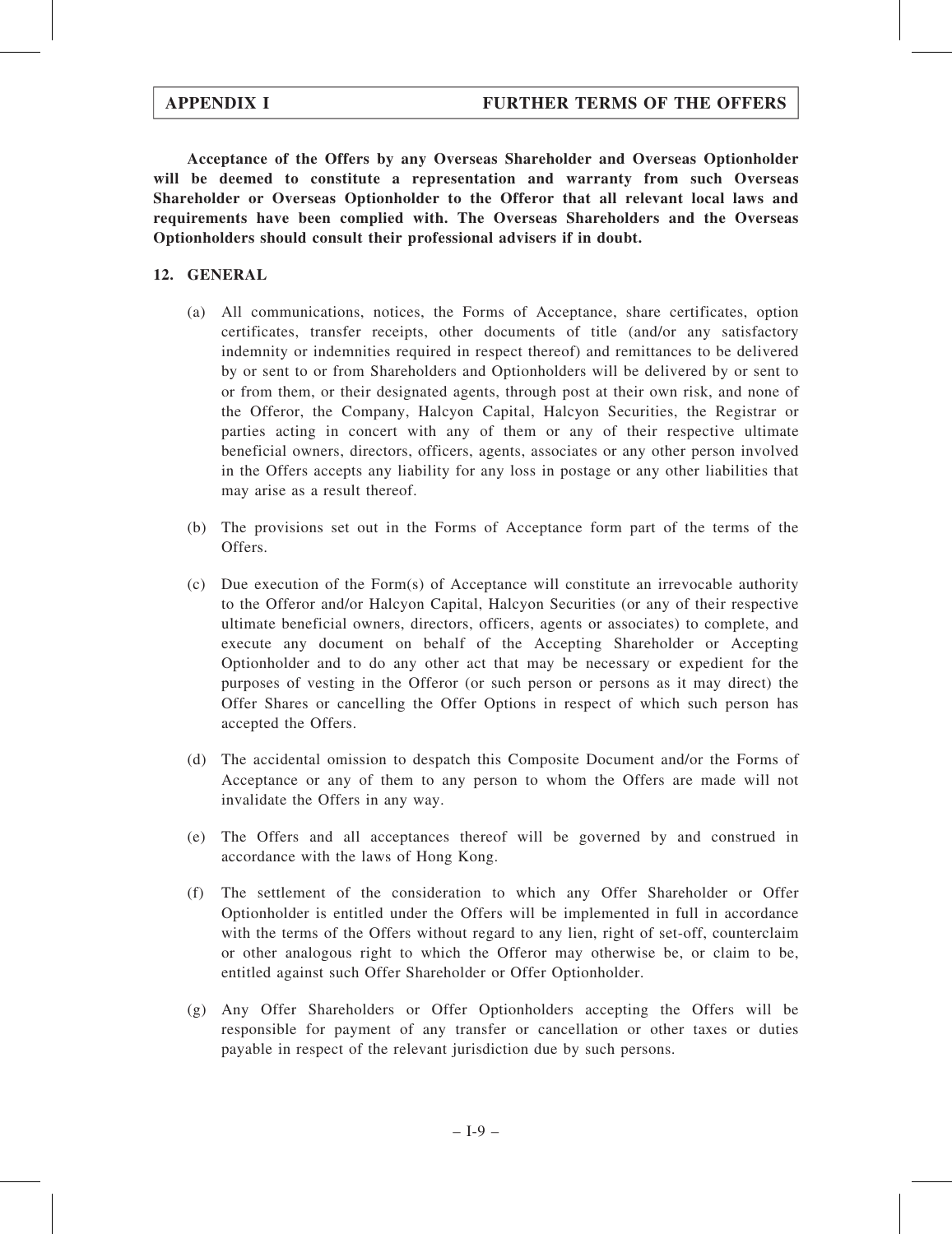Acceptance of the Offers by any Overseas Shareholder and Overseas Optionholder will be deemed to constitute a representation and warranty from such Overseas Shareholder or Overseas Optionholder to the Offeror that all relevant local laws and requirements have been complied with. The Overseas Shareholders and the Overseas Optionholders should consult their professional advisers if in doubt.

## 12. GENERAL

- (a) All communications, notices, the Forms of Acceptance, share certificates, option certificates, transfer receipts, other documents of title (and/or any satisfactory indemnity or indemnities required in respect thereof) and remittances to be delivered by or sent to or from Shareholders and Optionholders will be delivered by or sent to or from them, or their designated agents, through post at their own risk, and none of the Offeror, the Company, Halcyon Capital, Halcyon Securities, the Registrar or parties acting in concert with any of them or any of their respective ultimate beneficial owners, directors, officers, agents, associates or any other person involved in the Offers accepts any liability for any loss in postage or any other liabilities that may arise as a result thereof.
- (b) The provisions set out in the Forms of Acceptance form part of the terms of the Offers.
- (c) Due execution of the Form(s) of Acceptance will constitute an irrevocable authority to the Offeror and/or Halcyon Capital, Halcyon Securities (or any of their respective ultimate beneficial owners, directors, officers, agents or associates) to complete, and execute any document on behalf of the Accepting Shareholder or Accepting Optionholder and to do any other act that may be necessary or expedient for the purposes of vesting in the Offeror (or such person or persons as it may direct) the Offer Shares or cancelling the Offer Options in respect of which such person has accepted the Offers.
- (d) The accidental omission to despatch this Composite Document and/or the Forms of Acceptance or any of them to any person to whom the Offers are made will not invalidate the Offers in any way.
- (e) The Offers and all acceptances thereof will be governed by and construed in accordance with the laws of Hong Kong.
- (f) The settlement of the consideration to which any Offer Shareholder or Offer Optionholder is entitled under the Offers will be implemented in full in accordance with the terms of the Offers without regard to any lien, right of set-off, counterclaim or other analogous right to which the Offeror may otherwise be, or claim to be, entitled against such Offer Shareholder or Offer Optionholder.
- (g) Any Offer Shareholders or Offer Optionholders accepting the Offers will be responsible for payment of any transfer or cancellation or other taxes or duties payable in respect of the relevant jurisdiction due by such persons.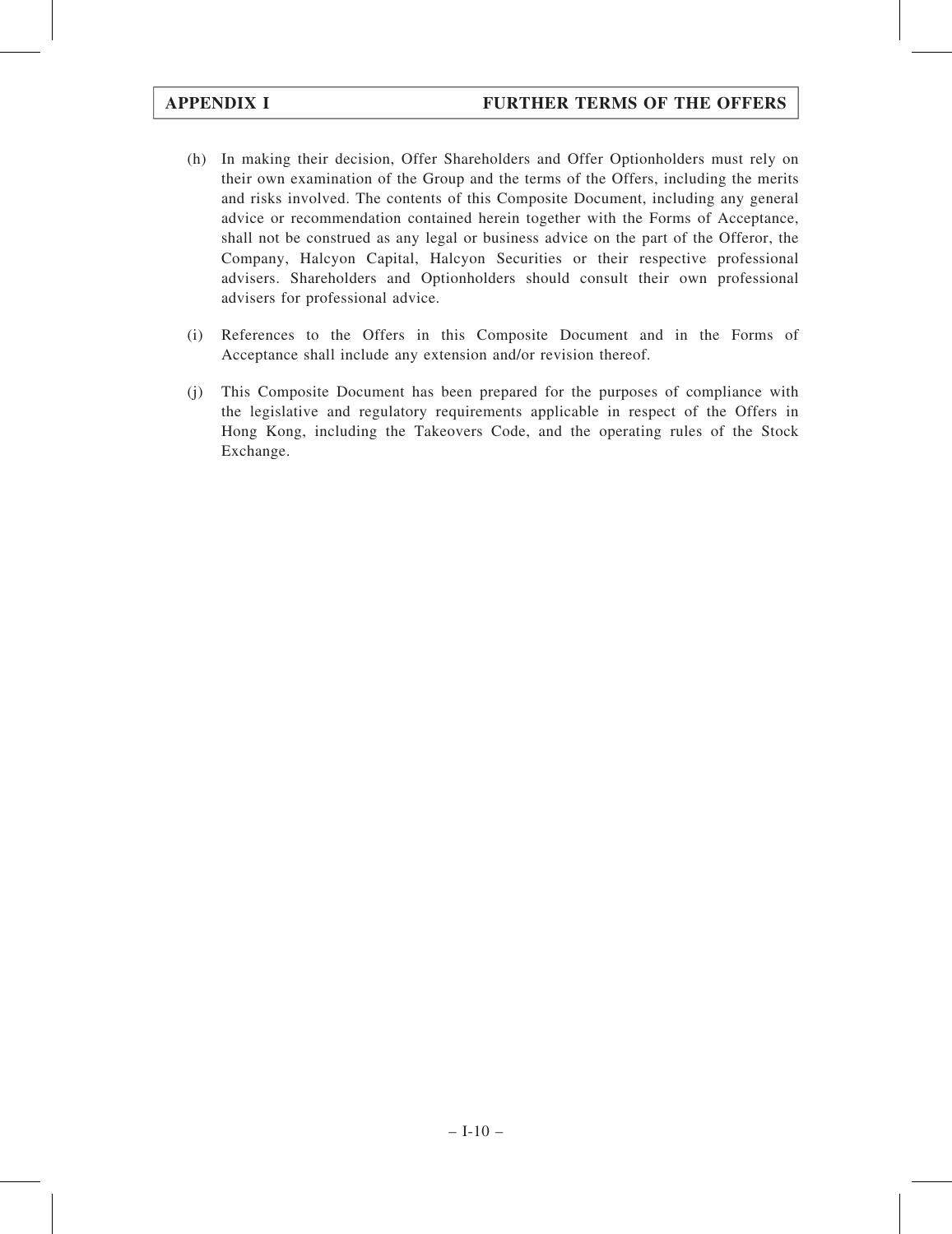- (h) In making their decision, Offer Shareholders and Offer Optionholders must rely on their own examination of the Group and the terms of the Offers, including the merits and risks involved. The contents of this Composite Document, including any general advice or recommendation contained herein together with the Forms of Acceptance, shall not be construed as any legal or business advice on the part of the Offeror, the Company, Halcyon Capital, Halcyon Securities or their respective professional advisers. Shareholders and Optionholders should consult their own professional advisers for professional advice.
- (i) References to the Offers in this Composite Document and in the Forms of Acceptance shall include any extension and/or revision thereof.
- (j) This Composite Document has been prepared for the purposes of compliance with the legislative and regulatory requirements applicable in respect of the Offers in Hong Kong, including the Takeovers Code, and the operating rules of the Stock Exchange.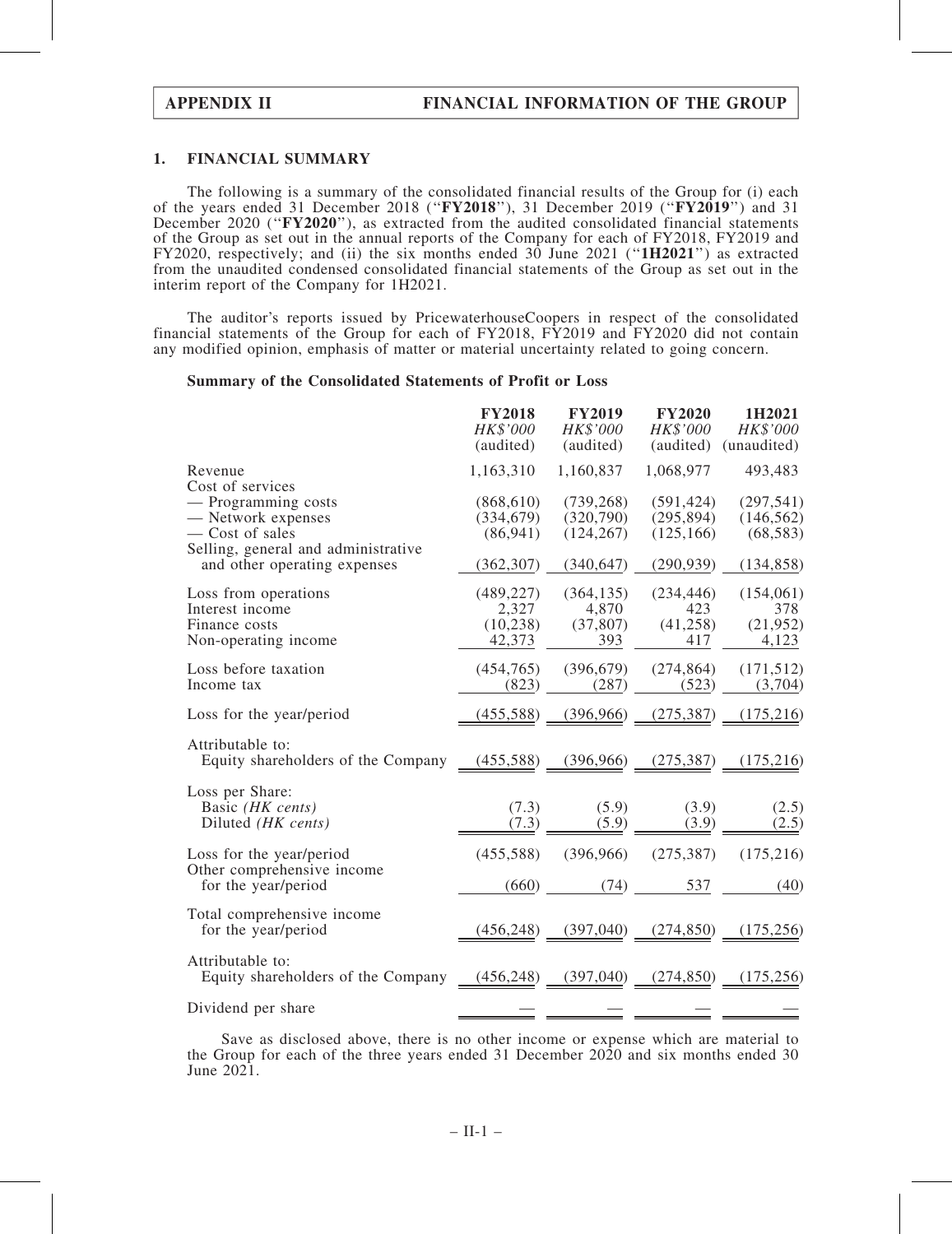### 1. FINANCIAL SUMMARY

The following is a summary of the consolidated financial results of the Group for (i) each of the years ended 31 December 2018 (''FY2018''), 31 December 2019 (''FY2019'') and 31 December 2020 ("FY2020"), as extracted from the audited consolidated financial statements of the Group as set out in the annual reports of the Company for each of FY2018, FY2019 and FY2020, respectively; and (ii) the six months ended 30 June 2021 (''1H2021'') as extracted from the unaudited condensed consolidated financial statements of the Group as set out in the interim report of the Company for 1H2021.

The auditor's reports issued by PricewaterhouseCoopers in respect of the consolidated financial statements of the Group for each of FY2018, FY2019 and FY2020 did not contain any modified opinion, emphasis of matter or material uncertainty related to going concern.

### Summary of the Consolidated Statements of Profit or Loss

|                                                                                  | <b>FY2018</b><br>HK\$'000<br>(audited)     | <b>FY2019</b><br>HK\$'000<br>(audited)  | <b>FY2020</b><br>HK\$'000<br>(audited) | 1H2021<br>HK\$'000<br>(unaudited)      |
|----------------------------------------------------------------------------------|--------------------------------------------|-----------------------------------------|----------------------------------------|----------------------------------------|
| Revenue<br>Cost of services                                                      | 1,163,310                                  | 1,160,837                               | 1,068,977                              | 493,483                                |
| - Programming costs<br>— Network expenses<br>- Cost of sales                     | (868, 610)<br>(334, 679)<br>(86, 941)      | (739, 268)<br>(320,790)<br>(124, 267)   | (591, 424)<br>(295, 894)<br>(125, 166) | (297, 541)<br>(146, 562)<br>(68, 583)  |
| Selling, general and administrative<br>and other operating expenses              | (362, 307)                                 | (340, 647)                              | (290, 939)                             | (134, 858)                             |
| Loss from operations<br>Interest income<br>Finance costs<br>Non-operating income | (489, 227)<br>2,327<br>(10, 238)<br>42,373 | (364, 135)<br>4,870<br>(37, 807)<br>393 | (234, 446)<br>423<br>(41, 258)<br>417  | (154,061)<br>378<br>(21, 952)<br>4,123 |
| Loss before taxation<br>Income tax                                               | (454, 765)<br>(823)                        | (396, 679)<br>(287)                     | (274, 864)<br>(523)                    | (171, 512)<br>(3,704)                  |
| Loss for the year/period                                                         | (455, 588)                                 | (396,966)                               | (275, 387)                             | (175,216)                              |
| Attributable to:<br>Equity shareholders of the Company                           |                                            | $(455,588)$ $(396,966)$                 | (275, 387)                             | (175,216)                              |
| Loss per Share:<br>Basic (HK cents)<br>Diluted (HK cents)                        | (7.3)<br>(7.3)                             | (5.9)<br>(5.9)                          | (3.9)<br>(3.9)                         | (2.5)<br>(2.5)                         |
| Loss for the year/period<br>Other comprehensive income                           | (455, 588)                                 | (396,966)                               | (275, 387)                             | (175, 216)                             |
| for the year/period                                                              | (660)                                      | (74)                                    | 537                                    | (40)                                   |
| Total comprehensive income<br>for the year/period                                | (456, 248)                                 | (397,040)                               | (274, 850)                             | (175, 256)                             |
| Attributable to:<br>Equity shareholders of the Company                           | $(456,248)$ $(397,040)$                    |                                         | (274, 850)                             | (175, 256)                             |
| Dividend per share                                                               |                                            |                                         |                                        |                                        |

Save as disclosed above, there is no other income or expense which are material to the Group for each of the three years ended 31 December 2020 and six months ended 30 June 2021.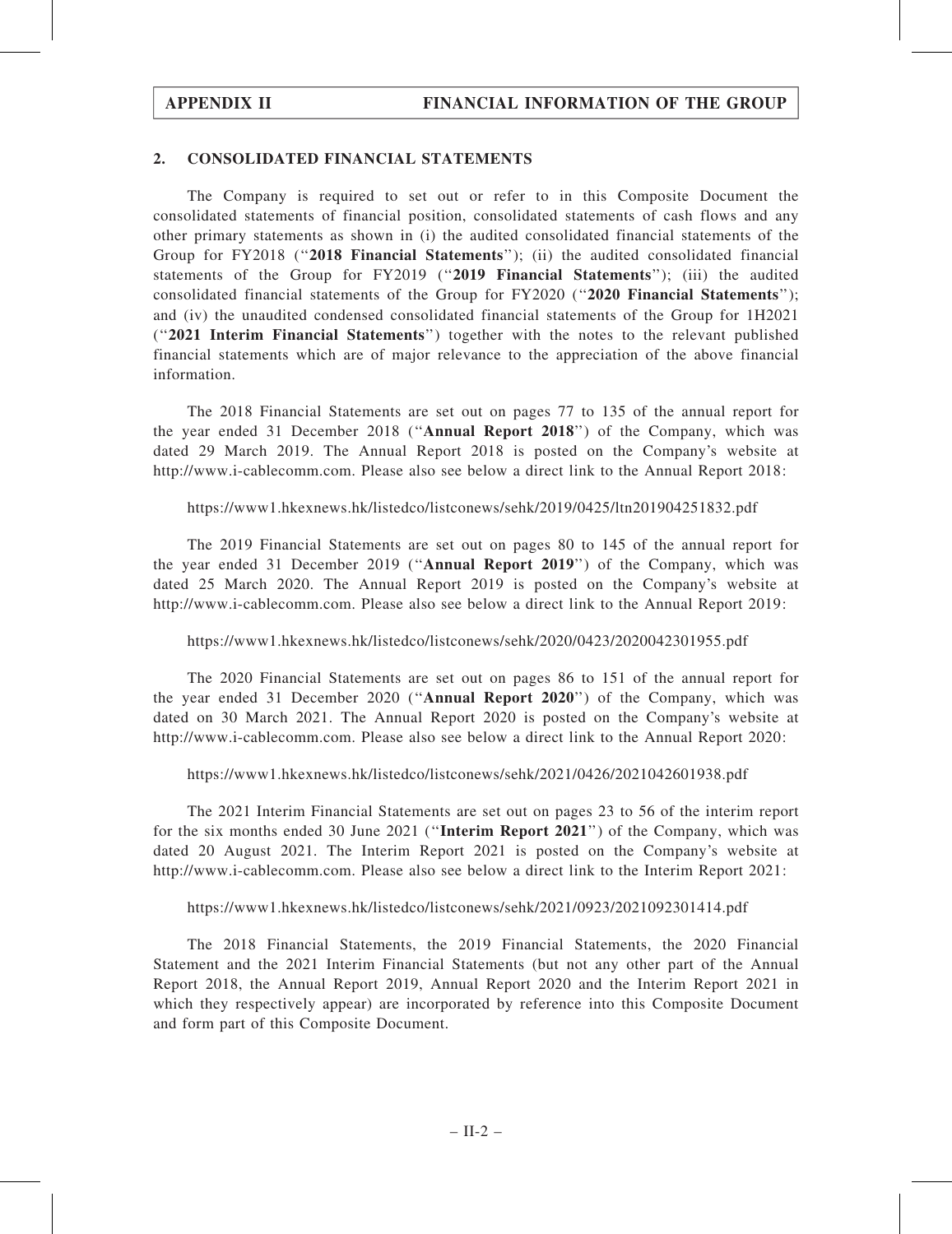### 2. CONSOLIDATED FINANCIAL STATEMENTS

The Company is required to set out or refer to in this Composite Document the consolidated statements of financial position, consolidated statements of cash flows and any other primary statements as shown in (i) the audited consolidated financial statements of the Group for FY2018 ("2018 Financial Statements"); (ii) the audited consolidated financial statements of the Group for FY2019 ("2019 Financial Statements"); (iii) the audited consolidated financial statements of the Group for FY2020 (''2020 Financial Statements''); and (iv) the unaudited condensed consolidated financial statements of the Group for 1H2021 (''2021 Interim Financial Statements'') together with the notes to the relevant published financial statements which are of major relevance to the appreciation of the above financial information.

The 2018 Financial Statements are set out on pages 77 to 135 of the annual report for the year ended 31 December 2018 (''Annual Report 2018'') of the Company, which was dated 29 March 2019. The Annual Report 2018 is posted on the Company's website at http://www.i-cablecomm.com. Please also see below a direct link to the Annual Report 2018:

https://www1.hkexnews.hk/listedco/listconews/sehk/2019/0425/ltn201904251832.pdf

The 2019 Financial Statements are set out on pages 80 to 145 of the annual report for the year ended 31 December 2019 (''Annual Report 2019'') of the Company, which was dated 25 March 2020. The Annual Report 2019 is posted on the Company's website at http://www.i-cablecomm.com. Please also see below a direct link to the Annual Report 2019:

## https://www1.hkexnews.hk/listedco/listconews/sehk/2020/0423/2020042301955.pdf

The 2020 Financial Statements are set out on pages 86 to 151 of the annual report for the year ended 31 December 2020 (''Annual Report 2020'') of the Company, which was dated on 30 March 2021. The Annual Report 2020 is posted on the Company's website at http://www.i-cablecomm.com. Please also see below a direct link to the Annual Report 2020:

https://www1.hkexnews.hk/listedco/listconews/sehk/2021/0426/2021042601938.pdf

The 2021 Interim Financial Statements are set out on pages 23 to 56 of the interim report for the six months ended 30 June 2021 (''Interim Report 2021'') of the Company, which was dated 20 August 2021. The Interim Report 2021 is posted on the Company's website at http://www.i-cablecomm.com. Please also see below a direct link to the Interim Report 2021:

### https://www1.hkexnews.hk/listedco/listconews/sehk/2021/0923/2021092301414.pdf

The 2018 Financial Statements, the 2019 Financial Statements, the 2020 Financial Statement and the 2021 Interim Financial Statements (but not any other part of the Annual Report 2018, the Annual Report 2019, Annual Report 2020 and the Interim Report 2021 in which they respectively appear) are incorporated by reference into this Composite Document and form part of this Composite Document.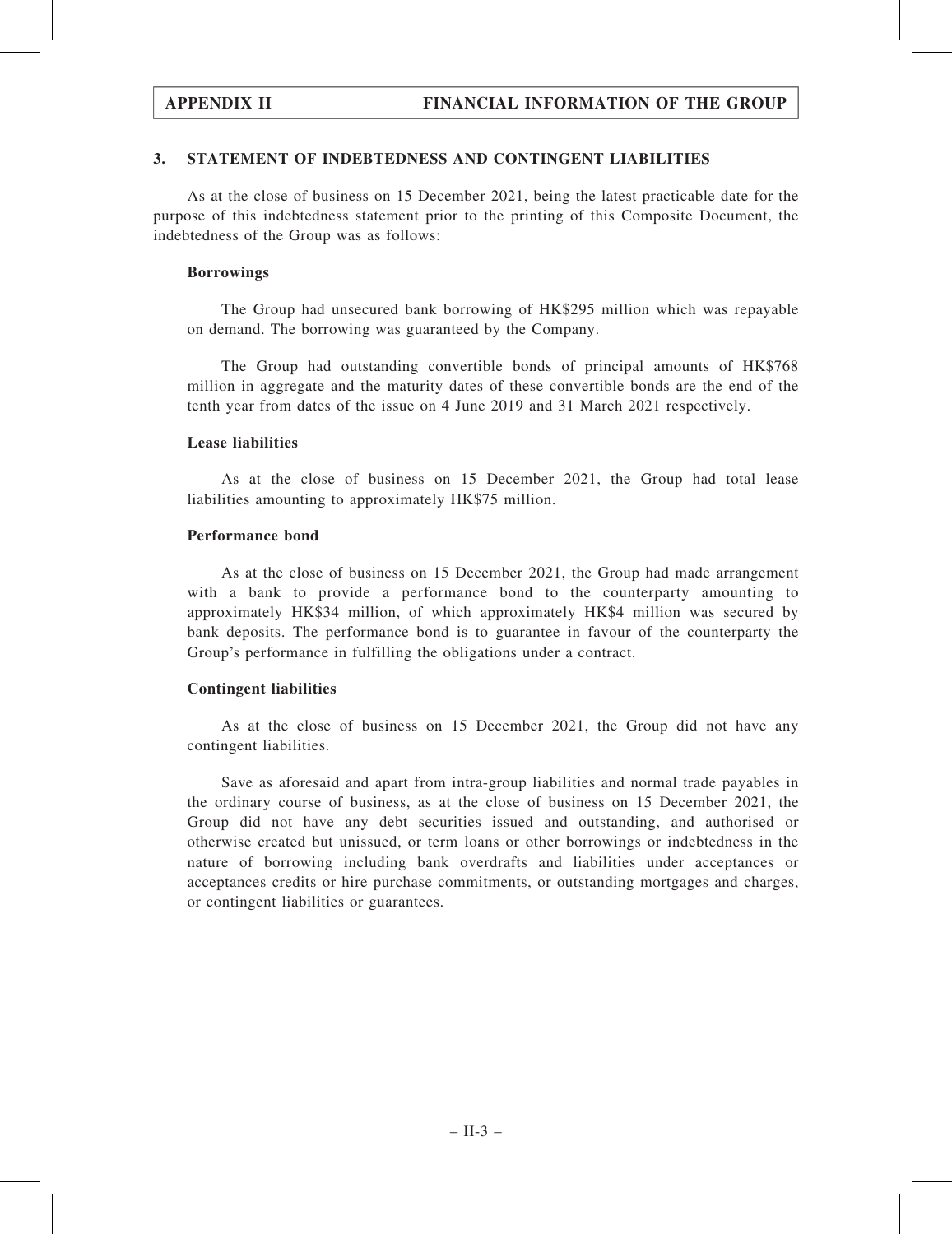## 3. STATEMENT OF INDEBTEDNESS AND CONTINGENT LIABILITIES

As at the close of business on 15 December 2021, being the latest practicable date for the purpose of this indebtedness statement prior to the printing of this Composite Document, the indebtedness of the Group was as follows:

### Borrowings

The Group had unsecured bank borrowing of HK\$295 million which was repayable on demand. The borrowing was guaranteed by the Company.

The Group had outstanding convertible bonds of principal amounts of HK\$768 million in aggregate and the maturity dates of these convertible bonds are the end of the tenth year from dates of the issue on 4 June 2019 and 31 March 2021 respectively.

### Lease liabilities

As at the close of business on 15 December 2021, the Group had total lease liabilities amounting to approximately HK\$75 million.

### Performance bond

As at the close of business on 15 December 2021, the Group had made arrangement with a bank to provide a performance bond to the counterparty amounting to approximately HK\$34 million, of which approximately HK\$4 million was secured by bank deposits. The performance bond is to guarantee in favour of the counterparty the Group's performance in fulfilling the obligations under a contract.

## Contingent liabilities

As at the close of business on 15 December 2021, the Group did not have any contingent liabilities.

Save as aforesaid and apart from intra-group liabilities and normal trade payables in the ordinary course of business, as at the close of business on 15 December 2021, the Group did not have any debt securities issued and outstanding, and authorised or otherwise created but unissued, or term loans or other borrowings or indebtedness in the nature of borrowing including bank overdrafts and liabilities under acceptances or acceptances credits or hire purchase commitments, or outstanding mortgages and charges, or contingent liabilities or guarantees.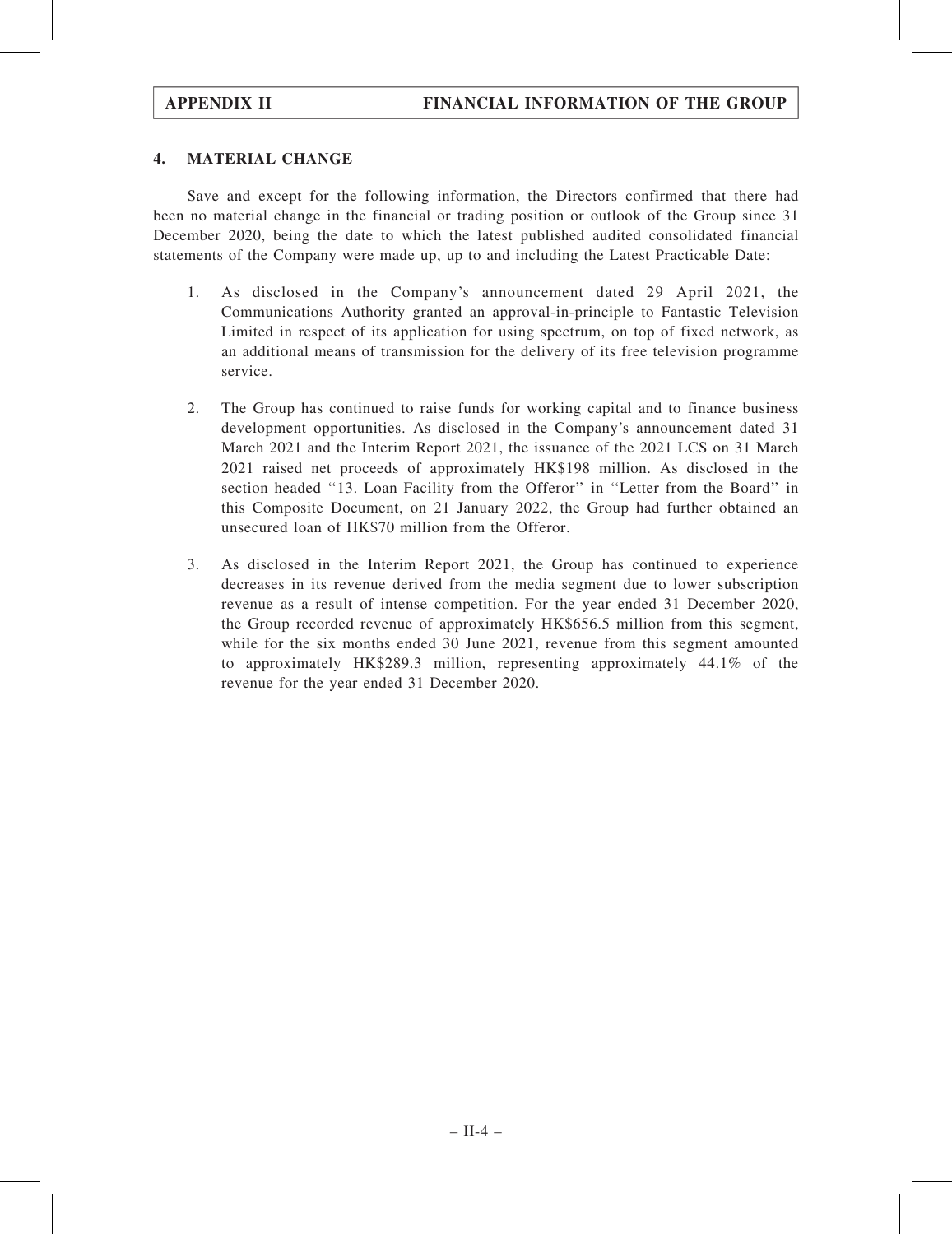## 4. MATERIAL CHANGE

Save and except for the following information, the Directors confirmed that there had been no material change in the financial or trading position or outlook of the Group since 31 December 2020, being the date to which the latest published audited consolidated financial statements of the Company were made up, up to and including the Latest Practicable Date:

- 1. As disclosed in the Company's announcement dated 29 April 2021, the Communications Authority granted an approval-in-principle to Fantastic Television Limited in respect of its application for using spectrum, on top of fixed network, as an additional means of transmission for the delivery of its free television programme service.
- 2. The Group has continued to raise funds for working capital and to finance business development opportunities. As disclosed in the Company's announcement dated 31 March 2021 and the Interim Report 2021, the issuance of the 2021 LCS on 31 March 2021 raised net proceeds of approximately HK\$198 million. As disclosed in the section headed ''13. Loan Facility from the Offeror'' in ''Letter from the Board'' in this Composite Document, on 21 January 2022, the Group had further obtained an unsecured loan of HK\$70 million from the Offeror.
- 3. As disclosed in the Interim Report 2021, the Group has continued to experience decreases in its revenue derived from the media segment due to lower subscription revenue as a result of intense competition. For the year ended 31 December 2020, the Group recorded revenue of approximately HK\$656.5 million from this segment, while for the six months ended 30 June 2021, revenue from this segment amounted to approximately HK\$289.3 million, representing approximately 44.1% of the revenue for the year ended 31 December 2020.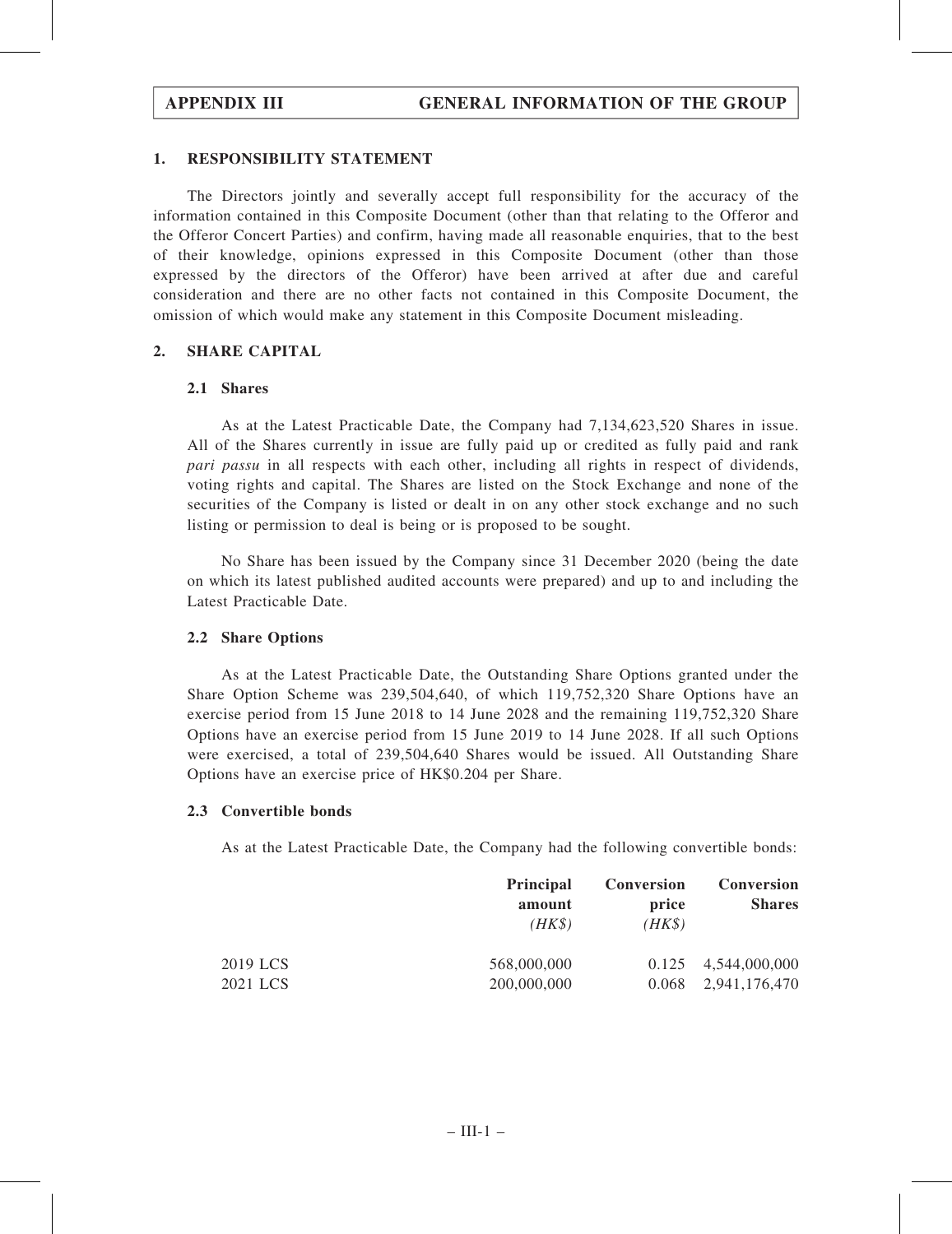### 1. RESPONSIBILITY STATEMENT

The Directors jointly and severally accept full responsibility for the accuracy of the information contained in this Composite Document (other than that relating to the Offeror and the Offeror Concert Parties) and confirm, having made all reasonable enquiries, that to the best of their knowledge, opinions expressed in this Composite Document (other than those expressed by the directors of the Offeror) have been arrived at after due and careful consideration and there are no other facts not contained in this Composite Document, the omission of which would make any statement in this Composite Document misleading.

### 2. SHARE CAPITAL

### 2.1 Shares

As at the Latest Practicable Date, the Company had 7,134,623,520 Shares in issue. All of the Shares currently in issue are fully paid up or credited as fully paid and rank pari passu in all respects with each other, including all rights in respect of dividends, voting rights and capital. The Shares are listed on the Stock Exchange and none of the securities of the Company is listed or dealt in on any other stock exchange and no such listing or permission to deal is being or is proposed to be sought.

No Share has been issued by the Company since 31 December 2020 (being the date on which its latest published audited accounts were prepared) and up to and including the Latest Practicable Date.

## 2.2 Share Options

As at the Latest Practicable Date, the Outstanding Share Options granted under the Share Option Scheme was 239,504,640, of which 119,752,320 Share Options have an exercise period from 15 June 2018 to 14 June 2028 and the remaining 119,752,320 Share Options have an exercise period from 15 June 2019 to 14 June 2028. If all such Options were exercised, a total of 239,504,640 Shares would be issued. All Outstanding Share Options have an exercise price of HK\$0.204 per Share.

### 2.3 Convertible bonds

As at the Latest Practicable Date, the Company had the following convertible bonds:

|          | <b>Principal</b><br>amount<br>$(HK\$ | <b>Conversion</b><br>price<br>$(HK\$ | Conversion<br><b>Shares</b> |
|----------|--------------------------------------|--------------------------------------|-----------------------------|
| 2019 LCS | 568,000,000                          | 0.125                                | 4,544,000,000               |
| 2021 LCS | 200,000,000                          | 0.068                                | 2,941,176,470               |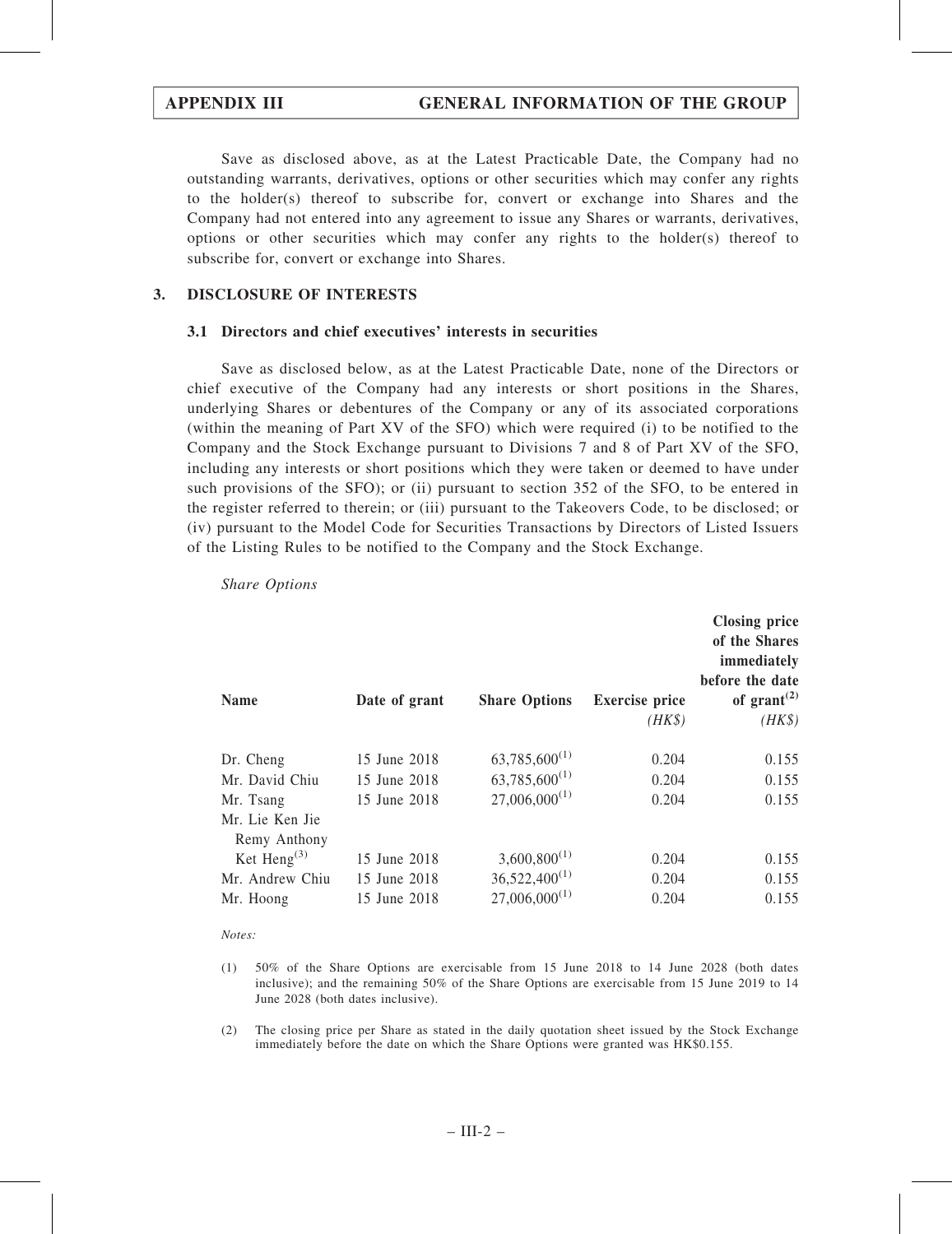Save as disclosed above, as at the Latest Practicable Date, the Company had no outstanding warrants, derivatives, options or other securities which may confer any rights to the holder(s) thereof to subscribe for, convert or exchange into Shares and the Company had not entered into any agreement to issue any Shares or warrants, derivatives, options or other securities which may confer any rights to the holder(s) thereof to subscribe for, convert or exchange into Shares.

## 3. DISCLOSURE OF INTERESTS

### 3.1 Directors and chief executives' interests in securities

Save as disclosed below, as at the Latest Practicable Date, none of the Directors or chief executive of the Company had any interests or short positions in the Shares, underlying Shares or debentures of the Company or any of its associated corporations (within the meaning of Part XV of the SFO) which were required (i) to be notified to the Company and the Stock Exchange pursuant to Divisions 7 and 8 of Part XV of the SFO, including any interests or short positions which they were taken or deemed to have under such provisions of the SFO); or (ii) pursuant to section 352 of the SFO, to be entered in the register referred to therein; or (iii) pursuant to the Takeovers Code, to be disclosed; or (iv) pursuant to the Model Code for Securities Transactions by Directors of Listed Issuers of the Listing Rules to be notified to the Company and the Stock Exchange.

| <b>Name</b>                     | Date of grant | <b>Share Options</b> | <b>Exercise</b> price<br>$(HK\$ | <b>Closing price</b><br>of the Shares<br>immediately<br>before the date<br>of grant <sup><math>(2)</math></sup><br>$(HK\$ |
|---------------------------------|---------------|----------------------|---------------------------------|---------------------------------------------------------------------------------------------------------------------------|
| Dr. Cheng                       | 15 June 2018  | $63,785,600^{(1)}$   | 0.204                           | 0.155                                                                                                                     |
| Mr. David Chiu                  | 15 June 2018  | $63,785,600^{(1)}$   | 0.204                           | 0.155                                                                                                                     |
| Mr. Tsang                       | 15 June 2018  | $27,006,000^{(1)}$   | 0.204                           | 0.155                                                                                                                     |
| Mr. Lie Ken Jie<br>Remy Anthony |               |                      |                                 |                                                                                                                           |
| Ket Heng $^{(3)}$               | 15 June 2018  | $3,600,800^{(1)}$    | 0.204                           | 0.155                                                                                                                     |
| Mr. Andrew Chiu                 | 15 June 2018  | $36,522,400^{(1)}$   | 0.204                           | 0.155                                                                                                                     |
| Mr. Hoong                       | 15 June 2018  | $27,006,000^{(1)}$   | 0.204                           | 0.155                                                                                                                     |

Share Options

Notes:

(1) 50% of the Share Options are exercisable from 15 June 2018 to 14 June 2028 (both dates inclusive); and the remaining 50% of the Share Options are exercisable from 15 June 2019 to 14 June 2028 (both dates inclusive).

(2) The closing price per Share as stated in the daily quotation sheet issued by the Stock Exchange immediately before the date on which the Share Options were granted was HK\$0.155.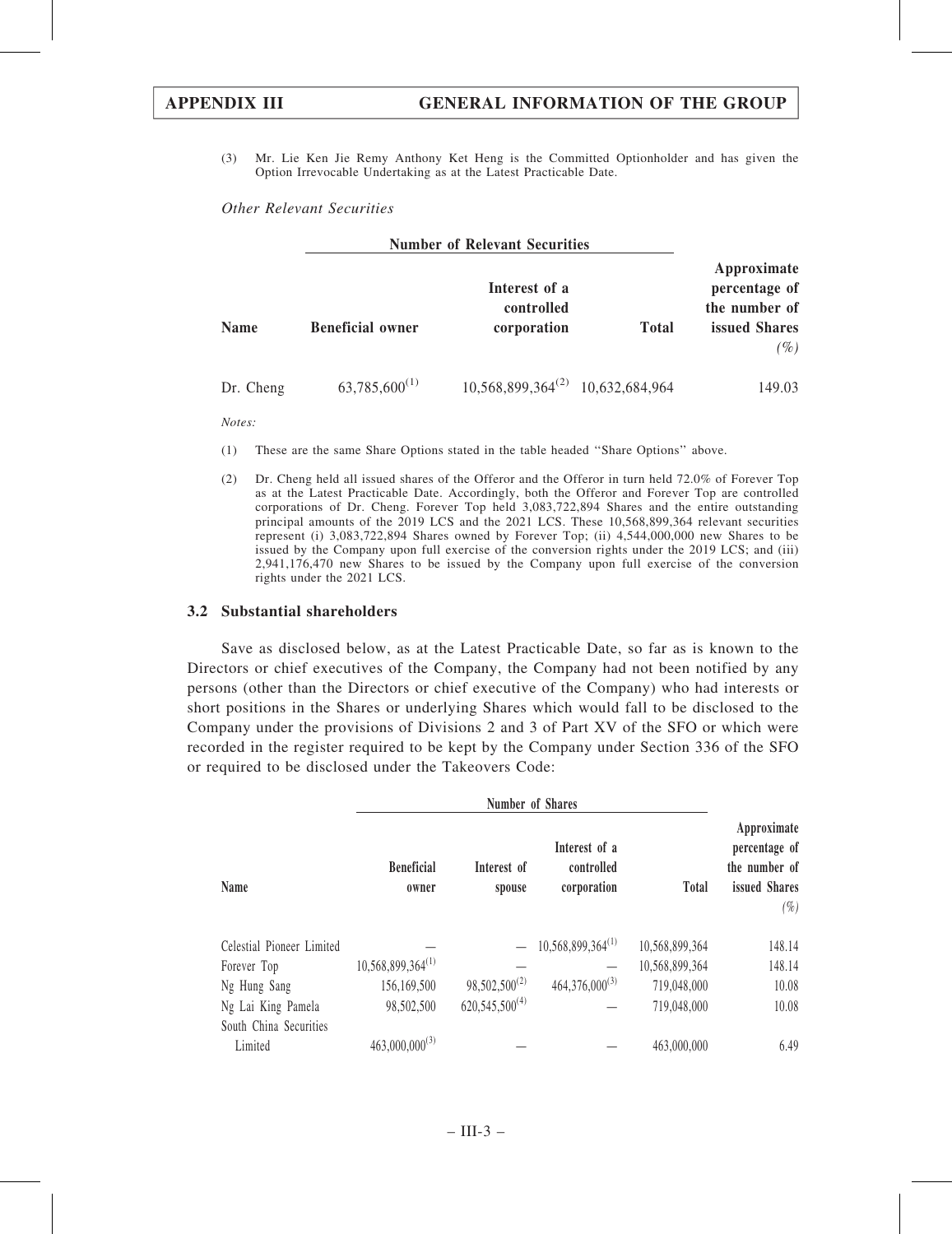(3) Mr. Lie Ken Jie Remy Anthony Ket Heng is the Committed Optionholder and has given the Option Irrevocable Undertaking as at the Latest Practicable Date.

### Other Relevant Securities

|             |                         | <b>Number of Relevant Securities</b>       |              |                                                                            |
|-------------|-------------------------|--------------------------------------------|--------------|----------------------------------------------------------------------------|
| <b>Name</b> | <b>Beneficial owner</b> | Interest of a<br>controlled<br>corporation | <b>Total</b> | Approximate<br>percentage of<br>the number of<br>issued Shares<br>$( \% )$ |
| Dr. Cheng   | $63,785,600^{(1)}$      | $10,568,899,364^{(2)}$ 10,632,684,964      |              | 149.03                                                                     |

Notes:

- (1) These are the same Share Options stated in the table headed ''Share Options'' above.
- (2) Dr. Cheng held all issued shares of the Offeror and the Offeror in turn held 72.0% of Forever Top as at the Latest Practicable Date. Accordingly, both the Offeror and Forever Top are controlled corporations of Dr. Cheng. Forever Top held 3,083,722,894 Shares and the entire outstanding principal amounts of the 2019 LCS and the 2021 LCS. These 10,568,899,364 relevant securities represent (i) 3,083,722,894 Shares owned by Forever Top; (ii) 4,544,000,000 new Shares to be issued by the Company upon full exercise of the conversion rights under the 2019 LCS; and (iii) 2,941,176,470 new Shares to be issued by the Company upon full exercise of the conversion rights under the 2021 LCS.

### 3.2 Substantial shareholders

Save as disclosed below, as at the Latest Practicable Date, so far as is known to the Directors or chief executives of the Company, the Company had not been notified by any persons (other than the Directors or chief executive of the Company) who had interests or short positions in the Shares or underlying Shares which would fall to be disclosed to the Company under the provisions of Divisions 2 and 3 of Part XV of the SFO or which were recorded in the register required to be kept by the Company under Section 336 of the SFO or required to be disclosed under the Takeovers Code:

| Number of Shares          |                            |                       |                                            |                |                                                                          |
|---------------------------|----------------------------|-----------------------|--------------------------------------------|----------------|--------------------------------------------------------------------------|
| Name                      | <b>Beneficial</b><br>owner | Interest of<br>spouse | Interest of a<br>controlled<br>corporation | <b>Total</b>   | Approximate<br>percentage of<br>the number of<br>issued Shares<br>$(\%)$ |
| Celestial Pioneer Limited |                            |                       | $10,568,899,364^{(1)}$                     | 10,568,899,364 | 148.14                                                                   |
| Forever Top               | $10,568,899,364^{(1)}$     |                       |                                            | 10,568,899,364 | 148.14                                                                   |
| Ng Hung Sang              | 156,169,500                | $98,502,500^{(2)}$    | $464,376,000^{(3)}$                        | 719,048,000    | 10.08                                                                    |
| Ng Lai King Pamela        | 98,502,500                 | $620,545,500^{(4)}$   |                                            | 719,048,000    | 10.08                                                                    |
| South China Securities    |                            |                       |                                            |                |                                                                          |
| Limited                   | $463,000,000^{(3)}$        |                       |                                            | 463,000,000    | 6.49                                                                     |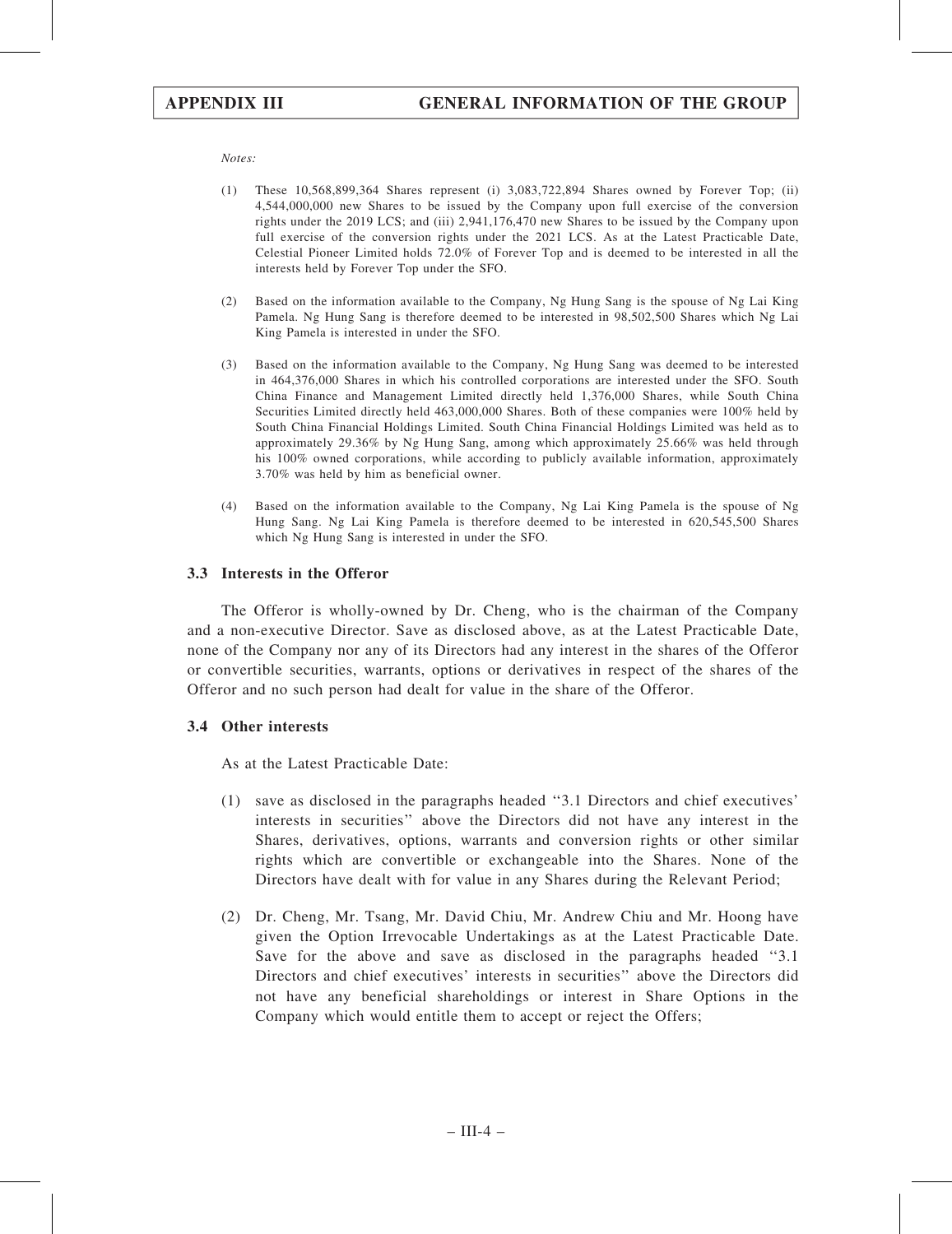Notes:

- (1) These 10,568,899,364 Shares represent (i) 3,083,722,894 Shares owned by Forever Top; (ii) 4,544,000,000 new Shares to be issued by the Company upon full exercise of the conversion rights under the 2019 LCS; and (iii) 2,941,176,470 new Shares to be issued by the Company upon full exercise of the conversion rights under the 2021 LCS. As at the Latest Practicable Date, Celestial Pioneer Limited holds 72.0% of Forever Top and is deemed to be interested in all the interests held by Forever Top under the SFO.
- (2) Based on the information available to the Company, Ng Hung Sang is the spouse of Ng Lai King Pamela. Ng Hung Sang is therefore deemed to be interested in 98,502,500 Shares which Ng Lai King Pamela is interested in under the SFO.
- (3) Based on the information available to the Company, Ng Hung Sang was deemed to be interested in 464,376,000 Shares in which his controlled corporations are interested under the SFO. South China Finance and Management Limited directly held 1,376,000 Shares, while South China Securities Limited directly held 463,000,000 Shares. Both of these companies were 100% held by South China Financial Holdings Limited. South China Financial Holdings Limited was held as to approximately 29.36% by Ng Hung Sang, among which approximately 25.66% was held through his 100% owned corporations, while according to publicly available information, approximately 3.70% was held by him as beneficial owner.
- (4) Based on the information available to the Company, Ng Lai King Pamela is the spouse of Ng Hung Sang. Ng Lai King Pamela is therefore deemed to be interested in 620,545,500 Shares which Ng Hung Sang is interested in under the SFO.

### 3.3 Interests in the Offeror

The Offeror is wholly-owned by Dr. Cheng, who is the chairman of the Company and a non-executive Director. Save as disclosed above, as at the Latest Practicable Date, none of the Company nor any of its Directors had any interest in the shares of the Offeror or convertible securities, warrants, options or derivatives in respect of the shares of the Offeror and no such person had dealt for value in the share of the Offeror.

### 3.4 Other interests

As at the Latest Practicable Date:

- (1) save as disclosed in the paragraphs headed ''3.1 Directors and chief executives' interests in securities'' above the Directors did not have any interest in the Shares, derivatives, options, warrants and conversion rights or other similar rights which are convertible or exchangeable into the Shares. None of the Directors have dealt with for value in any Shares during the Relevant Period;
- (2) Dr. Cheng, Mr. Tsang, Mr. David Chiu, Mr. Andrew Chiu and Mr. Hoong have given the Option Irrevocable Undertakings as at the Latest Practicable Date. Save for the above and save as disclosed in the paragraphs headed ''3.1 Directors and chief executives' interests in securities'' above the Directors did not have any beneficial shareholdings or interest in Share Options in the Company which would entitle them to accept or reject the Offers;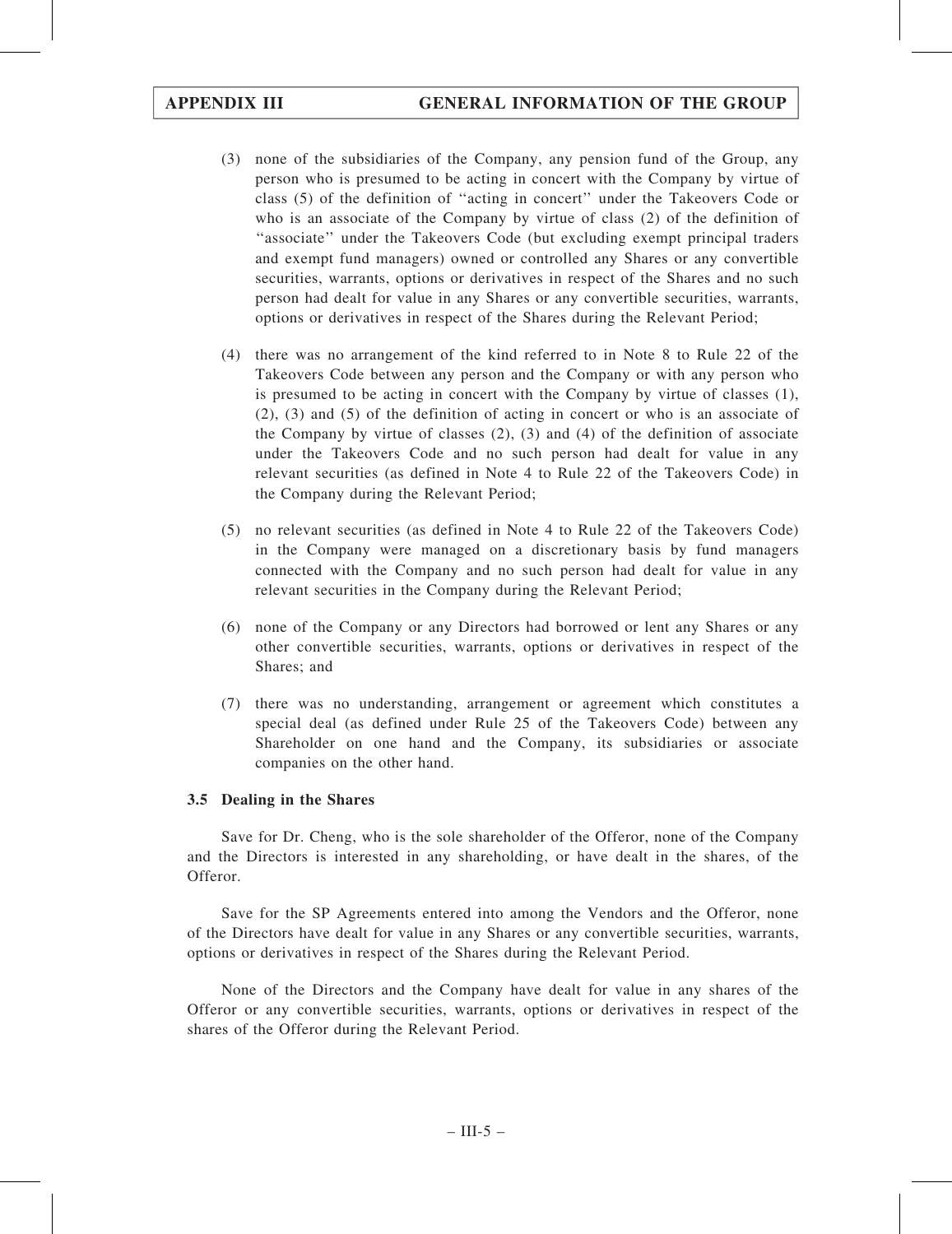- (3) none of the subsidiaries of the Company, any pension fund of the Group, any person who is presumed to be acting in concert with the Company by virtue of class (5) of the definition of ''acting in concert'' under the Takeovers Code or who is an associate of the Company by virtue of class (2) of the definition of ''associate'' under the Takeovers Code (but excluding exempt principal traders and exempt fund managers) owned or controlled any Shares or any convertible securities, warrants, options or derivatives in respect of the Shares and no such person had dealt for value in any Shares or any convertible securities, warrants, options or derivatives in respect of the Shares during the Relevant Period;
- (4) there was no arrangement of the kind referred to in Note 8 to Rule 22 of the Takeovers Code between any person and the Company or with any person who is presumed to be acting in concert with the Company by virtue of classes (1), (2), (3) and (5) of the definition of acting in concert or who is an associate of the Company by virtue of classes  $(2)$ ,  $(3)$  and  $(4)$  of the definition of associate under the Takeovers Code and no such person had dealt for value in any relevant securities (as defined in Note 4 to Rule 22 of the Takeovers Code) in the Company during the Relevant Period;
- (5) no relevant securities (as defined in Note 4 to Rule 22 of the Takeovers Code) in the Company were managed on a discretionary basis by fund managers connected with the Company and no such person had dealt for value in any relevant securities in the Company during the Relevant Period;
- (6) none of the Company or any Directors had borrowed or lent any Shares or any other convertible securities, warrants, options or derivatives in respect of the Shares; and
- (7) there was no understanding, arrangement or agreement which constitutes a special deal (as defined under Rule 25 of the Takeovers Code) between any Shareholder on one hand and the Company, its subsidiaries or associate companies on the other hand.

## 3.5 Dealing in the Shares

Save for Dr. Cheng, who is the sole shareholder of the Offeror, none of the Company and the Directors is interested in any shareholding, or have dealt in the shares, of the Offeror.

Save for the SP Agreements entered into among the Vendors and the Offeror, none of the Directors have dealt for value in any Shares or any convertible securities, warrants, options or derivatives in respect of the Shares during the Relevant Period.

None of the Directors and the Company have dealt for value in any shares of the Offeror or any convertible securities, warrants, options or derivatives in respect of the shares of the Offeror during the Relevant Period.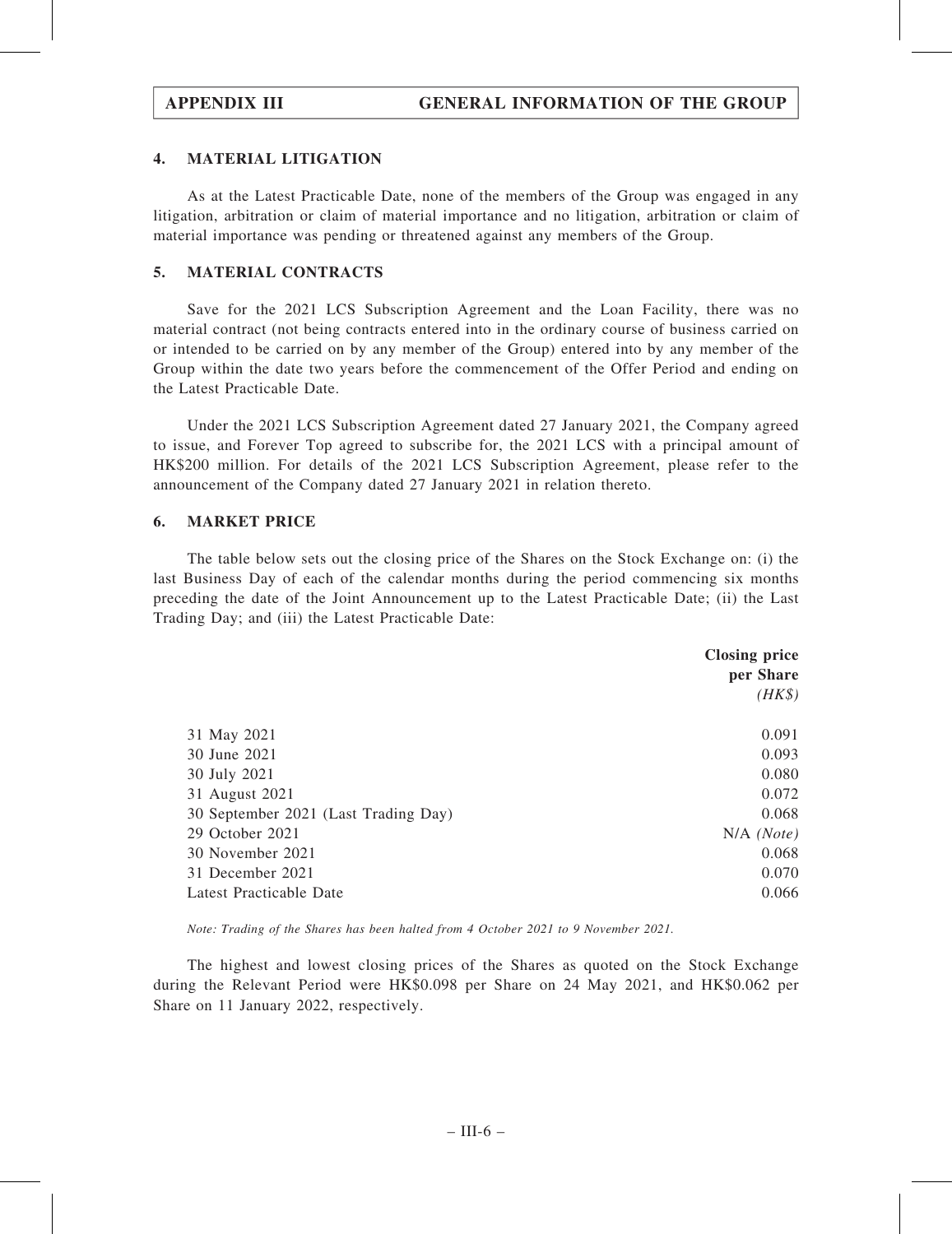## 4. MATERIAL LITIGATION

As at the Latest Practicable Date, none of the members of the Group was engaged in any litigation, arbitration or claim of material importance and no litigation, arbitration or claim of material importance was pending or threatened against any members of the Group.

## 5. MATERIAL CONTRACTS

Save for the 2021 LCS Subscription Agreement and the Loan Facility, there was no material contract (not being contracts entered into in the ordinary course of business carried on or intended to be carried on by any member of the Group) entered into by any member of the Group within the date two years before the commencement of the Offer Period and ending on the Latest Practicable Date.

Under the 2021 LCS Subscription Agreement dated 27 January 2021, the Company agreed to issue, and Forever Top agreed to subscribe for, the 2021 LCS with a principal amount of HK\$200 million. For details of the 2021 LCS Subscription Agreement, please refer to the announcement of the Company dated 27 January 2021 in relation thereto.

## 6. MARKET PRICE

The table below sets out the closing price of the Shares on the Stock Exchange on: (i) the last Business Day of each of the calendar months during the period commencing six months preceding the date of the Joint Announcement up to the Latest Practicable Date; (ii) the Last Trading Day; and (iii) the Latest Practicable Date:

|                                      | <b>Closing price</b><br>per Share |  |
|--------------------------------------|-----------------------------------|--|
|                                      | $(HK\$                            |  |
| 31 May 2021                          | 0.091                             |  |
| 30 June 2021                         | 0.093                             |  |
| 30 July 2021                         | 0.080                             |  |
| 31 August 2021                       | 0.072                             |  |
| 30 September 2021 (Last Trading Day) | 0.068                             |  |
| 29 October 2021                      | $N/A$ (Note)                      |  |
| 30 November 2021                     | 0.068                             |  |
| 31 December 2021                     | 0.070                             |  |
| Latest Practicable Date              | 0.066                             |  |

Note: Trading of the Shares has been halted from 4 October 2021 to 9 November 2021.

The highest and lowest closing prices of the Shares as quoted on the Stock Exchange during the Relevant Period were HK\$0.098 per Share on 24 May 2021, and HK\$0.062 per Share on 11 January 2022, respectively.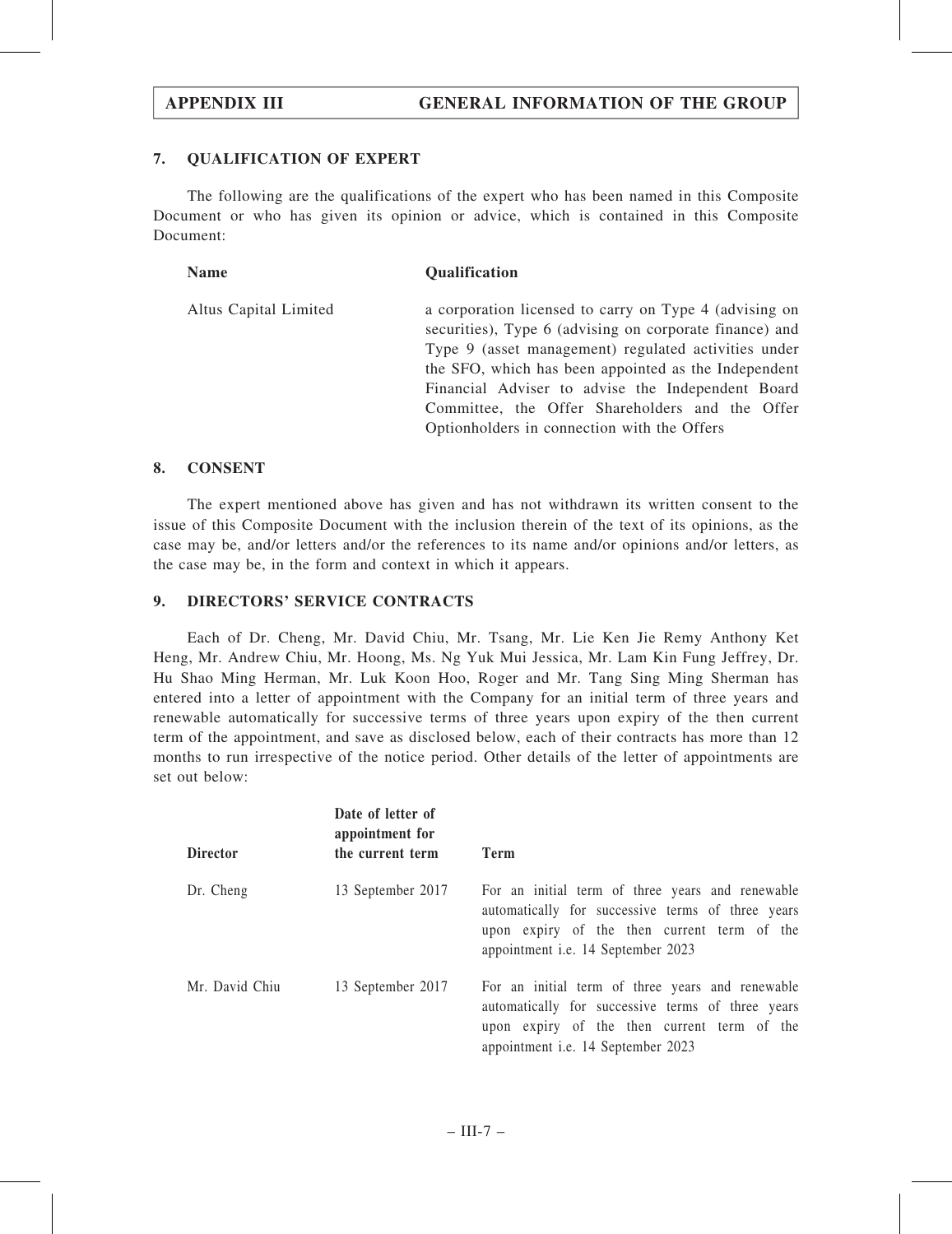## 7. QUALIFICATION OF EXPERT

The following are the qualifications of the expert who has been named in this Composite Document or who has given its opinion or advice, which is contained in this Composite Document:

| <b>Name</b>           | <b>Qualification</b>                                                                                                                                                                                                                                                                                                                                                                     |
|-----------------------|------------------------------------------------------------------------------------------------------------------------------------------------------------------------------------------------------------------------------------------------------------------------------------------------------------------------------------------------------------------------------------------|
| Altus Capital Limited | a corporation licensed to carry on Type 4 (advising on<br>securities), Type 6 (advising on corporate finance) and<br>Type 9 (asset management) regulated activities under<br>the SFO, which has been appointed as the Independent<br>Financial Adviser to advise the Independent Board<br>Committee, the Offer Shareholders and the Offer<br>Optionholders in connection with the Offers |

### 8. CONSENT

The expert mentioned above has given and has not withdrawn its written consent to the issue of this Composite Document with the inclusion therein of the text of its opinions, as the case may be, and/or letters and/or the references to its name and/or opinions and/or letters, as the case may be, in the form and context in which it appears.

### 9. DIRECTORS' SERVICE CONTRACTS

Each of Dr. Cheng, Mr. David Chiu, Mr. Tsang, Mr. Lie Ken Jie Remy Anthony Ket Heng, Mr. Andrew Chiu, Mr. Hoong, Ms. Ng Yuk Mui Jessica, Mr. Lam Kin Fung Jeffrey, Dr. Hu Shao Ming Herman, Mr. Luk Koon Hoo, Roger and Mr. Tang Sing Ming Sherman has entered into a letter of appointment with the Company for an initial term of three years and renewable automatically for successive terms of three years upon expiry of the then current term of the appointment, and save as disclosed below, each of their contracts has more than 12 months to run irrespective of the notice period. Other details of the letter of appointments are set out below:

| <b>Director</b> | Date of letter of<br>appointment for<br>the current term | <b>Term</b>                                                                                                                                                                                       |
|-----------------|----------------------------------------------------------|---------------------------------------------------------------------------------------------------------------------------------------------------------------------------------------------------|
|                 |                                                          |                                                                                                                                                                                                   |
| Dr. Cheng       | 13 September 2017                                        | For an initial term of three years and renewable<br>automatically for successive terms of three years<br>upon expiry of the then current term of the<br>appointment <i>i.e.</i> 14 September 2023 |
| Mr. David Chiu  | 13 September 2017                                        | For an initial term of three years and renewable<br>automatically for successive terms of three years<br>upon expiry of the then current term of the<br>appointment i.e. 14 September 2023        |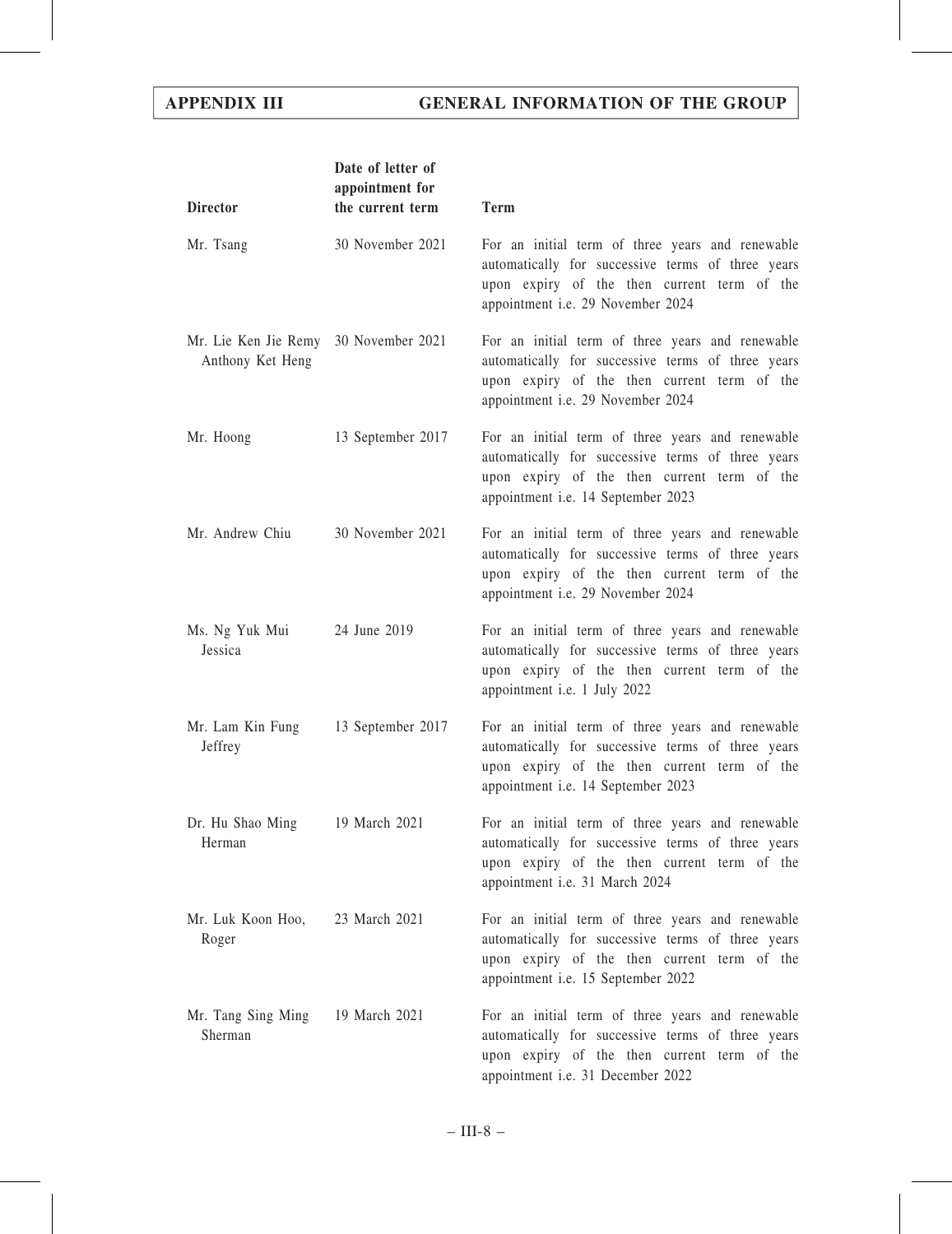| <b>Director</b>                                           | Date of letter of<br>appointment for<br>the current term | <b>Term</b>                                                                                                                                                                                |
|-----------------------------------------------------------|----------------------------------------------------------|--------------------------------------------------------------------------------------------------------------------------------------------------------------------------------------------|
| Mr. Tsang                                                 | 30 November 2021                                         | For an initial term of three years and renewable<br>automatically for successive terms of three years<br>upon expiry of the then current term of the<br>appointment i.e. 29 November 2024  |
| Mr. Lie Ken Jie Remy 30 November 2021<br>Anthony Ket Heng |                                                          | For an initial term of three years and renewable<br>automatically for successive terms of three years<br>upon expiry of the then current term of the<br>appointment i.e. 29 November 2024  |
| Mr. Hoong                                                 | 13 September 2017                                        | For an initial term of three years and renewable<br>automatically for successive terms of three years<br>upon expiry of the then current term of the<br>appointment i.e. 14 September 2023 |
| Mr. Andrew Chiu                                           | 30 November 2021                                         | For an initial term of three years and renewable<br>automatically for successive terms of three years<br>upon expiry of the then current term of the<br>appointment i.e. 29 November 2024  |
| Ms. Ng Yuk Mui<br>Jessica                                 | 24 June 2019                                             | For an initial term of three years and renewable<br>automatically for successive terms of three years<br>upon expiry of the then current term of the<br>appointment i.e. 1 July 2022       |
| Mr. Lam Kin Fung<br>Jeffrey                               | 13 September 2017                                        | For an initial term of three years and renewable<br>automatically for successive terms of three years<br>upon expiry of the then current term of the<br>appointment i.e. 14 September 2023 |
| Dr. Hu Shao Ming<br>Herman                                | 19 March 2021                                            | For an initial term of three years and renewable<br>automatically for successive terms of three years<br>upon expiry of the then current term of the<br>appointment i.e. 31 March 2024     |
| Mr. Luk Koon Hoo,<br>Roger                                | 23 March 2021                                            | For an initial term of three years and renewable<br>automatically for successive terms of three years<br>upon expiry of the then current term of the<br>appointment i.e. 15 September 2022 |
| Mr. Tang Sing Ming<br>Sherman                             | 19 March 2021                                            | For an initial term of three years and renewable<br>automatically for successive terms of three years<br>upon expiry of the then current term of the<br>appointment i.e. 31 December 2022  |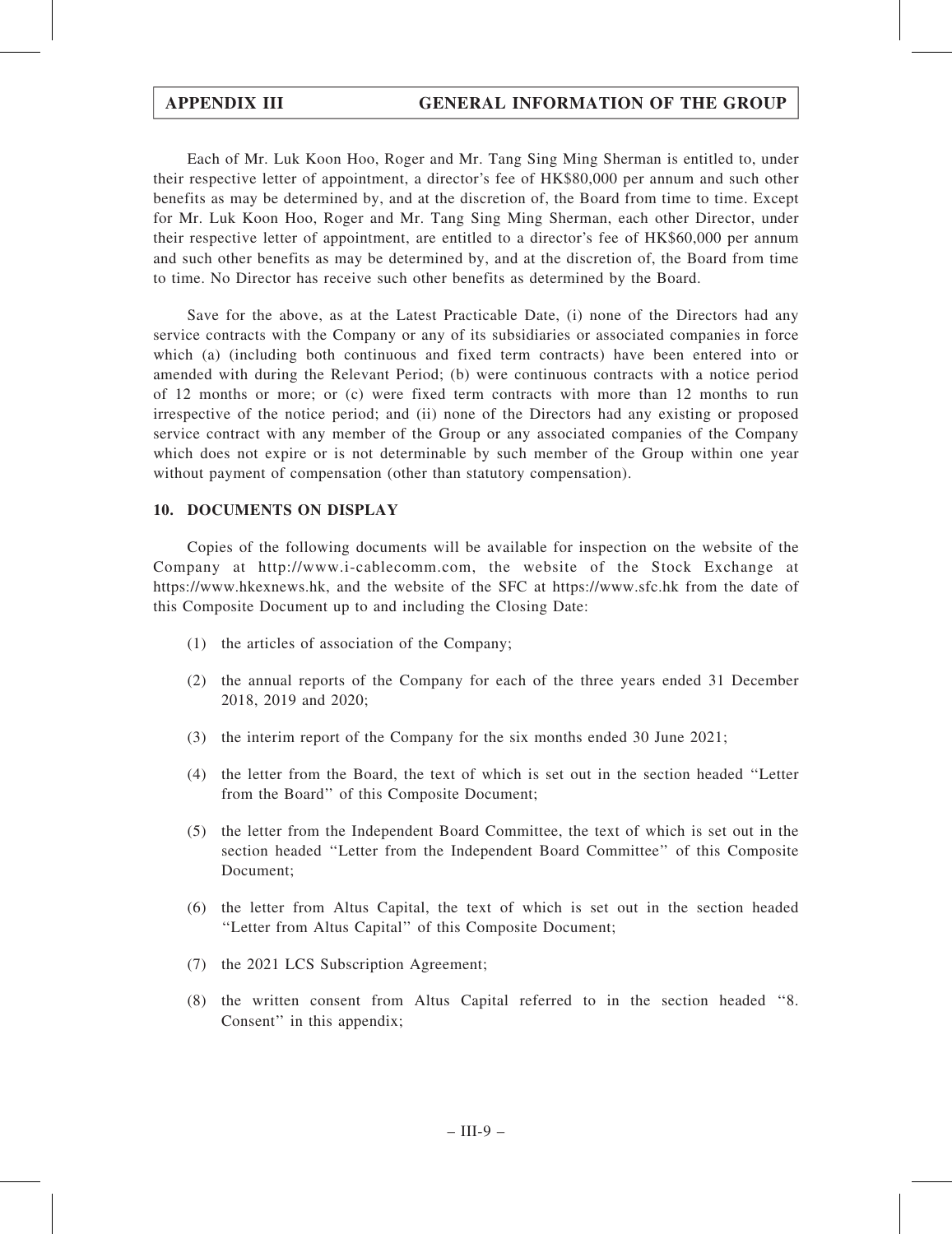Each of Mr. Luk Koon Hoo, Roger and Mr. Tang Sing Ming Sherman is entitled to, under their respective letter of appointment, a director's fee of HK\$80,000 per annum and such other benefits as may be determined by, and at the discretion of, the Board from time to time. Except for Mr. Luk Koon Hoo, Roger and Mr. Tang Sing Ming Sherman, each other Director, under their respective letter of appointment, are entitled to a director's fee of HK\$60,000 per annum and such other benefits as may be determined by, and at the discretion of, the Board from time to time. No Director has receive such other benefits as determined by the Board.

Save for the above, as at the Latest Practicable Date, (i) none of the Directors had any service contracts with the Company or any of its subsidiaries or associated companies in force which (a) (including both continuous and fixed term contracts) have been entered into or amended with during the Relevant Period; (b) were continuous contracts with a notice period of 12 months or more; or (c) were fixed term contracts with more than 12 months to run irrespective of the notice period; and (ii) none of the Directors had any existing or proposed service contract with any member of the Group or any associated companies of the Company which does not expire or is not determinable by such member of the Group within one year without payment of compensation (other than statutory compensation).

## 10. DOCUMENTS ON DISPLAY

Copies of the following documents will be available for inspection on the website of the Company at http://www.i-cablecomm.com, the website of the Stock Exchange at https://www.hkexnews.hk, and the website of the SFC at https://www.sfc.hk from the date of this Composite Document up to and including the Closing Date:

- (1) the articles of association of the Company;
- (2) the annual reports of the Company for each of the three years ended 31 December 2018, 2019 and 2020;
- (3) the interim report of the Company for the six months ended 30 June 2021;
- (4) the letter from the Board, the text of which is set out in the section headed ''Letter from the Board'' of this Composite Document;
- (5) the letter from the Independent Board Committee, the text of which is set out in the section headed ''Letter from the Independent Board Committee'' of this Composite Document;
- (6) the letter from Altus Capital, the text of which is set out in the section headed "Letter from Altus Capital" of this Composite Document;
- (7) the 2021 LCS Subscription Agreement;
- (8) the written consent from Altus Capital referred to in the section headed ''8. Consent'' in this appendix;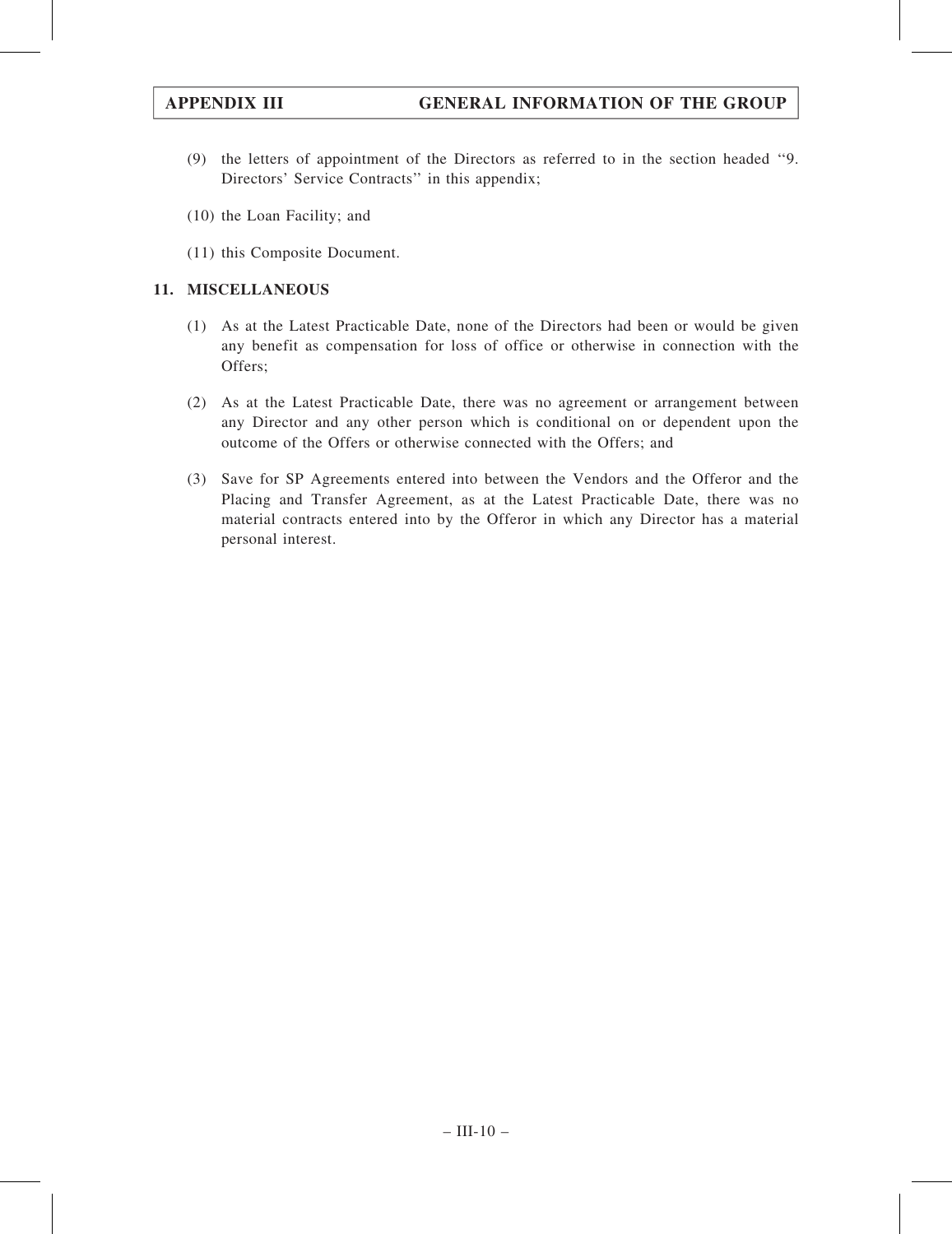- (9) the letters of appointment of the Directors as referred to in the section headed ''9. Directors' Service Contracts'' in this appendix;
- (10) the Loan Facility; and
- (11) this Composite Document.

## 11. MISCELLANEOUS

- (1) As at the Latest Practicable Date, none of the Directors had been or would be given any benefit as compensation for loss of office or otherwise in connection with the Offers;
- (2) As at the Latest Practicable Date, there was no agreement or arrangement between any Director and any other person which is conditional on or dependent upon the outcome of the Offers or otherwise connected with the Offers; and
- (3) Save for SP Agreements entered into between the Vendors and the Offeror and the Placing and Transfer Agreement, as at the Latest Practicable Date, there was no material contracts entered into by the Offeror in which any Director has a material personal interest.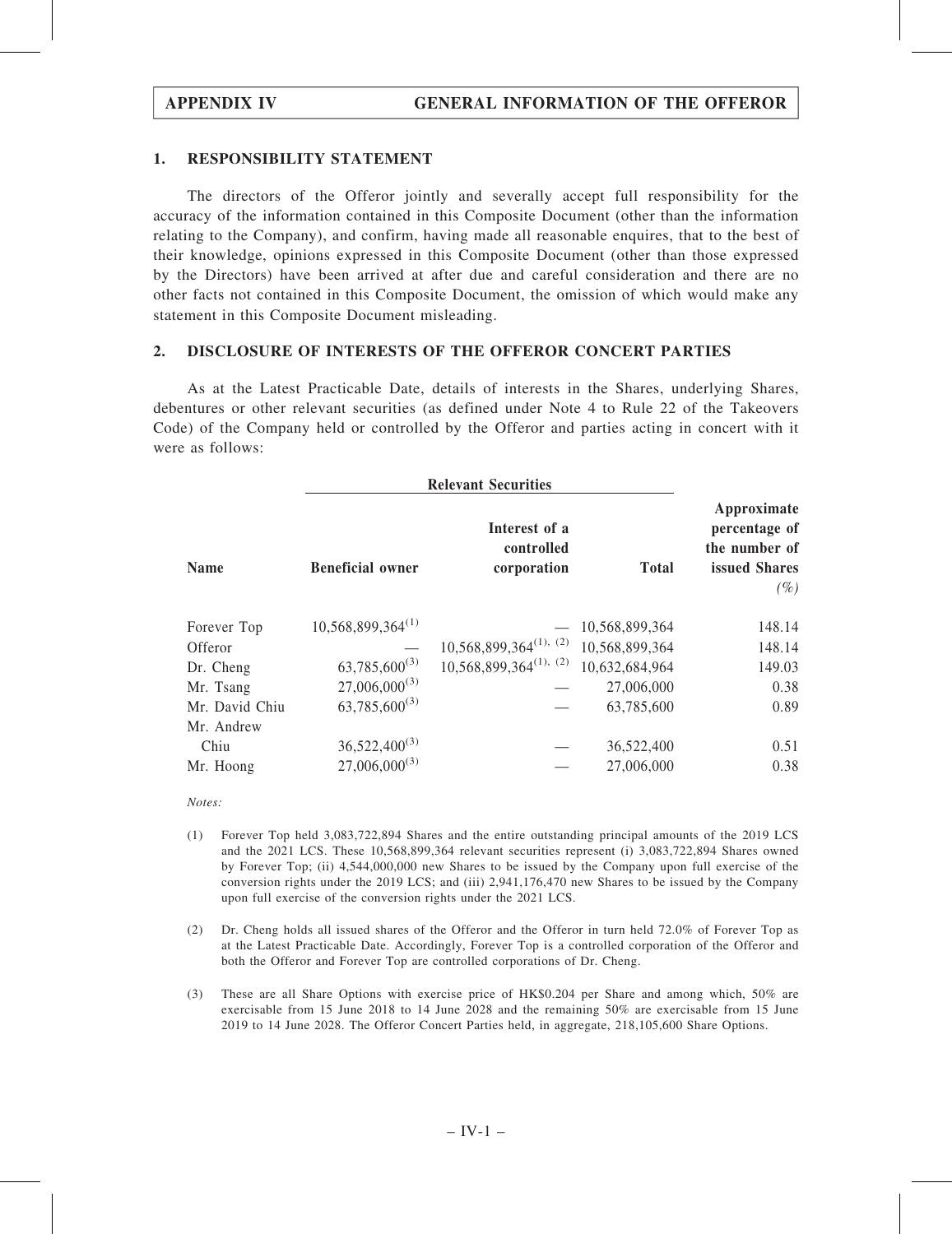### 1. RESPONSIBILITY STATEMENT

The directors of the Offeror jointly and severally accept full responsibility for the accuracy of the information contained in this Composite Document (other than the information relating to the Company), and confirm, having made all reasonable enquires, that to the best of their knowledge, opinions expressed in this Composite Document (other than those expressed by the Directors) have been arrived at after due and careful consideration and there are no other facts not contained in this Composite Document, the omission of which would make any statement in this Composite Document misleading.

### 2. DISCLOSURE OF INTERESTS OF THE OFFEROR CONCERT PARTIES

As at the Latest Practicable Date, details of interests in the Shares, underlying Shares, debentures or other relevant securities (as defined under Note 4 to Rule 22 of the Takeovers Code) of the Company held or controlled by the Offeror and parties acting in concert with it were as follows:

|                |                         | <b>Relevant Securities</b>                 |                |                                                                          |
|----------------|-------------------------|--------------------------------------------|----------------|--------------------------------------------------------------------------|
| <b>Name</b>    | <b>Beneficial owner</b> | Interest of a<br>controlled<br>corporation | <b>Total</b>   | Approximate<br>percentage of<br>the number of<br>issued Shares<br>$(\%)$ |
| Forever Top    | $10,568,899,364^{(1)}$  |                                            | 10,568,899,364 | 148.14                                                                   |
| Offeror        |                         | $10,568,899,364^{(1)},$ (2)                | 10,568,899,364 | 148.14                                                                   |
| Dr. Cheng      | $63,785,600^{(3)}$      | $10,568,899,364^{(1), (2)}$                | 10,632,684,964 | 149.03                                                                   |
| Mr. Tsang      | $27,006,000^{(3)}$      |                                            | 27,006,000     | 0.38                                                                     |
| Mr. David Chiu | $63,785,600^{(3)}$      |                                            | 63,785,600     | 0.89                                                                     |
| Mr. Andrew     |                         |                                            |                |                                                                          |
| Chiu           | $36,522,400^{(3)}$      |                                            | 36,522,400     | 0.51                                                                     |
| Mr. Hoong      | $27,006,000^{(3)}$      |                                            | 27,006,000     | 0.38                                                                     |

Notes:

- (1) Forever Top held 3,083,722,894 Shares and the entire outstanding principal amounts of the 2019 LCS and the 2021 LCS. These 10,568,899,364 relevant securities represent (i) 3,083,722,894 Shares owned by Forever Top; (ii) 4,544,000,000 new Shares to be issued by the Company upon full exercise of the conversion rights under the 2019 LCS; and (iii) 2,941,176,470 new Shares to be issued by the Company upon full exercise of the conversion rights under the 2021 LCS.
- (2) Dr. Cheng holds all issued shares of the Offeror and the Offeror in turn held 72.0% of Forever Top as at the Latest Practicable Date. Accordingly, Forever Top is a controlled corporation of the Offeror and both the Offeror and Forever Top are controlled corporations of Dr. Cheng.
- (3) These are all Share Options with exercise price of HK\$0.204 per Share and among which, 50% are exercisable from 15 June 2018 to 14 June 2028 and the remaining 50% are exercisable from 15 June 2019 to 14 June 2028. The Offeror Concert Parties held, in aggregate, 218,105,600 Share Options.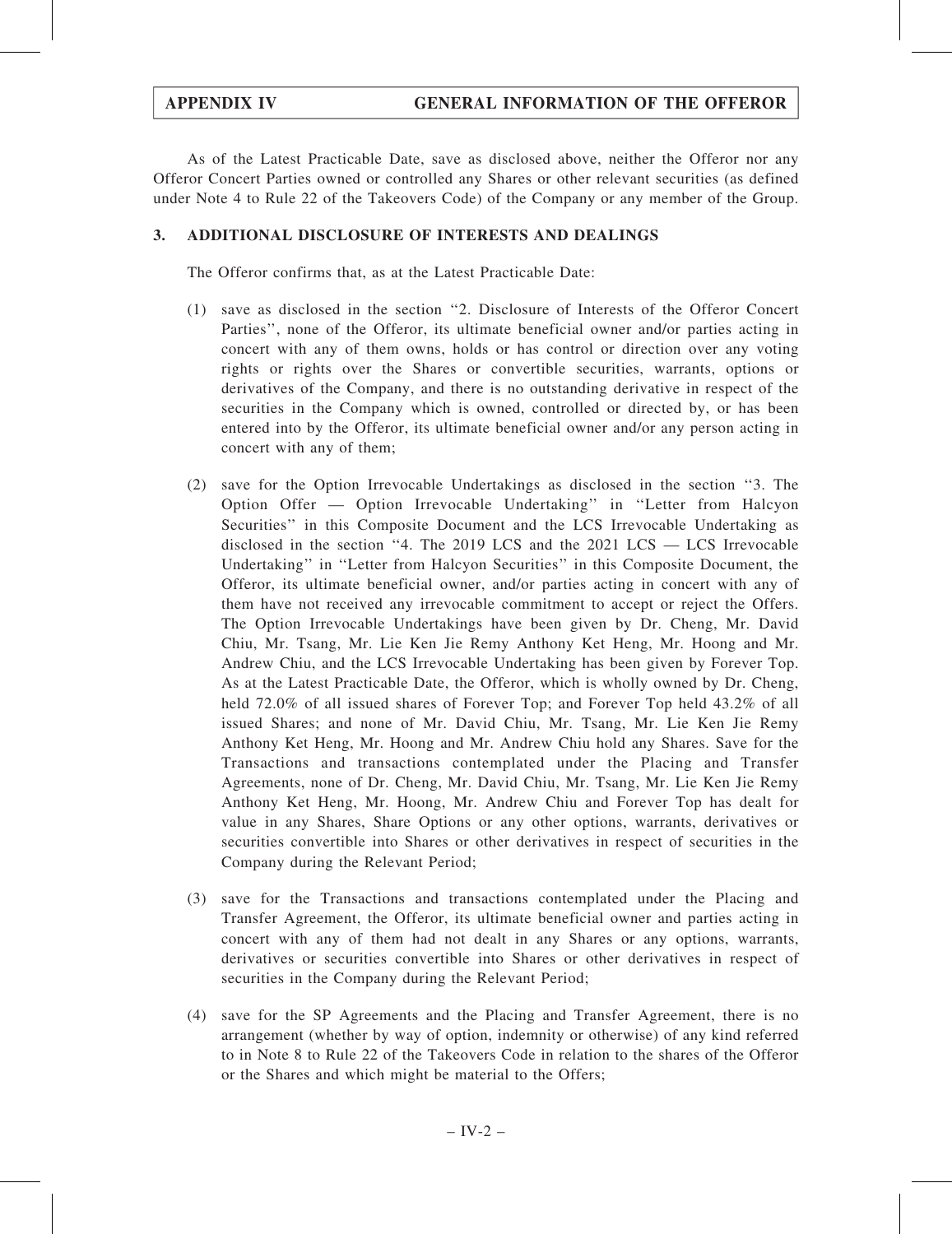As of the Latest Practicable Date, save as disclosed above, neither the Offeror nor any Offeror Concert Parties owned or controlled any Shares or other relevant securities (as defined under Note 4 to Rule 22 of the Takeovers Code) of the Company or any member of the Group.

## 3. ADDITIONAL DISCLOSURE OF INTERESTS AND DEALINGS

The Offeror confirms that, as at the Latest Practicable Date:

- (1) save as disclosed in the section ''2. Disclosure of Interests of the Offeror Concert Parties'', none of the Offeror, its ultimate beneficial owner and/or parties acting in concert with any of them owns, holds or has control or direction over any voting rights or rights over the Shares or convertible securities, warrants, options or derivatives of the Company, and there is no outstanding derivative in respect of the securities in the Company which is owned, controlled or directed by, or has been entered into by the Offeror, its ultimate beneficial owner and/or any person acting in concert with any of them;
- (2) save for the Option Irrevocable Undertakings as disclosed in the section ''3. The Option Offer — Option Irrevocable Undertaking'' in ''Letter from Halcyon Securities'' in this Composite Document and the LCS Irrevocable Undertaking as disclosed in the section "4. The 2019 LCS and the  $2021$  LCS  $-$  LCS Irrevocable Undertaking'' in ''Letter from Halcyon Securities'' in this Composite Document, the Offeror, its ultimate beneficial owner, and/or parties acting in concert with any of them have not received any irrevocable commitment to accept or reject the Offers. The Option Irrevocable Undertakings have been given by Dr. Cheng, Mr. David Chiu, Mr. Tsang, Mr. Lie Ken Jie Remy Anthony Ket Heng, Mr. Hoong and Mr. Andrew Chiu, and the LCS Irrevocable Undertaking has been given by Forever Top. As at the Latest Practicable Date, the Offeror, which is wholly owned by Dr. Cheng, held 72.0% of all issued shares of Forever Top; and Forever Top held 43.2% of all issued Shares; and none of Mr. David Chiu, Mr. Tsang, Mr. Lie Ken Jie Remy Anthony Ket Heng, Mr. Hoong and Mr. Andrew Chiu hold any Shares. Save for the Transactions and transactions contemplated under the Placing and Transfer Agreements, none of Dr. Cheng, Mr. David Chiu, Mr. Tsang, Mr. Lie Ken Jie Remy Anthony Ket Heng, Mr. Hoong, Mr. Andrew Chiu and Forever Top has dealt for value in any Shares, Share Options or any other options, warrants, derivatives or securities convertible into Shares or other derivatives in respect of securities in the Company during the Relevant Period;
- (3) save for the Transactions and transactions contemplated under the Placing and Transfer Agreement, the Offeror, its ultimate beneficial owner and parties acting in concert with any of them had not dealt in any Shares or any options, warrants, derivatives or securities convertible into Shares or other derivatives in respect of securities in the Company during the Relevant Period;
- (4) save for the SP Agreements and the Placing and Transfer Agreement, there is no arrangement (whether by way of option, indemnity or otherwise) of any kind referred to in Note 8 to Rule 22 of the Takeovers Code in relation to the shares of the Offeror or the Shares and which might be material to the Offers;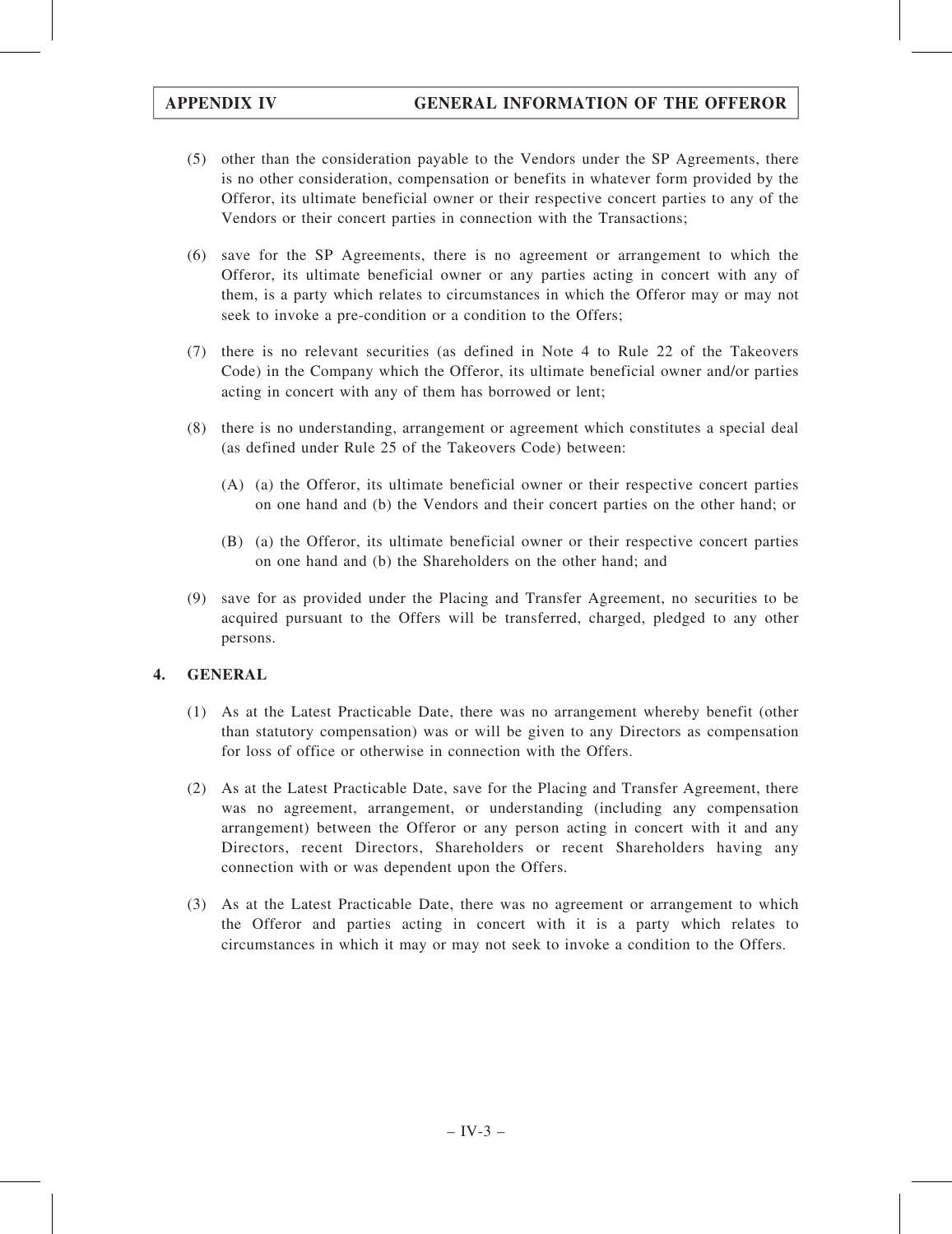- (5) other than the consideration payable to the Vendors under the SP Agreements, there is no other consideration, compensation or benefits in whatever form provided by the Offeror, its ultimate beneficial owner or their respective concert parties to any of the Vendors or their concert parties in connection with the Transactions;
- (6) save for the SP Agreements, there is no agreement or arrangement to which the Offeror, its ultimate beneficial owner or any parties acting in concert with any of them, is a party which relates to circumstances in which the Offeror may or may not seek to invoke a pre-condition or a condition to the Offers;
- (7) there is no relevant securities (as defined in Note 4 to Rule 22 of the Takeovers Code) in the Company which the Offeror, its ultimate beneficial owner and/or parties acting in concert with any of them has borrowed or lent;
- (8) there is no understanding, arrangement or agreement which constitutes a special deal (as defined under Rule 25 of the Takeovers Code) between:
	- (A) (a) the Offeror, its ultimate beneficial owner or their respective concert parties on one hand and (b) the Vendors and their concert parties on the other hand; or
	- (B) (a) the Offeror, its ultimate beneficial owner or their respective concert parties on one hand and (b) the Shareholders on the other hand; and
- (9) save for as provided under the Placing and Transfer Agreement, no securities to be acquired pursuant to the Offers will be transferred, charged, pledged to any other persons.

## 4. GENERAL

- (1) As at the Latest Practicable Date, there was no arrangement whereby benefit (other than statutory compensation) was or will be given to any Directors as compensation for loss of office or otherwise in connection with the Offers.
- (2) As at the Latest Practicable Date, save for the Placing and Transfer Agreement, there was no agreement, arrangement, or understanding (including any compensation arrangement) between the Offeror or any person acting in concert with it and any Directors, recent Directors, Shareholders or recent Shareholders having any connection with or was dependent upon the Offers.
- (3) As at the Latest Practicable Date, there was no agreement or arrangement to which the Offeror and parties acting in concert with it is a party which relates to circumstances in which it may or may not seek to invoke a condition to the Offers.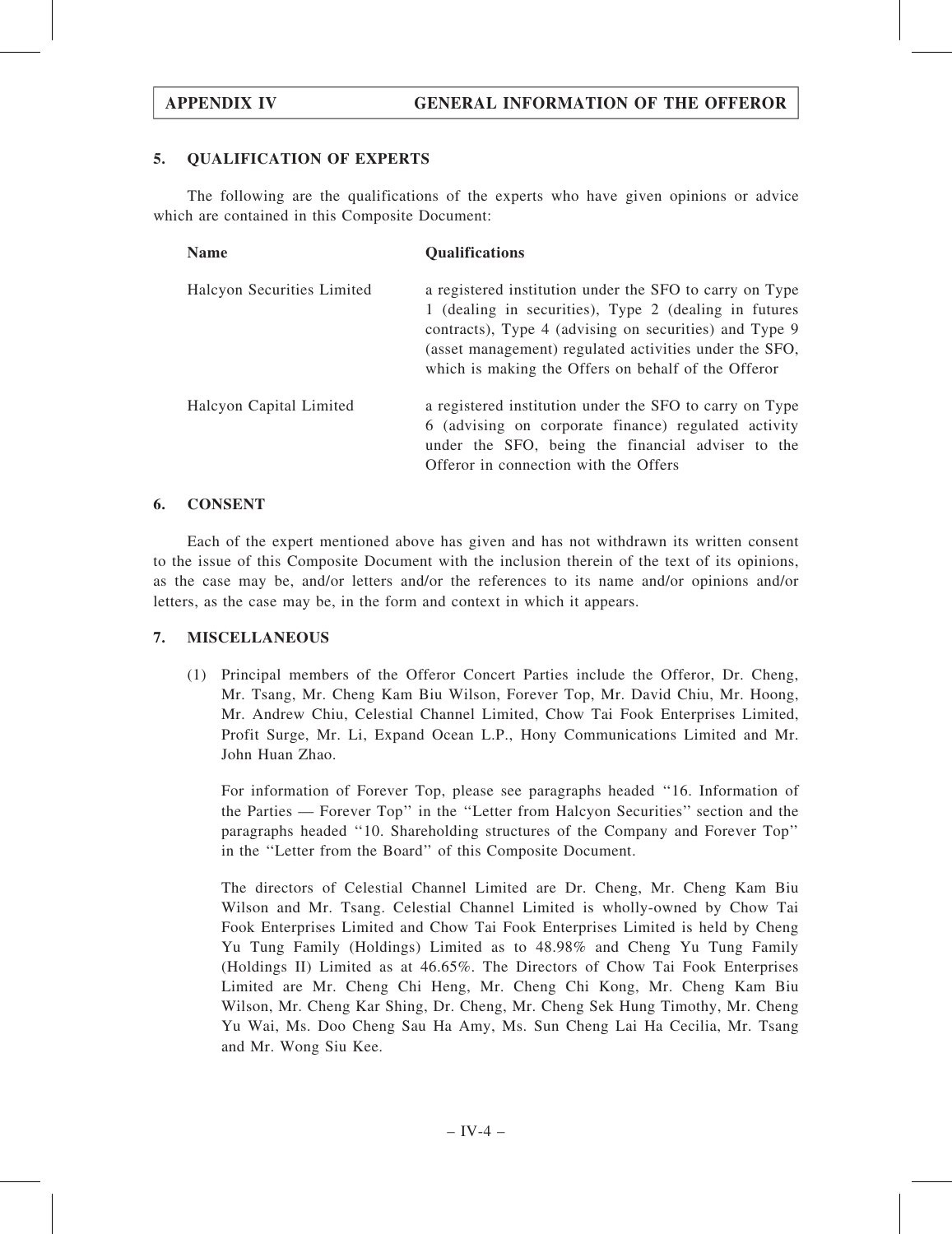## 5. QUALIFICATION OF EXPERTS

The following are the qualifications of the experts who have given opinions or advice which are contained in this Composite Document:

| <b>Name</b>                | <b>Qualifications</b>                                                                                                                                                                                                                                                                       |
|----------------------------|---------------------------------------------------------------------------------------------------------------------------------------------------------------------------------------------------------------------------------------------------------------------------------------------|
| Halcyon Securities Limited | a registered institution under the SFO to carry on Type<br>1 (dealing in securities), Type 2 (dealing in futures<br>contracts), Type 4 (advising on securities) and Type 9<br>(asset management) regulated activities under the SFO,<br>which is making the Offers on behalf of the Offeror |
| Halcyon Capital Limited    | a registered institution under the SFO to carry on Type<br>6 (advising on corporate finance) regulated activity<br>under the SFO, being the financial adviser to the<br>Offeror in connection with the Offers                                                                               |

## 6. CONSENT

Each of the expert mentioned above has given and has not withdrawn its written consent to the issue of this Composite Document with the inclusion therein of the text of its opinions, as the case may be, and/or letters and/or the references to its name and/or opinions and/or letters, as the case may be, in the form and context in which it appears.

## 7. MISCELLANEOUS

(1) Principal members of the Offeror Concert Parties include the Offeror, Dr. Cheng, Mr. Tsang, Mr. Cheng Kam Biu Wilson, Forever Top, Mr. David Chiu, Mr. Hoong, Mr. Andrew Chiu, Celestial Channel Limited, Chow Tai Fook Enterprises Limited, Profit Surge, Mr. Li, Expand Ocean L.P., Hony Communications Limited and Mr. John Huan Zhao.

For information of Forever Top, please see paragraphs headed ''16. Information of the Parties — Forever Top'' in the ''Letter from Halcyon Securities'' section and the paragraphs headed ''10. Shareholding structures of the Company and Forever Top'' in the ''Letter from the Board'' of this Composite Document.

The directors of Celestial Channel Limited are Dr. Cheng, Mr. Cheng Kam Biu Wilson and Mr. Tsang. Celestial Channel Limited is wholly-owned by Chow Tai Fook Enterprises Limited and Chow Tai Fook Enterprises Limited is held by Cheng Yu Tung Family (Holdings) Limited as to 48.98% and Cheng Yu Tung Family (Holdings II) Limited as at 46.65%. The Directors of Chow Tai Fook Enterprises Limited are Mr. Cheng Chi Heng, Mr. Cheng Chi Kong, Mr. Cheng Kam Biu Wilson, Mr. Cheng Kar Shing, Dr. Cheng, Mr. Cheng Sek Hung Timothy, Mr. Cheng Yu Wai, Ms. Doo Cheng Sau Ha Amy, Ms. Sun Cheng Lai Ha Cecilia, Mr. Tsang and Mr. Wong Siu Kee.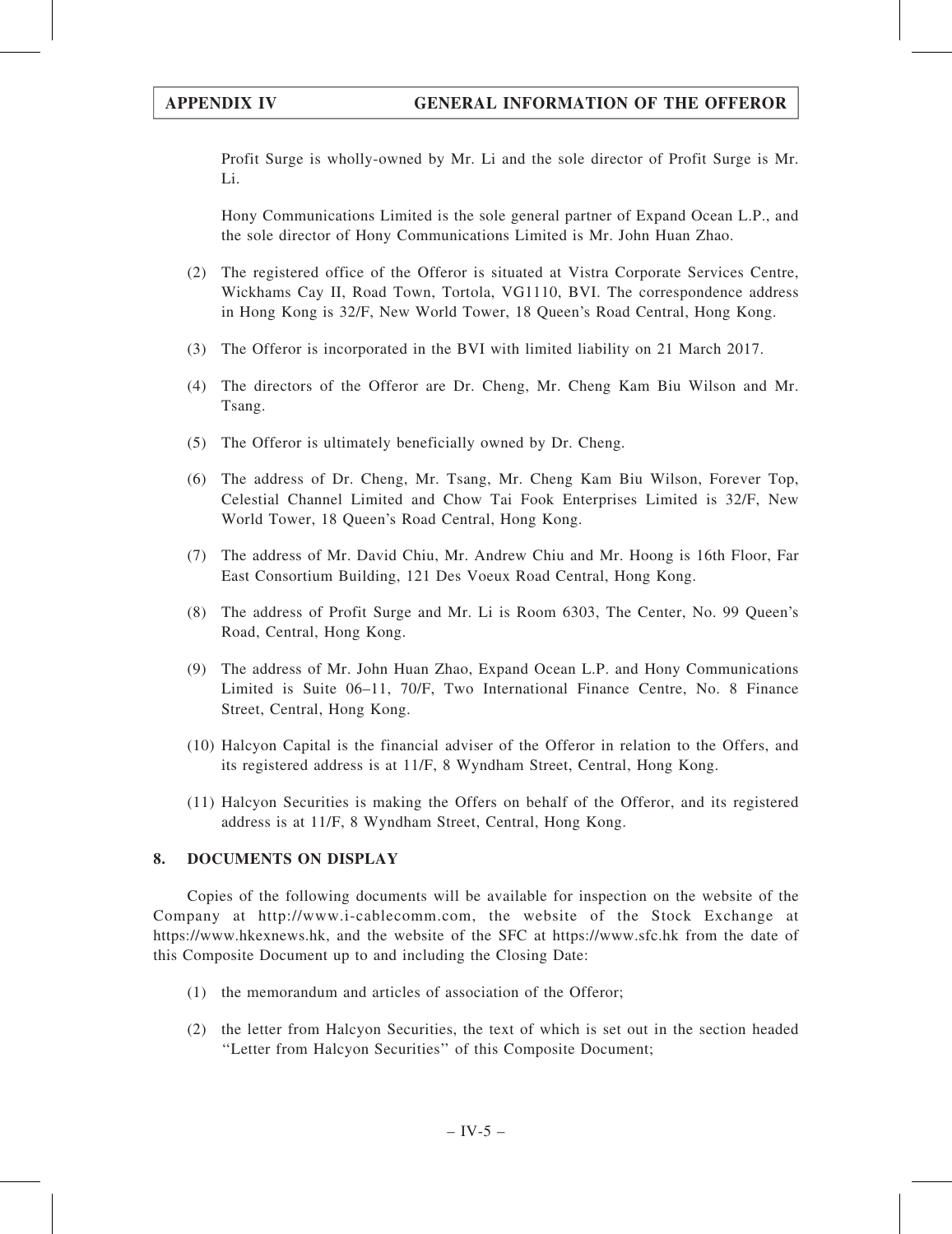Profit Surge is wholly-owned by Mr. Li and the sole director of Profit Surge is Mr. Li.

Hony Communications Limited is the sole general partner of Expand Ocean L.P., and the sole director of Hony Communications Limited is Mr. John Huan Zhao.

- (2) The registered office of the Offeror is situated at Vistra Corporate Services Centre, Wickhams Cay II, Road Town, Tortola, VG1110, BVI. The correspondence address in Hong Kong is 32/F, New World Tower, 18 Queen's Road Central, Hong Kong.
- (3) The Offeror is incorporated in the BVI with limited liability on 21 March 2017.
- (4) The directors of the Offeror are Dr. Cheng, Mr. Cheng Kam Biu Wilson and Mr. Tsang.
- (5) The Offeror is ultimately beneficially owned by Dr. Cheng.
- (6) The address of Dr. Cheng, Mr. Tsang, Mr. Cheng Kam Biu Wilson, Forever Top, Celestial Channel Limited and Chow Tai Fook Enterprises Limited is 32/F, New World Tower, 18 Queen's Road Central, Hong Kong.
- (7) The address of Mr. David Chiu, Mr. Andrew Chiu and Mr. Hoong is 16th Floor, Far East Consortium Building, 121 Des Voeux Road Central, Hong Kong.
- (8) The address of Profit Surge and Mr. Li is Room 6303, The Center, No. 99 Queen's Road, Central, Hong Kong.
- (9) The address of Mr. John Huan Zhao, Expand Ocean L.P. and Hony Communications Limited is Suite 06–11, 70/F, Two International Finance Centre, No. 8 Finance Street, Central, Hong Kong.
- (10) Halcyon Capital is the financial adviser of the Offeror in relation to the Offers, and its registered address is at 11/F, 8 Wyndham Street, Central, Hong Kong.
- (11) Halcyon Securities is making the Offers on behalf of the Offeror, and its registered address is at 11/F, 8 Wyndham Street, Central, Hong Kong.

## 8. DOCUMENTS ON DISPLAY

Copies of the following documents will be available for inspection on the website of the Company at http://www.i-cablecomm.com, the website of the Stock Exchange at https://www.hkexnews.hk, and the website of the SFC at https://www.sfc.hk from the date of this Composite Document up to and including the Closing Date:

- (1) the memorandum and articles of association of the Offeror;
- (2) the letter from Halcyon Securities, the text of which is set out in the section headed ''Letter from Halcyon Securities'' of this Composite Document;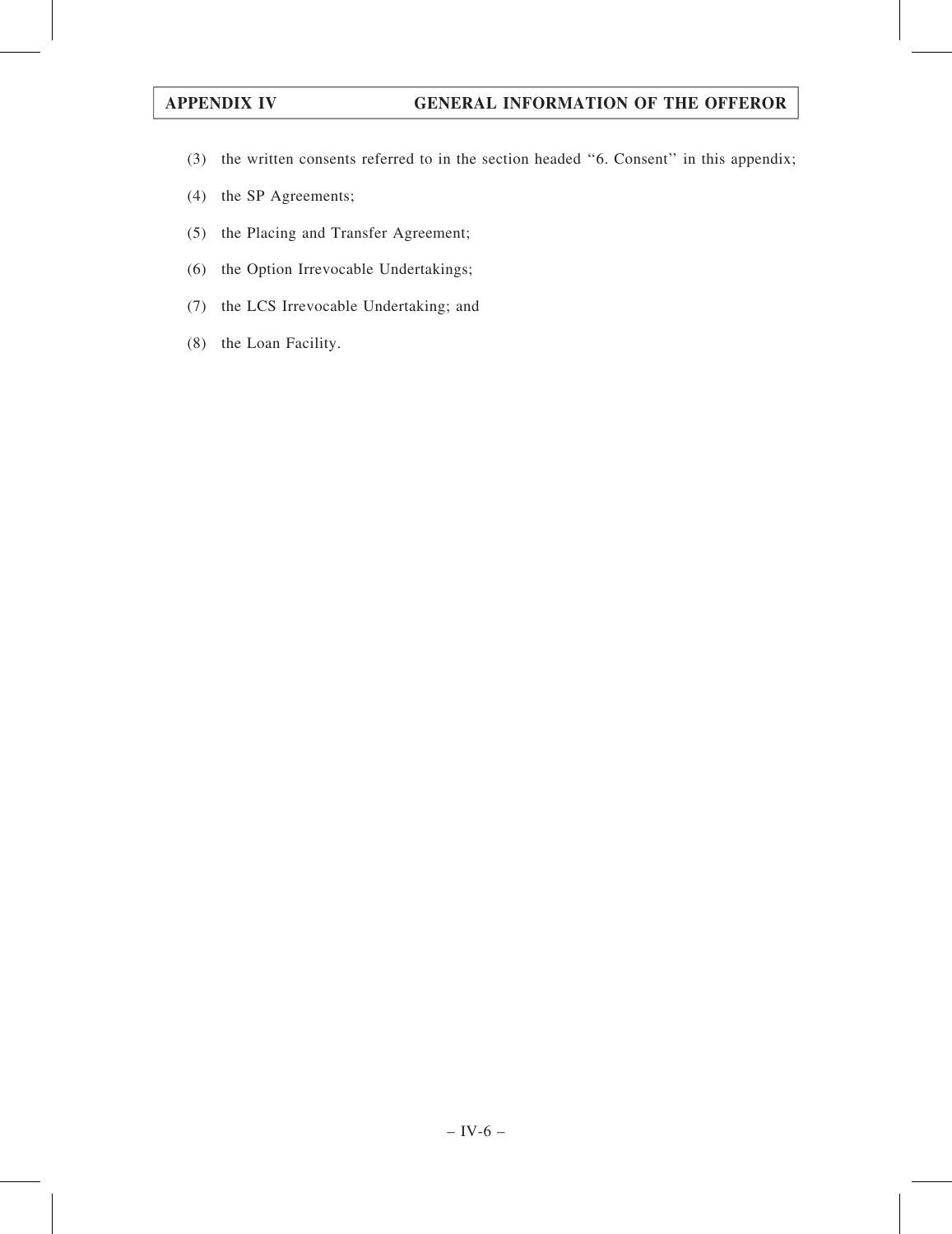- (3) the written consents referred to in the section headed ''6. Consent'' in this appendix;
- (4) the SP Agreements;
- (5) the Placing and Transfer Agreement;
- (6) the Option Irrevocable Undertakings;
- (7) the LCS Irrevocable Undertaking; and
- (8) the Loan Facility.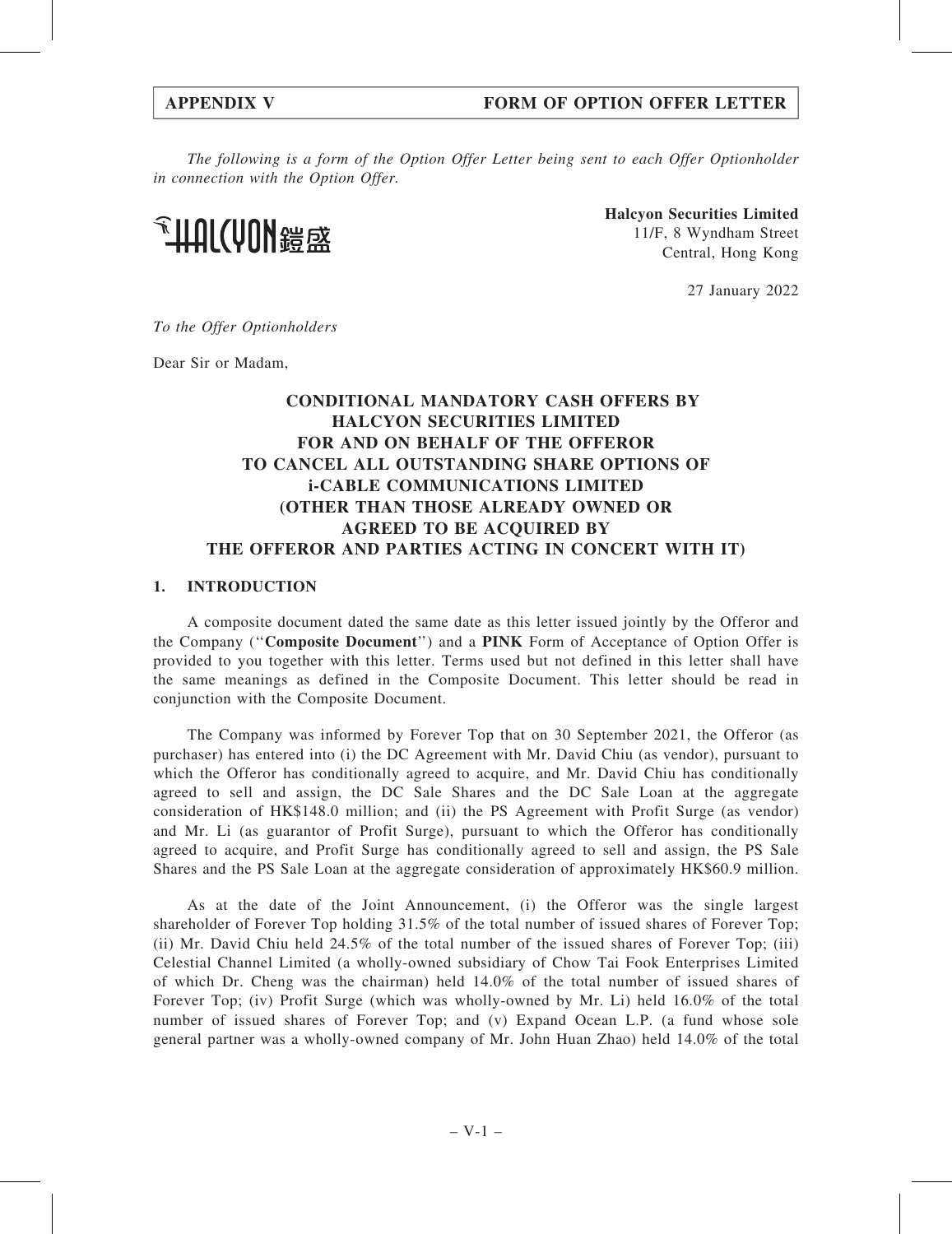## APPENDIX V FORM OF OPTION OFFER LETTER

The following is a form of the Option Offer Letter being sent to each Offer Optionholder in connection with the Option Offer.

**、HUL(AUN 综**谈

Halcyon Securities Limited 11/F, 8 Wyndham Street Central, Hong Kong

27 January 2022

To the Offer Optionholders

Dear Sir or Madam,

# CONDITIONAL MANDATORY CASH OFFERS BY HALCYON SECURITIES LIMITED FOR AND ON BEHALF OF THE OFFEROR TO CANCEL ALL OUTSTANDING SHARE OPTIONS OF i-CABLE COMMUNICATIONS LIMITED (OTHER THAN THOSE ALREADY OWNED OR AGREED TO BE ACQUIRED BY THE OFFEROR AND PARTIES ACTING IN CONCERT WITH IT)

### 1. INTRODUCTION

A composite document dated the same date as this letter issued jointly by the Offeror and the Company (''Composite Document'') and a PINK Form of Acceptance of Option Offer is provided to you together with this letter. Terms used but not defined in this letter shall have the same meanings as defined in the Composite Document. This letter should be read in conjunction with the Composite Document.

The Company was informed by Forever Top that on 30 September 2021, the Offeror (as purchaser) has entered into (i) the DC Agreement with Mr. David Chiu (as vendor), pursuant to which the Offeror has conditionally agreed to acquire, and Mr. David Chiu has conditionally agreed to sell and assign, the DC Sale Shares and the DC Sale Loan at the aggregate consideration of HK\$148.0 million; and (ii) the PS Agreement with Profit Surge (as vendor) and Mr. Li (as guarantor of Profit Surge), pursuant to which the Offeror has conditionally agreed to acquire, and Profit Surge has conditionally agreed to sell and assign, the PS Sale Shares and the PS Sale Loan at the aggregate consideration of approximately HK\$60.9 million.

As at the date of the Joint Announcement, (i) the Offeror was the single largest shareholder of Forever Top holding 31.5% of the total number of issued shares of Forever Top; (ii) Mr. David Chiu held 24.5% of the total number of the issued shares of Forever Top; (iii) Celestial Channel Limited (a wholly-owned subsidiary of Chow Tai Fook Enterprises Limited of which Dr. Cheng was the chairman) held 14.0% of the total number of issued shares of Forever Top; (iv) Profit Surge (which was wholly-owned by Mr. Li) held 16.0% of the total number of issued shares of Forever Top; and (v) Expand Ocean L.P. (a fund whose sole general partner was a wholly-owned company of Mr. John Huan Zhao) held 14.0% of the total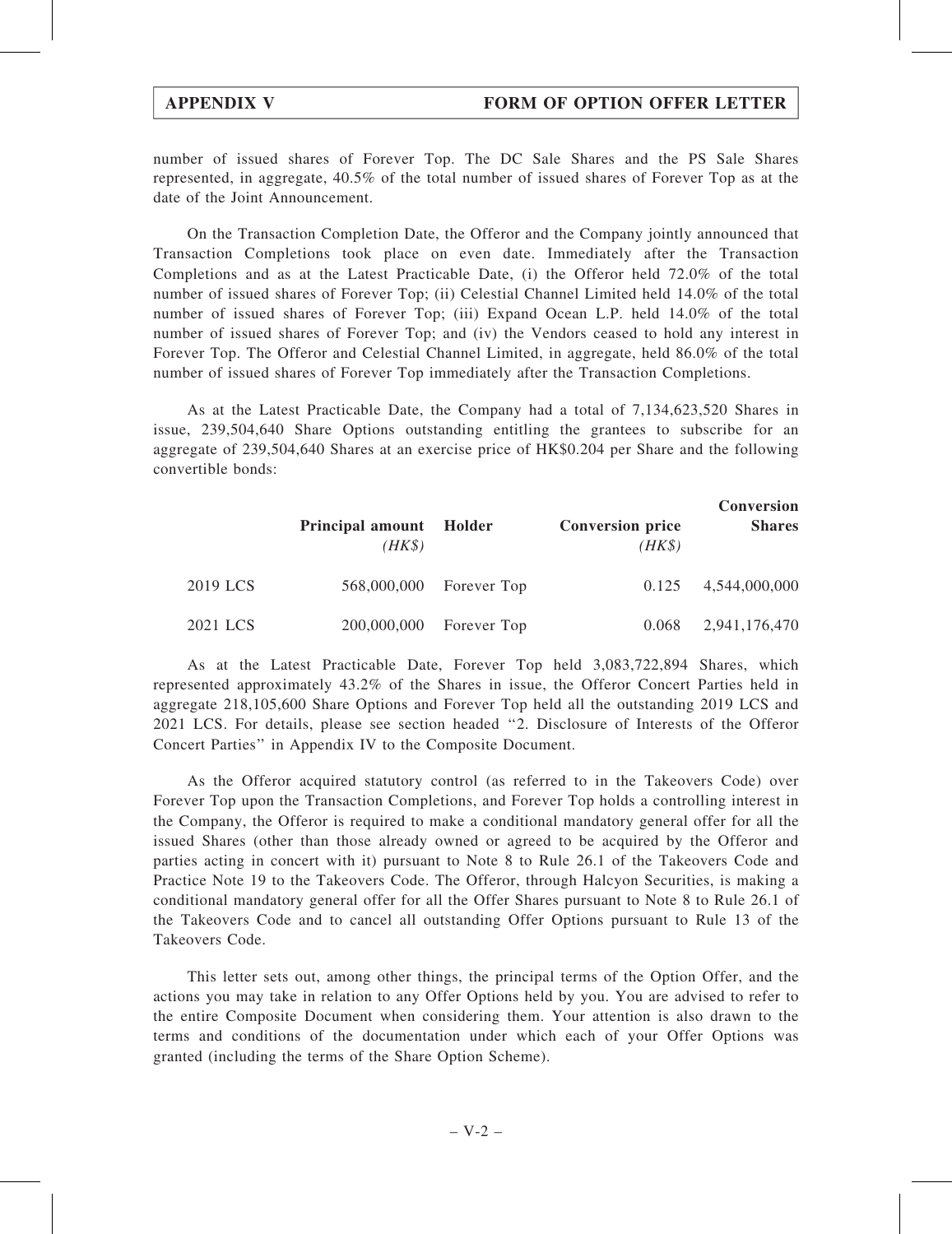number of issued shares of Forever Top. The DC Sale Shares and the PS Sale Shares represented, in aggregate, 40.5% of the total number of issued shares of Forever Top as at the date of the Joint Announcement.

On the Transaction Completion Date, the Offeror and the Company jointly announced that Transaction Completions took place on even date. Immediately after the Transaction Completions and as at the Latest Practicable Date, (i) the Offeror held 72.0% of the total number of issued shares of Forever Top; (ii) Celestial Channel Limited held 14.0% of the total number of issued shares of Forever Top; (iii) Expand Ocean L.P. held 14.0% of the total number of issued shares of Forever Top; and (iv) the Vendors ceased to hold any interest in Forever Top. The Offeror and Celestial Channel Limited, in aggregate, held 86.0% of the total number of issued shares of Forever Top immediately after the Transaction Completions.

As at the Latest Practicable Date, the Company had a total of 7,134,623,520 Shares in issue, 239,504,640 Share Options outstanding entitling the grantees to subscribe for an aggregate of 239,504,640 Shares at an exercise price of HK\$0.204 per Share and the following convertible bonds:

|          | <b>Principal amount</b><br>$(HK\$ | Holder                  | <b>Conversion price</b><br>$(HK\$ | <b>Conversion</b><br><b>Shares</b> |
|----------|-----------------------------------|-------------------------|-----------------------------------|------------------------------------|
| 2019 LCS |                                   | 568,000,000 Forever Top | 0.125                             | 4,544,000,000                      |
| 2021 LCS |                                   | 200,000,000 Forever Top | 0.068                             | 2,941,176,470                      |

As at the Latest Practicable Date, Forever Top held 3,083,722,894 Shares, which represented approximately 43.2% of the Shares in issue, the Offeror Concert Parties held in aggregate 218,105,600 Share Options and Forever Top held all the outstanding 2019 LCS and 2021 LCS. For details, please see section headed ''2. Disclosure of Interests of the Offeror Concert Parties'' in Appendix IV to the Composite Document.

As the Offeror acquired statutory control (as referred to in the Takeovers Code) over Forever Top upon the Transaction Completions, and Forever Top holds a controlling interest in the Company, the Offeror is required to make a conditional mandatory general offer for all the issued Shares (other than those already owned or agreed to be acquired by the Offeror and parties acting in concert with it) pursuant to Note 8 to Rule 26.1 of the Takeovers Code and Practice Note 19 to the Takeovers Code. The Offeror, through Halcyon Securities, is making a conditional mandatory general offer for all the Offer Shares pursuant to Note 8 to Rule 26.1 of the Takeovers Code and to cancel all outstanding Offer Options pursuant to Rule 13 of the Takeovers Code.

This letter sets out, among other things, the principal terms of the Option Offer, and the actions you may take in relation to any Offer Options held by you. You are advised to refer to the entire Composite Document when considering them. Your attention is also drawn to the terms and conditions of the documentation under which each of your Offer Options was granted (including the terms of the Share Option Scheme).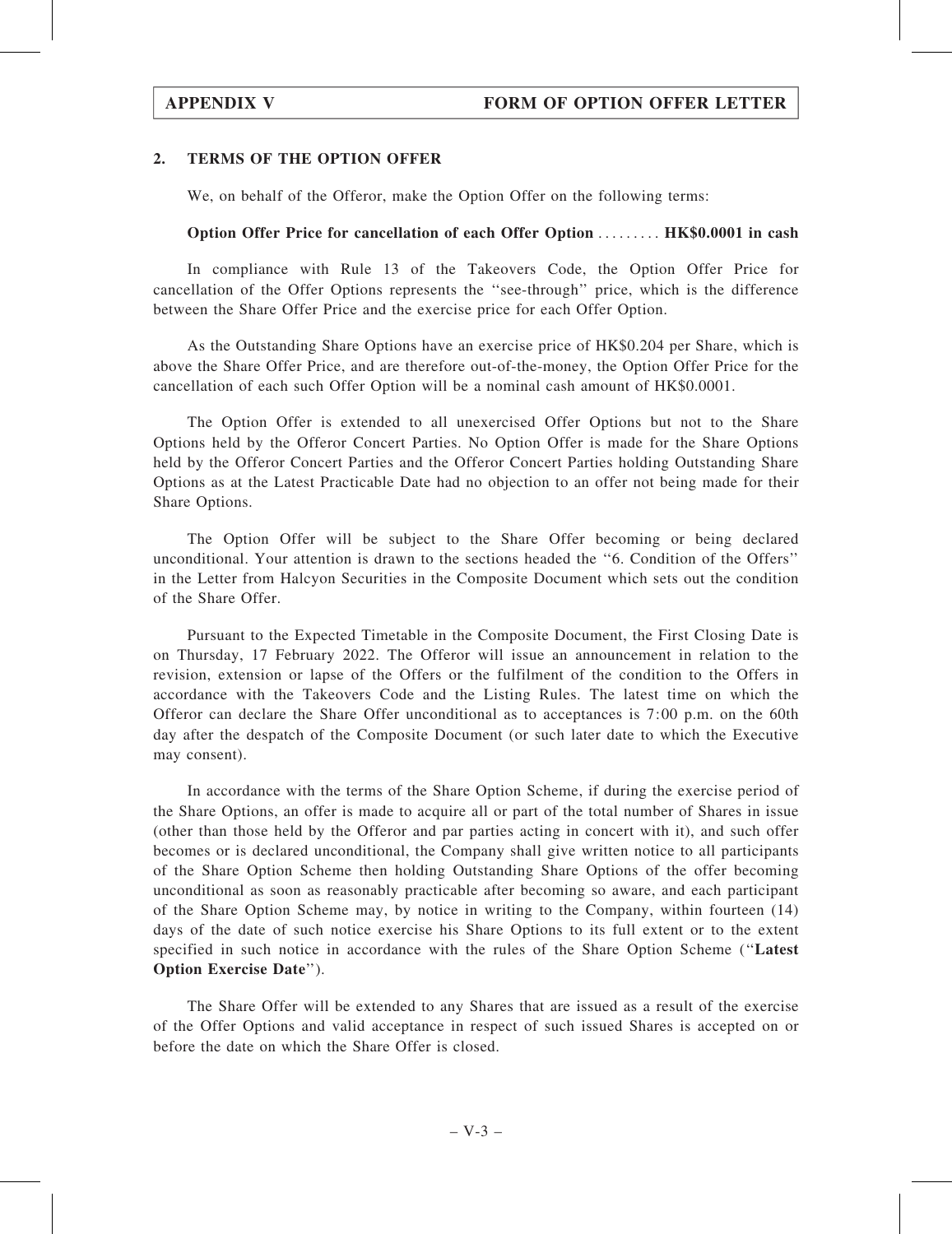## 2. TERMS OF THE OPTION OFFER

We, on behalf of the Offeror, make the Option Offer on the following terms:

## Option Offer Price for cancellation of each Offer Option ......... HK\$0.0001 in cash

In compliance with Rule 13 of the Takeovers Code, the Option Offer Price for cancellation of the Offer Options represents the ''see-through'' price, which is the difference between the Share Offer Price and the exercise price for each Offer Option.

As the Outstanding Share Options have an exercise price of HK\$0.204 per Share, which is above the Share Offer Price, and are therefore out-of-the-money, the Option Offer Price for the cancellation of each such Offer Option will be a nominal cash amount of HK\$0.0001.

The Option Offer is extended to all unexercised Offer Options but not to the Share Options held by the Offeror Concert Parties. No Option Offer is made for the Share Options held by the Offeror Concert Parties and the Offeror Concert Parties holding Outstanding Share Options as at the Latest Practicable Date had no objection to an offer not being made for their Share Options.

The Option Offer will be subject to the Share Offer becoming or being declared unconditional. Your attention is drawn to the sections headed the ''6. Condition of the Offers'' in the Letter from Halcyon Securities in the Composite Document which sets out the condition of the Share Offer.

Pursuant to the Expected Timetable in the Composite Document, the First Closing Date is on Thursday, 17 February 2022. The Offeror will issue an announcement in relation to the revision, extension or lapse of the Offers or the fulfilment of the condition to the Offers in accordance with the Takeovers Code and the Listing Rules. The latest time on which the Offeror can declare the Share Offer unconditional as to acceptances is 7:00 p.m. on the 60th day after the despatch of the Composite Document (or such later date to which the Executive may consent).

In accordance with the terms of the Share Option Scheme, if during the exercise period of the Share Options, an offer is made to acquire all or part of the total number of Shares in issue (other than those held by the Offeror and par parties acting in concert with it), and such offer becomes or is declared unconditional, the Company shall give written notice to all participants of the Share Option Scheme then holding Outstanding Share Options of the offer becoming unconditional as soon as reasonably practicable after becoming so aware, and each participant of the Share Option Scheme may, by notice in writing to the Company, within fourteen (14) days of the date of such notice exercise his Share Options to its full extent or to the extent specified in such notice in accordance with the rules of the Share Option Scheme (''Latest Option Exercise Date'').

The Share Offer will be extended to any Shares that are issued as a result of the exercise of the Offer Options and valid acceptance in respect of such issued Shares is accepted on or before the date on which the Share Offer is closed.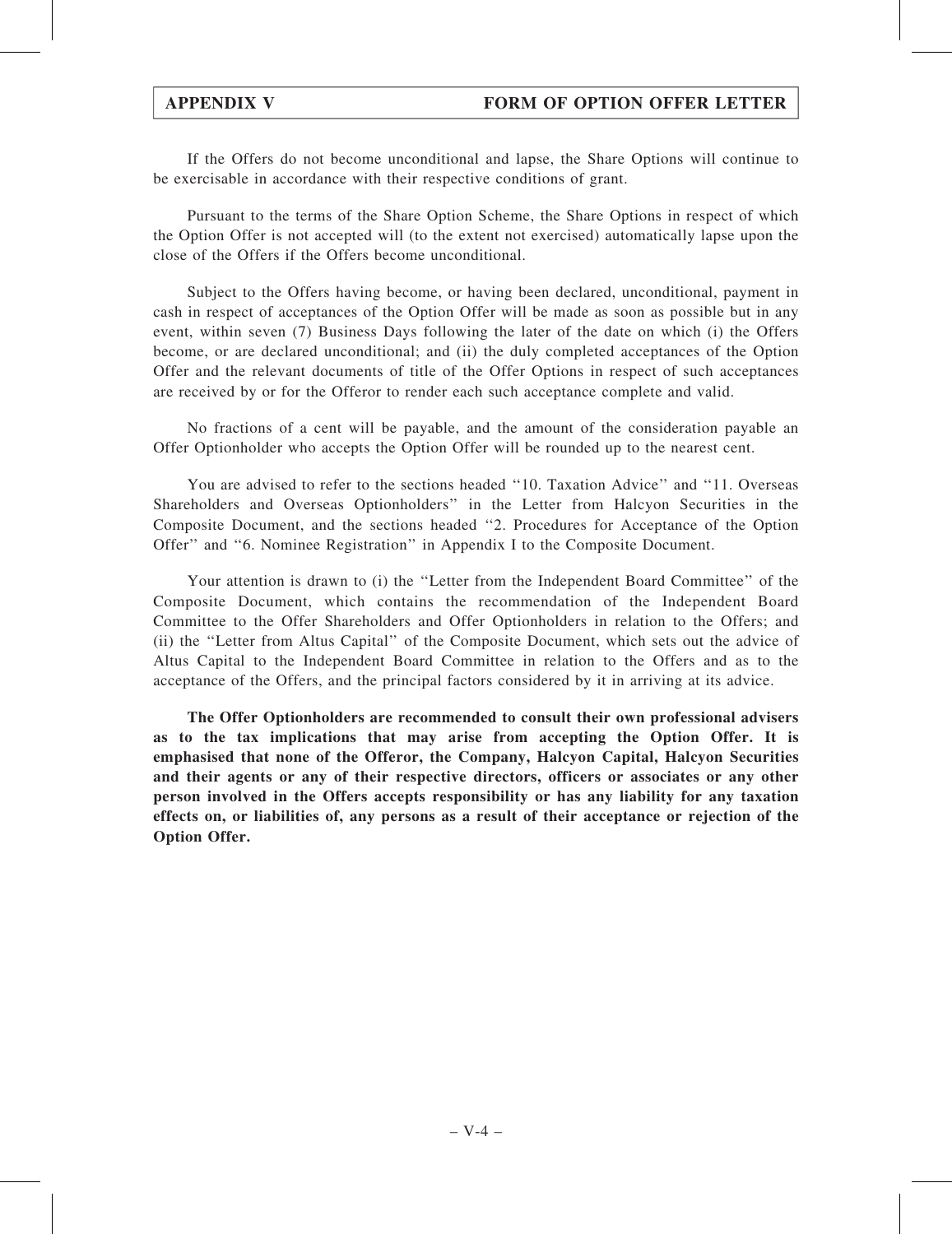If the Offers do not become unconditional and lapse, the Share Options will continue to be exercisable in accordance with their respective conditions of grant.

Pursuant to the terms of the Share Option Scheme, the Share Options in respect of which the Option Offer is not accepted will (to the extent not exercised) automatically lapse upon the close of the Offers if the Offers become unconditional.

Subject to the Offers having become, or having been declared, unconditional, payment in cash in respect of acceptances of the Option Offer will be made as soon as possible but in any event, within seven (7) Business Days following the later of the date on which (i) the Offers become, or are declared unconditional; and (ii) the duly completed acceptances of the Option Offer and the relevant documents of title of the Offer Options in respect of such acceptances are received by or for the Offeror to render each such acceptance complete and valid.

No fractions of a cent will be payable, and the amount of the consideration payable an Offer Optionholder who accepts the Option Offer will be rounded up to the nearest cent.

You are advised to refer to the sections headed ''10. Taxation Advice'' and ''11. Overseas Shareholders and Overseas Optionholders'' in the Letter from Halcyon Securities in the Composite Document, and the sections headed ''2. Procedures for Acceptance of the Option Offer'' and ''6. Nominee Registration'' in Appendix I to the Composite Document.

Your attention is drawn to (i) the ''Letter from the Independent Board Committee'' of the Composite Document, which contains the recommendation of the Independent Board Committee to the Offer Shareholders and Offer Optionholders in relation to the Offers; and (ii) the ''Letter from Altus Capital'' of the Composite Document, which sets out the advice of Altus Capital to the Independent Board Committee in relation to the Offers and as to the acceptance of the Offers, and the principal factors considered by it in arriving at its advice.

The Offer Optionholders are recommended to consult their own professional advisers as to the tax implications that may arise from accepting the Option Offer. It is emphasised that none of the Offeror, the Company, Halcyon Capital, Halcyon Securities and their agents or any of their respective directors, officers or associates or any other person involved in the Offers accepts responsibility or has any liability for any taxation effects on, or liabilities of, any persons as a result of their acceptance or rejection of the Option Offer.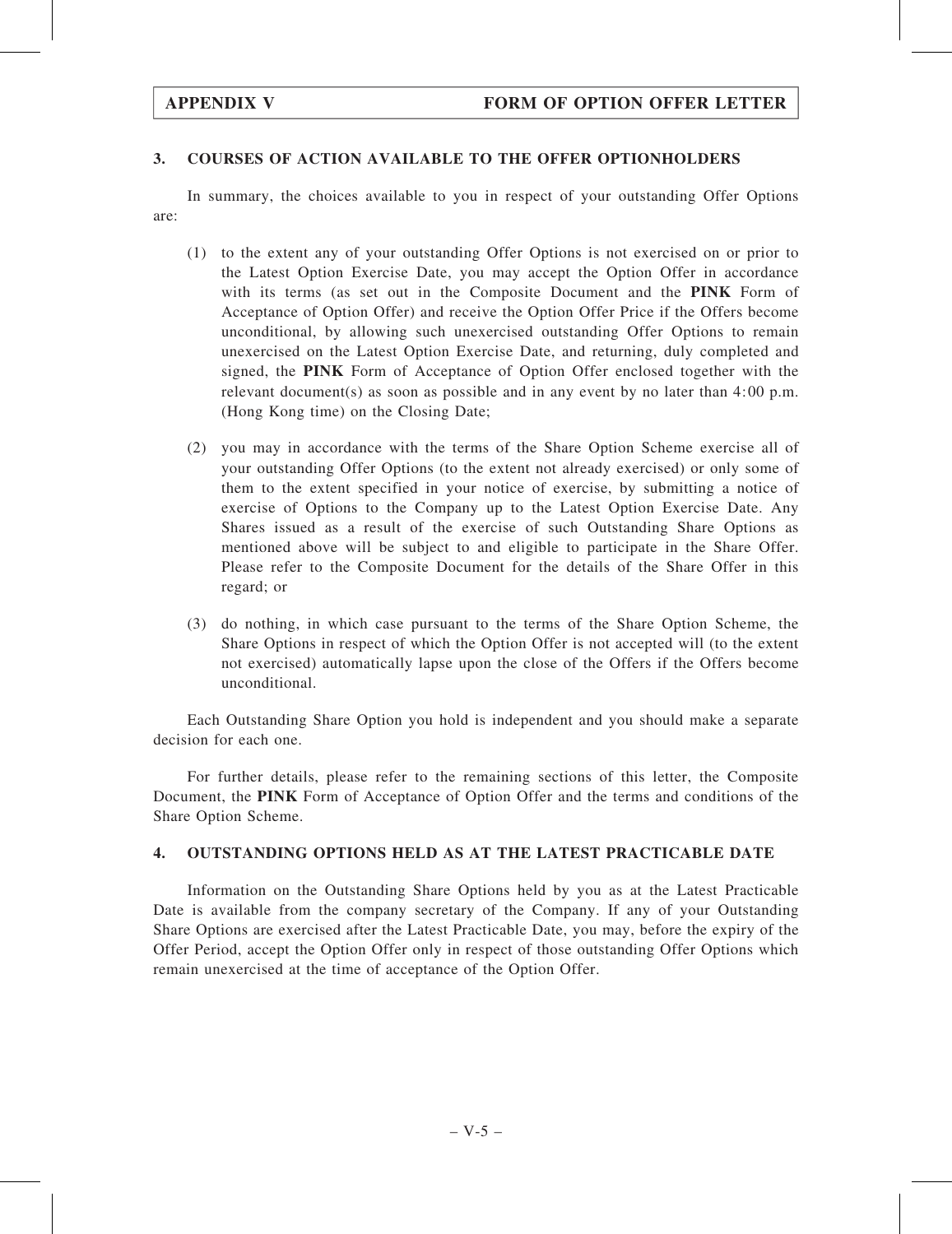## 3. COURSES OF ACTION AVAILABLE TO THE OFFER OPTIONHOLDERS

In summary, the choices available to you in respect of your outstanding Offer Options are:

- (1) to the extent any of your outstanding Offer Options is not exercised on or prior to the Latest Option Exercise Date, you may accept the Option Offer in accordance with its terms (as set out in the Composite Document and the PINK Form of Acceptance of Option Offer) and receive the Option Offer Price if the Offers become unconditional, by allowing such unexercised outstanding Offer Options to remain unexercised on the Latest Option Exercise Date, and returning, duly completed and signed, the PINK Form of Acceptance of Option Offer enclosed together with the relevant document(s) as soon as possible and in any event by no later than 4:00 p.m. (Hong Kong time) on the Closing Date;
- (2) you may in accordance with the terms of the Share Option Scheme exercise all of your outstanding Offer Options (to the extent not already exercised) or only some of them to the extent specified in your notice of exercise, by submitting a notice of exercise of Options to the Company up to the Latest Option Exercise Date. Any Shares issued as a result of the exercise of such Outstanding Share Options as mentioned above will be subject to and eligible to participate in the Share Offer. Please refer to the Composite Document for the details of the Share Offer in this regard; or
- (3) do nothing, in which case pursuant to the terms of the Share Option Scheme, the Share Options in respect of which the Option Offer is not accepted will (to the extent not exercised) automatically lapse upon the close of the Offers if the Offers become unconditional.

Each Outstanding Share Option you hold is independent and you should make a separate decision for each one.

For further details, please refer to the remaining sections of this letter, the Composite Document, the PINK Form of Acceptance of Option Offer and the terms and conditions of the Share Option Scheme.

## 4. OUTSTANDING OPTIONS HELD AS AT THE LATEST PRACTICABLE DATE

Information on the Outstanding Share Options held by you as at the Latest Practicable Date is available from the company secretary of the Company. If any of your Outstanding Share Options are exercised after the Latest Practicable Date, you may, before the expiry of the Offer Period, accept the Option Offer only in respect of those outstanding Offer Options which remain unexercised at the time of acceptance of the Option Offer.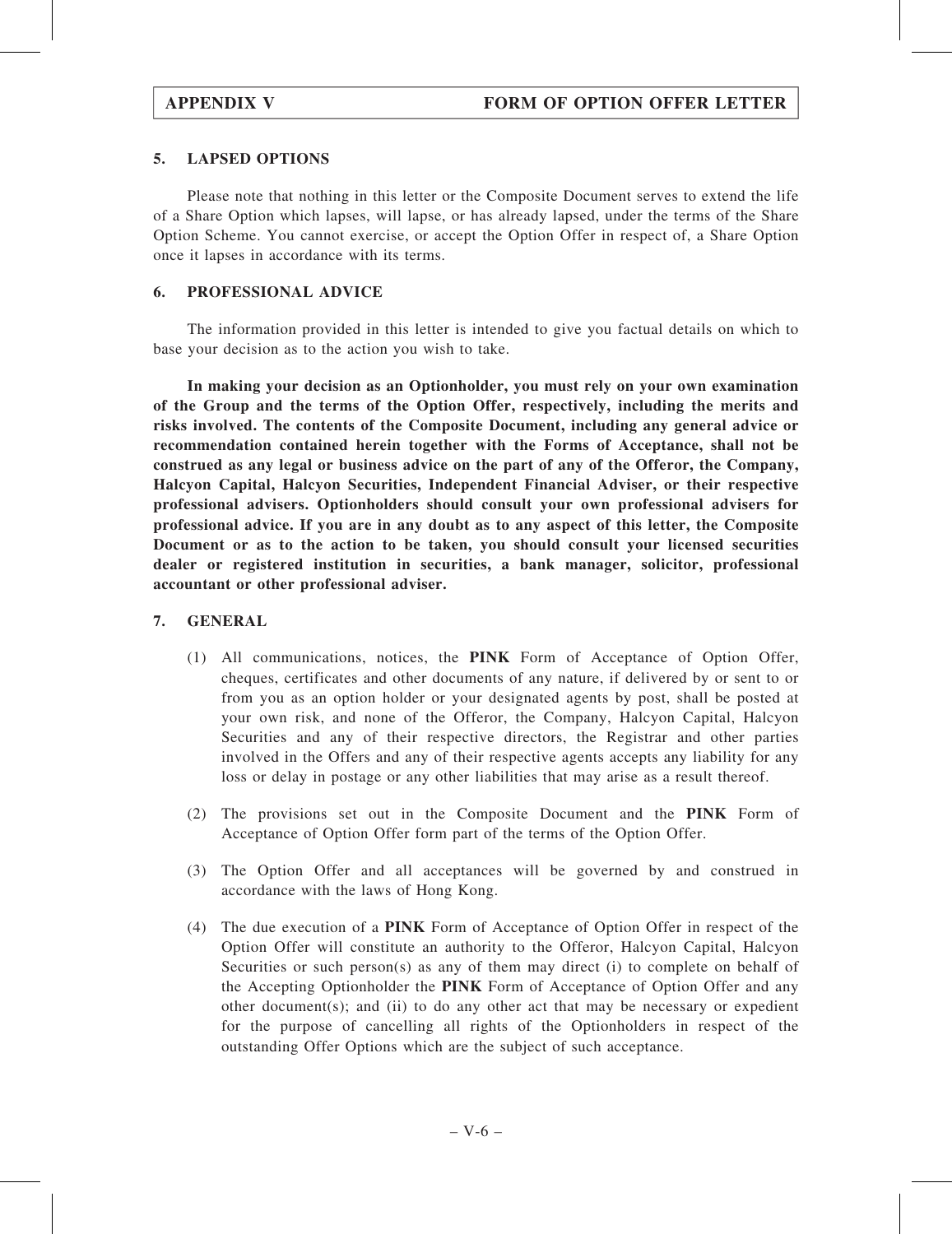# 5. LAPSED OPTIONS

Please note that nothing in this letter or the Composite Document serves to extend the life of a Share Option which lapses, will lapse, or has already lapsed, under the terms of the Share Option Scheme. You cannot exercise, or accept the Option Offer in respect of, a Share Option once it lapses in accordance with its terms.

### 6. PROFESSIONAL ADVICE

The information provided in this letter is intended to give you factual details on which to base your decision as to the action you wish to take.

In making your decision as an Optionholder, you must rely on your own examination of the Group and the terms of the Option Offer, respectively, including the merits and risks involved. The contents of the Composite Document, including any general advice or recommendation contained herein together with the Forms of Acceptance, shall not be construed as any legal or business advice on the part of any of the Offeror, the Company, Halcyon Capital, Halcyon Securities, Independent Financial Adviser, or their respective professional advisers. Optionholders should consult your own professional advisers for professional advice. If you are in any doubt as to any aspect of this letter, the Composite Document or as to the action to be taken, you should consult your licensed securities dealer or registered institution in securities, a bank manager, solicitor, professional accountant or other professional adviser.

### 7. GENERAL

- (1) All communications, notices, the PINK Form of Acceptance of Option Offer, cheques, certificates and other documents of any nature, if delivered by or sent to or from you as an option holder or your designated agents by post, shall be posted at your own risk, and none of the Offeror, the Company, Halcyon Capital, Halcyon Securities and any of their respective directors, the Registrar and other parties involved in the Offers and any of their respective agents accepts any liability for any loss or delay in postage or any other liabilities that may arise as a result thereof.
- (2) The provisions set out in the Composite Document and the PINK Form of Acceptance of Option Offer form part of the terms of the Option Offer.
- (3) The Option Offer and all acceptances will be governed by and construed in accordance with the laws of Hong Kong.
- (4) The due execution of a PINK Form of Acceptance of Option Offer in respect of the Option Offer will constitute an authority to the Offeror, Halcyon Capital, Halcyon Securities or such person(s) as any of them may direct (i) to complete on behalf of the Accepting Optionholder the PINK Form of Acceptance of Option Offer and any other document(s); and (ii) to do any other act that may be necessary or expedient for the purpose of cancelling all rights of the Optionholders in respect of the outstanding Offer Options which are the subject of such acceptance.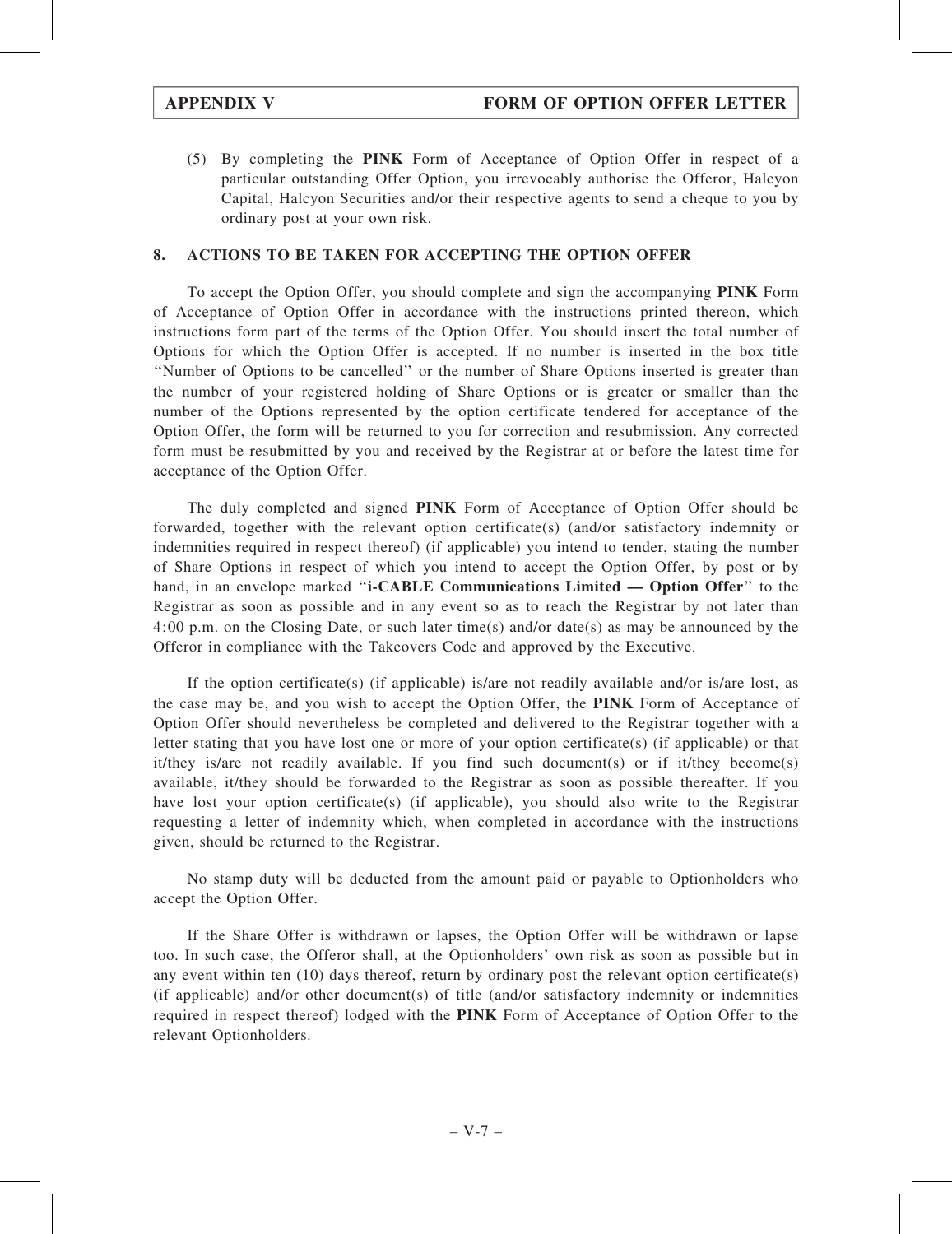(5) By completing the PINK Form of Acceptance of Option Offer in respect of a particular outstanding Offer Option, you irrevocably authorise the Offeror, Halcyon Capital, Halcyon Securities and/or their respective agents to send a cheque to you by ordinary post at your own risk.

# 8. ACTIONS TO BE TAKEN FOR ACCEPTING THE OPTION OFFER

To accept the Option Offer, you should complete and sign the accompanying PINK Form of Acceptance of Option Offer in accordance with the instructions printed thereon, which instructions form part of the terms of the Option Offer. You should insert the total number of Options for which the Option Offer is accepted. If no number is inserted in the box title ''Number of Options to be cancelled'' or the number of Share Options inserted is greater than the number of your registered holding of Share Options or is greater or smaller than the number of the Options represented by the option certificate tendered for acceptance of the Option Offer, the form will be returned to you for correction and resubmission. Any corrected form must be resubmitted by you and received by the Registrar at or before the latest time for acceptance of the Option Offer.

The duly completed and signed PINK Form of Acceptance of Option Offer should be forwarded, together with the relevant option certificate(s) (and/or satisfactory indemnity or indemnities required in respect thereof) (if applicable) you intend to tender, stating the number of Share Options in respect of which you intend to accept the Option Offer, by post or by hand, in an envelope marked "i-CABLE Communications Limited — Option Offer" to the Registrar as soon as possible and in any event so as to reach the Registrar by not later than 4:00 p.m. on the Closing Date, or such later time(s) and/or date(s) as may be announced by the Offeror in compliance with the Takeovers Code and approved by the Executive.

If the option certificate(s) (if applicable) is/are not readily available and/or is/are lost, as the case may be, and you wish to accept the Option Offer, the PINK Form of Acceptance of Option Offer should nevertheless be completed and delivered to the Registrar together with a letter stating that you have lost one or more of your option certificate(s) (if applicable) or that it/they is/are not readily available. If you find such document(s) or if it/they become(s) available, it/they should be forwarded to the Registrar as soon as possible thereafter. If you have lost your option certificate(s) (if applicable), you should also write to the Registrar requesting a letter of indemnity which, when completed in accordance with the instructions given, should be returned to the Registrar.

No stamp duty will be deducted from the amount paid or payable to Optionholders who accept the Option Offer.

If the Share Offer is withdrawn or lapses, the Option Offer will be withdrawn or lapse too. In such case, the Offeror shall, at the Optionholders' own risk as soon as possible but in any event within ten (10) days thereof, return by ordinary post the relevant option certificate(s) (if applicable) and/or other document(s) of title (and/or satisfactory indemnity or indemnities required in respect thereof) lodged with the PINK Form of Acceptance of Option Offer to the relevant Optionholders.